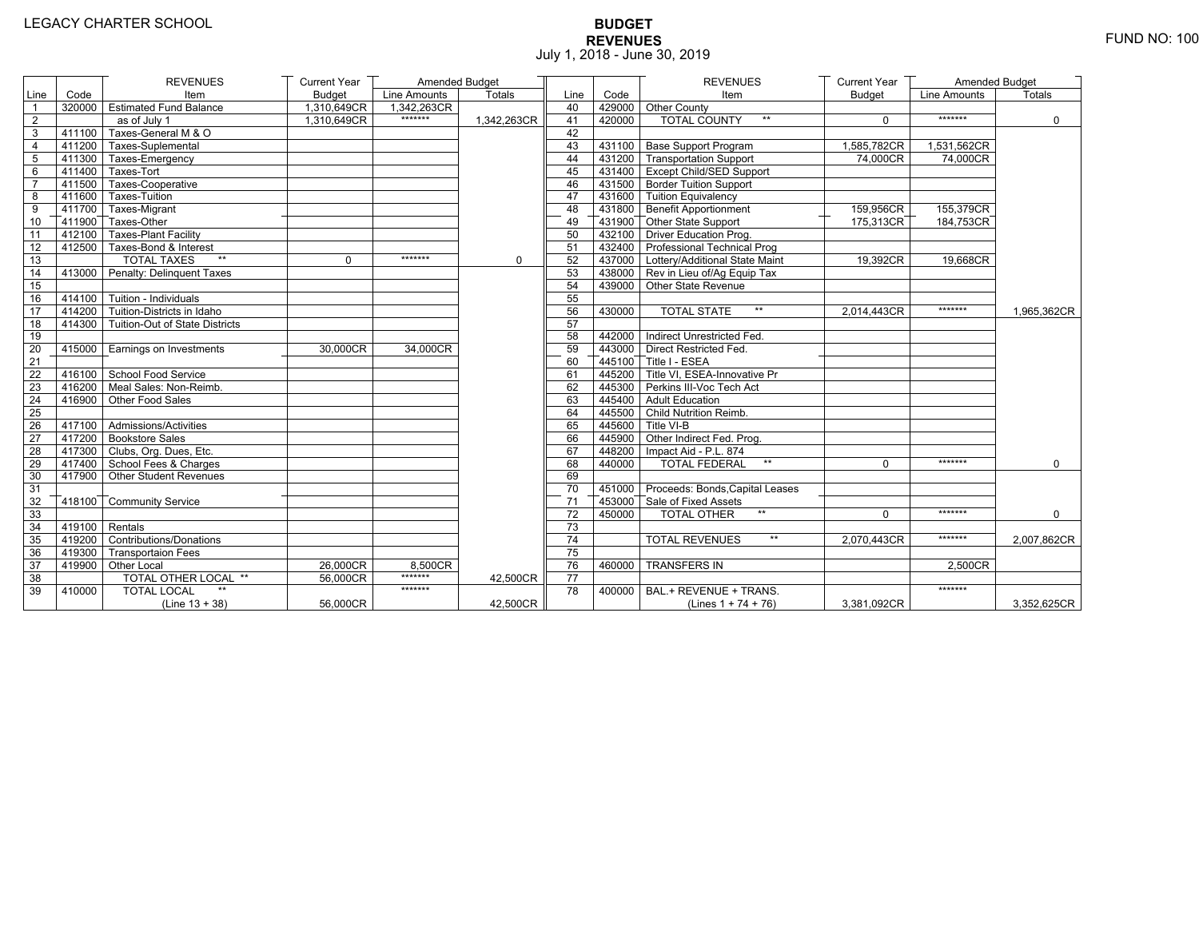# **BUDGET REVENUES** FUND NO: 100 July 1, 2018 - June 30, 2019

|                |                  | <b>REVENUES</b>                       | <b>Current Year</b> | Amended Budget |               |      |        | <b>REVENUES</b>                        | <b>Current Year</b> | Amended Budget |               |
|----------------|------------------|---------------------------------------|---------------------|----------------|---------------|------|--------|----------------------------------------|---------------------|----------------|---------------|
| Line           | Code             | Item                                  | <b>Budget</b>       | Line Amounts   | <b>Totals</b> | Line | Code   | Item                                   | <b>Budget</b>       | Line Amounts   | <b>Totals</b> |
| $\overline{1}$ |                  | 320000 Estimated Fund Balance         | 1,310,649CR         | 1.342.263CR    |               | 40   |        | 429000 Other County                    |                     |                |               |
| $\overline{2}$ |                  | as of July 1                          | 1.310.649CR         | *******        | 1.342.263CR   | 41   | 420000 | <b>TOTAL COUNTY</b><br>$**$            | $\Omega$            | *******        | $\mathbf{0}$  |
| 3              | 411100           | Taxes-General M & O                   |                     |                |               | 42   |        |                                        |                     |                |               |
| $\overline{4}$ |                  | 411200 Taxes-Suplemental              |                     |                |               | 43   |        | 431100 Base Support Program            | 1,585,782CR         | 1,531,562CR    |               |
| 5              |                  | 411300 Taxes-Emergency                |                     |                |               | 44   |        | 431200 Transportation Support          | 74,000CR            | 74,000CR       |               |
| 6              |                  | 411400 Taxes-Tort                     |                     |                |               | 45   |        | 431400 Except Child/SED Support        |                     |                |               |
| $\overline{7}$ |                  | 411500 Taxes-Cooperative              |                     |                |               | 46   |        | 431500 Border Tuition Support          |                     |                |               |
| 8              |                  | 411600 Taxes-Tuition                  |                     |                |               | 47   |        | 431600 Tuition Equivalency             |                     |                |               |
| 9              |                  | 411700 Taxes-Migrant                  |                     |                |               | 48   |        | 431800 Benefit Apportionment           | 159,956CR           | 155,379CR      |               |
| 10             |                  | $-411900$ Taxes-Other                 |                     |                |               | 49   |        | 431900 Other State Support             | 175,313CR           | 184,753CR      |               |
| 11             |                  | 412100 Taxes-Plant Facility           |                     |                |               | 50   |        | 432100 Driver Education Prog.          |                     |                |               |
| 12             |                  | 412500 Taxes-Bond & Interest          |                     |                |               | 51   |        | 432400 Professional Technical Prog     |                     |                |               |
| 13             |                  | <b>TOTAL TAXES</b><br>$\star\star$    | $\Omega$            | *******        | 0             | 52   |        | 437000 Lottery/Additional State Maint  | 19,392CR            | 19,668CR       |               |
| 14             |                  | 413000 Penalty: Delinquent Taxes      |                     |                |               | 53   |        | 438000 Rev in Lieu of/Ag Equip Tax     |                     |                |               |
| 15             |                  |                                       |                     |                |               | 54   |        | 439000 Other State Revenue             |                     |                |               |
| 16             |                  | $414100$ Tuition - Individuals        |                     |                |               | 55   |        |                                        |                     |                |               |
| 17             |                  | 414200 Tuition-Districts in Idaho     |                     |                |               | 56   | 430000 | $\star\star$<br><b>TOTAL STATE</b>     | 2,014,443CR         | *******        | 1,965,362CR   |
| 18             |                  | 414300 Tuition-Out of State Districts |                     |                |               | 57   |        |                                        |                     |                |               |
| 19             |                  |                                       |                     |                |               | 58   |        | 442000 Indirect Unrestricted Fed.      |                     |                |               |
| 20             | 415000           | Earnings on Investments               | 30,000CR            | 34,000CR       |               | 59   |        | 443000 Direct Restricted Fed.          |                     |                |               |
| 21             |                  |                                       |                     |                |               | 60   |        | 445100 Title I - ESEA                  |                     |                |               |
| 22             |                  | 416100 School Food Service            |                     |                |               | 61   |        | 445200 Title VI, ESEA-Innovative Pr    |                     |                |               |
| 23             |                  | 416200 Meal Sales: Non-Reimb.         |                     |                |               | 62   |        | 445300 Perkins III-Voc Tech Act        |                     |                |               |
| 24             |                  | 416900 Other Food Sales               |                     |                |               | 63   |        | 445400 Adult Education                 |                     |                |               |
| 25             |                  |                                       |                     |                |               | 64   |        | 445500 Child Nutrition Reimb.          |                     |                |               |
| 26             |                  | 417100 Admissions/Activities          |                     |                |               | 65   |        | 445600 Title VI-B                      |                     |                |               |
| 27             |                  | 417200 Bookstore Sales                |                     |                |               | 66   |        | 445900 Other Indirect Fed. Prog.       |                     |                |               |
| 28             |                  | 417300 Clubs, Org. Dues, Etc.         |                     |                |               | 67   |        | 448200   Impact Aid - P.L. 874         |                     |                |               |
| 29             |                  | $\sqrt{417400}$ School Fees & Charges |                     |                |               | 68   | 440000 | <b>TOTAL FEDERAL</b><br>$\star\star$   | $\Omega$            | *******        | $\mathbf 0$   |
| 30             |                  | 417900 Other Student Revenues         |                     |                |               | 69   |        |                                        |                     |                |               |
| 31             |                  |                                       |                     |                |               | 70   |        | 451000 Proceeds: Bonds, Capital Leases |                     |                |               |
| 32             |                  | 418100 Community Service              |                     |                |               | 71   |        | 453000 Sale of Fixed Assets            |                     |                |               |
| 33             |                  |                                       |                     |                |               | 72   | 450000 | $**$<br><b>TOTAL OTHER</b>             | $\Omega$            | *******        | $\Omega$      |
| 34             | $419100$ Rentals |                                       |                     |                |               | 73   |        |                                        |                     |                |               |
| 35             |                  | 419200 Contributions/Donations        |                     |                |               | 74   |        | $\star\star$<br><b>TOTAL REVENUES</b>  | 2,070,443CR         | *******        | 2,007,862CR   |
| 36             |                  | 419300 Transportaion Fees             |                     |                |               | 75   |        |                                        |                     |                |               |
| 37             |                  | 419900 Other Local                    | 26,000CR            | 8.500CR        |               | 76   | 460000 | <b>TRANSFERS IN</b>                    |                     | 2.500CR        |               |
| 38             |                  | <b>TOTAL OTHER LOCAL **</b>           | 56,000CR            | *******        | 42,500CR      | 77   |        |                                        |                     |                |               |
| 39             | 410000           | <b>TOTAL LOCAL</b>                    |                     | *******        |               | 78   | 400000 | BAL.+ REVENUE + TRANS.                 |                     | *******        |               |
|                |                  | $(Line 13 + 38)$                      | 56,000CR            |                | 42,500CR      |      |        | (Lines $1 + 74 + 76$ )                 | 3,381,092CR         |                | 3,352,625CR   |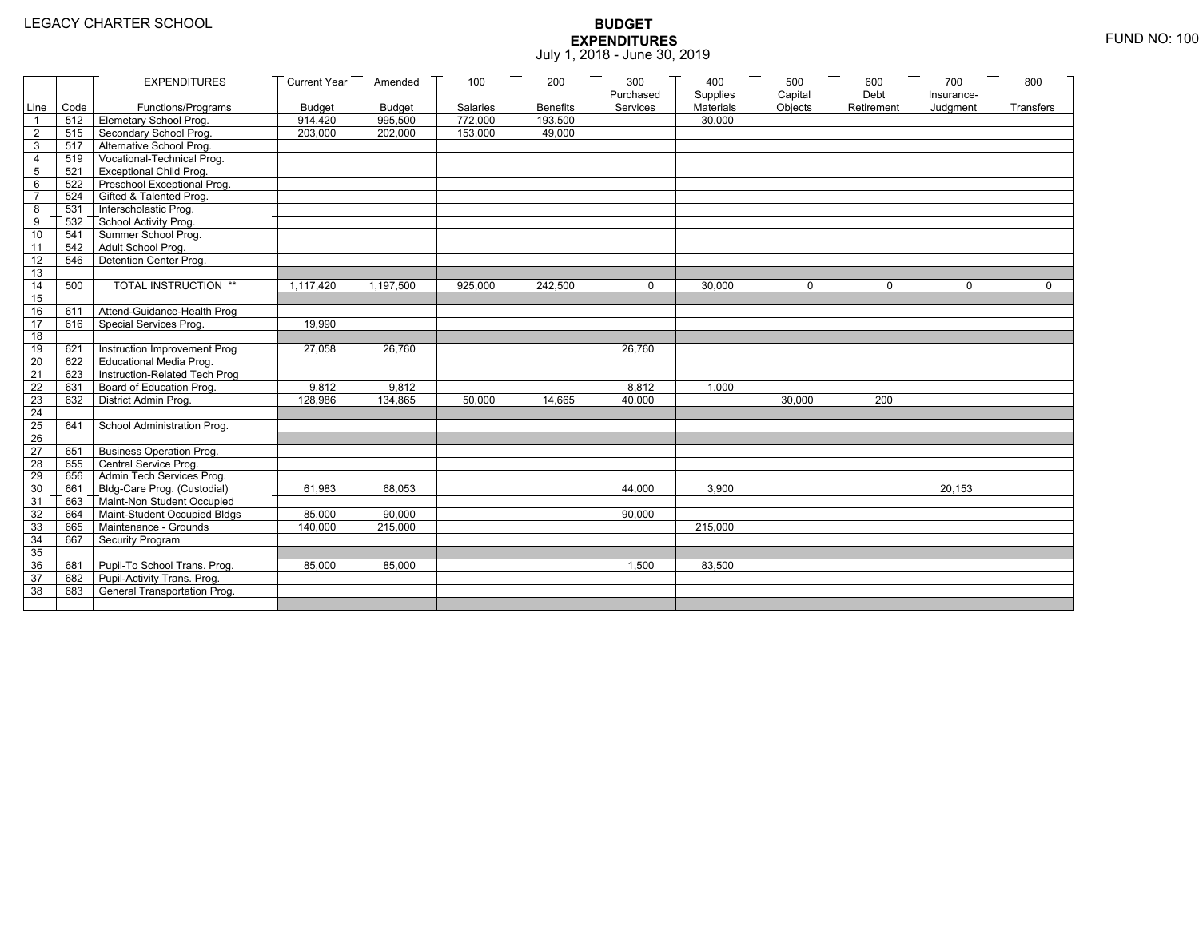|                 |                                | <b>EXPENDITURES</b>             | <b>Current Year</b> | Amended       | 100      | 200             | 300       | 400       | 500         | 600        | 700        | 800          |
|-----------------|--------------------------------|---------------------------------|---------------------|---------------|----------|-----------------|-----------|-----------|-------------|------------|------------|--------------|
|                 |                                |                                 |                     |               |          |                 | Purchased | Supplies  | Capital     | Debt       | Insurance- |              |
|                 | Line Code                      | Functions/Programs              | <b>Budget</b>       | <b>Budget</b> | Salaries | <b>Benefits</b> | Services  | Materials | Objects     | Retirement | Judgment   | Transfers    |
|                 | $512$ $\overline{\phantom{1}}$ | Elemetary School Prog.          | 914,420             | 995,500       | 772,000  | 193,500         |           | 30.000    |             |            |            |              |
| $\overline{2}$  | 515                            | Secondary School Prog.          | 203,000             | 202,000       | 153,000  | 49,000          |           |           |             |            |            |              |
| 3               | 517                            | Alternative School Prog.        |                     |               |          |                 |           |           |             |            |            |              |
| 4               | 519                            | Vocational-Technical Prog.      |                     |               |          |                 |           |           |             |            |            |              |
| 5               | 521                            | <b>Exceptional Child Prog.</b>  |                     |               |          |                 |           |           |             |            |            |              |
| 6               | 522                            | Preschool Exceptional Prog.     |                     |               |          |                 |           |           |             |            |            |              |
| $\overline{7}$  | 524                            | Gifted & Talented Prog.         |                     |               |          |                 |           |           |             |            |            |              |
| 8               |                                | 531 Interscholastic Prog.       |                     |               |          |                 |           |           |             |            |            |              |
| 9               | 532                            | School Activity Prog.           |                     |               |          |                 |           |           |             |            |            |              |
| 10              | 541                            | Summer School Prog.             |                     |               |          |                 |           |           |             |            |            |              |
| 11              | 542                            | Adult School Prog.              |                     |               |          |                 |           |           |             |            |            |              |
| 12              | 546                            | Detention Center Prog.          |                     |               |          |                 |           |           |             |            |            |              |
| 13              |                                |                                 |                     |               |          |                 |           |           |             |            |            |              |
| 14              | 500                            | TOTAL INSTRUCTION **            | 1,117,420           | 1,197,500     | 925,000  | 242,500         | $\Omega$  | 30,000    | $\mathbf 0$ | $\Omega$   | $\Omega$   | $\mathbf{0}$ |
| 15              |                                |                                 |                     |               |          |                 |           |           |             |            |            |              |
| 16              | 611                            | Attend-Guidance-Health Prog     |                     |               |          |                 |           |           |             |            |            |              |
| 17              | 616                            | Special Services Prog.          | 19.990              |               |          |                 |           |           |             |            |            |              |
| 18              |                                |                                 |                     |               |          |                 |           |           |             |            |            |              |
| 19              | 621                            | Instruction Improvement Prog    | 27,058              | 26,760        |          |                 | 26,760    |           |             |            |            |              |
| $\overline{20}$ | 622                            | Educational Media Prog.         |                     |               |          |                 |           |           |             |            |            |              |
| 21              | 623                            | Instruction-Related Tech Prog   |                     |               |          |                 |           |           |             |            |            |              |
| $\overline{22}$ | 631                            | Board of Education Prog.        | 9,812               | 9,812         |          |                 | 8,812     | 1,000     |             |            |            |              |
| 23              | 632                            | District Admin Prog.            | 128,986             | 134,865       | 50,000   | 14,665          | 40,000    |           | 30,000      | 200        |            |              |
| 24              |                                |                                 |                     |               |          |                 |           |           |             |            |            |              |
| 25              | 641                            | School Administration Prog.     |                     |               |          |                 |           |           |             |            |            |              |
| 26              |                                |                                 |                     |               |          |                 |           |           |             |            |            |              |
| $\overline{27}$ | 651                            | <b>Business Operation Prog.</b> |                     |               |          |                 |           |           |             |            |            |              |
| 28              | 655                            | Central Service Prog.           |                     |               |          |                 |           |           |             |            |            |              |
| 29              | 656                            | Admin Tech Services Prog.       |                     |               |          |                 |           |           |             |            |            |              |
| 30              | 661                            | Bldg-Care Prog. (Custodial)     | 61,983              | 68,053        |          |                 | 44,000    | 3,900     |             |            | 20,153     |              |
| 31              | 663                            | Maint-Non Student Occupied      |                     |               |          |                 |           |           |             |            |            |              |
| 32              | 664                            | Maint-Student Occupied Bldgs    | 85,000              | 90,000        |          |                 | 90,000    |           |             |            |            |              |
| 33              | 665                            | Maintenance - Grounds           | 140,000             | 215,000       |          |                 |           | 215,000   |             |            |            |              |
| 34              | 667                            | Security Program                |                     |               |          |                 |           |           |             |            |            |              |
| 35              |                                |                                 |                     |               |          |                 |           |           |             |            |            |              |
| 36              | 681                            | Pupil-To School Trans. Prog.    | 85,000              | 85,000        |          |                 | 1,500     | 83,500    |             |            |            |              |
| 37              | 682                            | Pupil-Activity Trans. Prog.     |                     |               |          |                 |           |           |             |            |            |              |
| 38              | 683                            | General Transportation Prog.    |                     |               |          |                 |           |           |             |            |            |              |
|                 |                                |                                 |                     |               |          |                 |           |           |             |            |            |              |
|                 |                                |                                 |                     |               |          |                 |           |           |             |            |            |              |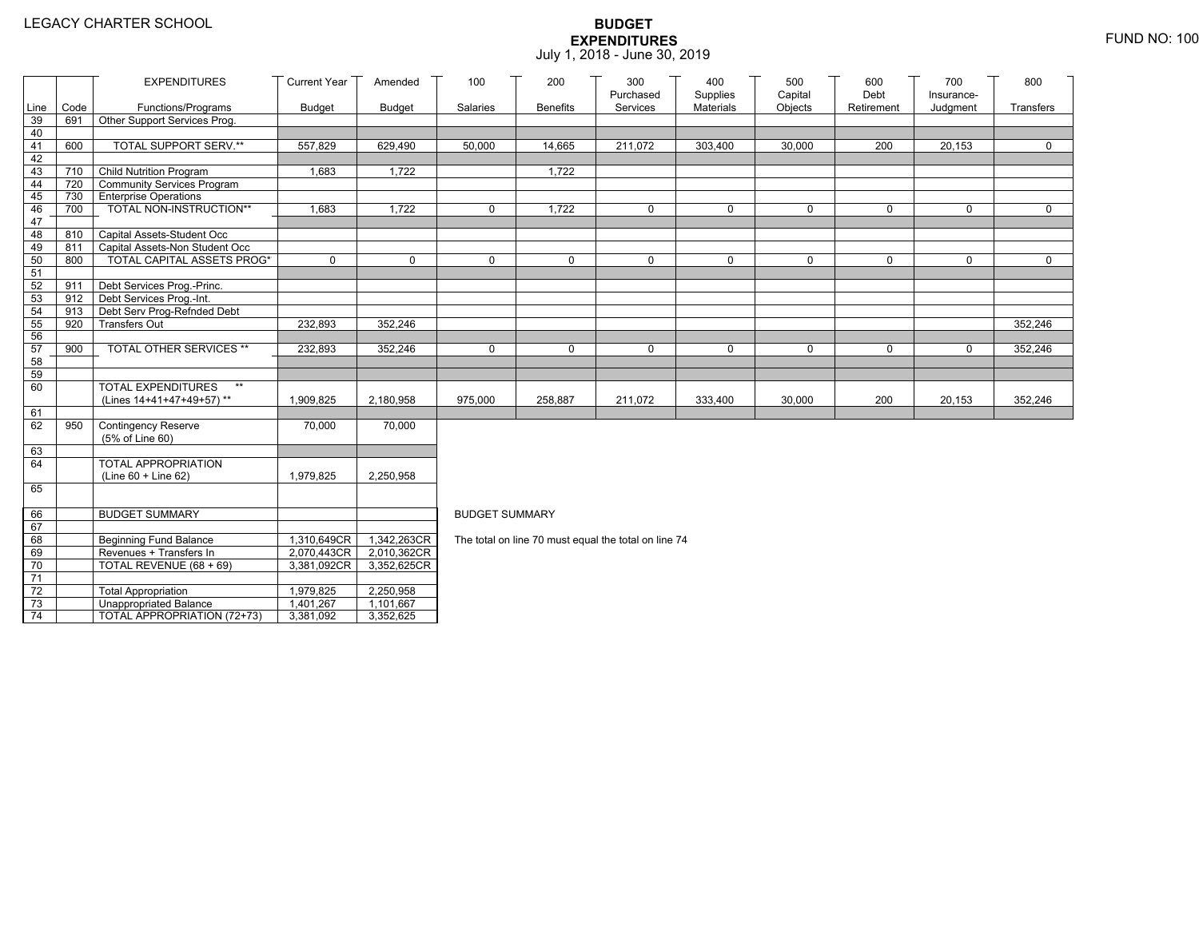|                 |      | <b>EXPENDITURES</b>                                         | <b>Current Year</b> | Amended       | 100                                                                                | 200             | 300<br>Purchased                                     | 400<br>Supplies | 500<br>Capital | 600<br>Debt | 700<br>Insurance- | 800         |  |  |
|-----------------|------|-------------------------------------------------------------|---------------------|---------------|------------------------------------------------------------------------------------|-----------------|------------------------------------------------------|-----------------|----------------|-------------|-------------------|-------------|--|--|
| Line            | Code | Functions/Programs                                          | <b>Budget</b>       | <b>Budget</b> | Salaries                                                                           | <b>Benefits</b> | Services                                             | Materials       | Objects        | Retirement  | Judgment          | Transfers   |  |  |
| 39              | 691  | Other Support Services Prog.                                |                     |               |                                                                                    |                 |                                                      |                 |                |             |                   |             |  |  |
| 40              |      |                                                             |                     |               |                                                                                    |                 |                                                      |                 |                |             |                   |             |  |  |
| 41              | 600  | TOTAL SUPPORT SERV.**                                       | 557,829             | 629,490       | 50,000                                                                             | 14,665          | 211,072                                              | 303,400         | 30,000         | 200         | 20,153            | $\mathbf 0$ |  |  |
| 42              |      |                                                             |                     |               |                                                                                    |                 |                                                      |                 |                |             |                   |             |  |  |
| 43              |      | 710 Child Nutrition Program                                 | 1,683               | 1,722         |                                                                                    | 1,722           |                                                      |                 |                |             |                   |             |  |  |
| 44<br>45        |      | 720 Community Services Program<br>730 Enterprise Operations |                     |               |                                                                                    |                 |                                                      |                 |                |             |                   |             |  |  |
| 46              | 700  | TOTAL NON-INSTRUCTION**                                     | 1,683               | 1,722         | $\mathbf 0$                                                                        | 1,722           | $\mathbf 0$                                          | 0               | $\mathbf 0$    | $\mathbf 0$ | 0                 | $\mathbf 0$ |  |  |
| 47              |      |                                                             |                     |               |                                                                                    |                 |                                                      |                 |                |             |                   |             |  |  |
| 48              |      | 810 Capital Assets-Student Occ                              |                     |               |                                                                                    |                 |                                                      |                 |                |             |                   |             |  |  |
| 49              | 811  | Capital Assets-Non Student Occ                              |                     |               |                                                                                    |                 |                                                      |                 |                |             |                   |             |  |  |
| 50              | 800  | <b>TOTAL CAPITAL ASSETS PROG*</b>                           | 0                   | $\mathbf 0$   | $\Omega$                                                                           | $\mathbf 0$     | $\mathbf 0$                                          | $\mathbf 0$     | $\Omega$       | $\Omega$    | 0                 | $\mathbf 0$ |  |  |
| 51              |      |                                                             |                     |               |                                                                                    |                 |                                                      |                 |                |             |                   |             |  |  |
| 52              | 911  | Debt Services Prog.-Princ.                                  |                     |               |                                                                                    |                 |                                                      |                 |                |             |                   |             |  |  |
| 53              |      | 912 Debt Services Prog.-Int.                                |                     |               |                                                                                    |                 |                                                      |                 |                |             |                   |             |  |  |
| 54              | 913  | Debt Serv Prog-Refnded Debt                                 |                     |               |                                                                                    |                 |                                                      |                 |                |             |                   |             |  |  |
| 55              | 920  | <b>Transfers Out</b>                                        | 232,893             | 352,246       |                                                                                    |                 |                                                      |                 |                |             |                   | 352,246     |  |  |
| 56              |      |                                                             |                     |               | 352,246<br>0<br>$\mathbf 0$<br>$\mathbf 0$<br>0<br>$\mathbf 0$<br>$\mathbf 0$<br>0 |                 |                                                      |                 |                |             |                   |             |  |  |
| 57              | 900  | TOTAL OTHER SERVICES **                                     | 232,893             | 352,246       |                                                                                    |                 |                                                      |                 |                |             |                   |             |  |  |
| 58<br>59        |      |                                                             |                     |               |                                                                                    |                 |                                                      |                 |                |             |                   |             |  |  |
| 60              |      | <b>TOTAL EXPENDITURES</b><br>$**$                           |                     |               |                                                                                    |                 |                                                      |                 |                |             |                   |             |  |  |
|                 |      | (Lines 14+41+47+49+57)**                                    | 1,909,825           | 2,180,958     | 975,000                                                                            | 258,887         | 211,072                                              | 333,400         | 30,000         | 200         | 20,153            | 352,246     |  |  |
| 61              |      |                                                             |                     |               |                                                                                    |                 |                                                      |                 |                |             |                   |             |  |  |
| 62              | 950  | <b>Contingency Reserve</b>                                  | 70,000              | 70,000        |                                                                                    |                 |                                                      |                 |                |             |                   |             |  |  |
|                 |      | (5% of Line 60)                                             |                     |               |                                                                                    |                 |                                                      |                 |                |             |                   |             |  |  |
| 63              |      |                                                             |                     |               |                                                                                    |                 |                                                      |                 |                |             |                   |             |  |  |
| 64              |      | TOTAL APPROPRIATION                                         |                     |               |                                                                                    |                 |                                                      |                 |                |             |                   |             |  |  |
|                 |      | (Line 60 + Line 62)                                         | 1,979,825           | 2,250,958     |                                                                                    |                 |                                                      |                 |                |             |                   |             |  |  |
| 65              |      |                                                             |                     |               |                                                                                    |                 |                                                      |                 |                |             |                   |             |  |  |
| 66              |      | <b>BUDGET SUMMARY</b>                                       |                     |               | <b>BUDGET SUMMARY</b>                                                              |                 |                                                      |                 |                |             |                   |             |  |  |
| 67              |      |                                                             |                     |               |                                                                                    |                 |                                                      |                 |                |             |                   |             |  |  |
| 68              |      | <b>Beginning Fund Balance</b>                               | 1,310,649CR         | 1,342,263CR   |                                                                                    |                 | The total on line 70 must equal the total on line 74 |                 |                |             |                   |             |  |  |
| 69              |      | Revenues + Transfers In                                     | 2,070,443CR         | 2,010,362CR   |                                                                                    |                 |                                                      |                 |                |             |                   |             |  |  |
| 70              |      | TOTAL REVENUE (68 + 69)                                     | 3,381,092CR         | 3,352,625CR   |                                                                                    |                 |                                                      |                 |                |             |                   |             |  |  |
| $\overline{71}$ |      |                                                             |                     |               |                                                                                    |                 |                                                      |                 |                |             |                   |             |  |  |
| $72\,$          |      | <b>Total Appropriation</b>                                  | 1,979,825           | 2,250,958     |                                                                                    |                 |                                                      |                 |                |             |                   |             |  |  |
| 73              |      | <b>Unappropriated Balance</b>                               | 1,401,267           | 1,101,667     |                                                                                    |                 |                                                      |                 |                |             |                   |             |  |  |
| $\overline{74}$ |      | TOTAL APPROPRIATION (72+73)                                 | 3,381,092           | 3,352,625     |                                                                                    |                 |                                                      |                 |                |             |                   |             |  |  |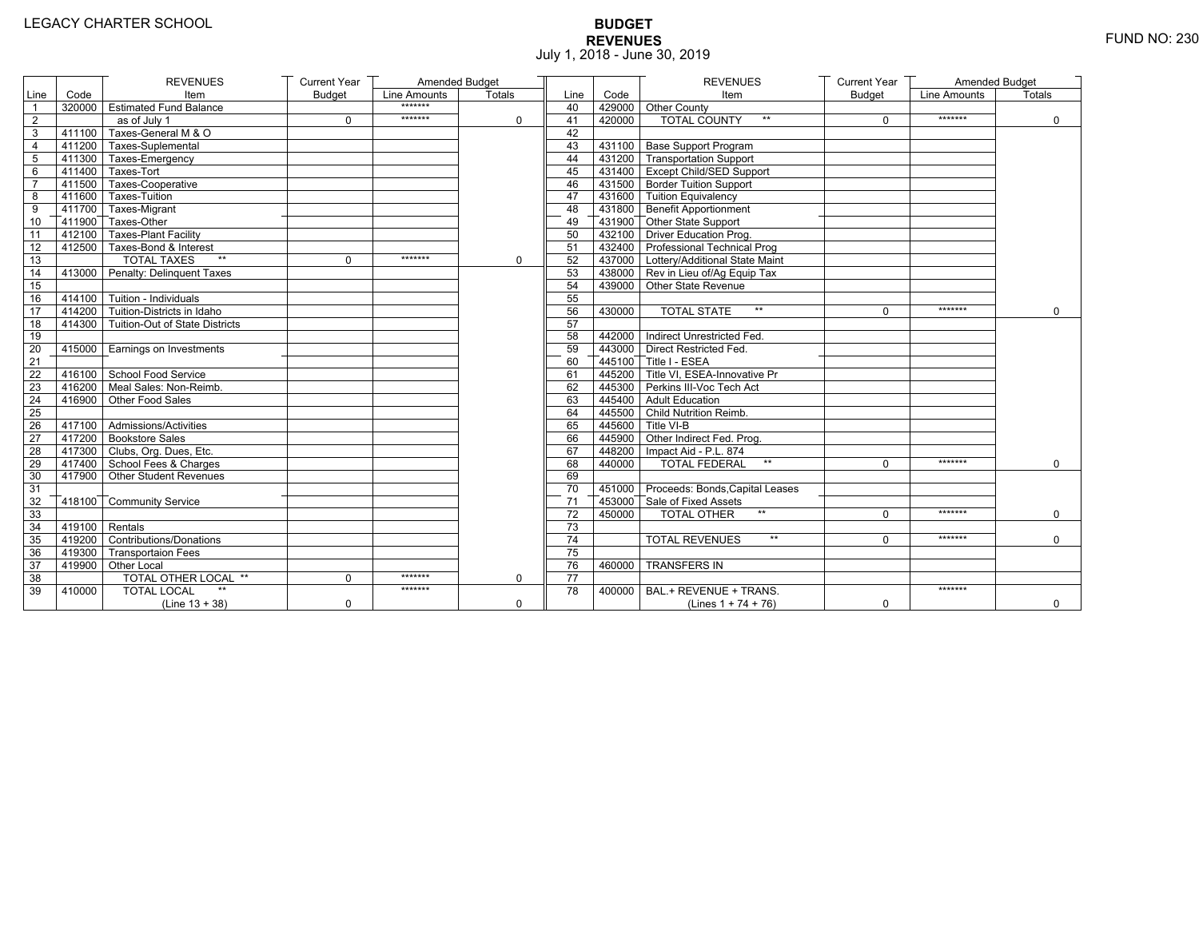# **BUDGET REVENUES** FUND NO: 230 July 1, 2018 - June 30, 2019

|                         |                  | <b>REVENUES</b>                                  | <b>Current Year</b> | Amended Budget |               |      |        | <b>REVENUES</b>                         | <b>Current Year</b> | Amended Budget |              |
|-------------------------|------------------|--------------------------------------------------|---------------------|----------------|---------------|------|--------|-----------------------------------------|---------------------|----------------|--------------|
| Line                    | Code             | Item                                             | <b>Budget</b>       | Line Amounts   | <b>Totals</b> | Line | Code   | Item                                    | <b>Budget</b>       | Line Amounts   | Totals       |
| $\overline{1}$          |                  | 320000 Estimated Fund Balance                    |                     | *******        |               | 40   |        | 429000 Other County                     |                     |                |              |
| $\overline{2}$          |                  | as of July 1                                     | $\mathbf 0$         | *******        | $\mathbf 0$   | 41   | 420000 | <b>TOTAL COUNTY</b><br>$**$             | $\Omega$            | *******        | $\mathbf 0$  |
| 3                       | 411100           | Taxes-General M & O                              |                     |                |               | 42   |        |                                         |                     |                |              |
| $\overline{\mathbf{4}}$ |                  | T411200 Taxes-Suplemental                        |                     |                |               | 43   |        | 431100 Base Support Program             |                     |                |              |
| 5                       |                  | 411300 Taxes-Emergency                           |                     |                |               | 44   |        | 431200 Transportation Support           |                     |                |              |
| 6                       |                  | 1411400 Taxes-Tort                               |                     |                |               | 45   |        | 431400 Except Child/SED Support         |                     |                |              |
| $\overline{7}$          |                  | 411500 Taxes-Cooperative                         |                     |                |               | 46   |        | 431500 Border Tuition Support           |                     |                |              |
| 8                       |                  | 411600 Taxes-Tuition                             |                     |                |               | 47   |        | 431600 Tuition Equivalency              |                     |                |              |
| 9                       |                  | T411700 Taxes-Migrant                            |                     |                |               | 48   |        | T431800 Benefit Apportionment           |                     |                |              |
| 10                      |                  | $\overline{1}$ 411900 $\overline{1}$ Taxes-Other |                     |                |               | 49   |        | 431900 Other State Support              |                     |                |              |
| $\overline{11}$         |                  | 412100 Taxes-Plant Facility                      |                     |                |               | 50   |        | 432100 Driver Education Prog.           |                     |                |              |
| 12                      |                  | 412500 Taxes-Bond & Interest                     |                     |                |               | 51   |        | 432400 Professional Technical Prog      |                     |                |              |
| $\overline{13}$         |                  | <b>TOTAL TAXES</b><br>$\star\star$               | $\mathbf 0$         | *******        | $\mathbf 0$   | 52   |        | 437000   Lottery/Additional State Maint |                     |                |              |
| 14                      |                  | 413000 Penalty: Delinguent Taxes                 |                     |                |               | 53   |        | 438000 Rev in Lieu of/Ag Equip Tax      |                     |                |              |
| 15                      |                  |                                                  |                     |                |               | 54   |        | 439000 Other State Revenue              |                     |                |              |
| 16                      |                  | 414100 Tuition - Individuals                     |                     |                |               | 55   |        |                                         |                     |                |              |
| 17                      |                  | $\sqrt{414200}$ Tuition-Districts in Idaho       |                     |                |               | 56   | 430000 | $\star\star$<br><b>TOTAL STATE</b>      | $\Omega$            | *******        | $\mathbf{0}$ |
| 18                      |                  | 414300 Tuition-Out of State Districts            |                     |                |               | 57   |        |                                         |                     |                |              |
| 19                      |                  |                                                  |                     |                |               | 58   |        | 442000 Indirect Unrestricted Fed.       |                     |                |              |
| 20                      |                  | 415000 Earnings on Investments                   |                     |                |               | 59   |        | 443000 Direct Restricted Fed.           |                     |                |              |
| 21                      |                  |                                                  |                     |                |               | 60   |        | 445100 Title I - ESEA                   |                     |                |              |
| 22                      |                  | 416100 School Food Service                       |                     |                |               | 61   |        | 445200 Title VI, ESEA-Innovative Pr     |                     |                |              |
| 23                      |                  | 416200 Meal Sales: Non-Reimb.                    |                     |                |               | 62   |        | 445300 Perkins III-Voc Tech Act         |                     |                |              |
| 24                      |                  | 416900 Other Food Sales                          |                     |                |               | 63   |        | 445400 Adult Education                  |                     |                |              |
| 25                      |                  |                                                  |                     |                |               | 64   |        | 445500 Child Nutrition Reimb.           |                     |                |              |
| 26                      |                  | 417100 Admissions/Activities                     |                     |                |               | 65   |        | 445600 Title VI-B                       |                     |                |              |
| 27                      |                  | 417200 Bookstore Sales                           |                     |                |               | 66   |        | 445900 Other Indirect Fed. Prog.        |                     |                |              |
| 28                      |                  | 417300 Clubs, Org. Dues, Etc.                    |                     |                |               | 67   |        | 448200   Impact Aid - P.L. 874          |                     |                |              |
| 29                      |                  | 417400 School Fees & Charges                     |                     |                |               | 68   | 440000 | <b>TOTAL FEDERAL</b><br>$\star\star$    | $\Omega$            | *******        | 0            |
| 30                      |                  | 417900 Other Student Revenues                    |                     |                |               | 69   |        |                                         |                     |                |              |
| 31                      |                  |                                                  |                     |                |               | 70   |        | 451000 Proceeds: Bonds, Capital Leases  |                     |                |              |
| 32                      |                  | 418100 Community Service                         |                     |                |               | 71   |        | 453000 Sale of Fixed Assets             |                     |                |              |
| 33                      |                  |                                                  |                     |                |               | 72   | 450000 | <b>TOTAL OTHER</b><br>$\star\star$      | $\Omega$            | *******        | $\mathbf 0$  |
| 34                      | $419100$ Rentals |                                                  |                     |                |               | 73   |        |                                         |                     |                |              |
| 35                      |                  | 419200 Contributions/Donations                   |                     |                |               | 74   |        | <b>TOTAL REVENUES</b><br>$\star\star$   | $\Omega$            | *******        | $\mathbf{0}$ |
| 36                      |                  | 419300 Transportaion Fees                        |                     |                |               | 75   |        |                                         |                     |                |              |
| 37                      |                  | 419900 Other Local                               |                     |                |               | 76   | 460000 | <b>TRANSFERS IN</b>                     |                     |                |              |
| 38                      |                  | TOTAL OTHER LOCAL **                             | 0                   | *******        | $\mathbf 0$   | 77   |        |                                         |                     |                |              |
| 39                      | 410000           | <b>TOTAL LOCAL</b>                               |                     | *******        |               | 78   | 400000 | BAL.+ REVENUE + TRANS.                  |                     | *******        |              |
|                         |                  | (Line $13 + 38$ )                                | 0                   |                | 0             |      |        | (Lines $1 + 74 + 76$ )                  | 0                   |                | $\mathbf 0$  |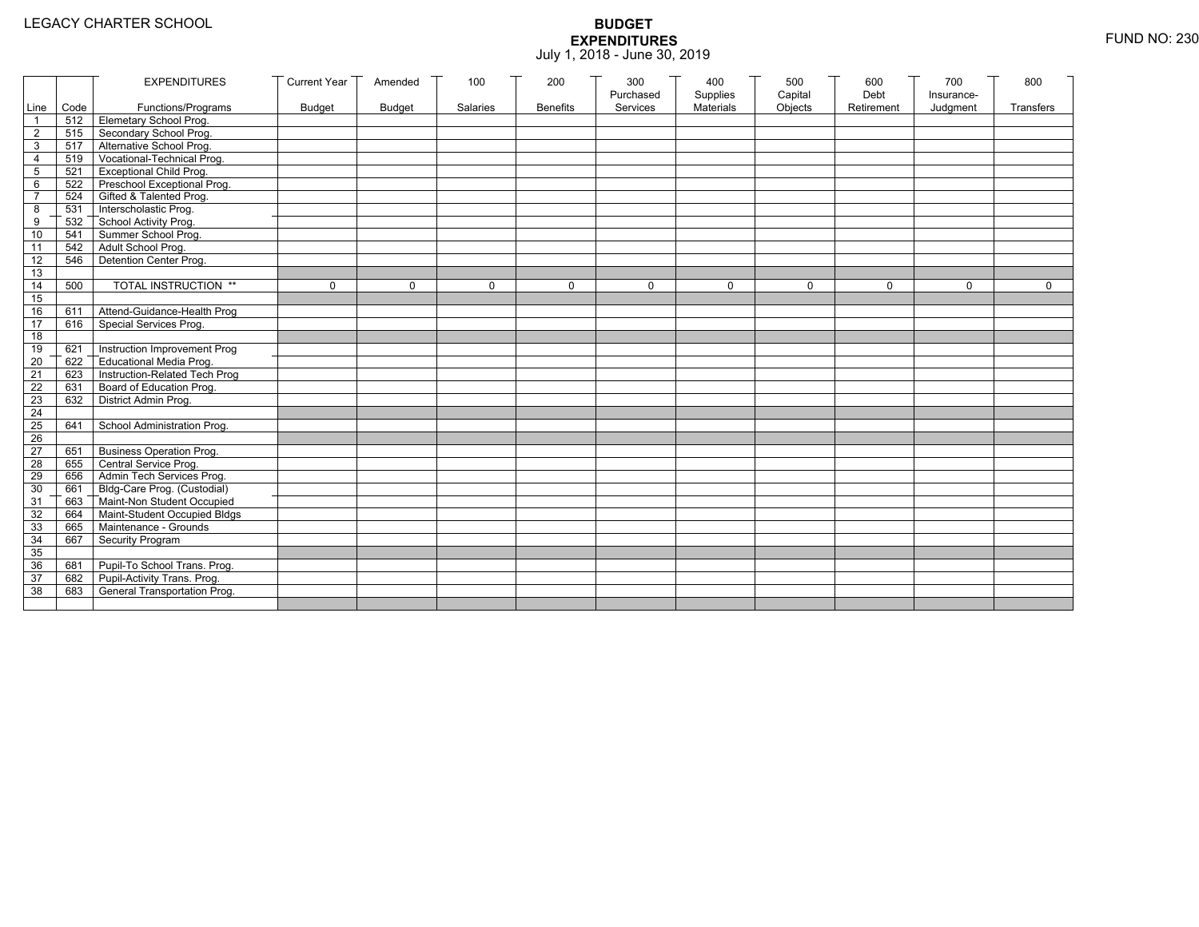|                 |           | <b>EXPENDITURES</b>                          | <b>Current Year</b> | Amended       | 100          | 200             | 300          | 400              | 500         | 600        | 700          | 800          |
|-----------------|-----------|----------------------------------------------|---------------------|---------------|--------------|-----------------|--------------|------------------|-------------|------------|--------------|--------------|
|                 |           |                                              |                     |               |              |                 | Purchased    | Supplies         | Capital     | Debt       | Insurance-   |              |
|                 | Line Code | Functions/Programs                           | <b>Budget</b>       | <b>Budget</b> | Salaries     | <b>Benefits</b> | Services     | <b>Materials</b> | Objects     | Retirement | Judgment     | Transfers    |
|                 |           | 512 Elemetary School Prog.                   |                     |               |              |                 |              |                  |             |            |              |              |
| $\overline{2}$  | 515       | Secondary School Prog.                       |                     |               |              |                 |              |                  |             |            |              |              |
| 3               |           | 517 Alternative School Prog.                 |                     |               |              |                 |              |                  |             |            |              |              |
| 4               | 519       | Vocational-Technical Prog.                   |                     |               |              |                 |              |                  |             |            |              |              |
| 5               | 521       | <b>Exceptional Child Prog.</b>               |                     |               |              |                 |              |                  |             |            |              |              |
| 6               |           | 522 Preschool Exceptional Prog.              |                     |               |              |                 |              |                  |             |            |              |              |
| $\overline{7}$  |           | 524 Gifted & Talented Prog.                  |                     |               |              |                 |              |                  |             |            |              |              |
| 8               |           | 531 Interscholastic Prog.                    |                     |               |              |                 |              |                  |             |            |              |              |
| 9               | 532       | School Activity Prog.<br>Summer School Prog. |                     |               |              |                 |              |                  |             |            |              |              |
| 10              | 541       |                                              |                     |               |              |                 |              |                  |             |            |              |              |
| 11              | 542       | Adult School Prog.                           |                     |               |              |                 |              |                  |             |            |              |              |
| $\overline{12}$ | 546       | Detention Center Prog.                       |                     |               |              |                 |              |                  |             |            |              |              |
| 13              |           |                                              |                     |               |              |                 |              |                  |             |            |              |              |
| 14              | 500       | TOTAL INSTRUCTION **                         | $\mathbf 0$         | $\Omega$      | $\mathbf{0}$ | 0               | $\mathbf{0}$ | 0                | $\mathbf 0$ | $\Omega$   | $\mathbf{0}$ | $\mathbf{0}$ |
| 15              |           |                                              |                     |               |              |                 |              |                  |             |            |              |              |
| 16              | 611       | Attend-Guidance-Health Prog                  |                     |               |              |                 |              |                  |             |            |              |              |
| 17              | 616       | Special Services Prog.                       |                     |               |              |                 |              |                  |             |            |              |              |
| 18              |           |                                              |                     |               |              |                 |              |                  |             |            |              |              |
| 19              | 621       | Instruction Improvement Prog                 |                     |               |              |                 |              |                  |             |            |              |              |
| $\overline{20}$ | 622       | Educational Media Prog.                      |                     |               |              |                 |              |                  |             |            |              |              |
| 21              | 623       | Instruction-Related Tech Prog                |                     |               |              |                 |              |                  |             |            |              |              |
| $\overline{22}$ | 631       | Board of Education Prog.                     |                     |               |              |                 |              |                  |             |            |              |              |
| 23              | 632       | District Admin Prog.                         |                     |               |              |                 |              |                  |             |            |              |              |
| 24              |           |                                              |                     |               |              |                 |              |                  |             |            |              |              |
| 25              | 641       | School Administration Prog.                  |                     |               |              |                 |              |                  |             |            |              |              |
| 26              |           |                                              |                     |               |              |                 |              |                  |             |            |              |              |
| 27              | 651       | <b>Business Operation Prog.</b>              |                     |               |              |                 |              |                  |             |            |              |              |
| 28              |           | 655 Central Service Prog.                    |                     |               |              |                 |              |                  |             |            |              |              |
| 29              | 656       | Admin Tech Services Prog.                    |                     |               |              |                 |              |                  |             |            |              |              |
| 30              |           | 661 Bldg-Care Prog. (Custodial)              |                     |               |              |                 |              |                  |             |            |              |              |
| 31              |           | 663 Maint-Non Student Occupied               |                     |               |              |                 |              |                  |             |            |              |              |
| 32              |           | 664 Maint-Student Occupied Bldgs             |                     |               |              |                 |              |                  |             |            |              |              |
| 33              |           | 665 Maintenance - Grounds                    |                     |               |              |                 |              |                  |             |            |              |              |
| 34              | 667       | Security Program                             |                     |               |              |                 |              |                  |             |            |              |              |
| 35              |           |                                              |                     |               |              |                 |              |                  |             |            |              |              |
| 36              | 681       | Pupil-To School Trans. Prog.                 |                     |               |              |                 |              |                  |             |            |              |              |
| 37              | 682       | Pupil-Activity Trans. Prog.                  |                     |               |              |                 |              |                  |             |            |              |              |
| 38              | 683       | General Transportation Prog.                 |                     |               |              |                 |              |                  |             |            |              |              |
|                 |           |                                              |                     |               |              |                 |              |                  |             |            |              |              |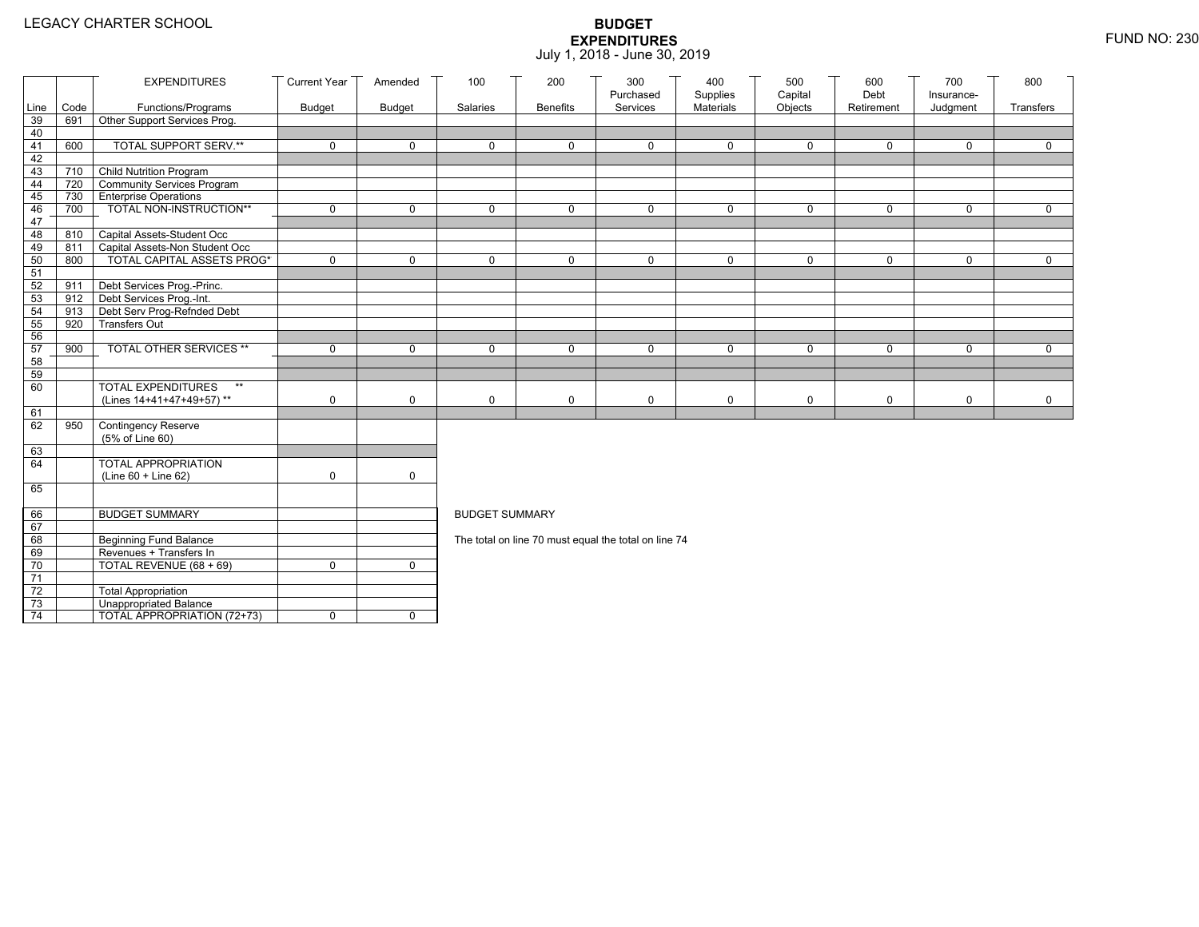|                 |            | <b>EXPENDITURES</b>                                     | <b>Current Year</b> | Amended       | 100                   | 200             | 300<br>Purchased                                     | 400<br>Supplies | 500<br>Capital | 600<br>Debt | 700<br>Insurance- | 800         |
|-----------------|------------|---------------------------------------------------------|---------------------|---------------|-----------------------|-----------------|------------------------------------------------------|-----------------|----------------|-------------|-------------------|-------------|
| Line            | Code       | Functions/Programs                                      | <b>Budget</b>       | <b>Budget</b> | Salaries              | <b>Benefits</b> | Services                                             | Materials       | Objects        | Retirement  | Judgment          | Transfers   |
| 39              | 691        | Other Support Services Prog.                            |                     |               |                       |                 |                                                      |                 |                |             |                   |             |
| 40              |            |                                                         |                     |               |                       |                 |                                                      |                 |                |             |                   |             |
| 41              | 600        | TOTAL SUPPORT SERV.**                                   | 0                   | $\mathbf 0$   | 0                     | $\mathbf 0$     | 0                                                    | $\mathbf 0$     | $\mathbf 0$    | $\mathbf 0$ | $\mathbf 0$       | $\mathbf 0$ |
| 42              |            |                                                         |                     |               |                       |                 |                                                      |                 |                |             |                   |             |
| 43              | 710        | Child Nutrition Program                                 |                     |               |                       |                 |                                                      |                 |                |             |                   |             |
| 44              | 720        | Community Services Program                              |                     |               |                       |                 |                                                      |                 |                |             |                   |             |
| 45              | 730<br>700 | <b>Enterprise Operations</b><br>TOTAL NON-INSTRUCTION** | 0                   | $\mathsf{O}$  | 0                     | $\mathbf 0$     | $\Omega$                                             | $\mathbf 0$     | $\mathbf 0$    | $\mathbf 0$ | $\Omega$          | $\mathbf 0$ |
| 46<br>47        |            |                                                         |                     |               |                       |                 |                                                      |                 |                |             |                   |             |
| 48              | 810        | Capital Assets-Student Occ                              |                     |               |                       |                 |                                                      |                 |                |             |                   |             |
| 49              | 811        | Capital Assets-Non Student Occ                          |                     |               |                       |                 |                                                      |                 |                |             |                   |             |
| 50              | 800        | <b>TOTAL CAPITAL ASSETS PROG*</b>                       | 0                   | $\mathbf 0$   | 0                     | $\mathbf 0$     | $\Omega$                                             | $\mathbf 0$     | 0              | $\mathbf 0$ | $\mathbf 0$       | 0           |
| 51              |            |                                                         |                     |               |                       |                 |                                                      |                 |                |             |                   |             |
| 52              | 911        | Debt Services Prog.-Princ.                              |                     |               |                       |                 |                                                      |                 |                |             |                   |             |
| 53              |            | 912 Debt Services Prog.-Int.                            |                     |               |                       |                 |                                                      |                 |                |             |                   |             |
| 54              | 913        | Debt Serv Prog-Refnded Debt                             |                     |               |                       |                 |                                                      |                 |                |             |                   |             |
| 55              | 920        | <b>Transfers Out</b>                                    |                     |               |                       |                 |                                                      |                 |                |             |                   |             |
| 56              |            |                                                         |                     |               |                       |                 |                                                      |                 |                |             |                   |             |
| 57              | 900        | TOTAL OTHER SERVICES **                                 | 0                   | $\mathbf 0$   | 0                     | $\mathbf 0$     | $\Omega$                                             | $\mathbf 0$     | $\mathbf 0$    | $\mathbf 0$ | $\Omega$          | $\mathbf 0$ |
| 58<br>59        |            |                                                         |                     |               |                       |                 |                                                      |                 |                |             |                   |             |
| 60              |            | <b>TOTAL EXPENDITURES</b><br>$**$                       |                     |               |                       |                 |                                                      |                 |                |             |                   |             |
|                 |            | (Lines 14+41+47+49+57)**                                | 0                   | 0             | 0                     | $\mathsf{O}$    | 0                                                    | $\mathbf 0$     | 0              | $\mathbf 0$ | 0                 | $\mathbf 0$ |
| 61              |            |                                                         |                     |               |                       |                 |                                                      |                 |                |             |                   |             |
| 62              | 950        | Contingency Reserve                                     |                     |               |                       |                 |                                                      |                 |                |             |                   |             |
|                 |            | (5% of Line 60)                                         |                     |               |                       |                 |                                                      |                 |                |             |                   |             |
| 63              |            |                                                         |                     |               |                       |                 |                                                      |                 |                |             |                   |             |
| 64              |            | TOTAL APPROPRIATION                                     |                     |               |                       |                 |                                                      |                 |                |             |                   |             |
|                 |            | (Line 60 + Line 62)                                     | 0                   | $\mathsf{O}$  |                       |                 |                                                      |                 |                |             |                   |             |
| 65              |            |                                                         |                     |               |                       |                 |                                                      |                 |                |             |                   |             |
| 66              |            | <b>BUDGET SUMMARY</b>                                   |                     |               | <b>BUDGET SUMMARY</b> |                 |                                                      |                 |                |             |                   |             |
| 67              |            |                                                         |                     |               |                       |                 |                                                      |                 |                |             |                   |             |
| 68              |            | <b>Beginning Fund Balance</b>                           |                     |               |                       |                 | The total on line 70 must equal the total on line 74 |                 |                |             |                   |             |
| 69              |            | Revenues + Transfers In                                 |                     |               |                       |                 |                                                      |                 |                |             |                   |             |
| 70              |            | TOTAL REVENUE $(68 + 69)$                               | 0                   | $\mathbf{0}$  |                       |                 |                                                      |                 |                |             |                   |             |
| 71              |            |                                                         |                     |               |                       |                 |                                                      |                 |                |             |                   |             |
| 72              |            | <b>Total Appropriation</b>                              |                     |               |                       |                 |                                                      |                 |                |             |                   |             |
| 73              |            | Unappropriated Balance                                  |                     |               |                       |                 |                                                      |                 |                |             |                   |             |
| $\overline{74}$ |            | TOTAL APPROPRIATION (72+73)                             | 0                   | $\mathbf 0$   |                       |                 |                                                      |                 |                |             |                   |             |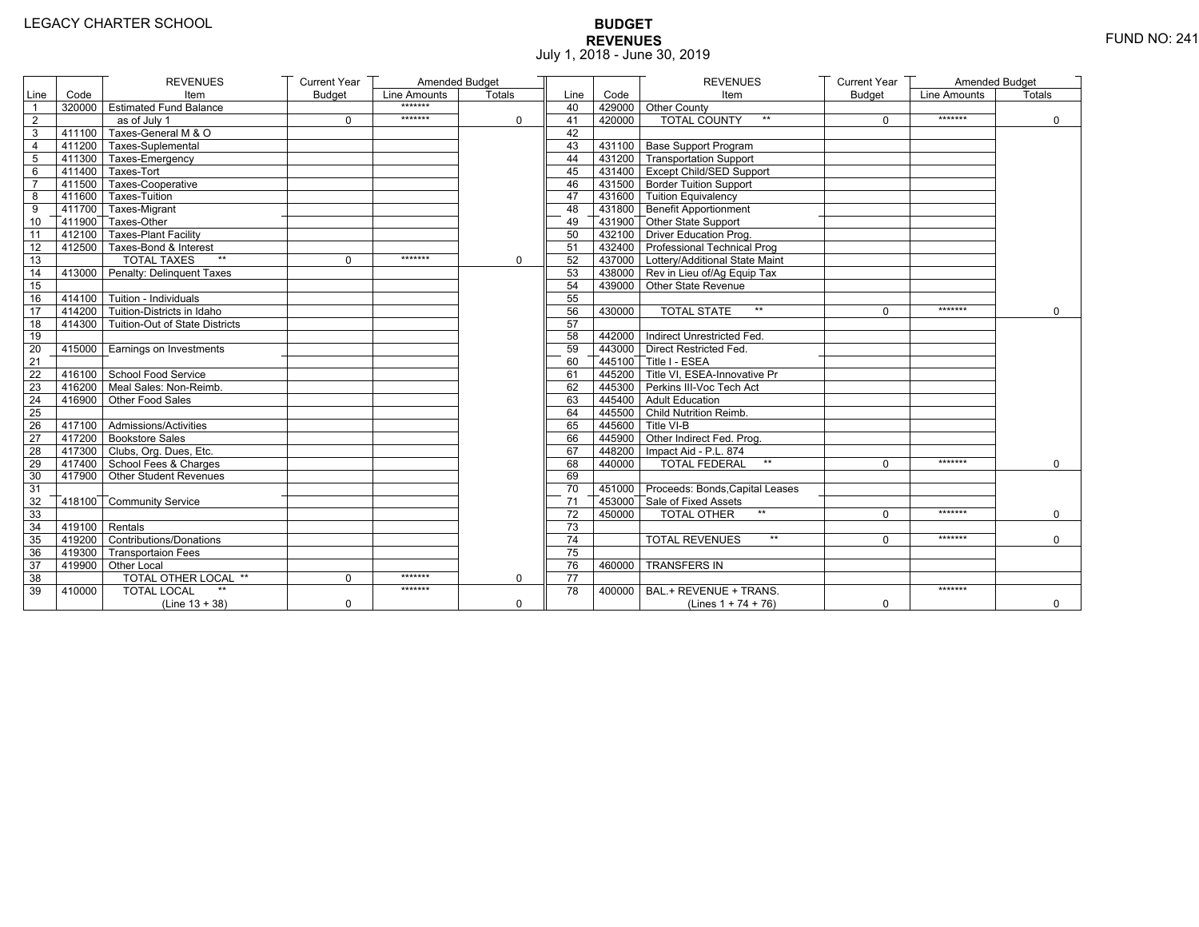# **BUDGET REVENUES** FUND NO: 241 July 1, 2018 - June 30, 2019

|                 |                  | <b>REVENUES</b>                            | <b>Current Year</b> | Amended Budget |             |                 |        | <b>REVENUES</b>                         | <b>Current Year</b> | Amended Budget |              |
|-----------------|------------------|--------------------------------------------|---------------------|----------------|-------------|-----------------|--------|-----------------------------------------|---------------------|----------------|--------------|
| Line            | Code             | Item                                       | <b>Budget</b>       | Line Amounts   | Totals      | Line            | Code   | Item                                    | <b>Budget</b>       | Line Amounts   | Totals       |
| $\overline{1}$  |                  | 320000 Estimated Fund Balance              |                     | *******        |             | 40              |        | 429000 Other County                     |                     |                |              |
| 2               |                  | as of July 1                               | $\mathbf 0$         | *******        | $\Omega$    | 41              | 420000 | <b>TOTAL COUNTY</b><br>$***$            | $\Omega$            | *******        | $\mathbf 0$  |
| 3               |                  | 411100 Taxes-General M & O                 |                     |                |             | 42              |        |                                         |                     |                |              |
| 4               |                  | 411200 Taxes-Suplemental                   |                     |                |             | 43              |        | 431100 Base Support Program             |                     |                |              |
| 5               |                  | 411300 Taxes-Emergency                     |                     |                |             | 44              |        | 431200 Transportation Support           |                     |                |              |
| 6               |                  | $-411400$ Taxes-Tort                       |                     |                |             | 45              |        | 431400 Except Child/SED Support         |                     |                |              |
| $\overline{7}$  |                  | 411500 Taxes-Cooperative                   |                     |                |             | 46              |        | 431500 Border Tuition Support           |                     |                |              |
| 8               |                  | 411600 Taxes-Tuition                       |                     |                |             | 47              |        | 431600 Tuition Equivalency              |                     |                |              |
| 9               |                  | 411700 Taxes-Migrant                       |                     |                |             | 48              |        | 431800 Benefit Apportionment            |                     |                |              |
| 10              |                  | 411900 Taxes-Other                         |                     |                |             | 49              |        | 431900 Other State Support              |                     |                |              |
| $\overline{11}$ |                  | 412100 Taxes-Plant Facility                |                     |                |             | 50              |        | 432100 Driver Education Prog.           |                     |                |              |
| 12              |                  | 412500 Taxes-Bond & Interest               |                     |                |             | 51              |        | 432400 Professional Technical Prog      |                     |                |              |
| $\overline{13}$ |                  | $**$<br><b>TOTAL TAXES</b>                 | 0                   | *******        | $\mathbf 0$ | 52              |        | 437000 Lottery/Additional State Maint   |                     |                |              |
| 14              |                  | 413000 Penalty: Delinguent Taxes           |                     |                |             | 53              |        | 438000 Rev in Lieu of/Ag Equip Tax      |                     |                |              |
| 15              |                  |                                            |                     |                |             | 54              |        | 439000 Other State Revenue              |                     |                |              |
| 16              |                  | $414100$ Tuition - Individuals             |                     |                |             | 55              |        |                                         |                     |                |              |
| 17              |                  | $\sqrt{414200}$ Tuition-Districts in Idaho |                     |                |             | 56              | 430000 | <b>TOTAL STATE</b><br>$**$              | $\Omega$            | *******        | $\mathbf{0}$ |
| 18              |                  | 414300 Tuition-Out of State Districts      |                     |                |             | 57              |        |                                         |                     |                |              |
| 19              |                  |                                            |                     |                |             | 58              |        | 442000 Indirect Unrestricted Fed.       |                     |                |              |
| 20              |                  | 415000 Earnings on Investments             |                     |                |             | 59              |        | 443000 Direct Restricted Fed.           |                     |                |              |
| 21              |                  |                                            |                     |                |             | 60              |        | 445100 Title I - ESEA                   |                     |                |              |
| 22              |                  | 416100 School Food Service                 |                     |                |             | 61              |        | 445200 Title VI. ESEA-Innovative Pr     |                     |                |              |
| 23              |                  | 416200 Meal Sales: Non-Reimb.              |                     |                |             | 62              |        | 445300 Perkins III-Voc Tech Act         |                     |                |              |
| 24              |                  | 416900 Other Food Sales                    |                     |                |             | 63              |        | 445400 Adult Education                  |                     |                |              |
| 25              |                  |                                            |                     |                |             | 64              |        | 445500 Child Nutrition Reimb.           |                     |                |              |
| $\overline{26}$ |                  | 417100 Admissions/Activities               |                     |                |             | 65              |        | 445600 Title VI-B                       |                     |                |              |
| 27              |                  | 417200 Bookstore Sales                     |                     |                |             | 66              |        | 445900 Other Indirect Fed. Prog.        |                     |                |              |
| 28              |                  | 417300 Clubs, Org. Dues, Etc.              |                     |                |             | 67              |        | 448200   Impact Aid - P.L. 874          |                     |                |              |
| 29              |                  | 417400 School Fees & Charges               |                     |                |             | 68              | 440000 | <b>TOTAL FEDERAL</b><br>$^{\star\star}$ | $\Omega$            | *******        | $\mathbf 0$  |
| 30              |                  | 417900 Other Student Revenues              |                     |                |             | 69              |        |                                         |                     |                |              |
| 31              |                  |                                            |                     |                |             | 70              |        | 451000 Proceeds: Bonds, Capital Leases  |                     |                |              |
| 32              |                  | 418100 Community Service                   |                     |                |             | 71              |        | 453000 Sale of Fixed Assets             |                     |                |              |
| 33              |                  |                                            |                     |                |             | $\overline{72}$ | 450000 | <b>TOTAL OTHER</b><br>$\star\star$      | $\Omega$            | *******        | $\mathbf 0$  |
| 34              | $419100$ Rentals |                                            |                     |                |             | 73              |        |                                         |                     |                |              |
| 35              |                  | 419200 Contributions/Donations             |                     |                |             | 74              |        | <b>TOTAL REVENUES</b><br>$\star\star$   | $\Omega$            | *******        | $\Omega$     |
| 36              |                  | 419300 Transportaion Fees                  |                     |                |             | $\overline{75}$ |        |                                         |                     |                |              |
| 37              |                  | 419900 Other Local                         |                     |                |             | 76              | 460000 | <b>TRANSFERS IN</b>                     |                     |                |              |
| 38              |                  | TOTAL OTHER LOCAL **                       | 0                   | *******        | 0           | 77              |        |                                         |                     |                |              |
| 39              | 410000           | <b>TOTAL LOCAL</b>                         |                     | *******        |             | 78              | 400000 | BAL.+ REVENUE + TRANS.                  |                     | *******        |              |
|                 |                  | $(Line 13 + 38)$                           | $\Omega$            |                | $\mathbf 0$ |                 |        | (Lines $1 + 74 + 76$ )                  | $\Omega$            |                | $\mathbf 0$  |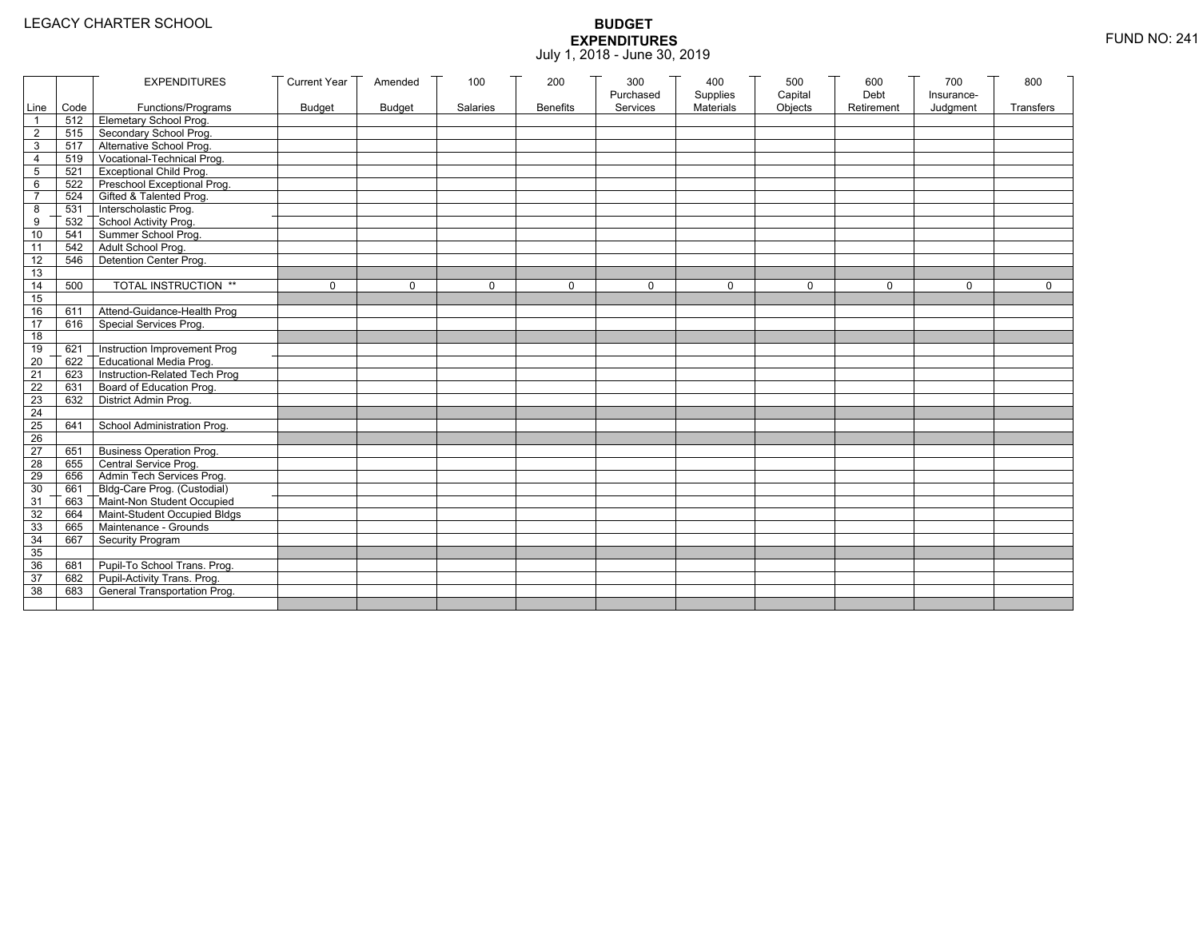|                 |           | <b>EXPENDITURES</b>                          | <b>Current Year</b> | Amended       | 100          | 200             | 300          | 400              | 500         | 600        | 700          | 800          |
|-----------------|-----------|----------------------------------------------|---------------------|---------------|--------------|-----------------|--------------|------------------|-------------|------------|--------------|--------------|
|                 |           |                                              |                     |               |              |                 | Purchased    | Supplies         | Capital     | Debt       | Insurance-   |              |
|                 | Line Code | Functions/Programs                           | <b>Budget</b>       | <b>Budget</b> | Salaries     | <b>Benefits</b> | Services     | <b>Materials</b> | Objects     | Retirement | Judgment     | Transfers    |
|                 |           | 512 Elemetary School Prog.                   |                     |               |              |                 |              |                  |             |            |              |              |
| $\overline{2}$  | 515       | Secondary School Prog.                       |                     |               |              |                 |              |                  |             |            |              |              |
| 3               |           | 517 Alternative School Prog.                 |                     |               |              |                 |              |                  |             |            |              |              |
| 4               | 519       | Vocational-Technical Prog.                   |                     |               |              |                 |              |                  |             |            |              |              |
| 5               | 521       | <b>Exceptional Child Prog.</b>               |                     |               |              |                 |              |                  |             |            |              |              |
| 6               |           | 522 Preschool Exceptional Prog.              |                     |               |              |                 |              |                  |             |            |              |              |
| $\overline{7}$  |           | 524 Gifted & Talented Prog.                  |                     |               |              |                 |              |                  |             |            |              |              |
| 8               |           | 531 Interscholastic Prog.                    |                     |               |              |                 |              |                  |             |            |              |              |
| 9               | 532       | School Activity Prog.<br>Summer School Prog. |                     |               |              |                 |              |                  |             |            |              |              |
| 10              | 541       |                                              |                     |               |              |                 |              |                  |             |            |              |              |
| 11              | 542       | Adult School Prog.                           |                     |               |              |                 |              |                  |             |            |              |              |
| $\overline{12}$ | 546       | Detention Center Prog.                       |                     |               |              |                 |              |                  |             |            |              |              |
| 13              |           |                                              |                     |               |              |                 |              |                  |             |            |              |              |
| 14              | 500       | TOTAL INSTRUCTION **                         | $\mathbf 0$         | $\Omega$      | $\mathbf{0}$ | 0               | $\mathbf{0}$ | 0                | $\mathbf 0$ | $\Omega$   | $\mathbf{0}$ | $\mathbf{0}$ |
| 15              |           |                                              |                     |               |              |                 |              |                  |             |            |              |              |
| 16              | 611       | Attend-Guidance-Health Prog                  |                     |               |              |                 |              |                  |             |            |              |              |
| 17              | 616       | Special Services Prog.                       |                     |               |              |                 |              |                  |             |            |              |              |
| 18              |           |                                              |                     |               |              |                 |              |                  |             |            |              |              |
| 19              | 621       | Instruction Improvement Prog                 |                     |               |              |                 |              |                  |             |            |              |              |
| $\overline{20}$ | 622       | Educational Media Prog.                      |                     |               |              |                 |              |                  |             |            |              |              |
| 21              | 623       | Instruction-Related Tech Prog                |                     |               |              |                 |              |                  |             |            |              |              |
| $\overline{22}$ | 631       | Board of Education Prog.                     |                     |               |              |                 |              |                  |             |            |              |              |
| 23              | 632       | District Admin Prog.                         |                     |               |              |                 |              |                  |             |            |              |              |
| 24              |           |                                              |                     |               |              |                 |              |                  |             |            |              |              |
| 25              | 641       | School Administration Prog.                  |                     |               |              |                 |              |                  |             |            |              |              |
| 26              |           |                                              |                     |               |              |                 |              |                  |             |            |              |              |
| 27              | 651       | <b>Business Operation Prog.</b>              |                     |               |              |                 |              |                  |             |            |              |              |
| 28              |           | 655 Central Service Prog.                    |                     |               |              |                 |              |                  |             |            |              |              |
| 29              | 656       | Admin Tech Services Prog.                    |                     |               |              |                 |              |                  |             |            |              |              |
| 30              |           | 661 Bldg-Care Prog. (Custodial)              |                     |               |              |                 |              |                  |             |            |              |              |
| 31              |           | 663 Maint-Non Student Occupied               |                     |               |              |                 |              |                  |             |            |              |              |
| 32              |           | 664 Maint-Student Occupied Bldgs             |                     |               |              |                 |              |                  |             |            |              |              |
| 33              |           | 665 Maintenance - Grounds                    |                     |               |              |                 |              |                  |             |            |              |              |
| 34              | 667       | Security Program                             |                     |               |              |                 |              |                  |             |            |              |              |
| 35              |           |                                              |                     |               |              |                 |              |                  |             |            |              |              |
| 36              | 681       | Pupil-To School Trans. Prog.                 |                     |               |              |                 |              |                  |             |            |              |              |
| 37              | 682       | Pupil-Activity Trans. Prog.                  |                     |               |              |                 |              |                  |             |            |              |              |
| 38              | 683       | General Transportation Prog.                 |                     |               |              |                 |              |                  |             |            |              |              |
|                 |           |                                              |                     |               |              |                 |              |                  |             |            |              |              |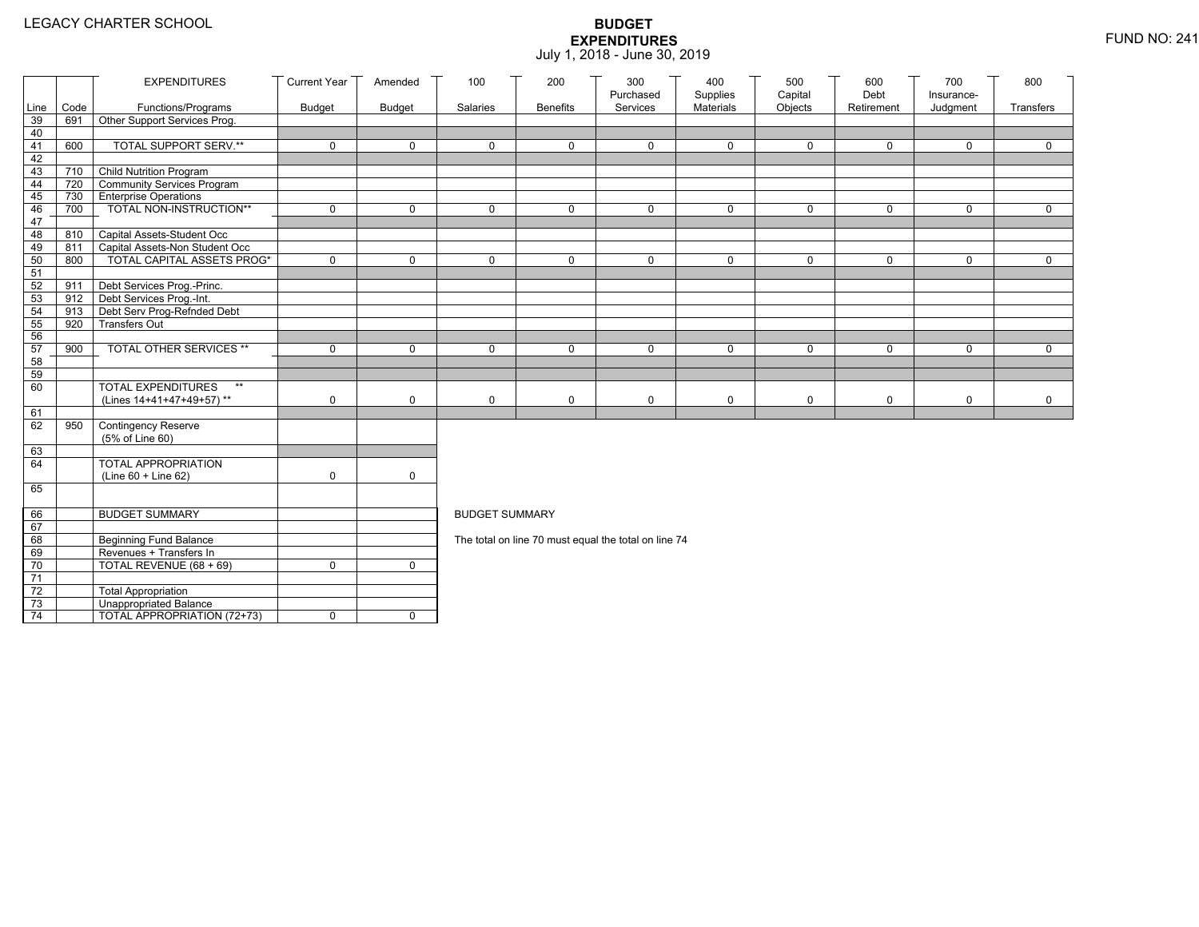|                 |      | <b>EXPENDITURES</b>                                  | <b>Current Year</b> | Amended       | 100                   | 200             | 300<br>Purchased                                     | 400<br>Supplies | 500<br>Capital | 600<br>Debt | 700                    | 800          |
|-----------------|------|------------------------------------------------------|---------------------|---------------|-----------------------|-----------------|------------------------------------------------------|-----------------|----------------|-------------|------------------------|--------------|
| Line            | Code | Functions/Programs                                   | <b>Budget</b>       | <b>Budget</b> | Salaries              | <b>Benefits</b> | Services                                             | Materials       | Objects        | Retirement  | Insurance-<br>Judgment | Transfers    |
| 39              | 691  | Other Support Services Prog.                         |                     |               |                       |                 |                                                      |                 |                |             |                        |              |
| 40              |      |                                                      |                     |               |                       |                 |                                                      |                 |                |             |                        |              |
| 41              | 600  | <b>TOTAL SUPPORT SERV.**</b>                         | $\mathbf 0$         | $\mathbf 0$   | $\mathbf 0$           | $\mathbf 0$     | $\mathbf 0$                                          | $\mathbf 0$     | $\mathbf 0$    | $\mathbf 0$ | $\mathbf 0$            | $\mathbf 0$  |
| 42              |      |                                                      |                     |               |                       |                 |                                                      |                 |                |             |                        |              |
| 43              |      | 710 Child Nutrition Program                          |                     |               |                       |                 |                                                      |                 |                |             |                        |              |
| 44              | 720  | Community Services Program                           |                     |               |                       |                 |                                                      |                 |                |             |                        |              |
| 45              | 730  | <b>Enterprise Operations</b>                         | $\mathbf 0$         | $\mathsf{O}$  | $\Omega$              | $\mathbf 0$     | $\Omega$                                             | $\mathbf 0$     | $\mathbf 0$    | $\mathbf 0$ | $\mathbf 0$            | $\mathbf 0$  |
| 46<br>47        | 700  | TOTAL NON-INSTRUCTION**                              |                     |               |                       |                 |                                                      |                 |                |             |                        |              |
| 48              | 810  | Capital Assets-Student Occ                           |                     |               |                       |                 |                                                      |                 |                |             |                        |              |
| 49              | 811  | Capital Assets-Non Student Occ                       |                     |               |                       |                 |                                                      |                 |                |             |                        |              |
| 50              | 800  | <b>TOTAL CAPITAL ASSETS PROG*</b>                    | $\mathbf 0$         | $\mathbf 0$   | 0                     | $\mathbf 0$     | 0                                                    | $\mathbf 0$     | $\mathbf 0$    | $\mathbf 0$ | $\mathbf 0$            | $\mathbf 0$  |
| 51              |      |                                                      |                     |               |                       |                 |                                                      |                 |                |             |                        |              |
| 52              | 911  | Debt Services Prog.-Princ.                           |                     |               |                       |                 |                                                      |                 |                |             |                        |              |
| 53              |      | 912 Debt Services Prog.-Int.                         |                     |               |                       |                 |                                                      |                 |                |             |                        |              |
| 54              | 913  | Debt Serv Prog-Refnded Debt                          |                     |               |                       |                 |                                                      |                 |                |             |                        |              |
| 55              | 920  | <b>Transfers Out</b>                                 |                     |               |                       |                 |                                                      |                 |                |             |                        |              |
| 56              |      |                                                      |                     |               |                       |                 |                                                      |                 |                |             |                        |              |
| 57              | 900  | TOTAL OTHER SERVICES **                              | $\mathbf 0$         | $\mathbf 0$   | 0                     | $\mathbf 0$     | $\mathbf 0$                                          | $\mathbf 0$     | 0              | $\mathbf 0$ | $\mathbf 0$            | $\mathsf{O}$ |
| 58              |      |                                                      |                     |               |                       |                 |                                                      |                 |                |             |                        |              |
| 59              |      | $\star\star$                                         |                     |               |                       |                 |                                                      |                 |                |             |                        |              |
| 60              |      | <b>TOTAL EXPENDITURES</b>                            |                     |               |                       |                 |                                                      |                 |                |             |                        |              |
| 61              |      | (Lines 14+41+47+49+57)**                             | 0                   | $\mathbf 0$   | 0                     | 0               | $\mathbf 0$                                          | $\mathbf 0$     | 0              | $\mathbf 0$ | 0                      | $\mathbf 0$  |
| 62              | 950  | Contingency Reserve                                  |                     |               |                       |                 |                                                      |                 |                |             |                        |              |
|                 |      | (5% of Line 60)                                      |                     |               |                       |                 |                                                      |                 |                |             |                        |              |
| 63              |      |                                                      |                     |               |                       |                 |                                                      |                 |                |             |                        |              |
| 64              |      | TOTAL APPROPRIATION                                  |                     |               |                       |                 |                                                      |                 |                |             |                        |              |
|                 |      | (Line 60 + Line 62)                                  | 0                   | $\mathsf{O}$  |                       |                 |                                                      |                 |                |             |                        |              |
| 65              |      |                                                      |                     |               |                       |                 |                                                      |                 |                |             |                        |              |
|                 |      |                                                      |                     |               |                       |                 |                                                      |                 |                |             |                        |              |
| 66              |      | <b>BUDGET SUMMARY</b>                                |                     |               | <b>BUDGET SUMMARY</b> |                 |                                                      |                 |                |             |                        |              |
| 67              |      |                                                      |                     |               |                       |                 |                                                      |                 |                |             |                        |              |
| 68              |      | <b>Beginning Fund Balance</b>                        |                     |               |                       |                 | The total on line 70 must equal the total on line 74 |                 |                |             |                        |              |
| 69              |      | Revenues + Transfers In                              |                     |               |                       |                 |                                                      |                 |                |             |                        |              |
| 70              |      | TOTAL REVENUE (68 + 69)                              | 0                   | $\mathbf{0}$  |                       |                 |                                                      |                 |                |             |                        |              |
| 71              |      |                                                      |                     |               |                       |                 |                                                      |                 |                |             |                        |              |
| 72<br>73        |      | <b>Total Appropriation</b><br>Unappropriated Balance |                     |               |                       |                 |                                                      |                 |                |             |                        |              |
| $\overline{74}$ |      | TOTAL APPROPRIATION (72+73)                          | 0                   | $\mathbf 0$   |                       |                 |                                                      |                 |                |             |                        |              |
|                 |      |                                                      |                     |               |                       |                 |                                                      |                 |                |             |                        |              |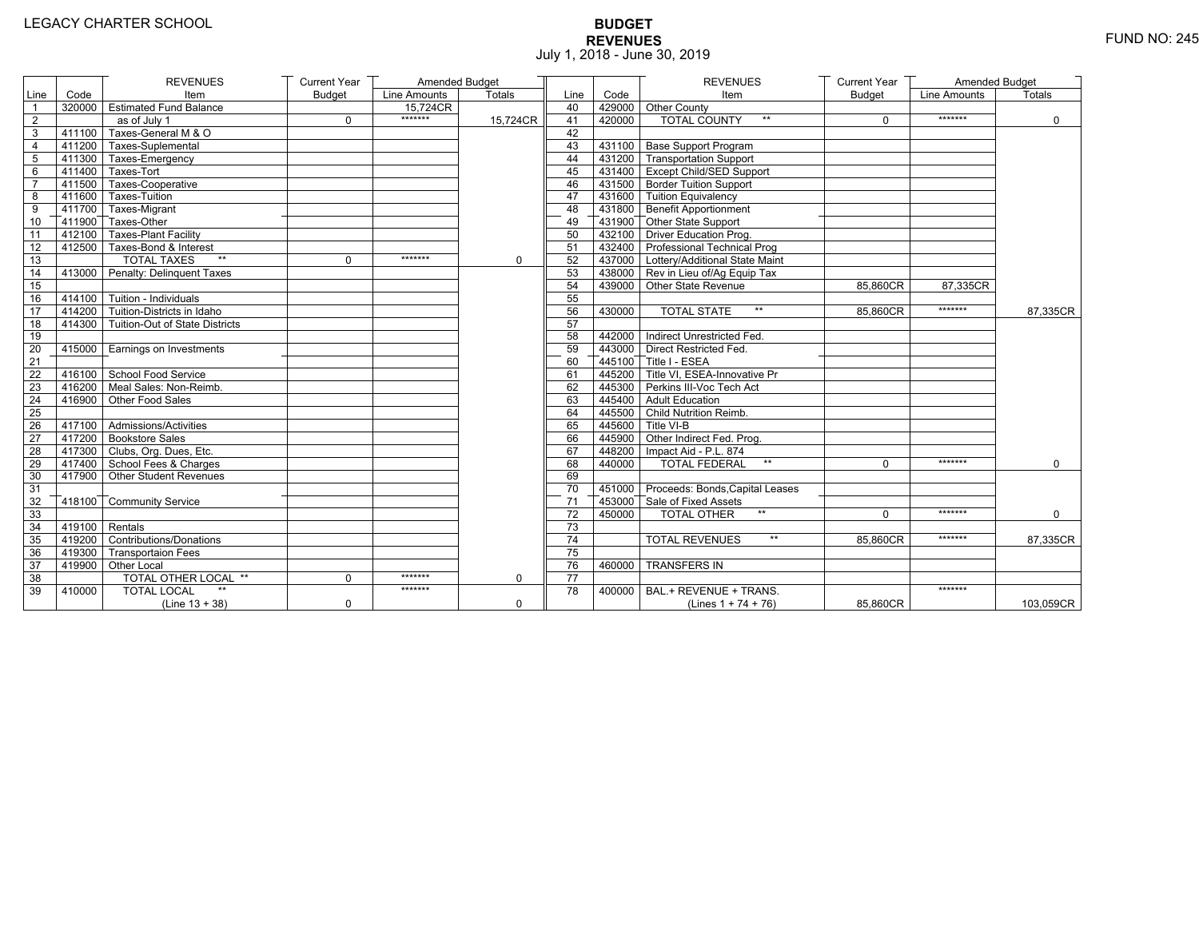# **BUDGET REVENUES** FUND NO: 245 July 1, 2018 - June 30, 2019

|                 |                   | <b>REVENUES</b>                       | <b>Current Year</b> | Amended Budget |          |                 |        | <b>REVENUES</b>                        | <b>Current Year</b> | Amended Budget |               |
|-----------------|-------------------|---------------------------------------|---------------------|----------------|----------|-----------------|--------|----------------------------------------|---------------------|----------------|---------------|
| Line            | Code              | Item                                  | <b>Budget</b>       | Line Amounts   | Totals   | Line            | Code   | Item                                   | <b>Budget</b>       | Line Amounts   | <b>Totals</b> |
| $\overline{1}$  |                   | 320000 Estimated Fund Balance         |                     | 15,724CR       |          | 40              |        | 429000 Other County                    |                     |                |               |
| $\overline{2}$  |                   | as of July 1                          | $\Omega$            | *******        | 15.724CR | 41              | 420000 | <b>TOTAL COUNTY</b><br>$\star\star$    | $\Omega$            | *******        | $\mathbf 0$   |
| 3               | 411100            | Taxes-General M & O                   |                     |                |          | 42              |        |                                        |                     |                |               |
| $\overline{4}$  |                   | 411200 Taxes-Suplemental              |                     |                |          | 43              |        | 431100 Base Support Program            |                     |                |               |
| 5               |                   | 411300 Taxes-Emergency                |                     |                |          | 44              |        | 431200 Transportation Support          |                     |                |               |
| $6\phantom{1}6$ |                   | 411400 Taxes-Tort                     |                     |                |          | 45              |        | 431400 Except Child/SED Support        |                     |                |               |
| $\overline{7}$  |                   | 411500 Taxes-Cooperative              |                     |                |          | 46              |        | 431500 Border Tuition Support          |                     |                |               |
| 8               |                   | 411600 Taxes-Tuition                  |                     |                |          | 47              |        | 431600 Tuition Equivalency             |                     |                |               |
| 9               |                   | 411700 Taxes-Migrant                  |                     |                |          | 48              |        | $\sqrt{431800}$ Benefit Apportionment  |                     |                |               |
| 10              |                   | 411900 Taxes-Other                    |                     |                |          | 49              |        | 431900 Other State Support             |                     |                |               |
| 11              |                   | 412100 Taxes-Plant Facility           |                     |                |          | 50              |        | 432100 Driver Education Prog.          |                     |                |               |
| 12              |                   | 412500 Taxes-Bond & Interest          |                     |                |          | 51              |        | 432400 Professional Technical Prog     |                     |                |               |
| 13              |                   | <b>TOTAL TAXES</b><br>$**$            | 0                   | *******        | 0        | 52              |        | 437000 Lottery/Additional State Maint  |                     |                |               |
| 14              |                   | 413000 Penalty: Delinguent Taxes      |                     |                |          | 53              |        | 438000 Rev in Lieu of/Ag Equip Tax     |                     |                |               |
| 15              |                   |                                       |                     |                |          | 54              |        | 439000 Other State Revenue             | 85,860CR            | 87,335CR       |               |
| 16              |                   | 414100 Tuition - Individuals          |                     |                |          | 55              |        |                                        |                     |                |               |
| 17              |                   | 414200 Tuition-Districts in Idaho     |                     |                |          | 56              | 430000 | <b>TOTAL STATE</b><br>$**$             | 85,860CR            | *******        | 87,335CR      |
| 18              |                   | 414300 Tuition-Out of State Districts |                     |                |          | 57              |        |                                        |                     |                |               |
| 19              |                   |                                       |                     |                |          | 58              |        | 442000 Indirect Unrestricted Fed.      |                     |                |               |
| 20              | 415000            | Earnings on Investments               |                     |                |          | 59              |        | 443000 Direct Restricted Fed.          |                     |                |               |
| 21              |                   |                                       |                     |                |          | 60              |        | 445100 Title I - ESEA                  |                     |                |               |
| 22              |                   | 416100 School Food Service            |                     |                |          | 61              |        | 445200 Title VI. ESEA-Innovative Pr    |                     |                |               |
| 23              |                   | 416200 Meal Sales: Non-Reimb.         |                     |                |          | 62              |        | 445300 Perkins III-Voc Tech Act        |                     |                |               |
| 24              |                   | 416900 Other Food Sales               |                     |                |          | 63              |        | 445400 Adult Education                 |                     |                |               |
| 25              |                   |                                       |                     |                |          | 64              |        | 445500 Child Nutrition Reimb.          |                     |                |               |
| 26              |                   | 417100 Admissions/Activities          |                     |                |          | 65              |        | 445600 Title VI-B                      |                     |                |               |
| 27              |                   | 417200 Bookstore Sales                |                     |                |          | 66              |        | 445900 Other Indirect Fed. Prog.       |                     |                |               |
| 28              |                   | 417300 Clubs, Org. Dues, Etc.         |                     |                |          | 67              |        | 448200   Impact Aid - P.L. 874         |                     |                |               |
| 29              |                   | 417400 School Fees & Charges          |                     |                |          | 68              | 440000 | <b>TOTAL FEDERAL</b><br>$\star\star$   | $\Omega$            | *******        | 0             |
| 30              |                   | 417900 Other Student Revenues         |                     |                |          | 69              |        |                                        |                     |                |               |
| 31              |                   |                                       |                     |                |          | 70              |        | 451000 Proceeds: Bonds, Capital Leases |                     |                |               |
| 32              |                   | 418100 Community Service              |                     |                |          | 71              |        | 453000 Sale of Fixed Assets            |                     |                |               |
| 33              |                   |                                       |                     |                |          | 72              | 450000 | <b>TOTAL OTHER</b><br>$**$             | $\Omega$            | *******        | $\mathbf{0}$  |
| 34              | $-419100$ Rentals |                                       |                     |                |          | 73              |        |                                        |                     |                |               |
| 35              |                   | 419200 Contributions/Donations        |                     |                |          | 74              |        | $\star\star$<br><b>TOTAL REVENUES</b>  | 85.860CR            | *******        | 87,335CR      |
| 36              |                   | 419300 Transportaion Fees             |                     |                |          | 75              |        |                                        |                     |                |               |
| 37              |                   | 419900 Other Local                    |                     |                |          | 76              | 460000 | <b>TRANSFERS IN</b>                    |                     |                |               |
| 38              |                   | TOTAL OTHER LOCAL **                  | $\Omega$            | *******        | 0        | $\overline{77}$ |        |                                        |                     |                |               |
| 39              | 410000            | <b>TOTAL LOCAL</b>                    |                     | *******        |          | 78              | 400000 | BAL.+ REVENUE + TRANS.                 |                     | *******        |               |
|                 |                   | $(Line 13 + 38)$                      | $\mathbf 0$         |                | 0        |                 |        | (Lines $1 + 74 + 76$ )                 | 85,860CR            |                | 103,059CR     |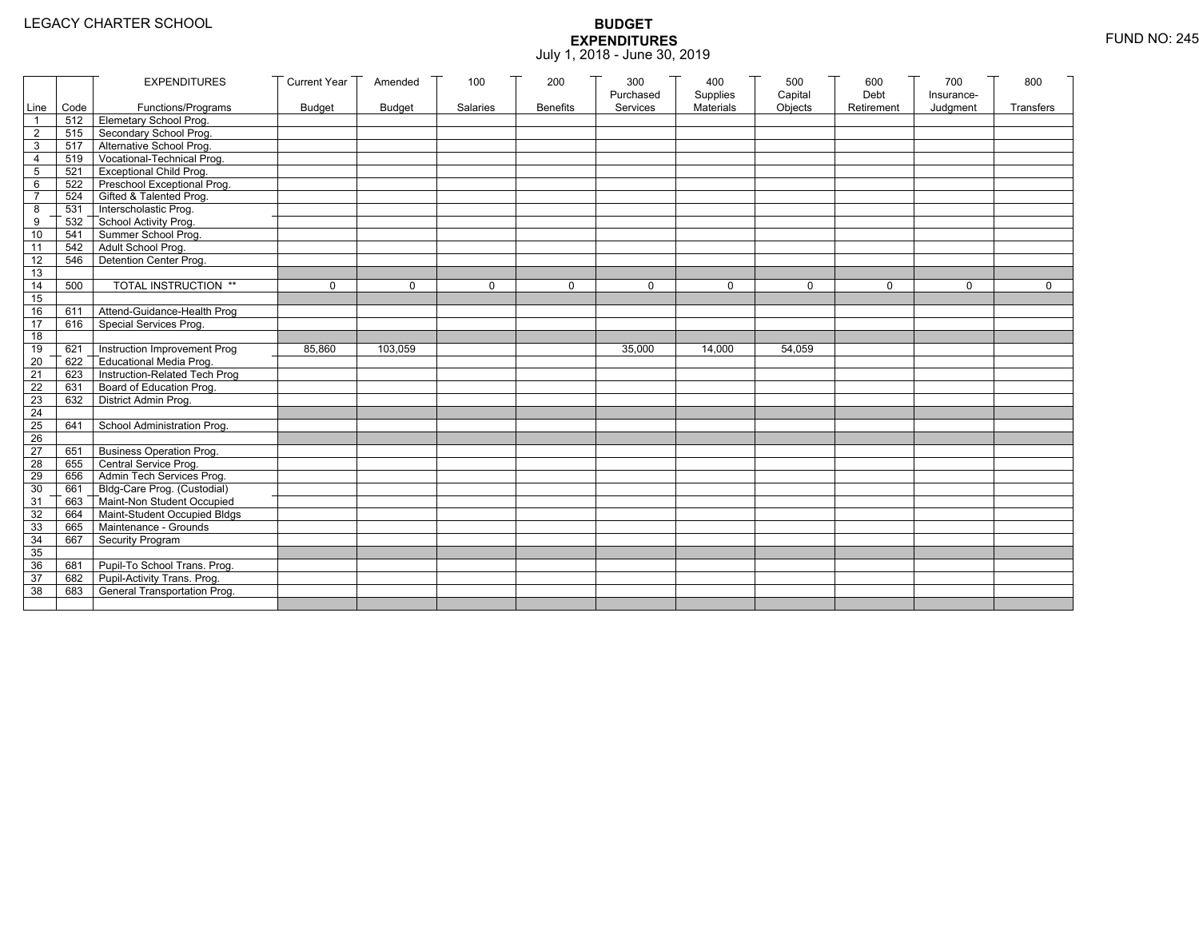|                 |           | <b>EXPENDITURES</b>             | <b>Current Year</b> | Amended       | 100      | 200             | 300                   | 400                   | 500                | 600                | 700                    | 800         |
|-----------------|-----------|---------------------------------|---------------------|---------------|----------|-----------------|-----------------------|-----------------------|--------------------|--------------------|------------------------|-------------|
|                 | Line Code | Functions/Programs              | <b>Budget</b>       | <b>Budget</b> | Salaries | <b>Benefits</b> | Purchased<br>Services | Supplies<br>Materials | Capital<br>Objects | Debt<br>Retirement | Insurance-<br>Judgment | Transfers   |
|                 |           | 512 Elemetary School Prog.      |                     |               |          |                 |                       |                       |                    |                    |                        |             |
| $\overline{2}$  |           | 515 Secondary School Prog.      |                     |               |          |                 |                       |                       |                    |                    |                        |             |
| 3               |           | 517 Alternative School Prog.    |                     |               |          |                 |                       |                       |                    |                    |                        |             |
| 4               | 519       | Vocational-Technical Prog.      |                     |               |          |                 |                       |                       |                    |                    |                        |             |
| 5               | 521       | <b>Exceptional Child Prog.</b>  |                     |               |          |                 |                       |                       |                    |                    |                        |             |
| 6               |           | 522 Preschool Exceptional Prog. |                     |               |          |                 |                       |                       |                    |                    |                        |             |
| $\overline{7}$  |           | 524 Gifted & Talented Prog.     |                     |               |          |                 |                       |                       |                    |                    |                        |             |
| 8               |           | 531 Interscholastic Prog.       |                     |               |          |                 |                       |                       |                    |                    |                        |             |
| 9               | 532       | School Activity Prog.           |                     |               |          |                 |                       |                       |                    |                    |                        |             |
| 10              | 541       | Summer School Prog.             |                     |               |          |                 |                       |                       |                    |                    |                        |             |
| 11              | 542       | Adult School Prog.              |                     |               |          |                 |                       |                       |                    |                    |                        |             |
| 12              | 546       | Detention Center Prog.          |                     |               |          |                 |                       |                       |                    |                    |                        |             |
| 13              |           |                                 |                     |               |          |                 |                       |                       |                    |                    |                        |             |
| 14              | 500       | TOTAL INSTRUCTION **            | $\mathbf 0$         | $\Omega$      | $\Omega$ | $\mathbf 0$     | $\Omega$              | $\Omega$              | $\mathbf 0$        | $\Omega$           | $\Omega$               | $\mathbf 0$ |
| 15              |           |                                 |                     |               |          |                 |                       |                       |                    |                    |                        |             |
| 16              | 611       | Attend-Guidance-Health Prog     |                     |               |          |                 |                       |                       |                    |                    |                        |             |
| $\overline{17}$ | 616       | Special Services Prog.          |                     |               |          |                 |                       |                       |                    |                    |                        |             |
| 18              |           |                                 |                     |               |          |                 |                       |                       |                    |                    |                        |             |
| 19              | 621       | Instruction Improvement Prog    | 85,860              | 103.059       |          |                 | 35.000                | 14,000                | 54,059             |                    |                        |             |
| 20              | 622       | Educational Media Prog.         |                     |               |          |                 |                       |                       |                    |                    |                        |             |
| 21              | 623       | Instruction-Related Tech Prog   |                     |               |          |                 |                       |                       |                    |                    |                        |             |
| $\overline{22}$ | 631       | Board of Education Prog.        |                     |               |          |                 |                       |                       |                    |                    |                        |             |
| 23              | 632       | District Admin Prog.            |                     |               |          |                 |                       |                       |                    |                    |                        |             |
| 24              |           |                                 |                     |               |          |                 |                       |                       |                    |                    |                        |             |
| 25              | 641       | School Administration Prog.     |                     |               |          |                 |                       |                       |                    |                    |                        |             |
| 26              |           |                                 |                     |               |          |                 |                       |                       |                    |                    |                        |             |
| $\overline{27}$ | 651       | <b>Business Operation Prog.</b> |                     |               |          |                 |                       |                       |                    |                    |                        |             |
| 28              |           | 655 Central Service Prog.       |                     |               |          |                 |                       |                       |                    |                    |                        |             |
| 29              | 656       | Admin Tech Services Prog.       |                     |               |          |                 |                       |                       |                    |                    |                        |             |
| 30              | 661       | Bldg-Care Prog. (Custodial)     |                     |               |          |                 |                       |                       |                    |                    |                        |             |
| 31              |           | 663 Maint-Non Student Occupied  |                     |               |          |                 |                       |                       |                    |                    |                        |             |
| 32              | 664       | Maint-Student Occupied Bldgs    |                     |               |          |                 |                       |                       |                    |                    |                        |             |
| 33              |           | 665 Maintenance - Grounds       |                     |               |          |                 |                       |                       |                    |                    |                        |             |
| 34              | 667       | Security Program                |                     |               |          |                 |                       |                       |                    |                    |                        |             |
| 35              |           |                                 |                     |               |          |                 |                       |                       |                    |                    |                        |             |
| 36              | 681       | Pupil-To School Trans. Prog.    |                     |               |          |                 |                       |                       |                    |                    |                        |             |
| 37              | 682       | Pupil-Activity Trans. Prog.     |                     |               |          |                 |                       |                       |                    |                    |                        |             |
| 38              | 683       | General Transportation Prog.    |                     |               |          |                 |                       |                       |                    |                    |                        |             |
|                 |           |                                 |                     |               |          |                 |                       |                       |                    |                    |                        |             |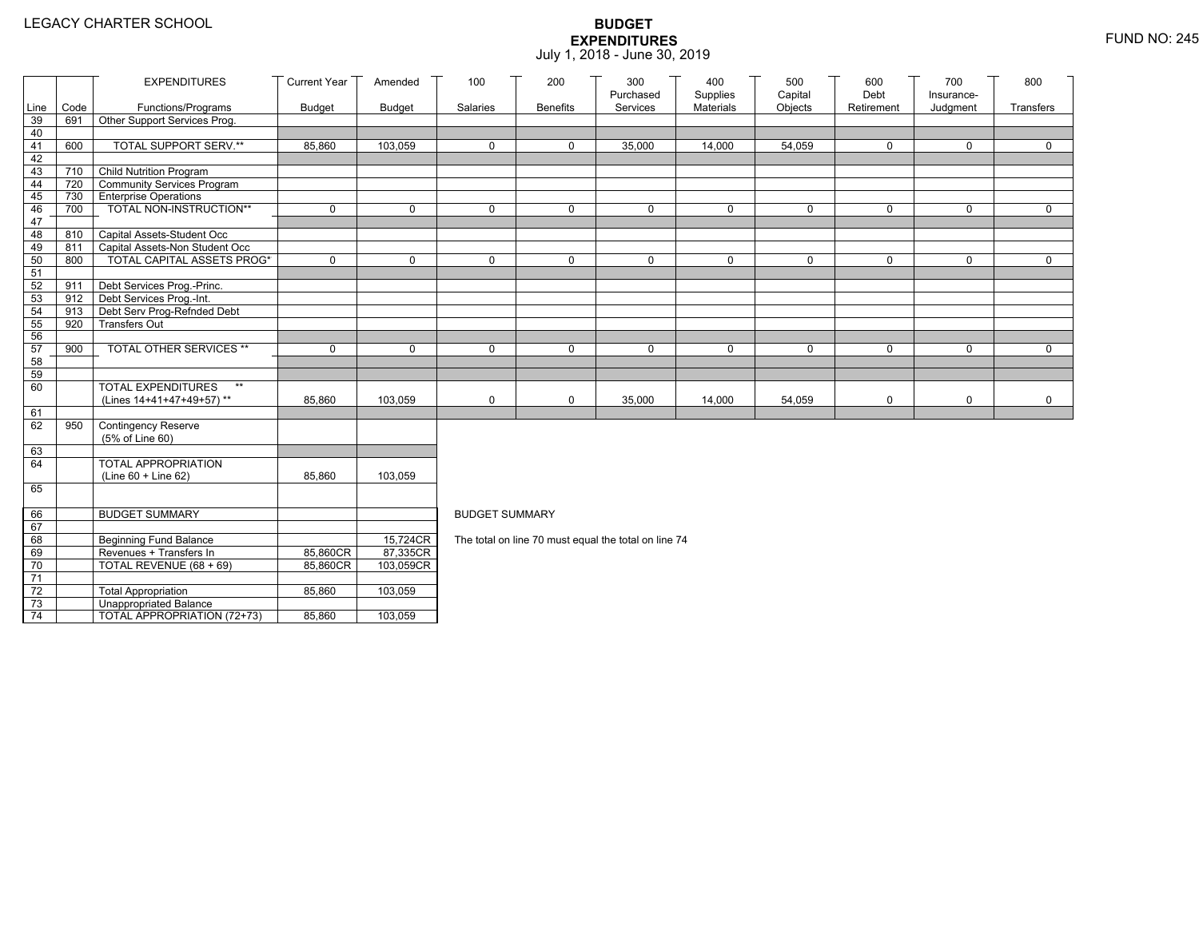|          |      | <b>EXPENDITURES</b>                                   | <b>Current Year</b> | Amended              | 100                                                  | 200             | 300<br>Purchased | 400<br>Supplies | 500<br>Capital | 600<br>Debt | 700                    | 800         |  |
|----------|------|-------------------------------------------------------|---------------------|----------------------|------------------------------------------------------|-----------------|------------------|-----------------|----------------|-------------|------------------------|-------------|--|
| Line     | Code | Functions/Programs                                    | <b>Budget</b>       | <b>Budget</b>        | Salaries                                             | <b>Benefits</b> | Services         | Materials       | Objects        | Retirement  | Insurance-<br>Judgment | Transfers   |  |
| 39       | 691  | Other Support Services Prog.                          |                     |                      |                                                      |                 |                  |                 |                |             |                        |             |  |
| 40       |      |                                                       |                     |                      |                                                      |                 |                  |                 |                |             |                        |             |  |
| 41       | 600  | TOTAL SUPPORT SERV.**                                 | 85,860              | 103,059              | $\mathbf 0$                                          | 0               | 35,000           | 14,000          | 54,059         | 0           | 0                      | 0           |  |
| 42       |      |                                                       |                     |                      |                                                      |                 |                  |                 |                |             |                        |             |  |
| 43       | 710  | Child Nutrition Program                               |                     |                      |                                                      |                 |                  |                 |                |             |                        |             |  |
| 44       | 720  | Community Services Program                            |                     |                      |                                                      |                 |                  |                 |                |             |                        |             |  |
| 45       | 730  | <b>Enterprise Operations</b>                          |                     |                      |                                                      |                 |                  |                 |                |             |                        |             |  |
| 46       | 700  | TOTAL NON-INSTRUCTION**                               | 0                   | $\mathbf 0$          | $\Omega$                                             | 0               | $\mathbf 0$      | $\mathbf 0$     | 0              | $\mathbf 0$ | $\mathbf 0$            | $\mathbf 0$ |  |
| 47<br>48 | 810  | Capital Assets-Student Occ                            |                     |                      |                                                      |                 |                  |                 |                |             |                        |             |  |
| 49       | 811  | Capital Assets-Non Student Occ                        |                     |                      |                                                      |                 |                  |                 |                |             |                        |             |  |
| 50       | 800  | <b>TOTAL CAPITAL ASSETS PROG*</b>                     | 0                   | $\mathbf 0$          | $\Omega$                                             | $\Omega$        | $\mathbf 0$      | 0               | $\mathbf 0$    | 0           | $\mathbf 0$            | $\mathbf 0$ |  |
| 51       |      |                                                       |                     |                      |                                                      |                 |                  |                 |                |             |                        |             |  |
| 52       | 911  | Debt Services Prog.-Princ.                            |                     |                      |                                                      |                 |                  |                 |                |             |                        |             |  |
| 53       | 912  | Debt Services Prog.-Int.                              |                     |                      |                                                      |                 |                  |                 |                |             |                        |             |  |
| 54       | 913  | Debt Serv Prog-Refnded Debt                           |                     |                      |                                                      |                 |                  |                 |                |             |                        |             |  |
| 55       | 920  | <b>Transfers Out</b>                                  |                     |                      |                                                      |                 |                  |                 |                |             |                        |             |  |
| 56       |      |                                                       |                     |                      |                                                      |                 |                  |                 |                |             |                        |             |  |
| 57       | 900  | TOTAL OTHER SERVICES **                               | $\mathbf 0$         | $\mathbf 0$          | $\mathbf 0$                                          | 0               | $\mathbf 0$      | 0               | 0              | $\mathbf 0$ | $\mathbf 0$            | $\mathbf 0$ |  |
| 58       |      |                                                       |                     |                      |                                                      |                 |                  |                 |                |             |                        |             |  |
| 59       |      | $**$                                                  |                     |                      |                                                      |                 |                  |                 |                |             |                        |             |  |
| 60       |      | <b>TOTAL EXPENDITURES</b><br>(Lines 14+41+47+49+57)** |                     | 103,059              |                                                      |                 |                  |                 |                |             |                        |             |  |
| 61       |      |                                                       | 85,860              |                      | 0                                                    | 0               | 35,000           | 14,000          | 54,059         | $\mathsf 0$ | 0                      | $\mathbf 0$ |  |
| 62       | 950  | Contingency Reserve                                   |                     |                      |                                                      |                 |                  |                 |                |             |                        |             |  |
|          |      | (5% of Line 60)                                       |                     |                      |                                                      |                 |                  |                 |                |             |                        |             |  |
| 63       |      |                                                       |                     |                      |                                                      |                 |                  |                 |                |             |                        |             |  |
| 64       |      | <b>TOTAL APPROPRIATION</b>                            |                     |                      |                                                      |                 |                  |                 |                |             |                        |             |  |
|          |      | $(Line 60 + Line 62)$                                 | 85,860              | 103,059              |                                                      |                 |                  |                 |                |             |                        |             |  |
| 65       |      |                                                       |                     |                      |                                                      |                 |                  |                 |                |             |                        |             |  |
|          |      |                                                       |                     |                      |                                                      |                 |                  |                 |                |             |                        |             |  |
| 66       |      | <b>BUDGET SUMMARY</b>                                 |                     |                      | <b>BUDGET SUMMARY</b>                                |                 |                  |                 |                |             |                        |             |  |
| 67       |      |                                                       |                     |                      |                                                      |                 |                  |                 |                |             |                        |             |  |
| 68<br>69 |      | Beginning Fund Balance<br>Revenues + Transfers In     | 85,860CR            | 15,724CR<br>87,335CR | The total on line 70 must equal the total on line 74 |                 |                  |                 |                |             |                        |             |  |
| 70       |      | TOTAL REVENUE (68 + 69)                               | 85,860CR            | 103,059CR            |                                                      |                 |                  |                 |                |             |                        |             |  |
| 71       |      |                                                       |                     |                      |                                                      |                 |                  |                 |                |             |                        |             |  |
| 72       |      | <b>Total Appropriation</b>                            | 85,860              | 103,059              |                                                      |                 |                  |                 |                |             |                        |             |  |
| 73       |      | Unappropriated Balance                                |                     |                      |                                                      |                 |                  |                 |                |             |                        |             |  |
| 74       |      | TOTAL APPROPRIATION (72+73)                           | 85,860              | 103,059              |                                                      |                 |                  |                 |                |             |                        |             |  |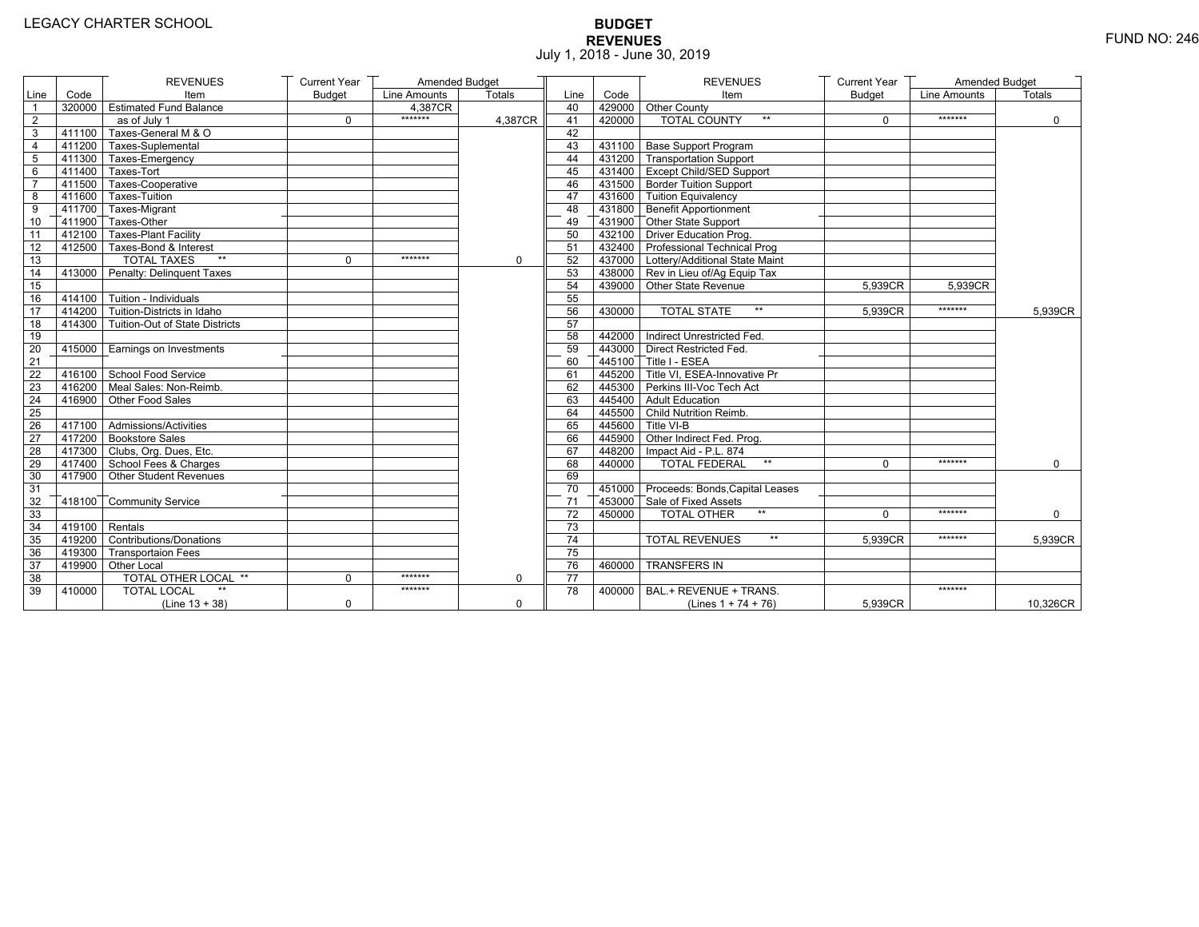# **BUDGET REVENUES** FUND NO: 246 July 1, 2018 - June 30, 2019

|                |                   | <b>REVENUES</b>                       | <b>Current Year</b> | Amended Budget |         |                 |        | <b>REVENUES</b>                        | <b>Current Year</b> | Amended Budget |               |
|----------------|-------------------|---------------------------------------|---------------------|----------------|---------|-----------------|--------|----------------------------------------|---------------------|----------------|---------------|
| Line           | Code              | Item                                  | <b>Budget</b>       | Line Amounts   | Totals  | Line            | Code   | Item                                   | <b>Budget</b>       | Line Amounts   | <b>Totals</b> |
| $\overline{1}$ |                   | 320000 Estimated Fund Balance         |                     | 4,387CR        |         | 40              |        | 429000 Other County                    |                     |                |               |
| $\overline{2}$ |                   | as of July 1                          | $\Omega$            | *******        | 4.387CR | 41              | 420000 | <b>TOTAL COUNTY</b><br>$\star\star$    | $\Omega$            | *******        | $\mathbf 0$   |
| 3              | 411100            | Taxes-General M & O                   |                     |                |         | 42              |        |                                        |                     |                |               |
| $\overline{4}$ |                   | 411200 Taxes-Suplemental              |                     |                |         | 43              |        | 431100 Base Support Program            |                     |                |               |
| 5              |                   | 411300 Taxes-Emergency                |                     |                |         | 44              |        | 431200 Transportation Support          |                     |                |               |
| 6              |                   | 411400 Taxes-Tort                     |                     |                |         | 45              |        | 431400 Except Child/SED Support        |                     |                |               |
| $\overline{7}$ |                   | 411500 Taxes-Cooperative              |                     |                |         | 46              |        | 431500 Border Tuition Support          |                     |                |               |
| 8              |                   | 411600 Taxes-Tuition                  |                     |                |         | 47              |        | 431600 Tuition Equivalency             |                     |                |               |
| 9              |                   | 411700 Taxes-Migrant                  |                     |                |         | 48              |        | $\sqrt{431800}$ Benefit Apportionment  |                     |                |               |
| 10             |                   | 411900 Taxes-Other                    |                     |                |         | 49              |        | 431900 Other State Support             |                     |                |               |
| 11             |                   | 412100 Taxes-Plant Facility           |                     |                |         | 50              |        | 432100 Driver Education Prog.          |                     |                |               |
| 12             |                   | 412500 Taxes-Bond & Interest          |                     |                |         | 51              |        | 432400 Professional Technical Prog     |                     |                |               |
| 13             |                   | <b>TOTAL TAXES</b><br>$**$            | 0                   | *******        | 0       | 52              |        | 437000 Lottery/Additional State Maint  |                     |                |               |
| 14             |                   | 413000 Penalty: Delinguent Taxes      |                     |                |         | 53              |        | 438000 Rev in Lieu of/Ag Equip Tax     |                     |                |               |
| 15             |                   |                                       |                     |                |         | 54              |        | 439000 Other State Revenue             | 5,939CR             | 5.939CR        |               |
| 16             |                   | 414100 Tuition - Individuals          |                     |                |         | 55              |        |                                        |                     |                |               |
| 17             |                   | 414200 Tuition-Districts in Idaho     |                     |                |         | 56              | 430000 | <b>TOTAL STATE</b><br>$**$             | 5,939CR             | *******        | 5.939CR       |
| 18             |                   | 414300 Tuition-Out of State Districts |                     |                |         | 57              |        |                                        |                     |                |               |
| 19             |                   |                                       |                     |                |         | 58              |        | 442000 Indirect Unrestricted Fed.      |                     |                |               |
| 20             | 415000            | Earnings on Investments               |                     |                |         | 59              |        | 443000 Direct Restricted Fed.          |                     |                |               |
| 21             |                   |                                       |                     |                |         | 60              |        | 445100 Title I - ESEA                  |                     |                |               |
| 22             |                   | 416100 School Food Service            |                     |                |         | 61              |        | 445200 Title VI. ESEA-Innovative Pr    |                     |                |               |
| 23             |                   | 416200 Meal Sales: Non-Reimb.         |                     |                |         | 62              |        | 445300 Perkins III-Voc Tech Act        |                     |                |               |
| 24             |                   | 416900 Other Food Sales               |                     |                |         | 63              |        | 445400 Adult Education                 |                     |                |               |
| 25             |                   |                                       |                     |                |         | 64              |        | 445500 Child Nutrition Reimb.          |                     |                |               |
| 26             |                   | 417100 Admissions/Activities          |                     |                |         | 65              |        | 445600 Title VI-B                      |                     |                |               |
| 27             |                   | 417200 Bookstore Sales                |                     |                |         | 66              |        | 445900 Other Indirect Fed. Prog.       |                     |                |               |
| 28             |                   | 417300 Clubs, Org. Dues, Etc.         |                     |                |         | 67              |        | 448200   Impact Aid - P.L. 874         |                     |                |               |
| 29             |                   | 417400 School Fees & Charges          |                     |                |         | 68              | 440000 | <b>TOTAL FEDERAL</b><br>$\star\star$   | $\Omega$            | *******        | 0             |
| 30             |                   | 417900 Other Student Revenues         |                     |                |         | 69              |        |                                        |                     |                |               |
| 31             |                   |                                       |                     |                |         | 70              |        | 451000 Proceeds: Bonds, Capital Leases |                     |                |               |
| 32             |                   | 418100 Community Service              |                     |                |         | 71              |        | 453000 Sale of Fixed Assets            |                     |                |               |
| 33             |                   |                                       |                     |                |         | 72              | 450000 | <b>TOTAL OTHER</b><br>$**$             | $\Omega$            | *******        | $\mathbf{0}$  |
| 34             | $-419100$ Rentals |                                       |                     |                |         | 73              |        |                                        |                     |                |               |
| 35             |                   | 419200 Contributions/Donations        |                     |                |         | 74              |        | $\star\star$<br><b>TOTAL REVENUES</b>  | 5.939CR             | *******        | 5,939CR       |
| 36             |                   | 419300 Transportaion Fees             |                     |                |         | 75              |        |                                        |                     |                |               |
| 37             |                   | 419900 Other Local                    |                     |                |         | 76              | 460000 | <b>TRANSFERS IN</b>                    |                     |                |               |
| 38             |                   | TOTAL OTHER LOCAL **                  | $\Omega$            | *******        | 0       | $\overline{77}$ |        |                                        |                     |                |               |
| 39             | 410000            | <b>TOTAL LOCAL</b>                    |                     | *******        |         | 78              | 400000 | BAL.+ REVENUE + TRANS.                 |                     | *******        |               |
|                |                   | $(Line 13 + 38)$                      | $\mathbf 0$         |                | 0       |                 |        | (Lines $1 + 74 + 76$ )                 | 5,939CR             |                | 10,326CR      |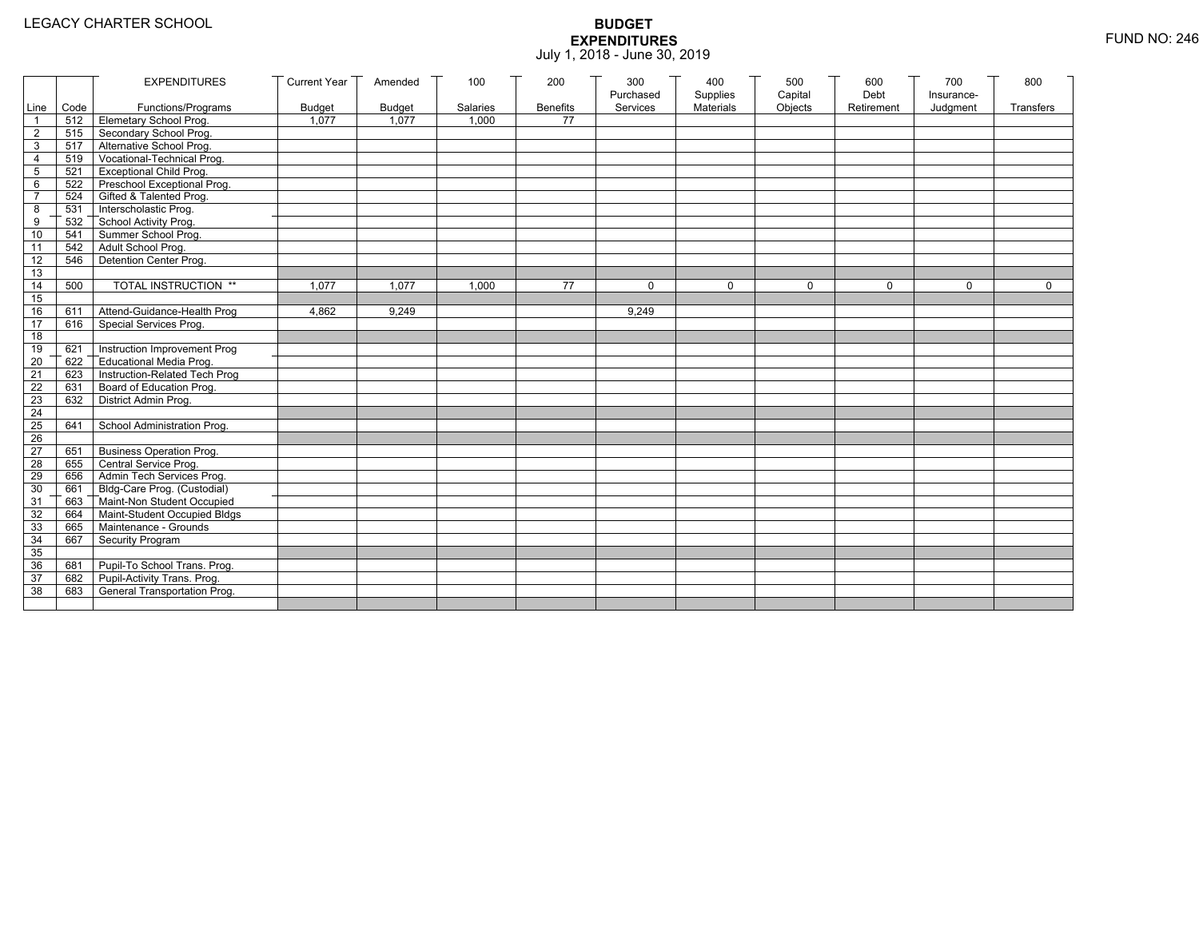|                     |            | <b>EXPENDITURES</b>                                               | Current Year  | Amended       | 100      | 200             | 300       | 400         | 500         | 600        | 700        | 800          |
|---------------------|------------|-------------------------------------------------------------------|---------------|---------------|----------|-----------------|-----------|-------------|-------------|------------|------------|--------------|
|                     |            |                                                                   |               |               |          |                 | Purchased | Supplies    | Capital     | Debt       | Insurance- |              |
| Line                | Code       | Functions/Programs                                                | <b>Budget</b> | <b>Budget</b> | Salaries | <b>Benefits</b> | Services  | Materials   | Objects     | Retirement | Judgment   | Transfers    |
| $\mathbf 1$         |            | 512 Elemetary School Prog.                                        | 1,077         | 1,077         | 1,000    | 77              |           |             |             |            |            |              |
| 2                   |            | 515 Secondary School Prog.                                        |               |               |          |                 |           |             |             |            |            |              |
| $\mathbf{3}$        |            | 517 Alternative School Prog.<br>T Vocational-Technical Prog.      |               |               |          |                 |           |             |             |            |            |              |
| $\overline{4}$      | 519<br>521 |                                                                   |               |               |          |                 |           |             |             |            |            |              |
| 5                   |            | <b>Exceptional Child Prog.</b><br>522 Preschool Exceptional Prog. |               |               |          |                 |           |             |             |            |            |              |
| 6<br>$\overline{7}$ |            | 524 Gifted & Talented Prog.                                       |               |               |          |                 |           |             |             |            |            |              |
|                     |            | 531 Interscholastic Prog.                                         |               |               |          |                 |           |             |             |            |            |              |
| 8<br>9              | 532        |                                                                   |               |               |          |                 |           |             |             |            |            |              |
| 10                  | 541        | School Activity Prog.<br>Summer School Prog.                      |               |               |          |                 |           |             |             |            |            |              |
|                     |            | 542 Adult School Prog.                                            |               |               |          |                 |           |             |             |            |            |              |
| 11<br>12            | 546        | Detention Center Prog.                                            |               |               |          |                 |           |             |             |            |            |              |
| 13                  |            |                                                                   |               |               |          |                 |           |             |             |            |            |              |
| 14                  | 500        | TOTAL INSTRUCTION **                                              | 1.077         | 1.077         | 1,000    | 77              | $\Omega$  | $\mathbf 0$ | $\mathbf 0$ | 0          | 0          | $\mathbf{0}$ |
| 15                  |            |                                                                   |               |               |          |                 |           |             |             |            |            |              |
| 16                  | 611        | Attend-Guidance-Health Prog                                       | 4,862         | 9,249         |          |                 | 9,249     |             |             |            |            |              |
| 17                  | 616        | Special Services Prog.                                            |               |               |          |                 |           |             |             |            |            |              |
| 18                  |            |                                                                   |               |               |          |                 |           |             |             |            |            |              |
| 19                  | 621        | Instruction Improvement Prog                                      |               |               |          |                 |           |             |             |            |            |              |
| 20                  | 622        | Educational Media Prog.                                           |               |               |          |                 |           |             |             |            |            |              |
| 21                  | 623        | Instruction-Related Tech Prog                                     |               |               |          |                 |           |             |             |            |            |              |
| 22                  |            | 631 Board of Education Prog.                                      |               |               |          |                 |           |             |             |            |            |              |
| 23                  |            | 632 District Admin Prog.                                          |               |               |          |                 |           |             |             |            |            |              |
| 24                  |            |                                                                   |               |               |          |                 |           |             |             |            |            |              |
| 25                  | 641        | School Administration Prog.                                       |               |               |          |                 |           |             |             |            |            |              |
| 26                  |            |                                                                   |               |               |          |                 |           |             |             |            |            |              |
| 27                  | 651        | <b>Business Operation Prog.</b>                                   |               |               |          |                 |           |             |             |            |            |              |
| 28                  | 655        | Central Service Prog.                                             |               |               |          |                 |           |             |             |            |            |              |
| 29                  | 656        | Admin Tech Services Prog.                                         |               |               |          |                 |           |             |             |            |            |              |
| 30                  |            | 661 Bldg-Care Prog. (Custodial)                                   |               |               |          |                 |           |             |             |            |            |              |
| 31                  |            | 663 Maint-Non Student Occupied                                    |               |               |          |                 |           |             |             |            |            |              |
| 32                  |            | 664 Maint-Student Occupied Bldgs                                  |               |               |          |                 |           |             |             |            |            |              |
| 33                  |            | 665 Maintenance - Grounds                                         |               |               |          |                 |           |             |             |            |            |              |
| 34                  | 667        | Security Program                                                  |               |               |          |                 |           |             |             |            |            |              |
| 35                  |            |                                                                   |               |               |          |                 |           |             |             |            |            |              |
| 36                  | 681        | Pupil-To School Trans. Prog.                                      |               |               |          |                 |           |             |             |            |            |              |
| 37                  |            | 682 Pupil-Activity Trans. Prog.                                   |               |               |          |                 |           |             |             |            |            |              |
| 38                  | 683        | General Transportation Prog.                                      |               |               |          |                 |           |             |             |            |            |              |
|                     |            |                                                                   |               |               |          |                 |           |             |             |            |            |              |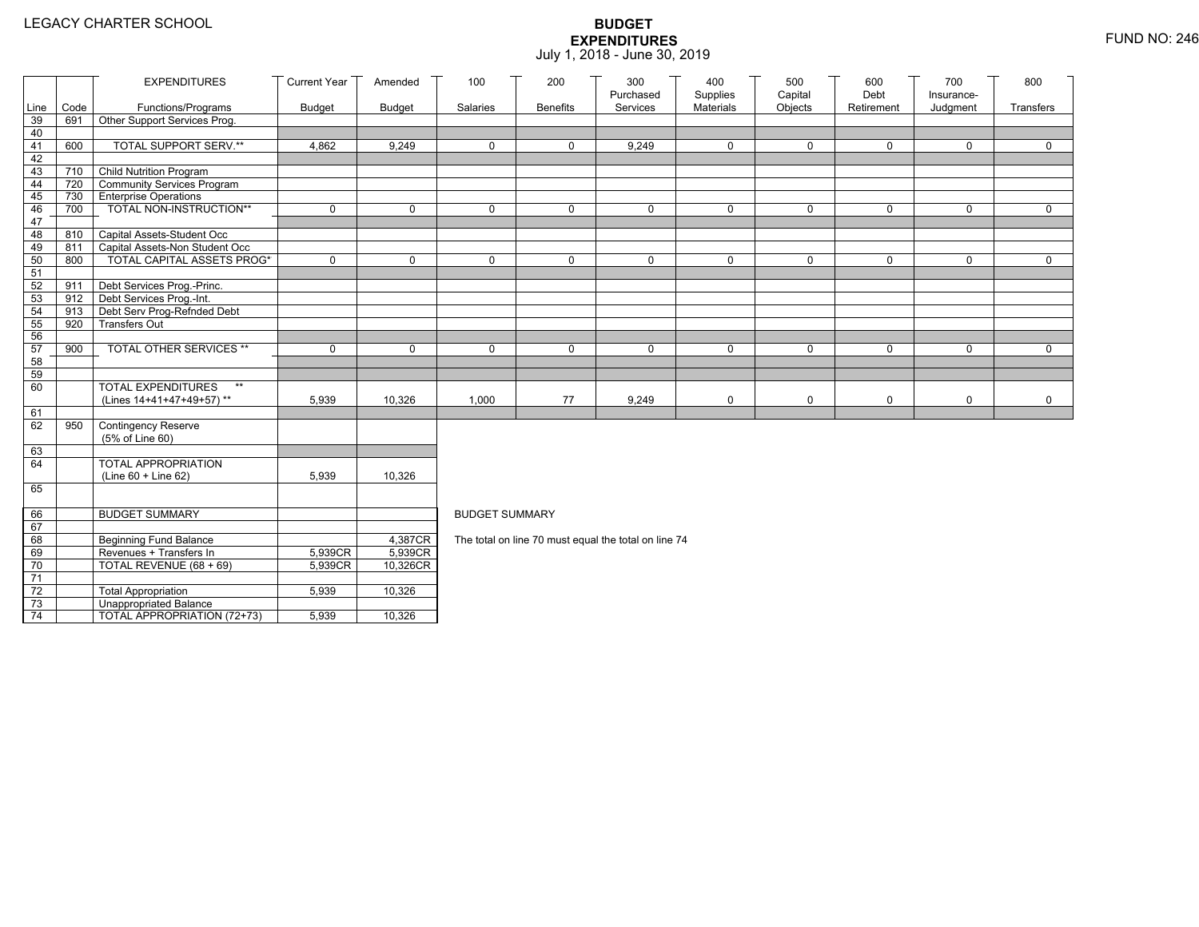|          |      | <b>EXPENDITURES</b>                                    | <b>Current Year</b> | Amended       | 100                   | 200             | 300                                                  | 400                   | 500                | 600                | 700                    | 800         |
|----------|------|--------------------------------------------------------|---------------------|---------------|-----------------------|-----------------|------------------------------------------------------|-----------------------|--------------------|--------------------|------------------------|-------------|
| Line     | Code | Functions/Programs                                     | <b>Budget</b>       |               | Salaries              | <b>Benefits</b> | Purchased<br>Services                                | Supplies<br>Materials | Capital<br>Objects | Debt<br>Retirement | Insurance-<br>Judgment | Transfers   |
| 39       | 691  | Other Support Services Prog.                           |                     | <b>Budget</b> |                       |                 |                                                      |                       |                    |                    |                        |             |
| 40       |      |                                                        |                     |               |                       |                 |                                                      |                       |                    |                    |                        |             |
| 41       | 600  | TOTAL SUPPORT SERV.**                                  | 4,862               | 9,249         | 0                     | 0               | 9,249                                                | 0                     | 0                  | $\mathbf 0$        | 0                      | $\mathbf 0$ |
| 42       |      |                                                        |                     |               |                       |                 |                                                      |                       |                    |                    |                        |             |
| 43       | 710  | Child Nutrition Program                                |                     |               |                       |                 |                                                      |                       |                    |                    |                        |             |
| 44       | 720  | Community Services Program                             |                     |               |                       |                 |                                                      |                       |                    |                    |                        |             |
| 45       | 730  | <b>Enterprise Operations</b>                           |                     |               |                       |                 |                                                      |                       |                    |                    |                        |             |
| 46       | 700  | TOTAL NON-INSTRUCTION**                                | $\mathbf 0$         | $\mathbf 0$   | $\mathbf{0}$          | $\Omega$        | $\mathbf 0$                                          | 0                     | $\mathsf{O}$       | $\mathbf 0$        | 0                      | $\mathbf 0$ |
| 47       |      |                                                        |                     |               |                       |                 |                                                      |                       |                    |                    |                        |             |
| 48       | 810  | Capital Assets-Student Occ                             |                     |               |                       |                 |                                                      |                       |                    |                    |                        |             |
| 49       | 811  | Capital Assets-Non Student Occ                         |                     |               |                       |                 |                                                      |                       |                    |                    |                        |             |
| 50       | 800  | <b>TOTAL CAPITAL ASSETS PROG*</b>                      | $\mathbf 0$         | $\mathbf 0$   | $\Omega$              | 0               | $\mathbf 0$                                          | 0                     | 0                  | $\mathbf 0$        | 0                      | $\mathbf 0$ |
| 51       | 911  |                                                        |                     |               |                       |                 |                                                      |                       |                    |                    |                        |             |
| 52<br>53 | 912  | Debt Services Prog.-Princ.<br>Debt Services Prog.-Int. |                     |               |                       |                 |                                                      |                       |                    |                    |                        |             |
| 54       | 913  | Debt Serv Prog-Refnded Debt                            |                     |               |                       |                 |                                                      |                       |                    |                    |                        |             |
| 55       | 920  | <b>Transfers Out</b>                                   |                     |               |                       |                 |                                                      |                       |                    |                    |                        |             |
| 56       |      |                                                        |                     |               |                       |                 |                                                      |                       |                    |                    |                        |             |
| 57       | 900  | TOTAL OTHER SERVICES **                                | 0                   | 0             | $\mathbf 0$           | 0               | 0                                                    | 0                     | 0                  | $\mathbf 0$        | 0                      | $\mathbf 0$ |
| 58       |      |                                                        |                     |               |                       |                 |                                                      |                       |                    |                    |                        |             |
| 59       |      |                                                        |                     |               |                       |                 |                                                      |                       |                    |                    |                        |             |
| 60       |      | <b>TOTAL EXPENDITURES</b><br>$**$                      |                     |               |                       |                 |                                                      |                       |                    |                    |                        |             |
|          |      | (Lines 14+41+47+49+57)**                               | 5,939               | 10,326        | 1,000                 | 77              | 9,249                                                | 0                     | 0                  | $\mathbf 0$        | 0                      | 0           |
| 61       |      |                                                        |                     |               |                       |                 |                                                      |                       |                    |                    |                        |             |
| 62       | 950  | <b>Contingency Reserve</b>                             |                     |               |                       |                 |                                                      |                       |                    |                    |                        |             |
|          |      | (5% of Line 60)                                        |                     |               |                       |                 |                                                      |                       |                    |                    |                        |             |
| 63       |      |                                                        |                     |               |                       |                 |                                                      |                       |                    |                    |                        |             |
| 64       |      | <b>TOTAL APPROPRIATION</b><br>(Line 60 + Line 62)      | 5,939               | 10,326        |                       |                 |                                                      |                       |                    |                    |                        |             |
| 65       |      |                                                        |                     |               |                       |                 |                                                      |                       |                    |                    |                        |             |
|          |      |                                                        |                     |               |                       |                 |                                                      |                       |                    |                    |                        |             |
| 66       |      | <b>BUDGET SUMMARY</b>                                  |                     |               | <b>BUDGET SUMMARY</b> |                 |                                                      |                       |                    |                    |                        |             |
| 67       |      |                                                        |                     |               |                       |                 |                                                      |                       |                    |                    |                        |             |
| 68       |      | Beginning Fund Balance                                 |                     | 4,387CR       |                       |                 | The total on line 70 must equal the total on line 74 |                       |                    |                    |                        |             |
| 69       |      | Revenues + Transfers In                                | 5,939CR             | 5,939CR       |                       |                 |                                                      |                       |                    |                    |                        |             |
| 70       |      | TOTAL REVENUE (68 + 69)                                | 5,939CR             | 10,326CR      |                       |                 |                                                      |                       |                    |                    |                        |             |
| 71       |      |                                                        |                     |               |                       |                 |                                                      |                       |                    |                    |                        |             |
| 72       |      | <b>Total Appropriation</b>                             | 5,939               | 10,326        |                       |                 |                                                      |                       |                    |                    |                        |             |
| 73       |      | <b>Unappropriated Balance</b>                          |                     |               |                       |                 |                                                      |                       |                    |                    |                        |             |
| 74       |      | TOTAL APPROPRIATION (72+73)                            | 5,939               | 10,326        |                       |                 |                                                      |                       |                    |                    |                        |             |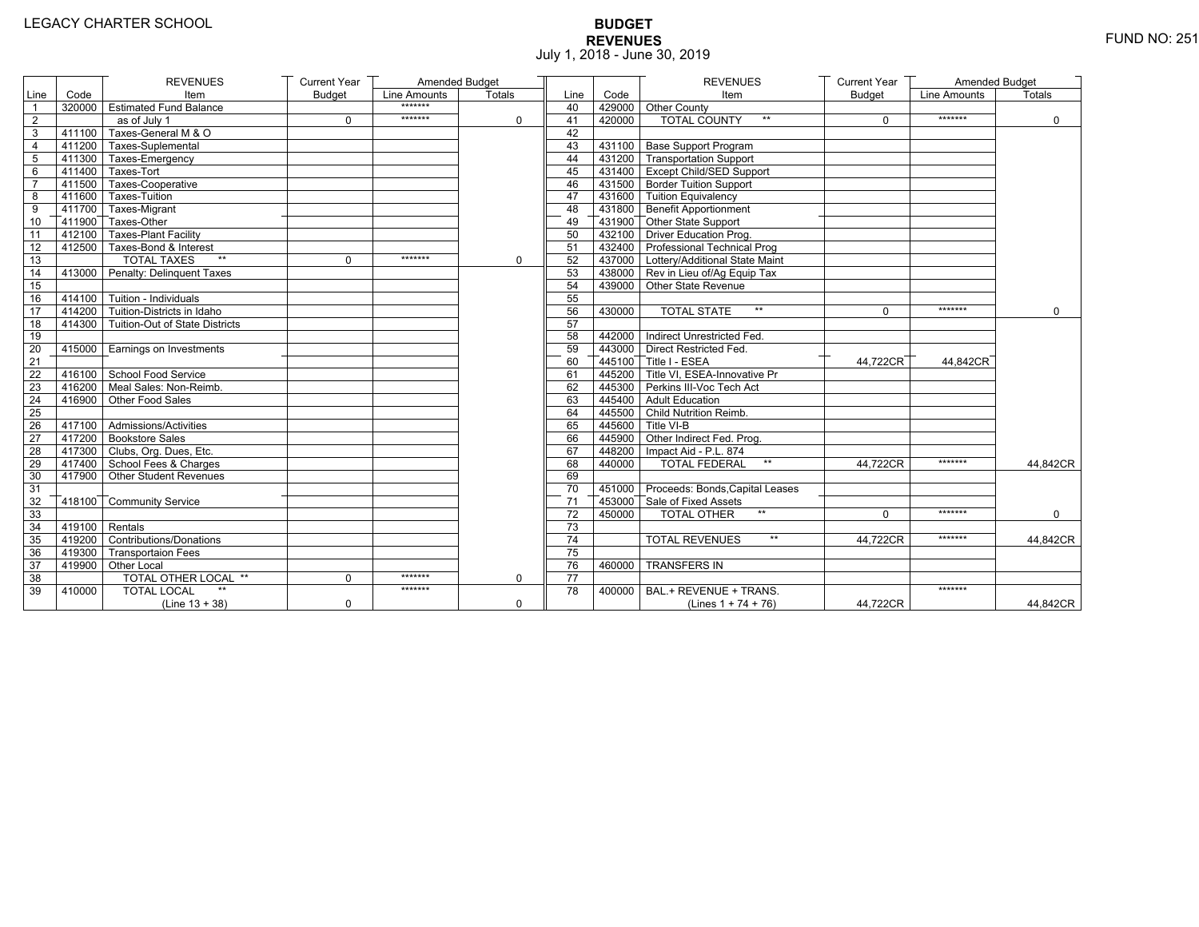# **BUDGET REVENUES** FUND NO: 251 July 1, 2018 - June 30, 2019

|                |                         | <b>REVENUES</b>                       | <b>Current Year</b> | Amended Budget |             |                 |        | <b>REVENUES</b>                        | <b>Current Year</b> | Amended Budget |               |
|----------------|-------------------------|---------------------------------------|---------------------|----------------|-------------|-----------------|--------|----------------------------------------|---------------------|----------------|---------------|
| Line           | Code                    | Item                                  | <b>Budget</b>       | Line Amounts   | Totals      | Line            | Code   | Item                                   | <b>Budget</b>       | Line Amounts   | <b>Totals</b> |
| $\overline{1}$ |                         | 320000 Estimated Fund Balance         |                     | *******        |             | 40              |        | 429000 Other County                    |                     |                |               |
| $\overline{2}$ |                         | as of July 1                          | $\Omega$            | *******        | $\Omega$    | 41              | 420000 | <b>TOTAL COUNTY</b><br>$^{\star\star}$ | $\Omega$            | *******        | $\mathbf 0$   |
| 3              | 411100                  | Taxes-General M & O                   |                     |                |             | 42              |        |                                        |                     |                |               |
| 4              |                         | 411200 Taxes-Suplemental              |                     |                |             | 43              |        | 431100 Base Support Program            |                     |                |               |
| $\overline{5}$ |                         | 411300 Taxes-Emergency                |                     |                |             | 44              |        | 431200 Transportation Support          |                     |                |               |
| 6              |                         | 411400 Taxes-Tort                     |                     |                |             | 45              |        | 431400 Except Child/SED Support        |                     |                |               |
| $\overline{7}$ |                         | 411500 Taxes-Cooperative              |                     |                |             | 46              |        | 431500 Border Tuition Support          |                     |                |               |
| 8              |                         | 411600 Taxes-Tuition                  |                     |                |             | 47              |        | 431600 Tuition Equivalency             |                     |                |               |
| 9              |                         | T411700 Taxes-Migrant                 |                     |                |             | 48              |        | T431800 Benefit Apportionment          |                     |                |               |
| 10             |                         | 411900 Taxes-Other                    |                     |                |             | 49              |        | 431900 Other State Support             |                     |                |               |
| 11             |                         | 412100 Taxes-Plant Facility           |                     |                |             | 50              |        | 432100 Driver Education Prog.          |                     |                |               |
| 12             |                         | 412500 Taxes-Bond & Interest          |                     |                |             | 51              |        | 432400 Professional Technical Prog     |                     |                |               |
| 13             |                         | <b>TOTAL TAXES</b><br>$**$            | 0                   | *******        | 0           | 52              |        | 437000 Lottery/Additional State Maint  |                     |                |               |
| 14             |                         | 413000 Penalty: Delinquent Taxes      |                     |                |             | 53              |        | 438000 Rev in Lieu of/Ag Equip Tax     |                     |                |               |
| 15             |                         |                                       |                     |                |             | 54              |        | 439000 Other State Revenue             |                     |                |               |
| 16             |                         | 414100 Tuition - Individuals          |                     |                |             | 55              |        |                                        |                     |                |               |
| 17             |                         | 414200 Tuition-Districts in Idaho     |                     |                |             | 56              | 430000 | <b>TOTAL STATE</b><br>$**$             | $\Omega$            | *******        | $\Omega$      |
| 18             |                         | 414300 Tuition-Out of State Districts |                     |                |             | 57              |        |                                        |                     |                |               |
| 19             |                         |                                       |                     |                |             | 58              |        | 442000 Indirect Unrestricted Fed.      |                     |                |               |
| 20             |                         | 415000 Earnings on Investments        |                     |                |             | 59              |        | 443000 Direct Restricted Fed.          |                     |                |               |
| 21             |                         |                                       |                     |                |             | 60              |        | 445100 Title I - ESEA                  | 44,722CR            | 44,842CR       |               |
| 22             |                         | 416100 School Food Service            |                     |                |             | 61              |        | 445200 Title VI. ESEA-Innovative Pr    |                     |                |               |
| 23             |                         | 416200 Meal Sales: Non-Reimb.         |                     |                |             | 62              |        | 445300 Perkins III-Voc Tech Act        |                     |                |               |
| 24             |                         | 416900 Other Food Sales               |                     |                |             | 63              |        | 445400 Adult Education                 |                     |                |               |
| 25             |                         |                                       |                     |                |             | 64              |        | 445500 Child Nutrition Reimb.          |                     |                |               |
| 26             |                         | 417100 Admissions/Activities          |                     |                |             | 65              |        | 445600 Title VI-B                      |                     |                |               |
| 27             |                         | 417200 Bookstore Sales                |                     |                |             | 66              |        | 445900 Other Indirect Fed. Prog.       |                     |                |               |
| 28             |                         | 417300 Clubs, Org. Dues, Etc.         |                     |                |             | 67              |        | 448200   Impact Aid - P.L. 874         |                     |                |               |
| 29             |                         | T417400 School Fees & Charges         |                     |                |             | 68              | 440000 | <b>TOTAL FEDERAL</b><br>$\star\star$   | 44,722CR            | *******        | 44,842CR      |
| 30             |                         | 417900 Other Student Revenues         |                     |                |             | 69              |        |                                        |                     |                |               |
| 31             |                         |                                       |                     |                |             | 70              |        | 451000 Proceeds: Bonds, Capital Leases |                     |                |               |
| 32             |                         | 418100 Community Service              |                     |                |             | 71              |        | 453000 Sale of Fixed Assets            |                     |                |               |
| 33             |                         |                                       |                     |                |             | $\overline{72}$ | 450000 | $**$<br><b>TOTAL OTHER</b>             | $\Omega$            | *******        | $\Omega$      |
| 34             | $\sqrt{419100}$ Rentals |                                       |                     |                |             | 73              |        |                                        |                     |                |               |
| 35             |                         | 419200 Contributions/Donations        |                     |                |             | 74              |        | $\star\star$<br><b>TOTAL REVENUES</b>  | 44.722CR            | *******        | 44,842CR      |
| 36             |                         | 419300 Transportaion Fees             |                     |                |             | 75              |        |                                        |                     |                |               |
| 37             |                         | 419900 Other Local                    |                     |                |             | 76              | 460000 | <b>TRANSFERS IN</b>                    |                     |                |               |
| 38             |                         | <b>TOTAL OTHER LOCAL **</b>           | $\Omega$            | *******        | $\mathbf 0$ | $\overline{77}$ |        |                                        |                     |                |               |
| 39             | 410000                  | <b>TOTAL LOCAL</b>                    |                     | *******        |             | 78              | 400000 | BAL.+ REVENUE + TRANS.                 |                     | *******        |               |
|                |                         | $(Line 13 + 38)$                      | $\Omega$            |                | $\mathbf 0$ |                 |        | (Lines $1 + 74 + 76$ )                 | 44,722CR            |                | 44,842CR      |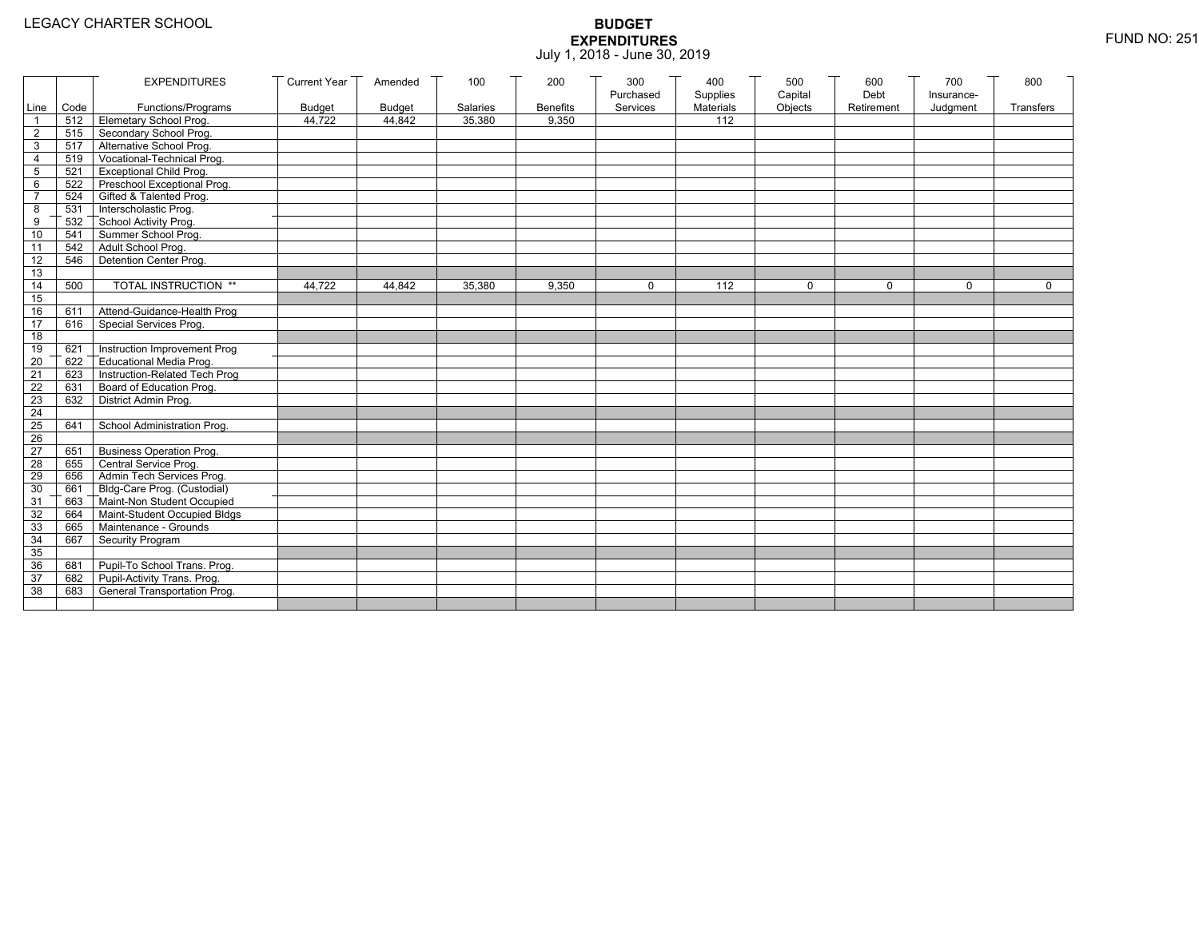|                 |      | <b>EXPENDITURES</b>                          | <b>Current Year</b> | Amended       | 100      | 200             | 300<br>Purchased | 400<br>Supplies  | 500<br>Capital | 600<br>Debt | 700<br>Insurance- | 800         |
|-----------------|------|----------------------------------------------|---------------------|---------------|----------|-----------------|------------------|------------------|----------------|-------------|-------------------|-------------|
| Line            | Code | Functions/Programs                           | <b>Budget</b>       | <b>Budget</b> | Salaries | <b>Benefits</b> | Services         | <b>Materials</b> | Objects        | Retirement  | Judgment          | Transfers   |
|                 |      | 512 Elemetary School Prog.                   | 44,722              | 44,842        | 35,380   | 9,350           |                  | 112              |                |             |                   |             |
| $\overline{2}$  | 515  | Secondary School Prog.                       |                     |               |          |                 |                  |                  |                |             |                   |             |
| 3               |      | 517 Alternative School Prog.                 |                     |               |          |                 |                  |                  |                |             |                   |             |
| $\overline{4}$  | 519  | Vocational-Technical Prog.                   |                     |               |          |                 |                  |                  |                |             |                   |             |
| 5               | 521  | <b>Exceptional Child Prog.</b>               |                     |               |          |                 |                  |                  |                |             |                   |             |
| 6               |      | 522 Preschool Exceptional Prog.              |                     |               |          |                 |                  |                  |                |             |                   |             |
| $\overline{7}$  | 524  | Gifted & Talented Prog.                      |                     |               |          |                 |                  |                  |                |             |                   |             |
| 8               | 531  | Interscholastic Prog.                        |                     |               |          |                 |                  |                  |                |             |                   |             |
| 9               | 532  | School Activity Prog.<br>Summer School Prog. |                     |               |          |                 |                  |                  |                |             |                   |             |
| 10              | 541  |                                              |                     |               |          |                 |                  |                  |                |             |                   |             |
| 11              | 542  | Adult School Prog.                           |                     |               |          |                 |                  |                  |                |             |                   |             |
| 12              | 546  | Detention Center Prog.                       |                     |               |          |                 |                  |                  |                |             |                   |             |
| 13              |      |                                              |                     |               |          |                 |                  |                  |                |             |                   |             |
| 14              | 500  | TOTAL INSTRUCTION **                         | 44,722              | 44,842        | 35,380   | 9,350           | 0                | 112              | $\mathbf 0$    | $\Omega$    | $\Omega$          | $\mathbf 0$ |
| 15              |      |                                              |                     |               |          |                 |                  |                  |                |             |                   |             |
| 16              | 611  | Attend-Guidance-Health Prog                  |                     |               |          |                 |                  |                  |                |             |                   |             |
| 17              | 616  | Special Services Prog.                       |                     |               |          |                 |                  |                  |                |             |                   |             |
| 18              |      |                                              |                     |               |          |                 |                  |                  |                |             |                   |             |
| 19              | 621  | Instruction Improvement Prog                 |                     |               |          |                 |                  |                  |                |             |                   |             |
| 20              | 622  | Educational Media Prog.                      |                     |               |          |                 |                  |                  |                |             |                   |             |
| 21              | 623  | Instruction-Related Tech Prog                |                     |               |          |                 |                  |                  |                |             |                   |             |
| 22              | 631  | Board of Education Prog.                     |                     |               |          |                 |                  |                  |                |             |                   |             |
| 23              | 632  | District Admin Prog.                         |                     |               |          |                 |                  |                  |                |             |                   |             |
| 24              |      |                                              |                     |               |          |                 |                  |                  |                |             |                   |             |
| 25              | 641  | School Administration Prog.                  |                     |               |          |                 |                  |                  |                |             |                   |             |
| 26              |      |                                              |                     |               |          |                 |                  |                  |                |             |                   |             |
| $\overline{27}$ | 651  | <b>Business Operation Prog.</b>              |                     |               |          |                 |                  |                  |                |             |                   |             |
| 28              | 655  | Central Service Prog.                        |                     |               |          |                 |                  |                  |                |             |                   |             |
| 29              | 656  | Admin Tech Services Prog.                    |                     |               |          |                 |                  |                  |                |             |                   |             |
| 30              | 661  | Bldg-Care Prog. (Custodial)                  |                     |               |          |                 |                  |                  |                |             |                   |             |
| 31              | 663  | Maint-Non Student Occupied                   |                     |               |          |                 |                  |                  |                |             |                   |             |
| 32              | 664  | Maint-Student Occupied Bldgs                 |                     |               |          |                 |                  |                  |                |             |                   |             |
| 33              | 665  | Maintenance - Grounds                        |                     |               |          |                 |                  |                  |                |             |                   |             |
| 34              | 667  | Security Program                             |                     |               |          |                 |                  |                  |                |             |                   |             |
| 35              |      |                                              |                     |               |          |                 |                  |                  |                |             |                   |             |
| 36              | 681  | Pupil-To School Trans. Prog.                 |                     |               |          |                 |                  |                  |                |             |                   |             |
| 37              | 682  | Pupil-Activity Trans. Prog.                  |                     |               |          |                 |                  |                  |                |             |                   |             |
| 38              | 683  | General Transportation Prog.                 |                     |               |          |                 |                  |                  |                |             |                   |             |
|                 |      |                                              |                     |               |          |                 |                  |                  |                |             |                   |             |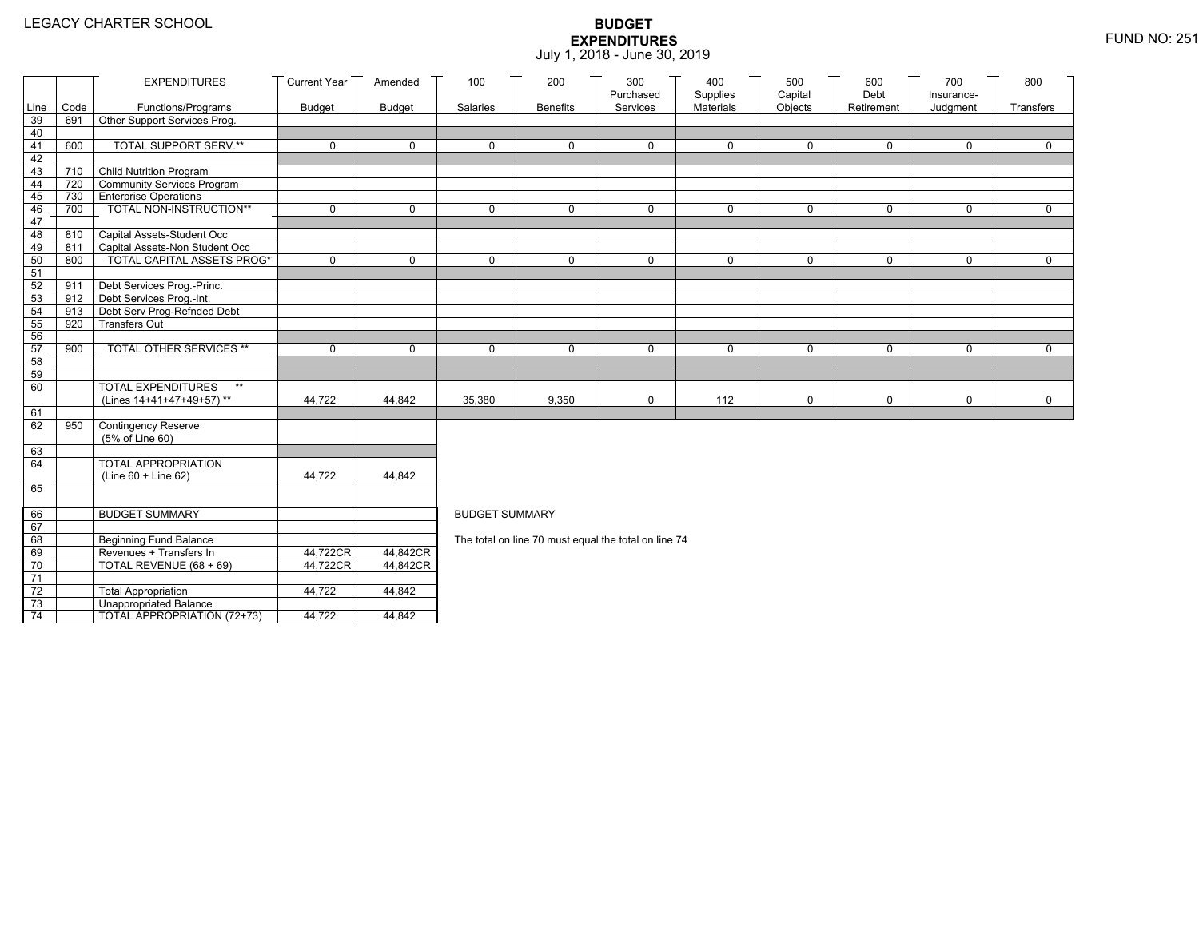|                 |                                | <b>EXPENDITURES</b>                                      | <b>Current Year</b>               | Amended              | 100                   | 200             | 300                                                  | 400                   | 500                | 600                | 700                    | 800         |
|-----------------|--------------------------------|----------------------------------------------------------|-----------------------------------|----------------------|-----------------------|-----------------|------------------------------------------------------|-----------------------|--------------------|--------------------|------------------------|-------------|
| Line            | Code                           | Functions/Programs                                       | <b>Budget</b>                     | <b>Budget</b>        | Salaries              | <b>Benefits</b> | Purchased<br>Services                                | Supplies<br>Materials | Capital<br>Objects | Debt<br>Retirement | Insurance-<br>Judgment | Transfers   |
| 39              | 691                            | Other Support Services Prog.                             |                                   |                      |                       |                 |                                                      |                       |                    |                    |                        |             |
| 40              |                                |                                                          |                                   |                      |                       |                 |                                                      |                       |                    |                    |                        |             |
| 41              | 600                            | <b>TOTAL SUPPORT SERV.**</b>                             | $\mathbf 0$                       | $\mathbf 0$          | $\mathbf 0$           | 0               | $\mathbf 0$                                          | $\mathbf 0$           | $\mathbf 0$        | $\mathbf 0$        | 0                      | $\mathbf 0$ |
| 42              |                                |                                                          |                                   |                      |                       |                 |                                                      |                       |                    |                    |                        |             |
| 43              | 710                            | Child Nutrition Program                                  |                                   |                      |                       |                 |                                                      |                       |                    |                    |                        |             |
| 44              | 720                            | Community Services Program                               |                                   |                      |                       |                 |                                                      |                       |                    |                    |                        |             |
| 45              |                                | 730 Enterprise Operations                                |                                   |                      |                       |                 |                                                      |                       |                    |                    |                        |             |
| 46              | 700                            | TOTAL NON-INSTRUCTION**                                  | $\mathbf 0$                       | $\mathbf 0$          | $\Omega$              | 0               | $\mathbf 0$                                          | $\mathbf 0$           | $\mathsf{O}$       | $\mathbf 0$        | 0                      | $\mathbf 0$ |
| 47<br>48        | 810                            | Capital Assets-Student Occ                               |                                   |                      |                       |                 |                                                      |                       |                    |                    |                        |             |
| 49              | 811                            | Capital Assets-Non Student Occ                           |                                   |                      |                       |                 |                                                      |                       |                    |                    |                        |             |
| 50              | 800                            | <b>TOTAL CAPITAL ASSETS PROG*</b>                        | $\Omega$                          | $\Omega$             | $\Omega$              | $\Omega$        | $\mathbf{0}$                                         | $\Omega$              | 0                  | $\mathbf{0}$       | $\Omega$               | $\Omega$    |
| 51              |                                |                                                          |                                   |                      |                       |                 |                                                      |                       |                    |                    |                        |             |
| 52              | 911                            | Debt Services Prog.-Princ.                               |                                   |                      |                       |                 |                                                      |                       |                    |                    |                        |             |
| 53              | $912$ $\overline{\phantom{1}}$ | Debt Services Prog.-Int.                                 |                                   |                      |                       |                 |                                                      |                       |                    |                    |                        |             |
| 54              | 913                            | Debt Serv Prog-Refnded Debt                              |                                   |                      |                       |                 |                                                      |                       |                    |                    |                        |             |
| 55              | 920                            | <b>Transfers Out</b>                                     |                                   |                      |                       |                 |                                                      |                       |                    |                    |                        |             |
| 56              |                                |                                                          |                                   |                      |                       |                 |                                                      |                       |                    |                    |                        |             |
| 57              | 900                            | TOTAL OTHER SERVICES **                                  | $\mathbf 0$                       | $\mathbf 0$          | $\mathbf 0$           | 0               | $\mathbf 0$                                          | 0                     | 0                  | $\mathbf 0$        | 0                      | $\mathbf 0$ |
| 58              |                                |                                                          |                                   |                      |                       |                 |                                                      |                       |                    |                    |                        |             |
| 59              |                                | $\star\star$                                             |                                   |                      |                       |                 |                                                      |                       |                    |                    |                        |             |
| 60              |                                | <b>TOTAL EXPENDITURES</b>                                |                                   |                      |                       |                 |                                                      |                       |                    |                    |                        |             |
| 61              |                                | (Lines 14+41+47+49+57)**                                 | 44,722                            | 44,842               | 35,380                | 9,350           | $\mathbf 0$                                          | 112                   | 0                  | $\mathbf 0$        | 0                      | 0           |
| 62              | 950                            | <b>Contingency Reserve</b>                               |                                   |                      |                       |                 |                                                      |                       |                    |                    |                        |             |
|                 |                                | (5% of Line 60)                                          |                                   |                      |                       |                 |                                                      |                       |                    |                    |                        |             |
| 63              |                                |                                                          |                                   |                      |                       |                 |                                                      |                       |                    |                    |                        |             |
| 64              |                                | TOTAL APPROPRIATION                                      |                                   |                      |                       |                 |                                                      |                       |                    |                    |                        |             |
|                 |                                | (Line 60 + Line 62)                                      | 44,722                            | 44,842               |                       |                 |                                                      |                       |                    |                    |                        |             |
| 65              |                                |                                                          |                                   |                      |                       |                 |                                                      |                       |                    |                    |                        |             |
|                 |                                |                                                          |                                   |                      |                       |                 |                                                      |                       |                    |                    |                        |             |
| 66              |                                | <b>BUDGET SUMMARY</b>                                    |                                   |                      | <b>BUDGET SUMMARY</b> |                 |                                                      |                       |                    |                    |                        |             |
| 67              |                                |                                                          |                                   |                      |                       |                 |                                                      |                       |                    |                    |                        |             |
| 68              |                                | <b>Beginning Fund Balance</b><br>Revenues + Transfers In |                                   |                      |                       |                 | The total on line 70 must equal the total on line 74 |                       |                    |                    |                        |             |
| 69<br>70        |                                |                                                          | 44,722CR<br>44,722CR <sup>T</sup> | 44,842CR<br>44,842CR |                       |                 |                                                      |                       |                    |                    |                        |             |
| $\overline{71}$ |                                | TOTAL REVENUE (68 + 69)                                  |                                   |                      |                       |                 |                                                      |                       |                    |                    |                        |             |
| $72\,$          |                                | <b>Total Appropriation</b>                               | 44,722                            | 44,842               |                       |                 |                                                      |                       |                    |                    |                        |             |
| 73              |                                | <b>Unappropriated Balance</b>                            |                                   |                      |                       |                 |                                                      |                       |                    |                    |                        |             |
| $\overline{74}$ |                                | TOTAL APPROPRIATION (72+73)                              | 44,722                            | 44,842               |                       |                 |                                                      |                       |                    |                    |                        |             |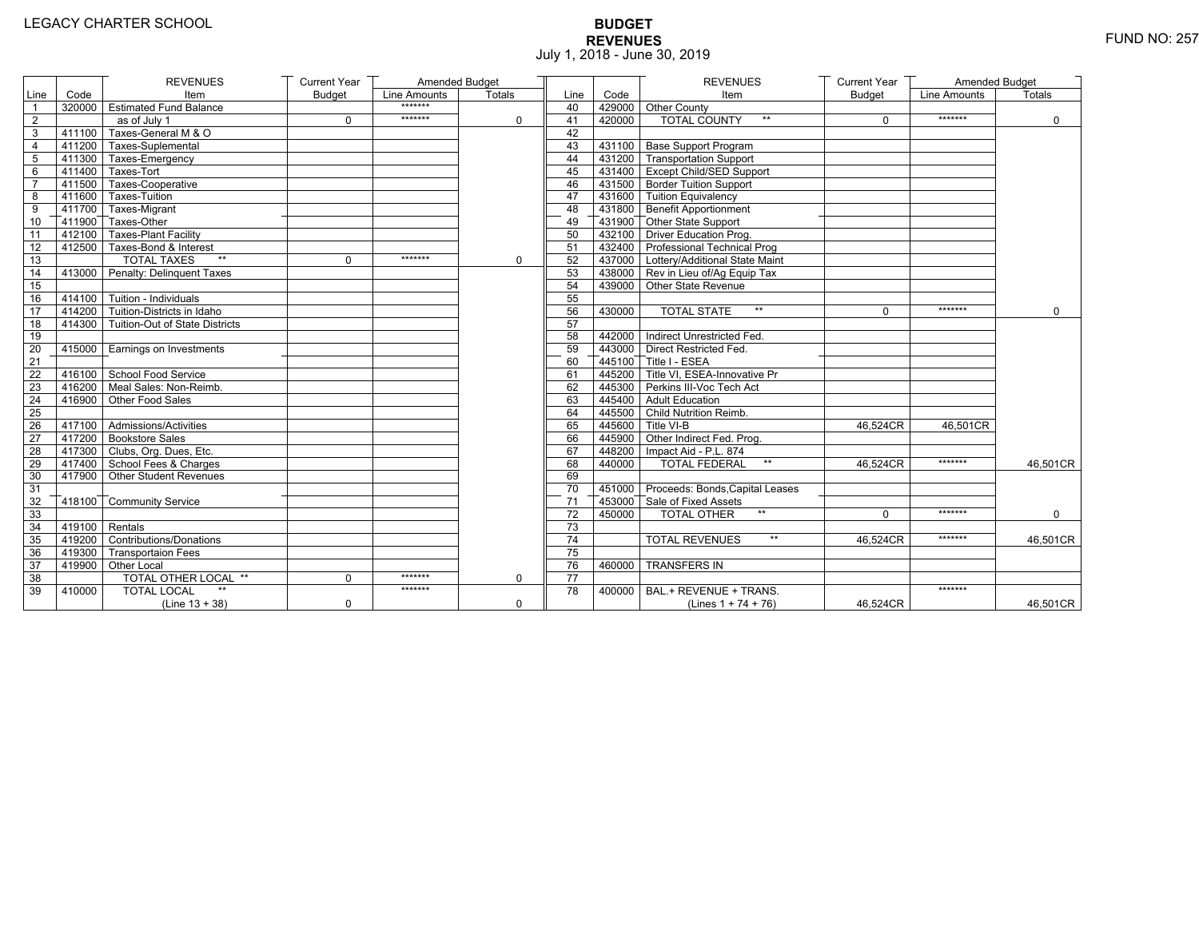# **BUDGET REVENUES** FUND NO: 257 July 1, 2018 - June 30, 2019

|                |                         | <b>REVENUES</b>                       | <b>Current Year</b> | Amended Budget |             |                 |        | <b>REVENUES</b>                        | <b>Current Year</b> | Amended Budget |               |
|----------------|-------------------------|---------------------------------------|---------------------|----------------|-------------|-----------------|--------|----------------------------------------|---------------------|----------------|---------------|
| Line           | Code                    | Item                                  | <b>Budget</b>       | Line Amounts   | Totals      | Line            | Code   | Item                                   | <b>Budget</b>       | Line Amounts   | <b>Totals</b> |
| $\overline{1}$ |                         | 320000 Estimated Fund Balance         |                     | *******        |             | 40              |        | 429000 Other County                    |                     |                |               |
| $\overline{2}$ |                         | as of July 1                          | $\Omega$            | *******        | $\Omega$    | 41              | 420000 | <b>TOTAL COUNTY</b><br>$^{\star\star}$ | $\Omega$            | *******        | $\mathbf 0$   |
| 3              | 411100                  | Taxes-General M & O                   |                     |                |             | 42              |        |                                        |                     |                |               |
| 4              |                         | 411200 Taxes-Suplemental              |                     |                |             | 43              |        | 431100 Base Support Program            |                     |                |               |
| $\overline{5}$ |                         | 411300 Taxes-Emergency                |                     |                |             | 44              |        | 431200 Transportation Support          |                     |                |               |
| 6              |                         | 411400 Taxes-Tort                     |                     |                |             | 45              |        | 431400 Except Child/SED Support        |                     |                |               |
| $\overline{7}$ |                         | 411500 Taxes-Cooperative              |                     |                |             | 46              |        | 431500 Border Tuition Support          |                     |                |               |
| 8              |                         | 411600 Taxes-Tuition                  |                     |                |             | 47              |        | 431600 Tuition Equivalency             |                     |                |               |
| 9              |                         | T411700 Taxes-Migrant                 |                     |                |             | 48              |        | T431800 Benefit Apportionment          |                     |                |               |
| 10             |                         | 411900 Taxes-Other                    |                     |                |             | 49              |        | 431900 Other State Support             |                     |                |               |
| 11             |                         | 412100 Taxes-Plant Facility           |                     |                |             | 50              |        | 432100 Driver Education Prog.          |                     |                |               |
| 12             |                         | 412500 Taxes-Bond & Interest          |                     |                |             | 51              |        | 432400 Professional Technical Prog     |                     |                |               |
| 13             |                         | <b>TOTAL TAXES</b><br>$**$            | 0                   | *******        | 0           | 52              |        | 437000 Lottery/Additional State Maint  |                     |                |               |
| 14             |                         | 413000 Penalty: Delinquent Taxes      |                     |                |             | 53              |        | 438000 Rev in Lieu of/Ag Equip Tax     |                     |                |               |
| 15             |                         |                                       |                     |                |             | 54              |        | 439000 Other State Revenue             |                     |                |               |
| 16             |                         | 414100 Tuition - Individuals          |                     |                |             | 55              |        |                                        |                     |                |               |
| 17             |                         | 414200 Tuition-Districts in Idaho     |                     |                |             | 56              | 430000 | <b>TOTAL STATE</b><br>$**$             | $\Omega$            | *******        | $\Omega$      |
| 18             |                         | 414300 Tuition-Out of State Districts |                     |                |             | 57              |        |                                        |                     |                |               |
| 19             |                         |                                       |                     |                |             | 58              |        | 442000   Indirect Unrestricted Fed.    |                     |                |               |
| 20             |                         | 415000 Earnings on Investments        |                     |                |             | 59              |        | 443000 Direct Restricted Fed.          |                     |                |               |
| 21             |                         |                                       |                     |                |             | 60              |        | 445100 Title I - ESEA                  |                     |                |               |
| 22             |                         | 416100 School Food Service            |                     |                |             | 61              |        | 445200 Title VI. ESEA-Innovative Pr    |                     |                |               |
| 23             |                         | 416200 Meal Sales: Non-Reimb.         |                     |                |             | 62              |        | 445300 Perkins III-Voc Tech Act        |                     |                |               |
| 24             |                         | 416900 Other Food Sales               |                     |                |             | 63              |        | 445400 Adult Education                 |                     |                |               |
| 25             |                         |                                       |                     |                |             | 64              |        | 445500 Child Nutrition Reimb.          |                     |                |               |
| 26             |                         | 417100 Admissions/Activities          |                     |                |             | 65              |        | 445600 Title VI-B                      | 46.524CR            | 46,501CR       |               |
| 27             |                         | 417200 Bookstore Sales                |                     |                |             | 66              |        | 445900 Other Indirect Fed. Prog.       |                     |                |               |
| 28             |                         | 417300 Clubs, Org. Dues, Etc.         |                     |                |             | 67              |        | 448200   Impact Aid - P.L. 874         |                     |                |               |
| 29             |                         | T417400 School Fees & Charges         |                     |                |             | 68              | 440000 | <b>TOTAL FEDERAL</b><br>$\star\star$   | 46.524CR            | *******        | 46,501CR      |
| 30             |                         | 417900 Other Student Revenues         |                     |                |             | 69              |        |                                        |                     |                |               |
| 31             |                         |                                       |                     |                |             | 70              |        | 451000 Proceeds: Bonds, Capital Leases |                     |                |               |
| 32             |                         | 418100 Community Service              |                     |                |             | 71              |        | 453000 Sale of Fixed Assets            |                     |                |               |
| 33             |                         |                                       |                     |                |             | $\overline{72}$ | 450000 | $**$<br><b>TOTAL OTHER</b>             | $\Omega$            | *******        | $\Omega$      |
| 34             | $\sqrt{419100}$ Rentals |                                       |                     |                |             | 73              |        |                                        |                     |                |               |
| 35             |                         | 419200 Contributions/Donations        |                     |                |             | 74              |        | $\star\star$<br><b>TOTAL REVENUES</b>  | 46,524CR            | *******        | 46,501CR      |
| 36             |                         | 419300 Transportaion Fees             |                     |                |             | 75              |        |                                        |                     |                |               |
| 37             |                         | 419900 Other Local                    |                     |                |             | 76              | 460000 | <b>TRANSFERS IN</b>                    |                     |                |               |
| 38             |                         | <b>TOTAL OTHER LOCAL **</b>           | $\Omega$            | *******        | $\mathbf 0$ | $\overline{77}$ |        |                                        |                     |                |               |
| 39             | 410000                  | <b>TOTAL LOCAL</b>                    |                     | *******        |             | 78              | 400000 | BAL.+ REVENUE + TRANS.                 |                     | *******        |               |
|                |                         | $(Line 13 + 38)$                      | $\Omega$            |                | $\mathbf 0$ |                 |        | (Lines $1 + 74 + 76$ )                 | 46,524CR            |                | 46,501CR      |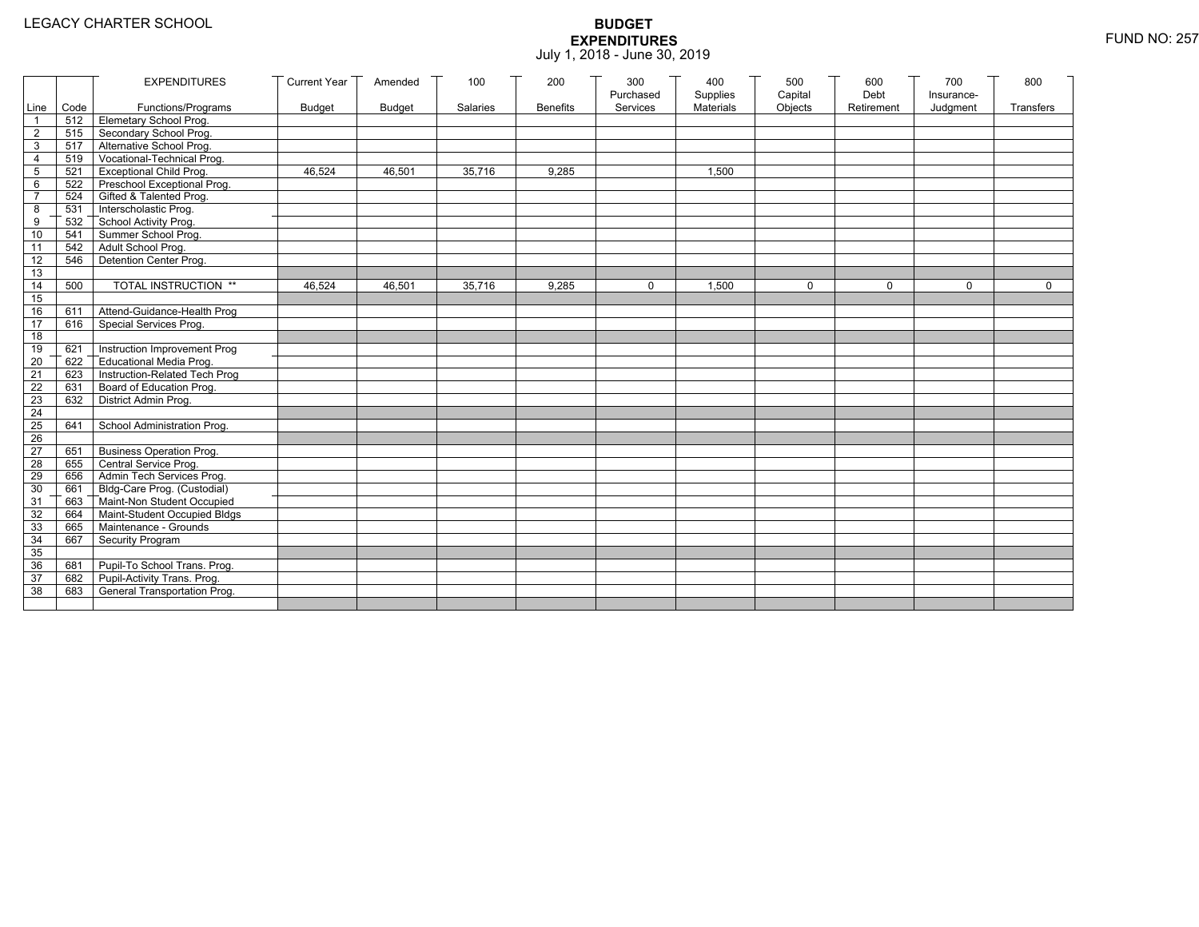|                 |       | <b>EXPENDITURES</b>                          | <b>Current Year</b> | Amended       | 100      | 200             | 300<br>Purchased | 400<br>Supplies | 500<br>Capital | 600<br>Debt | 700<br>Insurance- | 800          |
|-----------------|-------|----------------------------------------------|---------------------|---------------|----------|-----------------|------------------|-----------------|----------------|-------------|-------------------|--------------|
| Line            | Code  | Functions/Programs                           | <b>Budget</b>       | <b>Budget</b> | Salaries | <b>Benefits</b> | Services         | Materials       | Objects        | Retirement  | Judgment          | Transfers    |
| $\mathbf{1}$    |       | 512 Elemetary School Prog.                   |                     |               |          |                 |                  |                 |                |             |                   |              |
| $\overline{2}$  | 515   | Secondary School Prog.                       |                     |               |          |                 |                  |                 |                |             |                   |              |
| 3               |       | 517 Alternative School Prog.                 |                     |               |          |                 |                  |                 |                |             |                   |              |
| $\overline{4}$  | 519   | Vocational-Technical Prog.                   |                     |               |          |                 |                  |                 |                |             |                   |              |
| 5               | 521   | <b>Exceptional Child Prog.</b>               | 46,524              | 46,501        | 35,716   | 9,285           |                  | 1,500           |                |             |                   |              |
| 6               | 522   | Preschool Exceptional Prog.                  |                     |               |          |                 |                  |                 |                |             |                   |              |
| $\overline{7}$  | 524   | Gifted & Talented Prog.                      |                     |               |          |                 |                  |                 |                |             |                   |              |
| 8               | 531   | Interscholastic Prog.                        |                     |               |          |                 |                  |                 |                |             |                   |              |
| 9               | 532   | School Activity Prog.<br>Summer School Prog. |                     |               |          |                 |                  |                 |                |             |                   |              |
| 10              | 541   |                                              |                     |               |          |                 |                  |                 |                |             |                   |              |
| 11              | 542   | Adult School Prog.                           |                     |               |          |                 |                  |                 |                |             |                   |              |
| 12              | 546   | Detention Center Prog.                       |                     |               |          |                 |                  |                 |                |             |                   |              |
| 13              |       |                                              |                     |               |          |                 |                  |                 |                |             |                   |              |
| 14              | 500   | TOTAL INSTRUCTION **                         | 46,524              | 46,501        | 35,716   | 9,285           | $\Omega$         | 1,500           | 0              | $\Omega$    | $\Omega$          | $\mathsf{O}$ |
| 15              |       |                                              |                     |               |          |                 |                  |                 |                |             |                   |              |
| 16              | 611   | Attend-Guidance-Health Prog                  |                     |               |          |                 |                  |                 |                |             |                   |              |
| 17              | 616   | Special Services Prog.                       |                     |               |          |                 |                  |                 |                |             |                   |              |
| 18              |       |                                              |                     |               |          |                 |                  |                 |                |             |                   |              |
| 19              | 621   | Instruction Improvement Prog                 |                     |               |          |                 |                  |                 |                |             |                   |              |
| 20              | 622   | Educational Media Prog.                      |                     |               |          |                 |                  |                 |                |             |                   |              |
| 21              | 623   | Instruction-Related Tech Prog                |                     |               |          |                 |                  |                 |                |             |                   |              |
| 22              | 631   | Board of Education Prog.                     |                     |               |          |                 |                  |                 |                |             |                   |              |
| 23              | 632   | District Admin Prog.                         |                     |               |          |                 |                  |                 |                |             |                   |              |
| 24              |       |                                              |                     |               |          |                 |                  |                 |                |             |                   |              |
| 25              | 641   | School Administration Prog.                  |                     |               |          |                 |                  |                 |                |             |                   |              |
| 26              |       |                                              |                     |               |          |                 |                  |                 |                |             |                   |              |
| $\overline{27}$ | 651   | <b>Business Operation Prog.</b>              |                     |               |          |                 |                  |                 |                |             |                   |              |
| 28              | 655   | Central Service Prog.                        |                     |               |          |                 |                  |                 |                |             |                   |              |
| 29              | 656   | Admin Tech Services Prog.                    |                     |               |          |                 |                  |                 |                |             |                   |              |
| 30              | 661 7 | Bldg-Care Prog. (Custodial)                  |                     |               |          |                 |                  |                 |                |             |                   |              |
| 31              | 663   | Maint-Non Student Occupied                   |                     |               |          |                 |                  |                 |                |             |                   |              |
| 32              | 664   | Maint-Student Occupied Bldgs                 |                     |               |          |                 |                  |                 |                |             |                   |              |
| 33              | 665   | Maintenance - Grounds                        |                     |               |          |                 |                  |                 |                |             |                   |              |
| 34              | 667   | Security Program                             |                     |               |          |                 |                  |                 |                |             |                   |              |
| 35              |       |                                              |                     |               |          |                 |                  |                 |                |             |                   |              |
| 36              | 681   | Pupil-To School Trans. Prog.                 |                     |               |          |                 |                  |                 |                |             |                   |              |
| 37              | 682   | Pupil-Activity Trans. Prog.                  |                     |               |          |                 |                  |                 |                |             |                   |              |
| 38              | 683   | General Transportation Prog.                 |                     |               |          |                 |                  |                 |                |             |                   |              |
|                 |       |                                              |                     |               |          |                 |                  |                 |                |             |                   |              |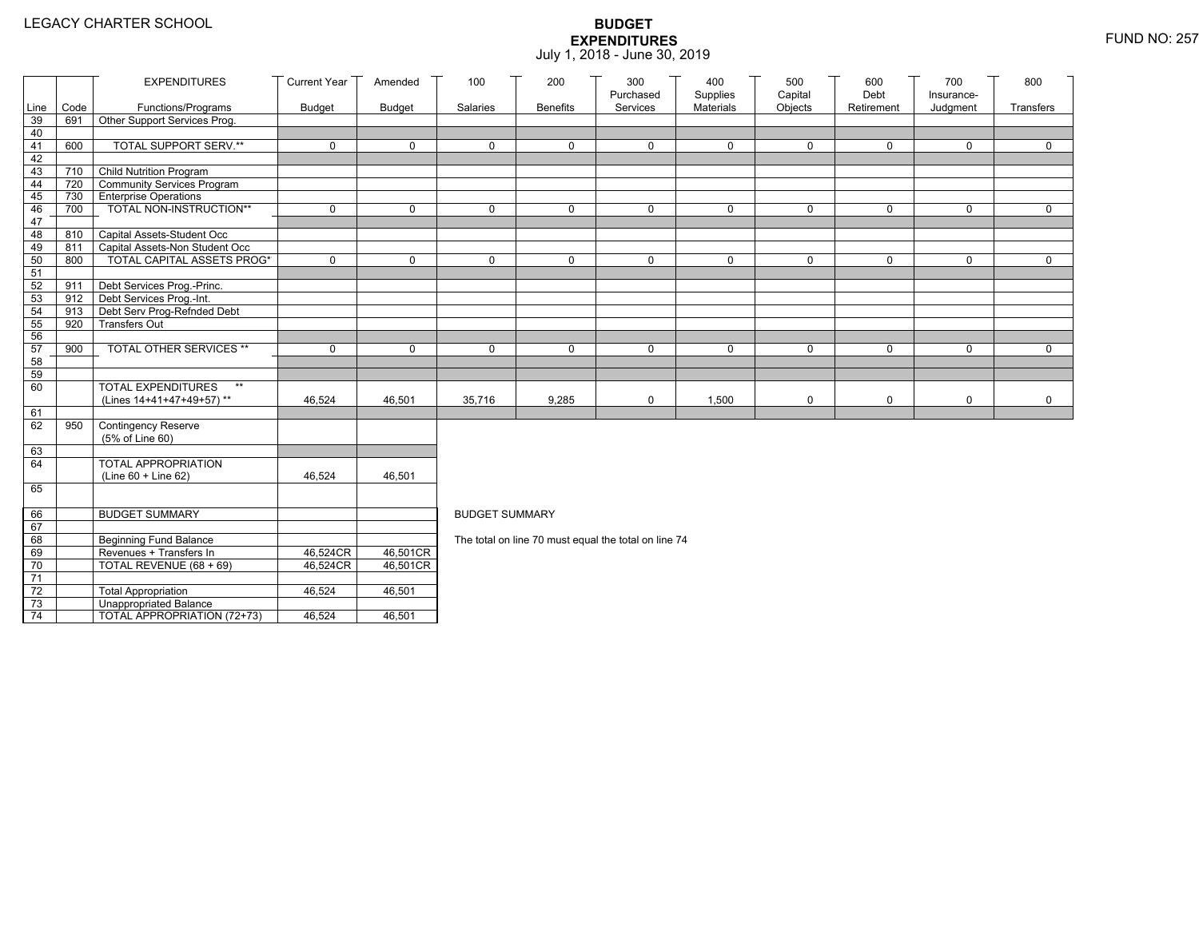|                 |                                | <b>EXPENDITURES</b>                       | <b>Current Year</b>   | Amended       | 100                   | 200             | 300                                                  | 400                   | 500                | 600                | 700                    | 800         |
|-----------------|--------------------------------|-------------------------------------------|-----------------------|---------------|-----------------------|-----------------|------------------------------------------------------|-----------------------|--------------------|--------------------|------------------------|-------------|
| Line            | Code                           | Functions/Programs                        | <b>Budget</b>         | <b>Budget</b> | Salaries              | <b>Benefits</b> | Purchased<br>Services                                | Supplies<br>Materials | Capital<br>Objects | Debt<br>Retirement | Insurance-<br>Judgment | Transfers   |
| 39              | 691                            | Other Support Services Prog.              |                       |               |                       |                 |                                                      |                       |                    |                    |                        |             |
| 40              |                                |                                           |                       |               |                       |                 |                                                      |                       |                    |                    |                        |             |
| 41              | 600                            | <b>TOTAL SUPPORT SERV.**</b>              | $\mathbf 0$           | $\mathbf 0$   | $\mathbf 0$           | 0               | $\mathbf 0$                                          | $\mathbf 0$           | $\mathbf 0$        | $\mathbf 0$        | 0                      | $\mathbf 0$ |
| 42              |                                |                                           |                       |               |                       |                 |                                                      |                       |                    |                    |                        |             |
| 43              | 710                            | <b>Child Nutrition Program</b>            |                       |               |                       |                 |                                                      |                       |                    |                    |                        |             |
| 44              | 720                            | Community Services Program                |                       |               |                       |                 |                                                      |                       |                    |                    |                        |             |
| 45              |                                | 730 Enterprise Operations                 |                       |               |                       |                 |                                                      |                       |                    |                    |                        |             |
| 46              | 700                            | TOTAL NON-INSTRUCTION**                   | $\mathbf 0$           | $\mathbf 0$   | $\mathbf{0}$          | 0               | $\mathbf 0$                                          | $\mathbf 0$           | $\mathsf{O}$       | $\mathbf 0$        | 0                      | $\mathbf 0$ |
| 47<br>48        | 810                            | Capital Assets-Student Occ                |                       |               |                       |                 |                                                      |                       |                    |                    |                        |             |
| 49              | 811                            | Capital Assets-Non Student Occ            |                       |               |                       |                 |                                                      |                       |                    |                    |                        |             |
| 50              | 800                            | <b>TOTAL CAPITAL ASSETS PROG*</b>         | $\Omega$              | $\Omega$      | $\Omega$              | $\Omega$        | $\mathbf{0}$                                         | $\Omega$              | $\mathbf 0$        | $\mathbf{0}$       | $\Omega$               | $\Omega$    |
| 51              |                                |                                           |                       |               |                       |                 |                                                      |                       |                    |                    |                        |             |
| 52              | 911                            | Debt Services Prog.-Princ.                |                       |               |                       |                 |                                                      |                       |                    |                    |                        |             |
| 53              | $912$ $\overline{\phantom{1}}$ | Debt Services Prog.-Int.                  |                       |               |                       |                 |                                                      |                       |                    |                    |                        |             |
| 54              | 913                            | Debt Serv Prog-Refnded Debt               |                       |               |                       |                 |                                                      |                       |                    |                    |                        |             |
| 55              | 920                            | <b>Transfers Out</b>                      |                       |               |                       |                 |                                                      |                       |                    |                    |                        |             |
| 56              |                                |                                           |                       |               |                       |                 |                                                      |                       |                    |                    |                        |             |
| 57              | 900                            | TOTAL OTHER SERVICES **                   | $\mathbf 0$           | $\mathbf 0$   | $\mathbf 0$           | 0               | $\mathbf 0$                                          | 0                     | 0                  | $\mathbf 0$        | 0                      | $\mathbf 0$ |
| 58              |                                |                                           |                       |               |                       |                 |                                                      |                       |                    |                    |                        |             |
| 59<br>60        |                                | <b>TOTAL EXPENDITURES</b><br>$\star\star$ |                       |               |                       |                 |                                                      |                       |                    |                    |                        |             |
|                 |                                | (Lines 14+41+47+49+57)**                  | 46,524                | 46,501        | 35,716                | 9,285           | $\mathbf 0$                                          | 1,500                 | 0                  | $\mathbf 0$        | 0                      | 0           |
| 61              |                                |                                           |                       |               |                       |                 |                                                      |                       |                    |                    |                        |             |
| 62              | 950                            | <b>Contingency Reserve</b>                |                       |               |                       |                 |                                                      |                       |                    |                    |                        |             |
|                 |                                | (5% of Line 60)                           |                       |               |                       |                 |                                                      |                       |                    |                    |                        |             |
| 63              |                                |                                           |                       |               |                       |                 |                                                      |                       |                    |                    |                        |             |
| 64              |                                | TOTAL APPROPRIATION                       |                       |               |                       |                 |                                                      |                       |                    |                    |                        |             |
|                 |                                | (Line 60 + Line 62)                       | 46,524                | 46,501        |                       |                 |                                                      |                       |                    |                    |                        |             |
| 65              |                                |                                           |                       |               |                       |                 |                                                      |                       |                    |                    |                        |             |
| 66              |                                | <b>BUDGET SUMMARY</b>                     |                       |               | <b>BUDGET SUMMARY</b> |                 |                                                      |                       |                    |                    |                        |             |
| 67              |                                |                                           |                       |               |                       |                 |                                                      |                       |                    |                    |                        |             |
| 68              |                                | <b>Beginning Fund Balance</b>             |                       |               |                       |                 | The total on line 70 must equal the total on line 74 |                       |                    |                    |                        |             |
| 69              |                                | Revenues + Transfers In                   | 46,524CR              | 46,501CR      |                       |                 |                                                      |                       |                    |                    |                        |             |
| 70              |                                | TOTAL REVENUE (68 + 69)                   | 46,524CR <sup>T</sup> | 46,501CR      |                       |                 |                                                      |                       |                    |                    |                        |             |
| $\overline{71}$ |                                |                                           |                       |               |                       |                 |                                                      |                       |                    |                    |                        |             |
| $72\,$          |                                | <b>Total Appropriation</b>                | 46,524                | 46,501        |                       |                 |                                                      |                       |                    |                    |                        |             |
| 73              |                                | <b>Unappropriated Balance</b>             |                       |               |                       |                 |                                                      |                       |                    |                    |                        |             |
| $\overline{74}$ |                                | TOTAL APPROPRIATION (72+73)               | 46,524                | 46,501        |                       |                 |                                                      |                       |                    |                    |                        |             |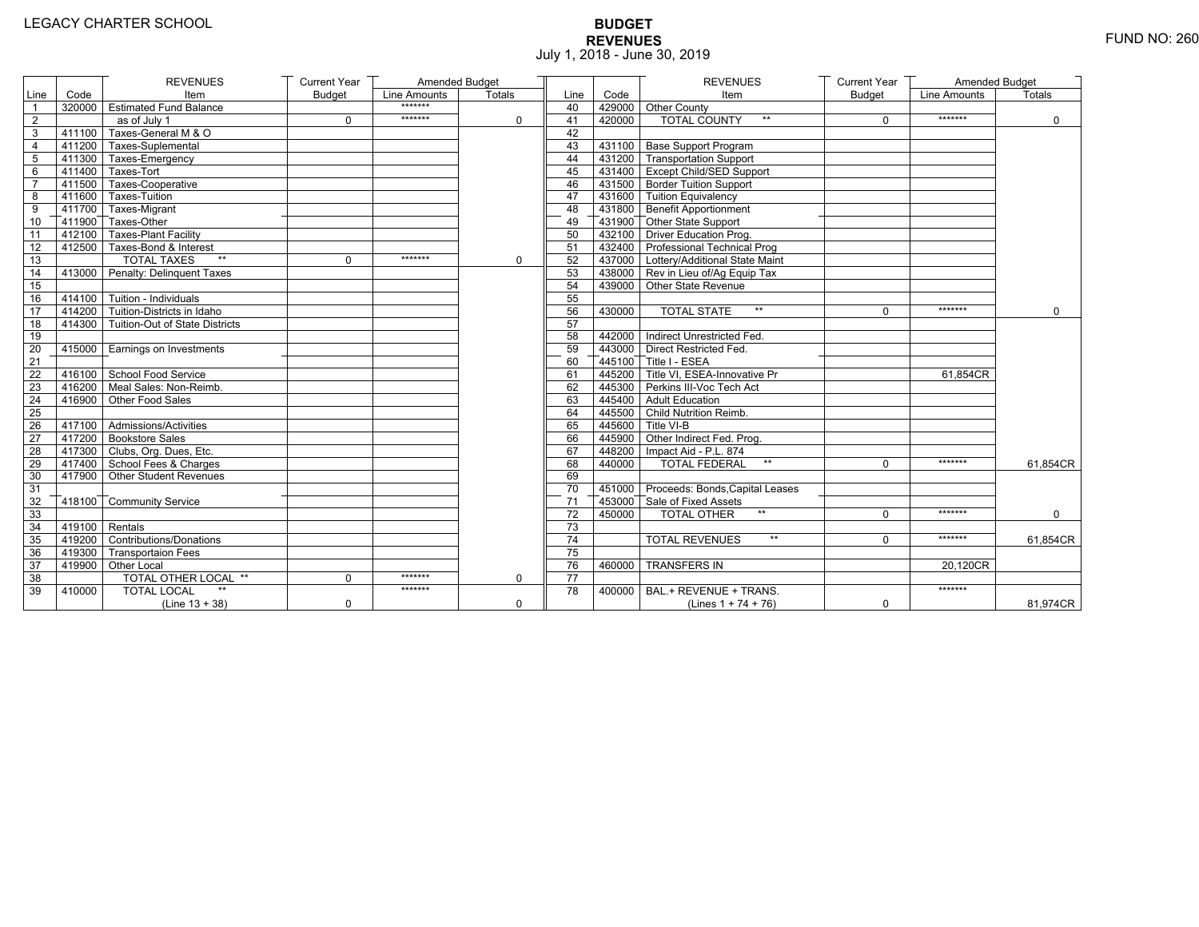# **BUDGET REVENUES** FUND NO: 260 July 1, 2018 - June 30, 2019

|                 |                  | <b>REVENUES</b>                       | <b>Current Year</b> | Amended Budget |             |                 |        | <b>REVENUES</b>                        | <b>Current Year</b> | Amended Budget |               |
|-----------------|------------------|---------------------------------------|---------------------|----------------|-------------|-----------------|--------|----------------------------------------|---------------------|----------------|---------------|
| Line            | Code             | Item                                  | <b>Budget</b>       | Line Amounts   | Totals      | Line            | Code   | Item                                   | <b>Budget</b>       | Line Amounts   | <b>Totals</b> |
| $\overline{1}$  |                  | 320000 Estimated Fund Balance         |                     | *******        |             | 40              |        | 429000 Other County                    |                     |                |               |
| $\overline{2}$  |                  | as of July 1                          | $\mathbf 0$         | *******        | $\Omega$    | 41              | 420000 | TOTAL COUNTY                           | 0                   | *******        | $\mathbf 0$   |
| 3               |                  | 411100 Taxes-General M & O            |                     |                |             | 42              |        |                                        |                     |                |               |
| 4               |                  | 411200 Taxes-Suplemental              |                     |                |             | 43              |        | 431100 Base Support Program            |                     |                |               |
| $\overline{5}$  |                  | 411300 Taxes-Emergency                |                     |                |             | 44              |        | 431200 Transportation Support          |                     |                |               |
| 6               |                  | 411400 Taxes-Tort                     |                     |                |             | 45              |        | 431400 Except Child/SED Support        |                     |                |               |
| $\overline{7}$  |                  | 411500 Taxes-Cooperative              |                     |                |             | 46              |        | 431500 Border Tuition Support          |                     |                |               |
| 8               |                  | 411600 Taxes-Tuition                  |                     |                |             | 47              |        | 431600 Tuition Equivalency             |                     |                |               |
| 9               |                  | 411700 Taxes-Migrant                  |                     |                |             | 48              |        | 431800 Benefit Apportionment           |                     |                |               |
| 10              |                  | 411900 Taxes-Other                    |                     |                |             | 49              |        | 431900 Other State Support             |                     |                |               |
| $\overline{11}$ |                  | 412100 Taxes-Plant Facility           |                     |                |             | 50              |        | 432100 Driver Education Prog.          |                     |                |               |
| 12              |                  | 412500 Taxes-Bond & Interest          |                     |                |             | 51              |        | 432400 Professional Technical Prog     |                     |                |               |
| $\overline{13}$ |                  | <b>TOTAL TAXES</b><br>$\star\star$    | $\mathbf 0$         | *******        | $\mathbf 0$ | 52              |        | 437000 Lottery/Additional State Maint  |                     |                |               |
| 14              |                  | 413000 Penalty: Delinguent Taxes      |                     |                |             | 53              |        | 438000 Rev in Lieu of/Ag Equip Tax     |                     |                |               |
| 15              |                  |                                       |                     |                |             | 54              |        | 439000 Other State Revenue             |                     |                |               |
| 16              |                  | $414100$ Tuition - Individuals        |                     |                |             | 55              |        |                                        |                     |                |               |
| 17              |                  | 414200 Tuition-Districts in Idaho     |                     |                |             | 56              | 430000 | $**$<br><b>TOTAL STATE</b>             | $\Omega$            | *******        | $\Omega$      |
| 18              |                  | 414300 Tuition-Out of State Districts |                     |                |             | 57              |        |                                        |                     |                |               |
| 19              |                  |                                       |                     |                |             | 58              |        | 442000 Indirect Unrestricted Fed.      |                     |                |               |
| 20              |                  | 415000 Earnings on Investments        |                     |                |             | 59              |        | 443000 Direct Restricted Fed           |                     |                |               |
| $\overline{21}$ |                  |                                       |                     |                |             | 60              |        | $445100$ Title I - ESEA                |                     |                |               |
| 22              |                  | 416100 School Food Service            |                     |                |             | 61              |        | 445200 Title VI. ESEA-Innovative Pr    |                     | 61.854CR       |               |
| 23              |                  | 416200 Meal Sales: Non-Reimb.         |                     |                |             | 62              |        | 445300 Perkins III-Voc Tech Act        |                     |                |               |
| 24              |                  | 416900 Other Food Sales               |                     |                |             | 63              |        | 445400 Adult Education                 |                     |                |               |
| 25              |                  |                                       |                     |                |             | 64              |        | 445500 Child Nutrition Reimb.          |                     |                |               |
| 26              |                  | 417100 Admissions/Activities          |                     |                |             | 65              |        | 445600 Title VI-B                      |                     |                |               |
| 27              |                  | 417200 Bookstore Sales                |                     |                |             | 66              |        | 445900 Other Indirect Fed. Prog.       |                     |                |               |
| 28              |                  | 417300 Clubs, Org. Dues, Etc.         |                     |                |             | 67              |        | 448200   Impact Aid - P.L. 874         |                     |                |               |
| 29              |                  | 417400 School Fees & Charges          |                     |                |             | 68              | 440000 | <b>TOTAL FEDERAL</b><br>$\star\star$   | $\mathbf 0$         | *******        | 61,854CR      |
| 30              |                  | 417900 Other Student Revenues         |                     |                |             | 69              |        |                                        |                     |                |               |
| 31              |                  |                                       |                     |                |             | 70              |        | 451000 Proceeds: Bonds, Capital Leases |                     |                |               |
| 32              |                  | 418100 Community Service              |                     |                |             | 71              |        | 453000 Sale of Fixed Assets            |                     |                |               |
| 33              |                  |                                       |                     |                |             | $\overline{72}$ | 450000 | $**$<br><b>TOTAL OTHER</b>             | $\Omega$            | *******        | $\Omega$      |
| 34              | $419100$ Rentals |                                       |                     |                |             | 73              |        |                                        |                     |                |               |
| 35              |                  | 419200 Contributions/Donations        |                     |                |             | 74              |        | <b>TOTAL REVENUES</b><br>$\star\star$  | $\Omega$            | *******        | 61.854CR      |
| 36              |                  | 419300 Transportaion Fees             |                     |                |             | $\overline{75}$ |        |                                        |                     |                |               |
| 37              |                  | 419900 Other Local                    |                     |                |             | 76              | 460000 | <b>TRANSFERS IN</b>                    |                     | 20.120CR       |               |
| 38              |                  | TOTAL OTHER LOCAL **                  | $\mathbf 0$         | *******        | $\Omega$    | 77              |        |                                        |                     |                |               |
| 39              | 410000           | <b>TOTAL LOCAL</b>                    |                     | *******        |             | 78              | 400000 | BAL.+ REVENUE + TRANS.                 |                     | *******        |               |
|                 |                  | $(Line 13 + 38)$                      | $\mathbf 0$         |                | $\Omega$    |                 |        | (Lines $1 + 74 + 76$ )                 | 0                   |                | 81,974CR      |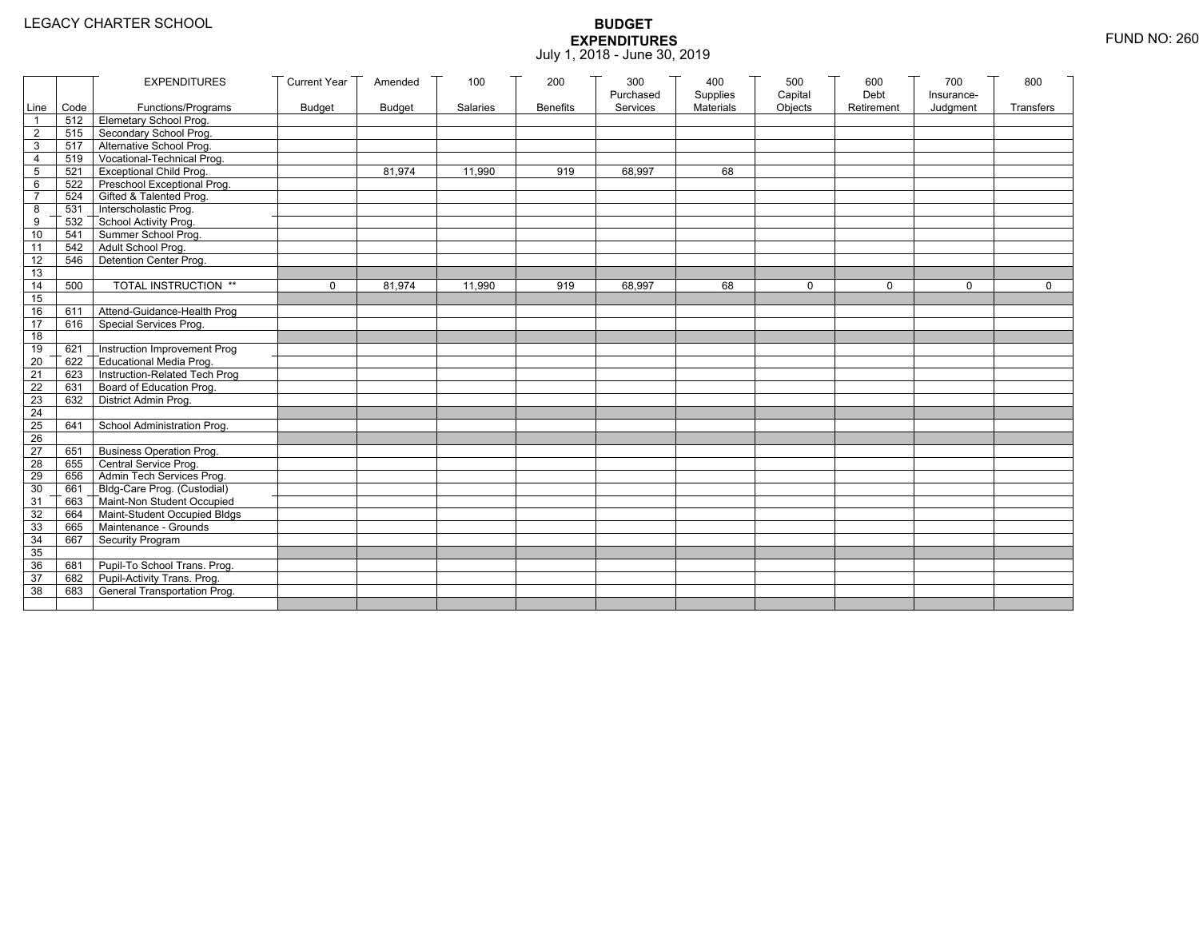|                 |       | <b>EXPENDITURES</b>                          | <b>Current Year</b> | Amended       | 100      | 200             | 300<br>Purchased | 400<br>Supplies | 500<br>Capital | 600<br>Debt | 700<br>Insurance- | 800          |
|-----------------|-------|----------------------------------------------|---------------------|---------------|----------|-----------------|------------------|-----------------|----------------|-------------|-------------------|--------------|
| Line            | Code  | Functions/Programs                           | <b>Budget</b>       | <b>Budget</b> | Salaries | <b>Benefits</b> | Services         | Materials       | Objects        | Retirement  | Judgment          | Transfers    |
| $\mathbf{1}$    |       | 512 Elemetary School Prog.                   |                     |               |          |                 |                  |                 |                |             |                   |              |
| $\overline{2}$  | 515   | Secondary School Prog.                       |                     |               |          |                 |                  |                 |                |             |                   |              |
| 3               |       | 517 Alternative School Prog.                 |                     |               |          |                 |                  |                 |                |             |                   |              |
| $\overline{4}$  | 519   | Vocational-Technical Prog.                   |                     |               |          |                 |                  |                 |                |             |                   |              |
| 5               | 521   | <b>Exceptional Child Prog.</b>               |                     | 81,974        | 11,990   | 919             | 68,997           | 68              |                |             |                   |              |
| 6               | 522   | Preschool Exceptional Prog.                  |                     |               |          |                 |                  |                 |                |             |                   |              |
| $\overline{7}$  | 524   | Gifted & Talented Prog.                      |                     |               |          |                 |                  |                 |                |             |                   |              |
| 8               | 531   | Interscholastic Prog.                        |                     |               |          |                 |                  |                 |                |             |                   |              |
| 9               | 532   | School Activity Prog.<br>Summer School Prog. |                     |               |          |                 |                  |                 |                |             |                   |              |
| 10              | 541   |                                              |                     |               |          |                 |                  |                 |                |             |                   |              |
| 11              | 542   | Adult School Prog.                           |                     |               |          |                 |                  |                 |                |             |                   |              |
| 12              | 546   | Detention Center Prog.                       |                     |               |          |                 |                  |                 |                |             |                   |              |
| 13              |       |                                              |                     |               |          |                 |                  |                 |                |             |                   |              |
| 14              | 500   | TOTAL INSTRUCTION **                         | $\mathbf 0$         | 81,974        | 11,990   | 919             | 68,997           | 68              | $\mathbf 0$    | $\Omega$    | $\Omega$          | $\mathsf{O}$ |
| 15              |       |                                              |                     |               |          |                 |                  |                 |                |             |                   |              |
| 16              | 611   | Attend-Guidance-Health Prog                  |                     |               |          |                 |                  |                 |                |             |                   |              |
| 17              | 616   | Special Services Prog.                       |                     |               |          |                 |                  |                 |                |             |                   |              |
| 18              |       |                                              |                     |               |          |                 |                  |                 |                |             |                   |              |
| 19              | 621   | Instruction Improvement Prog                 |                     |               |          |                 |                  |                 |                |             |                   |              |
| 20              | 622   | <b>Educational Media Prog.</b>               |                     |               |          |                 |                  |                 |                |             |                   |              |
| 21              | 623   | Instruction-Related Tech Prog                |                     |               |          |                 |                  |                 |                |             |                   |              |
| 22              | 631   | Board of Education Prog.                     |                     |               |          |                 |                  |                 |                |             |                   |              |
| 23              | 632   | District Admin Prog.                         |                     |               |          |                 |                  |                 |                |             |                   |              |
| 24              |       |                                              |                     |               |          |                 |                  |                 |                |             |                   |              |
| 25              | 641   | School Administration Prog.                  |                     |               |          |                 |                  |                 |                |             |                   |              |
| 26              |       |                                              |                     |               |          |                 |                  |                 |                |             |                   |              |
| $\overline{27}$ | 651   | <b>Business Operation Prog.</b>              |                     |               |          |                 |                  |                 |                |             |                   |              |
| 28              | 655   | Central Service Prog.                        |                     |               |          |                 |                  |                 |                |             |                   |              |
| 29              | 656   | Admin Tech Services Prog.                    |                     |               |          |                 |                  |                 |                |             |                   |              |
| 30              | 661 7 | Bldg-Care Prog. (Custodial)                  |                     |               |          |                 |                  |                 |                |             |                   |              |
| 31              | 663   | Maint-Non Student Occupied                   |                     |               |          |                 |                  |                 |                |             |                   |              |
| 32              | 664   | Maint-Student Occupied Bldgs                 |                     |               |          |                 |                  |                 |                |             |                   |              |
| 33              | 665   | Maintenance - Grounds                        |                     |               |          |                 |                  |                 |                |             |                   |              |
| 34              | 667   | Security Program                             |                     |               |          |                 |                  |                 |                |             |                   |              |
| 35              |       |                                              |                     |               |          |                 |                  |                 |                |             |                   |              |
| 36              | 681   | Pupil-To School Trans. Prog.                 |                     |               |          |                 |                  |                 |                |             |                   |              |
| 37              | 682   | Pupil-Activity Trans. Prog.                  |                     |               |          |                 |                  |                 |                |             |                   |              |
| 38              | 683   | General Transportation Prog.                 |                     |               |          |                 |                  |                 |                |             |                   |              |
|                 |       |                                              |                     |               |          |                 |                  |                 |                |             |                   |              |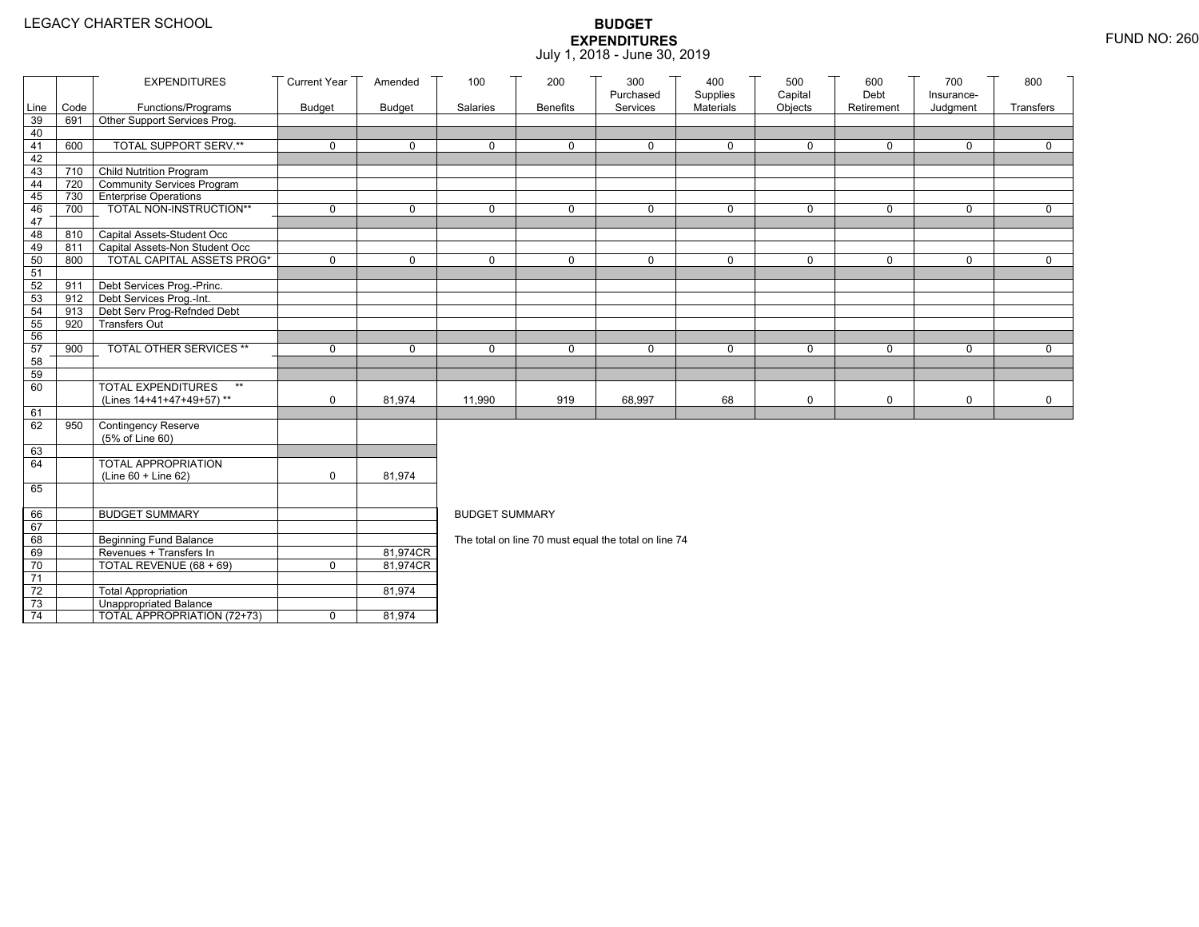|                 |      | <b>EXPENDITURES</b>                       | <b>Current Year</b> | Amended       | 100                   | 200             | 300                                                  | 400                   | 500                | 600                | 700                    | 800          |
|-----------------|------|-------------------------------------------|---------------------|---------------|-----------------------|-----------------|------------------------------------------------------|-----------------------|--------------------|--------------------|------------------------|--------------|
| Line            | Code | Functions/Programs                        | <b>Budget</b>       | <b>Budget</b> | Salaries              | <b>Benefits</b> | Purchased<br>Services                                | Supplies<br>Materials | Capital<br>Objects | Debt<br>Retirement | Insurance-<br>Judgment | Transfers    |
| 39              | 691  | Other Support Services Prog.              |                     |               |                       |                 |                                                      |                       |                    |                    |                        |              |
| 40              |      |                                           |                     |               |                       |                 |                                                      |                       |                    |                    |                        |              |
| 41              | 600  | TOTAL SUPPORT SERV.**                     | $\mathbf 0$         | $\mathbf 0$   | $\mathbf 0$           | 0               | $\mathbf 0$                                          | $\mathbf 0$           | 0                  | $\mathbf 0$        | $\mathbf 0$            | $\mathbf 0$  |
| 42              |      |                                           |                     |               |                       |                 |                                                      |                       |                    |                    |                        |              |
| 43              |      | 710 Child Nutrition Program               |                     |               |                       |                 |                                                      |                       |                    |                    |                        |              |
| 44              |      | 720 Community Services Program            |                     |               |                       |                 |                                                      |                       |                    |                    |                        |              |
| 45              |      | 730 Enterprise Operations                 |                     |               |                       |                 |                                                      |                       |                    |                    |                        |              |
| 46              | 700  | TOTAL NON-INSTRUCTION**                   | $\mathbf 0$         | 0             | $\mathbf{0}$          | $\mathbf 0$     | $\Omega$                                             | $\mathbf 0$           | 0                  | $\mathbf 0$        | 0                      | $\mathbf 0$  |
| 47              |      |                                           |                     |               |                       |                 |                                                      |                       |                    |                    |                        |              |
| 48              |      | 810 Capital Assets-Student Occ            |                     |               |                       |                 |                                                      |                       |                    |                    |                        |              |
| 49              |      | 811 Capital Assets-Non Student Occ        |                     |               |                       |                 |                                                      |                       |                    |                    |                        |              |
| 50              | 800  | <b>TOTAL CAPITAL ASSETS PROG*</b>         | $\mathbf 0$         | $\Omega$      | $\Omega$              | $\mathbf 0$     | $\mathbf 0$                                          | $\mathbf 0$           | 0                  | $\mathbf 0$        | $\Omega$               | $\Omega$     |
| 51              |      |                                           |                     |               |                       |                 |                                                      |                       |                    |                    |                        |              |
| 52              | 911  | Debt Services Prog.-Princ.                |                     |               |                       |                 |                                                      |                       |                    |                    |                        |              |
| 53              |      | 912 Debt Services Prog.-Int.              |                     |               |                       |                 |                                                      |                       |                    |                    |                        |              |
| 54              | 913  | Debt Serv Prog-Refnded Debt               |                     |               |                       |                 |                                                      |                       |                    |                    |                        |              |
| 55              | 920  | <b>Transfers Out</b>                      |                     |               |                       |                 |                                                      |                       |                    |                    |                        |              |
| 56              |      |                                           |                     |               |                       |                 |                                                      |                       |                    |                    |                        |              |
| 57              | 900  | TOTAL OTHER SERVICES **                   | $\mathbf 0$         | $\mathbf 0$   | $\Omega$              | 0               | 0                                                    | $\mathbf 0$           | 0                  | $\mathbf 0$        | $\mathbf 0$            | $\mathbf 0$  |
| 58              |      |                                           |                     |               |                       |                 |                                                      |                       |                    |                    |                        |              |
| 59<br>60        |      | <b>TOTAL EXPENDITURES</b><br>$\star\star$ |                     |               |                       |                 |                                                      |                       |                    |                    |                        |              |
|                 |      | (Lines 14+41+47+49+57)**                  | $\mathbf 0$         | 81,974        | 11,990                | 919             | 68,997                                               | 68                    | 0                  | $\mathsf 0$        | 0                      | $\mathsf{O}$ |
| 61              |      |                                           |                     |               |                       |                 |                                                      |                       |                    |                    |                        |              |
| 62              | 950  | Contingency Reserve                       |                     |               |                       |                 |                                                      |                       |                    |                    |                        |              |
|                 |      | (5% of Line 60)                           |                     |               |                       |                 |                                                      |                       |                    |                    |                        |              |
| 63              |      |                                           |                     |               |                       |                 |                                                      |                       |                    |                    |                        |              |
| 64              |      | TOTAL APPROPRIATION                       |                     |               |                       |                 |                                                      |                       |                    |                    |                        |              |
|                 |      | (Line 60 + Line 62)                       | $\mathbf 0$         | 81,974        |                       |                 |                                                      |                       |                    |                    |                        |              |
| 65              |      |                                           |                     |               |                       |                 |                                                      |                       |                    |                    |                        |              |
|                 |      |                                           |                     |               |                       |                 |                                                      |                       |                    |                    |                        |              |
| 66              |      | <b>BUDGET SUMMARY</b>                     |                     |               | <b>BUDGET SUMMARY</b> |                 |                                                      |                       |                    |                    |                        |              |
| 67              |      |                                           |                     |               |                       |                 |                                                      |                       |                    |                    |                        |              |
| 68              |      | <b>Beginning Fund Balance</b>             |                     |               |                       |                 | The total on line 70 must equal the total on line 74 |                       |                    |                    |                        |              |
| 69              |      | Revenues + Transfers In                   |                     | 81,974CR      |                       |                 |                                                      |                       |                    |                    |                        |              |
| 70              |      | TOTAL REVENUE (68 + 69)                   | $\mathsf{O}$        | 81,974CR      |                       |                 |                                                      |                       |                    |                    |                        |              |
| 71              |      |                                           |                     |               |                       |                 |                                                      |                       |                    |                    |                        |              |
| 72              |      | <b>Total Appropriation</b>                |                     | 81,974        |                       |                 |                                                      |                       |                    |                    |                        |              |
| 73              |      | <b>Unappropriated Balance</b>             |                     |               |                       |                 |                                                      |                       |                    |                    |                        |              |
| $\overline{74}$ |      | TOTAL APPROPRIATION (72+73)               | 0                   | 81,974        |                       |                 |                                                      |                       |                    |                    |                        |              |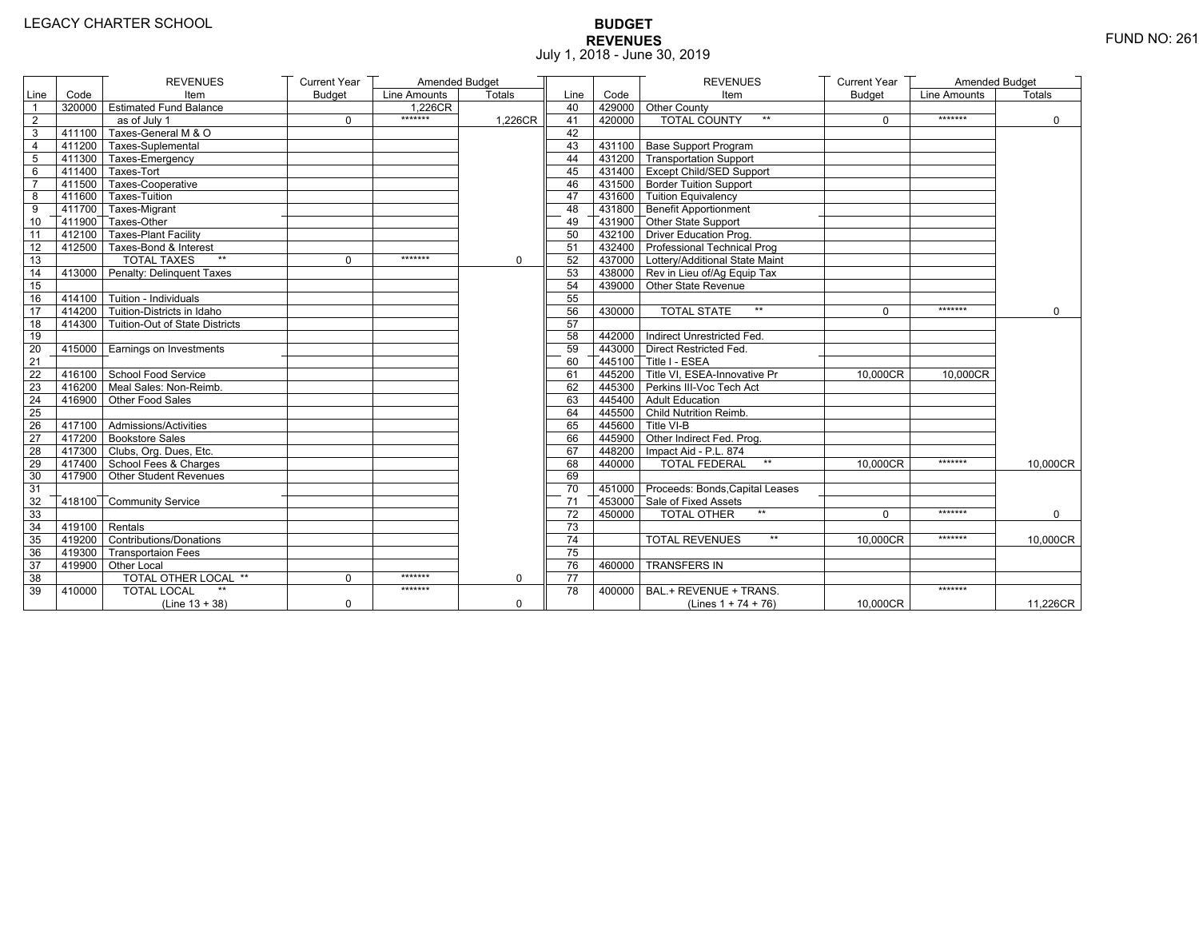# **BUDGET REVENUES** FUND NO: 261 July 1, 2018 - June 30, 2019

|                 |                  | <b>REVENUES</b>                       | <b>Current Year</b> | Amended Budget |             |                 |        | <b>REVENUES</b>                                                                | <b>Current Year</b> | Amended Budget |               |
|-----------------|------------------|---------------------------------------|---------------------|----------------|-------------|-----------------|--------|--------------------------------------------------------------------------------|---------------------|----------------|---------------|
| Line            | Code             | Item                                  | <b>Budget</b>       | Line Amounts   | Totals      | Line            | Code   | Item                                                                           | <b>Budget</b>       | Line Amounts   | <b>Totals</b> |
| $\mathbf{1}$    |                  | 320000 Estimated Fund Balance         |                     | $1,226$ CR     |             | 40              |        | 429000 Other County                                                            |                     |                |               |
| $\overline{2}$  |                  | as of July 1                          | $\Omega$            | *******        | 1,226CR     | 41              | 420000 | <b>TOTAL COUNTY</b><br>$**$                                                    | $\mathbf{0}$        | *******        | $\mathbf 0$   |
| 3               | 411100           | Taxes-General M & O                   |                     |                |             | 42              |        |                                                                                |                     |                |               |
| $\overline{4}$  |                  | 411200 Taxes-Suplemental              |                     |                |             | 43              |        | 431100 Base Support Program                                                    |                     |                |               |
| 5               |                  | 411300 Taxes-Emergency                |                     |                |             | 44              |        | 431200 Transportation Support                                                  |                     |                |               |
| 6               |                  | 411400 Taxes-Tort                     |                     |                |             | 45              |        | 431400 Except Child/SED Support                                                |                     |                |               |
| $\overline{7}$  |                  | 411500 Taxes-Cooperative              |                     |                |             | 46              |        | 431500 Border Tuition Support                                                  |                     |                |               |
| 8               |                  | 411600 Taxes-Tuition                  |                     |                |             | 47              |        | 431600 Tuition Equivalency                                                     |                     |                |               |
| 9               |                  | 411700 Taxes-Migrant                  |                     |                |             | 48              |        | $\overline{\phantom{a}}$ 431800 $\overline{\phantom{a}}$ Benefit Apportionment |                     |                |               |
| 10              |                  | 411900 Taxes-Other                    |                     |                |             | 49              |        | 431900 Other State Support                                                     |                     |                |               |
| 11              |                  | 412100 Taxes-Plant Facility           |                     |                |             | 50              |        | 432100 Driver Education Prog.                                                  |                     |                |               |
| 12              |                  | 412500 Taxes-Bond & Interest          |                     |                |             | 51              |        | 432400 Professional Technical Prog                                             |                     |                |               |
| 13              |                  | $**$<br><b>TOTAL TAXES</b>            | $\Omega$            | *******        | $\Omega$    | 52              |        | 437000 Lottery/Additional State Maint                                          |                     |                |               |
| 14              |                  | 413000 Penalty: Delinguent Taxes      |                     |                |             | 53              |        | 438000 Rev in Lieu of/Ag Equip Tax                                             |                     |                |               |
| 15              |                  |                                       |                     |                |             | 54              |        | 439000 Other State Revenue                                                     |                     |                |               |
| 16              |                  | 414100 Tuition - Individuals          |                     |                |             | 55              |        |                                                                                |                     |                |               |
| 17              |                  | 414200 Tuition-Districts in Idaho     |                     |                |             | 56              | 430000 | <b>TOTAL STATE</b><br>$**$                                                     | $\mathbf{0}$        | *******        | $\Omega$      |
| 18              |                  | 414300 Tuition-Out of State Districts |                     |                |             | 57              |        |                                                                                |                     |                |               |
| 19              |                  |                                       |                     |                |             | 58              |        | 442000 Indirect Unrestricted Fed.                                              |                     |                |               |
| 20              | 415000           | Earnings on Investments               |                     |                |             | 59              |        | 443000 Direct Restricted Fed.                                                  |                     |                |               |
| $\overline{21}$ |                  |                                       |                     |                |             | 60              |        | 445100 Title I - ESEA                                                          |                     |                |               |
| 22              |                  | 416100 School Food Service            |                     |                |             | 61              |        | 445200 Title VI. ESEA-Innovative Pr                                            | 10.000CR            | 10.000CR       |               |
| $\overline{23}$ |                  | 416200 Meal Sales: Non-Reimb.         |                     |                |             | 62              |        | 445300 Perkins III-Voc Tech Act                                                |                     |                |               |
| 24              |                  | 416900 Other Food Sales               |                     |                |             | 63              |        | 445400 Adult Education                                                         |                     |                |               |
| 25              |                  |                                       |                     |                |             | 64              |        | 445500 Child Nutrition Reimb.                                                  |                     |                |               |
| 26              |                  | $417100$ Admissions/Activities        |                     |                |             | 65              |        | 445600 Title VI-B                                                              |                     |                |               |
| 27              |                  | 417200 Bookstore Sales                |                     |                |             | 66              |        | 445900 Other Indirect Fed. Prog.                                               |                     |                |               |
| 28              |                  | 417300 Clubs, Org. Dues, Etc.         |                     |                |             | 67              |        | 448200   Impact Aid - P.L. 874                                                 |                     |                |               |
| 29              |                  | 417400 School Fees & Charges          |                     |                |             | 68              | 440000 | <b>TOTAL FEDERAL</b><br>$^{\star\star}$                                        | 10,000CR            | *******        | 10,000CR      |
| 30              | $-417900$        | Other Student Revenues                |                     |                |             | 69              |        |                                                                                |                     |                |               |
| 31              |                  |                                       |                     |                |             | 70              |        | 451000 Proceeds: Bonds, Capital Leases                                         |                     |                |               |
| 32              |                  | 418100 Community Service              |                     |                |             | 71              |        | 453000 Sale of Fixed Assets                                                    |                     |                |               |
| 33              |                  |                                       |                     |                |             | 72              | 450000 | $**$<br>TOTAL OTHER                                                            | $\Omega$            | *******        | $\Omega$      |
| 34              | $419100$ Rentals |                                       |                     |                |             | 73              |        |                                                                                |                     |                |               |
| 35              |                  | 419200 Contributions/Donations        |                     |                |             | 74              |        | $\star\star$<br><b>TOTAL REVENUES</b>                                          | 10.000CR            | *******        | 10,000CR      |
| 36              |                  | 419300 Transportaion Fees             |                     |                |             | 75              |        |                                                                                |                     |                |               |
| 37              |                  | 419900 Other Local                    |                     |                |             | 76              | 460000 | <b>TRANSFERS IN</b>                                                            |                     |                |               |
| 38              |                  | TOTAL OTHER LOCAL **                  | 0                   | *******        | 0           | $\overline{77}$ |        |                                                                                |                     |                |               |
| 39              | 410000           | <b>TOTAL LOCAL</b>                    |                     | *******        |             | 78              |        | 400000   BAL.+ REVENUE + TRANS.                                                |                     | *******        |               |
|                 |                  | $(Line 13 + 38)$                      | $\mathbf 0$         |                | $\mathbf 0$ |                 |        | (Lines $1 + 74 + 76$ )                                                         | 10,000CR            |                | 11,226CR      |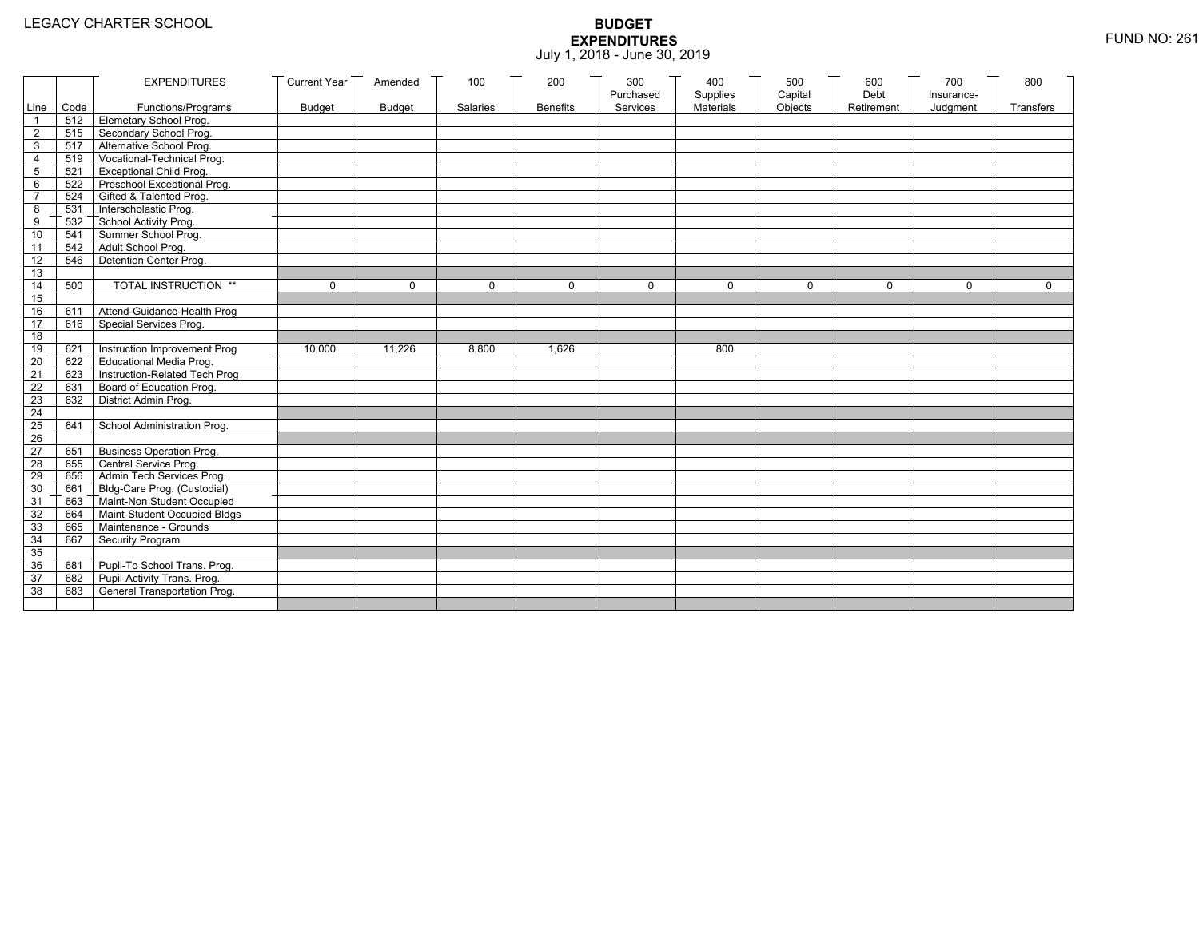|                 |           | <b>EXPENDITURES</b>             | <b>Current Year</b> | Amended       | 100      | 200             | 300<br>Purchased | 400<br>Supplies | 500<br>Capital | 600<br>Debt | 700<br>Insurance- | 800         |
|-----------------|-----------|---------------------------------|---------------------|---------------|----------|-----------------|------------------|-----------------|----------------|-------------|-------------------|-------------|
|                 | Line Code | Functions/Programs              | <b>Budget</b>       | <b>Budget</b> | Salaries | <b>Benefits</b> | Services         | Materials       | Objects        | Retirement  | Judgment          | Transfers   |
| 1               |           | 512 Elemetary School Prog.      |                     |               |          |                 |                  |                 |                |             |                   |             |
| $\overline{2}$  | 515       | Secondary School Prog.          |                     |               |          |                 |                  |                 |                |             |                   |             |
| 3               |           | 517 Alternative School Prog.    |                     |               |          |                 |                  |                 |                |             |                   |             |
| 4               | 519       | Vocational-Technical Prog.      |                     |               |          |                 |                  |                 |                |             |                   |             |
| 5               | 521       | <b>Exceptional Child Prog.</b>  |                     |               |          |                 |                  |                 |                |             |                   |             |
| 6               |           | 522 Preschool Exceptional Prog. |                     |               |          |                 |                  |                 |                |             |                   |             |
| $\overline{7}$  | 524       | Gifted & Talented Prog.         |                     |               |          |                 |                  |                 |                |             |                   |             |
| 8               |           | 531 Interscholastic Prog.       |                     |               |          |                 |                  |                 |                |             |                   |             |
| 9               | 532       | School Activity Prog.           |                     |               |          |                 |                  |                 |                |             |                   |             |
| 10              | 541       | Summer School Prog.             |                     |               |          |                 |                  |                 |                |             |                   |             |
| 11              | 542       | Adult School Prog.              |                     |               |          |                 |                  |                 |                |             |                   |             |
| 12              | 546       | Detention Center Prog.          |                     |               |          |                 |                  |                 |                |             |                   |             |
| 13              |           |                                 |                     |               |          |                 |                  |                 |                |             |                   |             |
| 14              | 500       | TOTAL INSTRUCTION **            | $\mathbf 0$         | $\Omega$      | $\Omega$ | $\mathbf 0$     | $\Omega$         | $\Omega$        | $\mathbf 0$    | $\Omega$    | $\Omega$          | $\mathbf 0$ |
| 15              |           |                                 |                     |               |          |                 |                  |                 |                |             |                   |             |
| 16              | 611       | Attend-Guidance-Health Prog     |                     |               |          |                 |                  |                 |                |             |                   |             |
| 17              | 616       | Special Services Prog.          |                     |               |          |                 |                  |                 |                |             |                   |             |
| 18              |           |                                 |                     |               |          |                 |                  |                 |                |             |                   |             |
| 19              | 621       | Instruction Improvement Prog    | 10,000              | 11,226        | 8,800    | 1,626           |                  | 800             |                |             |                   |             |
| $\overline{20}$ | 622       | Educational Media Prog.         |                     |               |          |                 |                  |                 |                |             |                   |             |
| 21              | 623       | Instruction-Related Tech Prog   |                     |               |          |                 |                  |                 |                |             |                   |             |
| 22              | 631       | Board of Education Prog.        |                     |               |          |                 |                  |                 |                |             |                   |             |
| 23              | 632       | District Admin Prog.            |                     |               |          |                 |                  |                 |                |             |                   |             |
| 24              |           |                                 |                     |               |          |                 |                  |                 |                |             |                   |             |
| 25              | 641       | School Administration Prog.     |                     |               |          |                 |                  |                 |                |             |                   |             |
| 26              |           |                                 |                     |               |          |                 |                  |                 |                |             |                   |             |
| $\overline{27}$ | 651       | <b>Business Operation Prog.</b> |                     |               |          |                 |                  |                 |                |             |                   |             |
| 28              | 655       | Central Service Prog.           |                     |               |          |                 |                  |                 |                |             |                   |             |
| 29              | 656       | Admin Tech Services Prog.       |                     |               |          |                 |                  |                 |                |             |                   |             |
| 30              | 661       | Bldg-Care Prog. (Custodial)     |                     |               |          |                 |                  |                 |                |             |                   |             |
| 31              | 663       | Maint-Non Student Occupied      |                     |               |          |                 |                  |                 |                |             |                   |             |
| 32              | 664       | Maint-Student Occupied Bldgs    |                     |               |          |                 |                  |                 |                |             |                   |             |
| 33              |           | 665 Maintenance - Grounds       |                     |               |          |                 |                  |                 |                |             |                   |             |
| 34              | 667       | Security Program                |                     |               |          |                 |                  |                 |                |             |                   |             |
| 35              |           |                                 |                     |               |          |                 |                  |                 |                |             |                   |             |
| 36              | 681       | Pupil-To School Trans. Prog.    |                     |               |          |                 |                  |                 |                |             |                   |             |
| 37              | 682       | Pupil-Activity Trans. Prog.     |                     |               |          |                 |                  |                 |                |             |                   |             |
| 38              | 683       | General Transportation Prog.    |                     |               |          |                 |                  |                 |                |             |                   |             |
|                 |           |                                 |                     |               |          |                 |                  |                 |                |             |                   |             |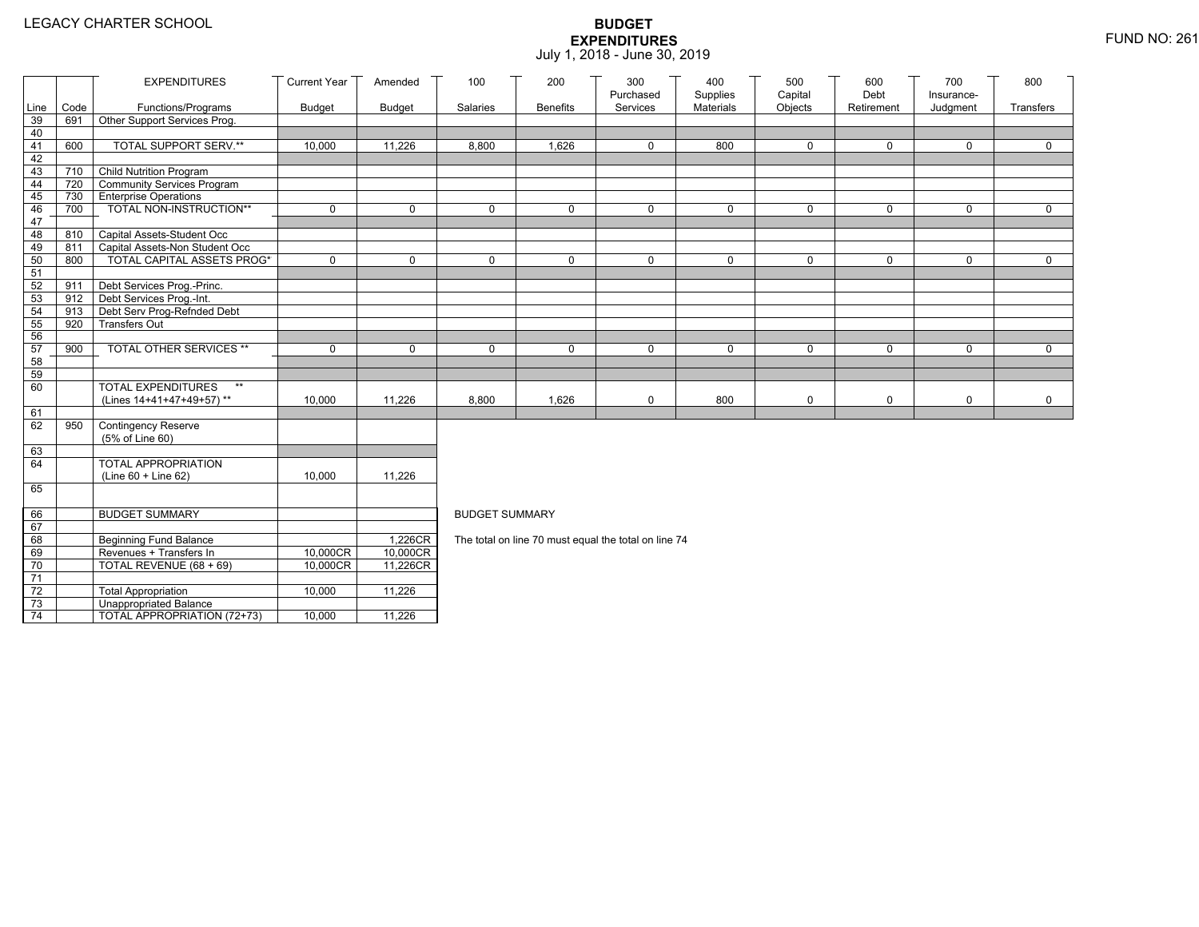|                 |      | <b>EXPENDITURES</b>               | <b>Current Year</b> | Amended       | 100                   | 200             | 300<br>Purchased                                     | 400<br>Supplies | 500<br>Capital | 600<br>Debt | 700                    | 800         |
|-----------------|------|-----------------------------------|---------------------|---------------|-----------------------|-----------------|------------------------------------------------------|-----------------|----------------|-------------|------------------------|-------------|
| Line            | Code | Functions/Programs                | <b>Budget</b>       | <b>Budget</b> | Salaries              | <b>Benefits</b> | Services                                             | Materials       | Objects        | Retirement  | Insurance-<br>Judgment | Transfers   |
| 39              | 691  | Other Support Services Prog.      |                     |               |                       |                 |                                                      |                 |                |             |                        |             |
| 40              |      |                                   |                     |               |                       |                 |                                                      |                 |                |             |                        |             |
| 41              | 600  | TOTAL SUPPORT SERV.**             | 10,000              | 11,226        | 8,800                 | 1,626           | 0                                                    | 800             | $\mathbf 0$    | 0           | $\mathbf 0$            | 0           |
| 42              |      |                                   |                     |               |                       |                 |                                                      |                 |                |             |                        |             |
| 43              | 710  | <b>Child Nutrition Program</b>    |                     |               |                       |                 |                                                      |                 |                |             |                        |             |
| 44              | 720  | Community Services Program        |                     |               |                       |                 |                                                      |                 |                |             |                        |             |
| 45              |      | 730 Enterprise Operations         |                     |               |                       |                 |                                                      |                 |                |             |                        |             |
| 46<br>47        | 700  | TOTAL NON-INSTRUCTION**           | $\mathbf 0$         | $\mathbf 0$   | $\mathbf 0$           | 0               | $\mathbf 0$                                          | $\mathbf 0$     | $\mathsf{O}$   | $\mathbf 0$ | $\mathbf 0$            | $\mathbf 0$ |
| 48              | 810  | Capital Assets-Student Occ        |                     |               |                       |                 |                                                      |                 |                |             |                        |             |
| 49              | 811  | Capital Assets-Non Student Occ    |                     |               |                       |                 |                                                      |                 |                |             |                        |             |
| 50              | 800  | <b>TOTAL CAPITAL ASSETS PROG*</b> | $\mathbf 0$         | $\mathbf 0$   | $\mathbf 0$           | 0               | $\mathbf 0$                                          | 0               | $\mathbf 0$    | $\mathbf 0$ | 0                      | $\mathbf 0$ |
| 51              |      |                                   |                     |               |                       |                 |                                                      |                 |                |             |                        |             |
| 52              | 911  | Debt Services Prog.-Princ.        |                     |               |                       |                 |                                                      |                 |                |             |                        |             |
| 53              | 912  | Debt Services Prog.-Int.          |                     |               |                       |                 |                                                      |                 |                |             |                        |             |
| 54              | 913  | Debt Serv Prog-Refnded Debt       |                     |               |                       |                 |                                                      |                 |                |             |                        |             |
| 55              | 920  | <b>Transfers Out</b>              |                     |               |                       |                 |                                                      |                 |                |             |                        |             |
| 56              |      |                                   |                     |               |                       |                 |                                                      |                 |                |             |                        |             |
| 57              | 900  | TOTAL OTHER SERVICES **           | $\mathbf 0$         | $\mathbf 0$   | $\mathbf 0$           | 0               | $\mathbf 0$                                          | 0               | 0              | $\mathbf 0$ | $\mathbf 0$            | $\mathbf 0$ |
| 58              |      |                                   |                     |               |                       |                 |                                                      |                 |                |             |                        |             |
| 59              |      | <b>TOTAL EXPENDITURES</b><br>$**$ |                     |               |                       |                 |                                                      |                 |                |             |                        |             |
| 60              |      | (Lines 14+41+47+49+57)**          | 10,000              | 11,226        | 8,800                 | 1,626           | 0                                                    | 800             | 0              | 0           | 0                      | $\mathbf 0$ |
| 61              |      |                                   |                     |               |                       |                 |                                                      |                 |                |             |                        |             |
| 62              | 950  | <b>Contingency Reserve</b>        |                     |               |                       |                 |                                                      |                 |                |             |                        |             |
|                 |      | (5% of Line 60)                   |                     |               |                       |                 |                                                      |                 |                |             |                        |             |
| 63              |      |                                   |                     |               |                       |                 |                                                      |                 |                |             |                        |             |
| 64              |      | <b>TOTAL APPROPRIATION</b>        |                     |               |                       |                 |                                                      |                 |                |             |                        |             |
|                 |      | (Line 60 + Line 62)               | 10,000              | 11,226        |                       |                 |                                                      |                 |                |             |                        |             |
| 65              |      |                                   |                     |               |                       |                 |                                                      |                 |                |             |                        |             |
| 66              |      | <b>BUDGET SUMMARY</b>             |                     |               | <b>BUDGET SUMMARY</b> |                 |                                                      |                 |                |             |                        |             |
| 67              |      |                                   |                     |               |                       |                 |                                                      |                 |                |             |                        |             |
| 68              |      | Beginning Fund Balance            |                     | 1,226CR       |                       |                 | The total on line 70 must equal the total on line 74 |                 |                |             |                        |             |
| 69              |      | Revenues + Transfers In           | 10,000CR            | 10,000CR      |                       |                 |                                                      |                 |                |             |                        |             |
| 70              |      | TOTAL REVENUE (68 + 69)           | 10,000CR            | 11,226CR      |                       |                 |                                                      |                 |                |             |                        |             |
| $\overline{71}$ |      |                                   |                     |               |                       |                 |                                                      |                 |                |             |                        |             |
| $72\,$          |      | <b>Total Appropriation</b>        | 10,000              | 11,226        |                       |                 |                                                      |                 |                |             |                        |             |
| 73              |      | <b>Unappropriated Balance</b>     |                     |               |                       |                 |                                                      |                 |                |             |                        |             |
| 74              |      | TOTAL APPROPRIATION (72+73)       | 10,000              | 11,226        |                       |                 |                                                      |                 |                |             |                        |             |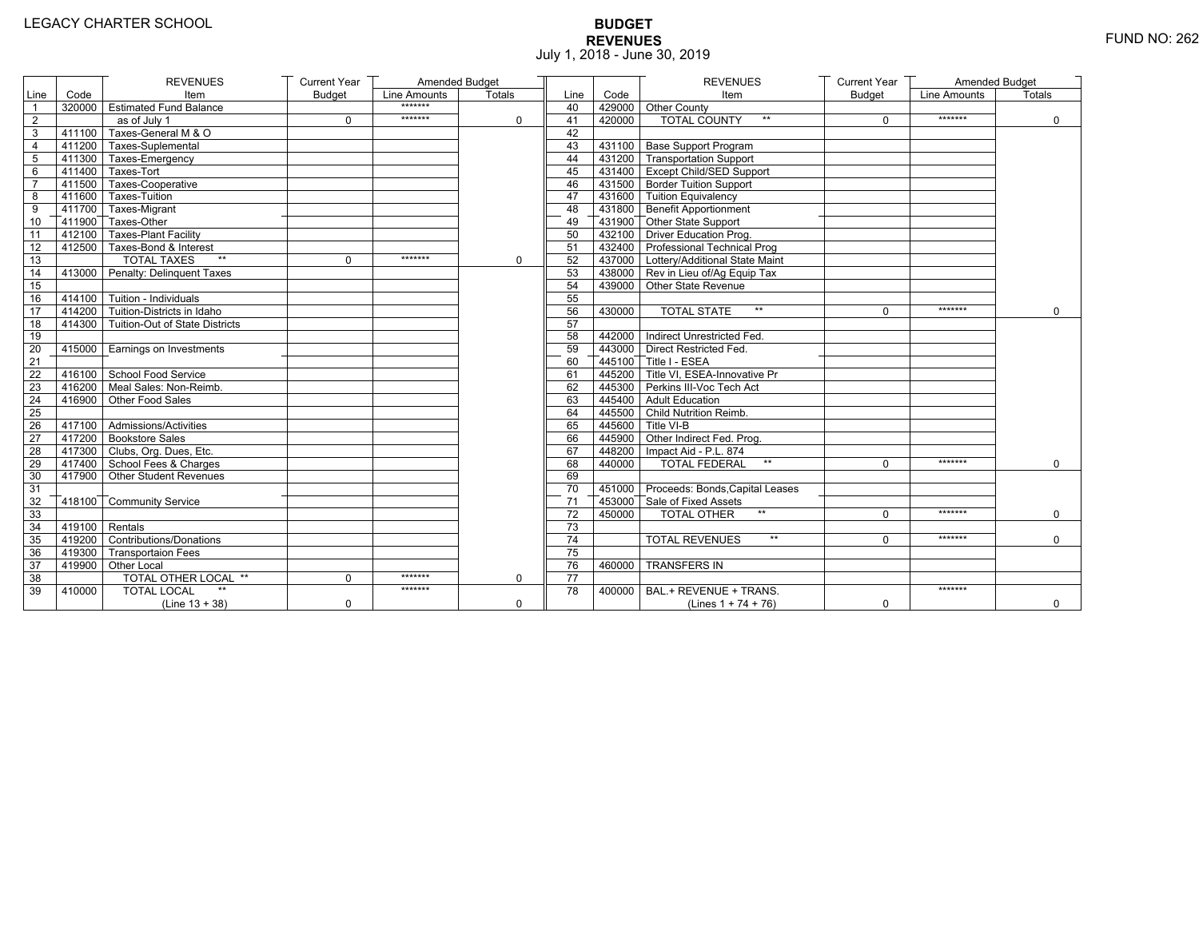# **BUDGET REVENUES** FUND NO: 262 July 1, 2018 - June 30, 2019

|                |                  | <b>REVENUES</b>                       | <b>Current Year</b> | Amended Budget |               |                 |        | <b>REVENUES</b>                         | <b>Current Year</b> | Amended Budget      |               |
|----------------|------------------|---------------------------------------|---------------------|----------------|---------------|-----------------|--------|-----------------------------------------|---------------------|---------------------|---------------|
| Line           | Code             | Item                                  | <b>Budget</b>       | Line Amounts   | <b>Totals</b> | Line            | Code   | Item                                    | <b>Budget</b>       | <b>Line Amounts</b> | <b>Totals</b> |
| $\overline{1}$ |                  | 320000 Estimated Fund Balance         |                     | *******        |               | 40              |        | 429000 Other County                     |                     |                     |               |
| $\overline{c}$ |                  | as of July 1                          | $\mathbf 0$         | *******        | 0             | 41              | 420000 | <b>TOTAL COUNTY</b><br>$\star\star$     | $\mathbf 0$         | *******             | $\mathbf 0$   |
| 3              |                  | 411100 Taxes-General M & O            |                     |                |               | 42              |        |                                         |                     |                     |               |
| 4              |                  | 411200 Taxes-Suplemental              |                     |                |               | 43              |        | 431100 Base Support Program             |                     |                     |               |
| 5              |                  | 411300 Taxes-Emergency                |                     |                |               | 44              |        | 431200 Transportation Support           |                     |                     |               |
| 6              |                  | 411400 Taxes-Tort                     |                     |                |               | 45              |        | 431400 Except Child/SED Support         |                     |                     |               |
| $\overline{7}$ |                  | 411500 Taxes-Cooperative              |                     |                |               | 46              |        | 431500 Border Tuition Support           |                     |                     |               |
| 8              |                  | 411600 Taxes-Tuition                  |                     |                |               | 47              |        | 431600 Tuition Equivalency              |                     |                     |               |
| 9              |                  | 411700 Taxes-Migrant                  |                     |                |               | 48              |        | 431800 Benefit Apportionment            |                     |                     |               |
| 10             |                  | 411900 Taxes-Other                    |                     |                |               | 49              |        | 431900 Other State Support              |                     |                     |               |
| 11             |                  | 412100 Taxes-Plant Facility           |                     |                |               | 50              |        | 432100 Driver Education Prog.           |                     |                     |               |
| 12             |                  | 412500 Taxes-Bond & Interest          |                     |                |               | 51              |        | 432400 Professional Technical Prog      |                     |                     |               |
| 13             |                  | <b>TOTAL TAXES</b><br>$**$            | $\Omega$            | *******        | $\mathbf 0$   | 52              |        | 437000   Lottery/Additional State Maint |                     |                     |               |
| 14             |                  | 413000 Penalty: Delinquent Taxes      |                     |                |               | 53              |        | 438000 Rev in Lieu of/Ag Equip Tax      |                     |                     |               |
| 15             |                  |                                       |                     |                |               | 54              |        | 439000 Other State Revenue              |                     |                     |               |
| 16             |                  | $414100$ Tuition - Individuals        |                     |                |               | 55              |        |                                         |                     |                     |               |
| 17             |                  | 414200 Tuition-Districts in Idaho     |                     |                |               | 56              | 430000 | <b>TOTAL STATE</b><br>$**$              | $\Omega$            | *******             | $\Omega$      |
| 18             |                  | 414300 Tuition-Out of State Districts |                     |                |               | $\overline{57}$ |        |                                         |                     |                     |               |
| 19             |                  |                                       |                     |                |               | 58              |        | 442000 Indirect Unrestricted Fed.       |                     |                     |               |
| 20             |                  | 415000 Earnings on Investments        |                     |                |               | 59              |        | 443000 Direct Restricted Fed            |                     |                     |               |
| 21             |                  |                                       |                     |                |               | 60              |        | 445100 Title I - ESEA                   |                     |                     |               |
| 22             |                  | 416100 School Food Service            |                     |                |               | 61              |        | 445200 Title VI. ESEA-Innovative Pr     |                     |                     |               |
| 23             |                  | 416200 Meal Sales: Non-Reimb.         |                     |                |               | 62              |        | 445300 Perkins III-Voc Tech Act         |                     |                     |               |
| 24             |                  | 416900 Other Food Sales               |                     |                |               | 63              |        | 445400 Adult Education                  |                     |                     |               |
| 25             |                  |                                       |                     |                |               | 64              |        | 445500 Child Nutrition Reimb.           |                     |                     |               |
| 26             |                  | 417100 Admissions/Activities          |                     |                |               | 65              |        | 445600 Title VI-B                       |                     |                     |               |
| 27             |                  | 417200 Bookstore Sales                |                     |                |               | 66              |        | 445900 Other Indirect Fed. Prog.        |                     |                     |               |
| 28             |                  | 417300 Clubs, Org. Dues, Etc.         |                     |                |               | 67              |        | 448200   Impact Aid - P.L. 874          |                     |                     |               |
| 29             |                  | 417400 School Fees & Charges          |                     |                |               | 68              | 440000 | <b>TOTAL FEDERAL</b><br>$\star\star$    | $\Omega$            | *******             | $\Omega$      |
| 30             |                  | 417900 Other Student Revenues         |                     |                |               | 69              |        |                                         |                     |                     |               |
| 31             |                  |                                       |                     |                |               | 70              |        | 451000 Proceeds: Bonds, Capital Leases  |                     |                     |               |
| 32             |                  | 418100 Community Service              |                     |                |               | 71              |        | 453000 Sale of Fixed Assets             |                     |                     |               |
| 33             |                  |                                       |                     |                |               | $\overline{72}$ | 450000 | $**$<br><b>TOTAL OTHER</b>              | $\mathbf 0$         | *******             | $\mathbf 0$   |
| 34             | $419100$ Rentals |                                       |                     |                |               | 73              |        |                                         |                     |                     |               |
| 35             |                  | 419200 Contributions/Donations        |                     |                |               | 74              |        | <b>TOTAL REVENUES</b><br>$**$           | $\Omega$            | *******             | $\Omega$      |
| 36             |                  | 419300 Transportaion Fees             |                     |                |               | 75              |        |                                         |                     |                     |               |
| 37             |                  | 419900 Other Local                    |                     |                |               | 76              | 460000 | <b>TRANSFERS IN</b>                     |                     |                     |               |
| 38             |                  | TOTAL OTHER LOCAL **                  | $\Omega$            | *******        | 0             | $\overline{77}$ |        |                                         |                     |                     |               |
| 39             | 410000           | <b>TOTAL LOCAL</b>                    |                     | *******        |               | 78              | 400000 | BAL.+ REVENUE + TRANS.                  |                     | *******             |               |
|                |                  | $(Line 13 + 38)$                      | $\mathbf 0$         |                | $\mathbf 0$   |                 |        | (Lines $1 + 74 + 76$ )                  | $\mathbf 0$         |                     | $\mathbf 0$   |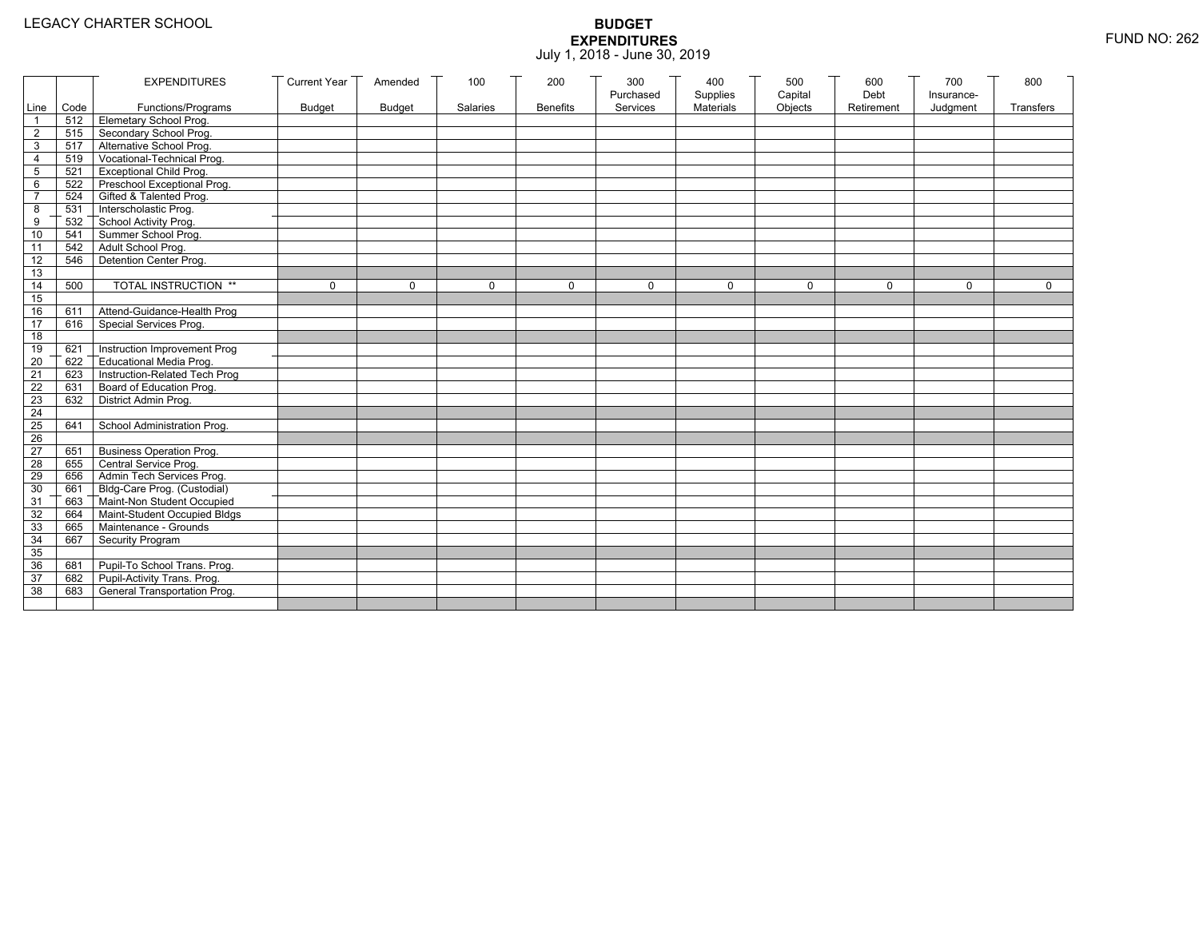|                 |           | <b>EXPENDITURES</b>              | <b>Current Year</b> | Amended       | 100      | 200             | 300                   | 400                   | 500                | 600                | 700                    | 800         |
|-----------------|-----------|----------------------------------|---------------------|---------------|----------|-----------------|-----------------------|-----------------------|--------------------|--------------------|------------------------|-------------|
|                 | Line Code | Functions/Programs               | <b>Budget</b>       | <b>Budget</b> | Salaries | <b>Benefits</b> | Purchased<br>Services | Supplies<br>Materials | Capital<br>Objects | Debt<br>Retirement | Insurance-<br>Judgment | Transfers   |
|                 |           | 512 Elemetary School Prog.       |                     |               |          |                 |                       |                       |                    |                    |                        |             |
| $\overline{2}$  | 515       | Secondary School Prog.           |                     |               |          |                 |                       |                       |                    |                    |                        |             |
| 3               |           | 517 Alternative School Prog.     |                     |               |          |                 |                       |                       |                    |                    |                        |             |
| 4               | 519       | Vocational-Technical Prog.       |                     |               |          |                 |                       |                       |                    |                    |                        |             |
| 5               | 521       | <b>Exceptional Child Prog.</b>   |                     |               |          |                 |                       |                       |                    |                    |                        |             |
| 6               | 522       | Preschool Exceptional Prog.      |                     |               |          |                 |                       |                       |                    |                    |                        |             |
| $\overline{7}$  |           | 524 Gifted & Talented Prog.      |                     |               |          |                 |                       |                       |                    |                    |                        |             |
| 8               |           | 531 Interscholastic Prog.        |                     |               |          |                 |                       |                       |                    |                    |                        |             |
| 9               | 532       | School Activity Prog.            |                     |               |          |                 |                       |                       |                    |                    |                        |             |
| 10              | 541       | Summer School Prog.              |                     |               |          |                 |                       |                       |                    |                    |                        |             |
| 11              | 542       | Adult School Prog.               |                     |               |          |                 |                       |                       |                    |                    |                        |             |
| $\overline{12}$ | 546       | Detention Center Prog.           |                     |               |          |                 |                       |                       |                    |                    |                        |             |
| 13              |           |                                  |                     |               |          |                 |                       |                       |                    |                    |                        |             |
| 14              | 500       | TOTAL INSTRUCTION **             | $\mathbf 0$         | $\Omega$      | 0        | $\mathbf 0$     | $\Omega$              | 0                     | $\mathbf 0$        | $\Omega$           | $\Omega$               | $\mathbf 0$ |
| 15              |           |                                  |                     |               |          |                 |                       |                       |                    |                    |                        |             |
| 16              | 611       | Attend-Guidance-Health Prog      |                     |               |          |                 |                       |                       |                    |                    |                        |             |
| 17              | 616       | Special Services Prog.           |                     |               |          |                 |                       |                       |                    |                    |                        |             |
| 18              |           |                                  |                     |               |          |                 |                       |                       |                    |                    |                        |             |
| 19              | 621       | Instruction Improvement Prog     |                     |               |          |                 |                       |                       |                    |                    |                        |             |
| $\overline{20}$ | 622       | Educational Media Prog.          |                     |               |          |                 |                       |                       |                    |                    |                        |             |
| 21              | 623       | Instruction-Related Tech Prog    |                     |               |          |                 |                       |                       |                    |                    |                        |             |
| $\overline{22}$ | 631       | Board of Education Prog.         |                     |               |          |                 |                       |                       |                    |                    |                        |             |
| 23              | 632       | District Admin Prog.             |                     |               |          |                 |                       |                       |                    |                    |                        |             |
| 24              |           |                                  |                     |               |          |                 |                       |                       |                    |                    |                        |             |
| 25              | 641       | School Administration Prog.      |                     |               |          |                 |                       |                       |                    |                    |                        |             |
| 26              |           |                                  |                     |               |          |                 |                       |                       |                    |                    |                        |             |
| 27              | 651       | <b>Business Operation Prog.</b>  |                     |               |          |                 |                       |                       |                    |                    |                        |             |
| 28              |           | 655 Central Service Prog.        |                     |               |          |                 |                       |                       |                    |                    |                        |             |
| 29              | 656       | Admin Tech Services Prog.        |                     |               |          |                 |                       |                       |                    |                    |                        |             |
| 30              |           | 661 Bldg-Care Prog. (Custodial)  |                     |               |          |                 |                       |                       |                    |                    |                        |             |
| 31              |           | 663 Maint-Non Student Occupied   |                     |               |          |                 |                       |                       |                    |                    |                        |             |
| 32              |           | 664 Maint-Student Occupied Bldgs |                     |               |          |                 |                       |                       |                    |                    |                        |             |
| 33              |           | 665 Maintenance - Grounds        |                     |               |          |                 |                       |                       |                    |                    |                        |             |
| 34              | 667       | Security Program                 |                     |               |          |                 |                       |                       |                    |                    |                        |             |
| 35              |           |                                  |                     |               |          |                 |                       |                       |                    |                    |                        |             |
| 36              | 681       | Pupil-To School Trans. Prog.     |                     |               |          |                 |                       |                       |                    |                    |                        |             |
| 37              | 682       | Pupil-Activity Trans. Prog.      |                     |               |          |                 |                       |                       |                    |                    |                        |             |
| 38              | 683       | General Transportation Prog.     |                     |               |          |                 |                       |                       |                    |                    |                        |             |
|                 |           |                                  |                     |               |          |                 |                       |                       |                    |                    |                        |             |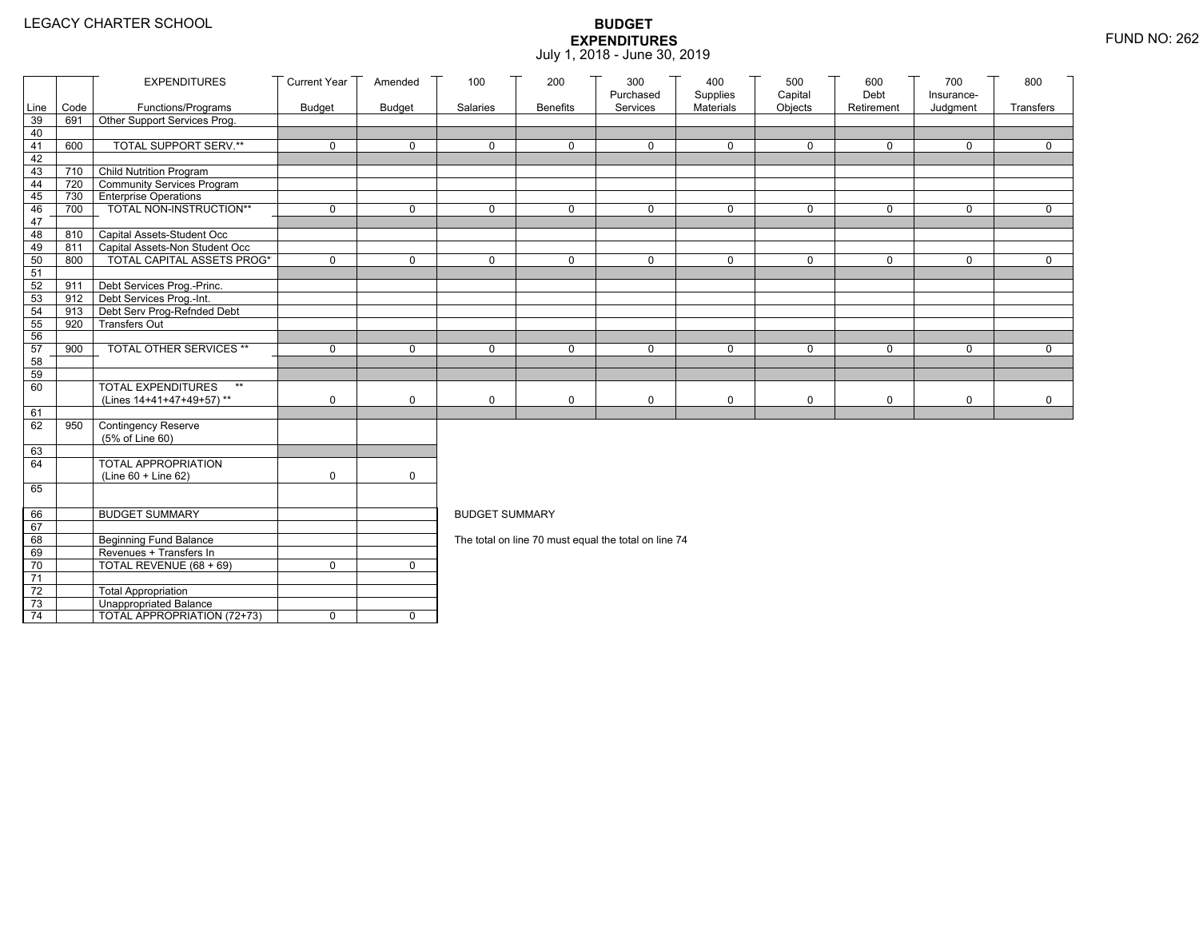|                 |      | <b>EXPENDITURES</b>                                  | <b>Current Year</b> | Amended       | 100                   | 200             | 300<br>Purchased                                     | 400<br>Supplies | 500<br>Capital | 600<br>Debt | 700                    | 800          |
|-----------------|------|------------------------------------------------------|---------------------|---------------|-----------------------|-----------------|------------------------------------------------------|-----------------|----------------|-------------|------------------------|--------------|
| Line            | Code | Functions/Programs                                   | <b>Budget</b>       | <b>Budget</b> | Salaries              | <b>Benefits</b> | Services                                             | Materials       | Objects        | Retirement  | Insurance-<br>Judgment | Transfers    |
| 39              | 691  | Other Support Services Prog.                         |                     |               |                       |                 |                                                      |                 |                |             |                        |              |
| 40              |      |                                                      |                     |               |                       |                 |                                                      |                 |                |             |                        |              |
| 41              | 600  | <b>TOTAL SUPPORT SERV.**</b>                         | $\mathbf 0$         | $\mathbf 0$   | $\mathbf 0$           | $\mathbf 0$     | $\mathbf 0$                                          | $\mathbf 0$     | $\mathbf 0$    | $\mathbf 0$ | $\mathbf 0$            | $\mathbf 0$  |
| 42              |      |                                                      |                     |               |                       |                 |                                                      |                 |                |             |                        |              |
| 43              |      | 710 Child Nutrition Program                          |                     |               |                       |                 |                                                      |                 |                |             |                        |              |
| 44              | 720  | Community Services Program                           |                     |               |                       |                 |                                                      |                 |                |             |                        |              |
| 45              | 730  | <b>Enterprise Operations</b>                         | $\mathbf 0$         | $\mathsf{O}$  | $\Omega$              | $\mathbf 0$     | $\Omega$                                             | $\mathbf 0$     | $\mathbf 0$    | $\mathbf 0$ | $\mathbf 0$            | $\mathbf 0$  |
| 46<br>47        | 700  | TOTAL NON-INSTRUCTION**                              |                     |               |                       |                 |                                                      |                 |                |             |                        |              |
| 48              | 810  | Capital Assets-Student Occ                           |                     |               |                       |                 |                                                      |                 |                |             |                        |              |
| 49              | 811  | Capital Assets-Non Student Occ                       |                     |               |                       |                 |                                                      |                 |                |             |                        |              |
| 50              | 800  | <b>TOTAL CAPITAL ASSETS PROG*</b>                    | $\mathbf 0$         | $\mathbf 0$   | 0                     | $\mathbf 0$     | 0                                                    | $\mathbf 0$     | $\mathbf 0$    | $\mathbf 0$ | $\mathbf 0$            | $\mathbf 0$  |
| 51              |      |                                                      |                     |               |                       |                 |                                                      |                 |                |             |                        |              |
| 52              | 911  | Debt Services Prog.-Princ.                           |                     |               |                       |                 |                                                      |                 |                |             |                        |              |
| 53              |      | 912 Debt Services Prog.-Int.                         |                     |               |                       |                 |                                                      |                 |                |             |                        |              |
| 54              | 913  | Debt Serv Prog-Refnded Debt                          |                     |               |                       |                 |                                                      |                 |                |             |                        |              |
| 55              | 920  | <b>Transfers Out</b>                                 |                     |               |                       |                 |                                                      |                 |                |             |                        |              |
| 56              |      |                                                      |                     |               |                       |                 |                                                      |                 |                |             |                        |              |
| 57              | 900  | TOTAL OTHER SERVICES **                              | $\mathbf 0$         | $\mathbf 0$   | 0                     | $\mathbf 0$     | $\mathbf 0$                                          | $\mathbf 0$     | 0              | $\mathbf 0$ | $\mathbf 0$            | $\mathsf{O}$ |
| 58              |      |                                                      |                     |               |                       |                 |                                                      |                 |                |             |                        |              |
| 59              |      | $\star\star$                                         |                     |               |                       |                 |                                                      |                 |                |             |                        |              |
| 60              |      | <b>TOTAL EXPENDITURES</b>                            |                     |               |                       |                 |                                                      |                 |                |             |                        |              |
| 61              |      | (Lines 14+41+47+49+57)**                             | 0                   | $\mathbf 0$   | 0                     | 0               | $\mathbf 0$                                          | $\mathbf 0$     | 0              | $\mathbf 0$ | 0                      | $\mathbf 0$  |
| 62              | 950  | Contingency Reserve                                  |                     |               |                       |                 |                                                      |                 |                |             |                        |              |
|                 |      | (5% of Line 60)                                      |                     |               |                       |                 |                                                      |                 |                |             |                        |              |
| 63              |      |                                                      |                     |               |                       |                 |                                                      |                 |                |             |                        |              |
| 64              |      | TOTAL APPROPRIATION                                  |                     |               |                       |                 |                                                      |                 |                |             |                        |              |
|                 |      | (Line 60 + Line 62)                                  | 0                   | $\mathsf{O}$  |                       |                 |                                                      |                 |                |             |                        |              |
| 65              |      |                                                      |                     |               |                       |                 |                                                      |                 |                |             |                        |              |
|                 |      |                                                      |                     |               |                       |                 |                                                      |                 |                |             |                        |              |
| 66              |      | <b>BUDGET SUMMARY</b>                                |                     |               | <b>BUDGET SUMMARY</b> |                 |                                                      |                 |                |             |                        |              |
| 67              |      |                                                      |                     |               |                       |                 |                                                      |                 |                |             |                        |              |
| 68              |      | <b>Beginning Fund Balance</b>                        |                     |               |                       |                 | The total on line 70 must equal the total on line 74 |                 |                |             |                        |              |
| 69              |      | Revenues + Transfers In                              |                     |               |                       |                 |                                                      |                 |                |             |                        |              |
| 70              |      | TOTAL REVENUE (68 + 69)                              | 0                   | $\mathbf{0}$  |                       |                 |                                                      |                 |                |             |                        |              |
| 71              |      |                                                      |                     |               |                       |                 |                                                      |                 |                |             |                        |              |
| 72<br>73        |      | <b>Total Appropriation</b><br>Unappropriated Balance |                     |               |                       |                 |                                                      |                 |                |             |                        |              |
| $\overline{74}$ |      | TOTAL APPROPRIATION (72+73)                          | 0                   | $\mathbf 0$   |                       |                 |                                                      |                 |                |             |                        |              |
|                 |      |                                                      |                     |               |                       |                 |                                                      |                 |                |             |                        |              |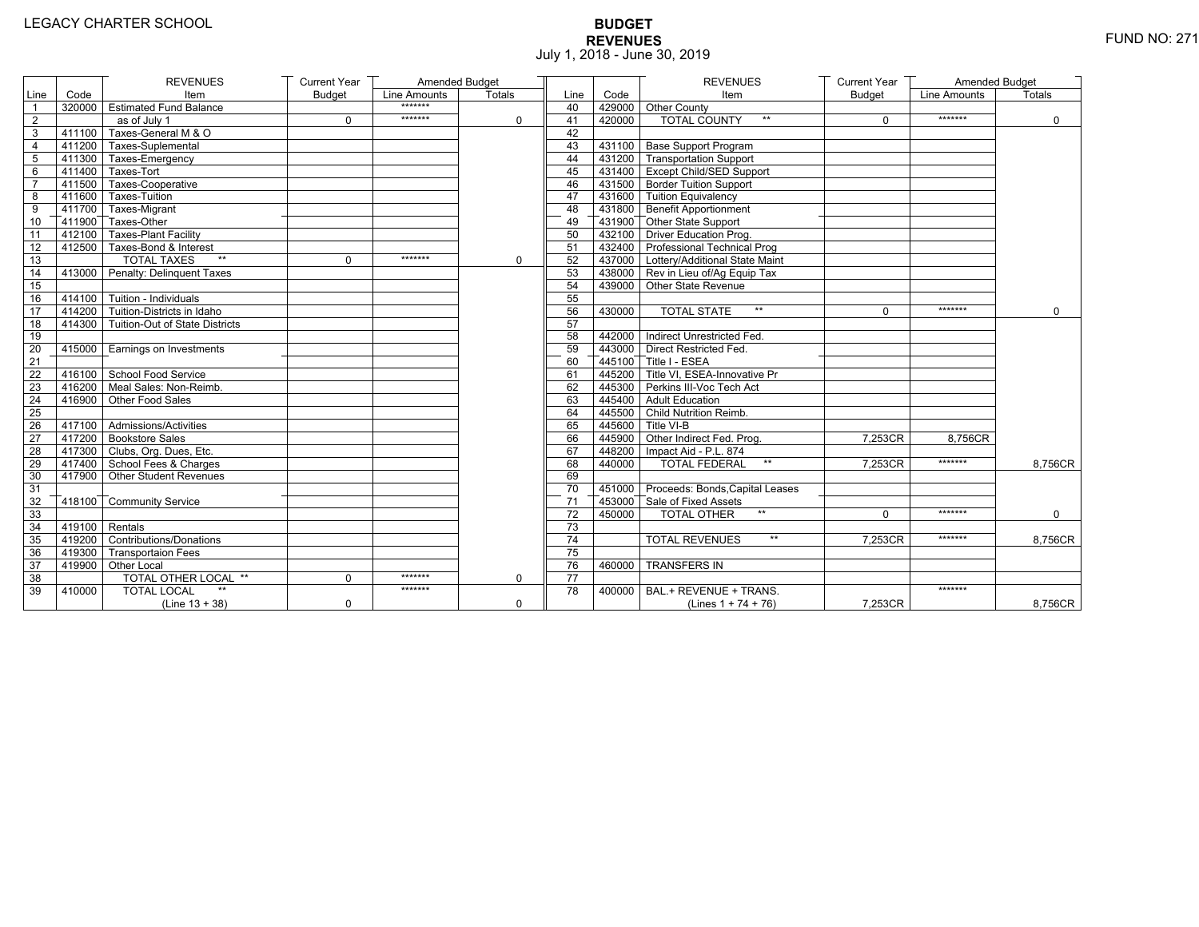# **BUDGET REVENUES** FUND NO: 271 July 1, 2018 - June 30, 2019

|                 |                   | <b>REVENUES</b>                              | <b>Current Year</b> | Amended Budget |             |                 |        | <b>REVENUES</b>                              | <b>Current Year</b> | Amended Budget |               |
|-----------------|-------------------|----------------------------------------------|---------------------|----------------|-------------|-----------------|--------|----------------------------------------------|---------------------|----------------|---------------|
| Line            | Code              | Item                                         | <b>Budget</b>       | Line Amounts   | Totals      | Line            | Code   | Item                                         | <b>Budget</b>       | Line Amounts   | <b>Totals</b> |
| $\overline{1}$  |                   | 320000 Estimated Fund Balance                |                     | *******        |             | 40              |        | 429000 Other County                          |                     |                |               |
| 2               |                   | as of July 1                                 | $\Omega$            | *******        | $\Omega$    | 41              | 420000 | <b>TOTAL COUNTY</b>                          | $\Omega$            | *******        | $\Omega$      |
| 3               |                   | 411100 Taxes-General M & O                   |                     |                |             | 42              |        |                                              |                     |                |               |
| 4               |                   | 411200 Taxes-Suplemental                     |                     |                |             | 43              |        | 431100 Base Support Program                  |                     |                |               |
| $\overline{5}$  |                   | 411300 Taxes-Emergency                       |                     |                |             | 44              |        | 431200 Transportation Support                |                     |                |               |
| 6               |                   | 411400 Taxes-Tort                            |                     |                |             | 45              |        | 431400 Except Child/SED Support              |                     |                |               |
| $\overline{7}$  |                   | 411500 Taxes-Cooperative                     |                     |                |             | 46              |        | 431500 Border Tuition Support                |                     |                |               |
| 8               |                   | 411600 Taxes-Tuition                         |                     |                |             | 47              |        | 431600 Tuition Equivalency                   |                     |                |               |
| 9               |                   | 411700 Taxes-Migrant                         |                     |                |             | 48              |        | 431800 Benefit Apportionment                 |                     |                |               |
| 10              |                   | 411900 Taxes-Other                           |                     |                |             | 49              |        | 431900 Other State Support                   |                     |                |               |
| 11              |                   | 412100 Taxes-Plant Facility                  |                     |                |             | 50              |        | 432100 Driver Education Prog.                |                     |                |               |
| 12              |                   | 412500 Taxes-Bond & Interest                 |                     |                |             | 51              |        | 432400 Professional Technical Prog           |                     |                |               |
| 13              |                   | <b>TOTAL TAXES</b><br>$\star\star$           | $\mathbf 0$         | *******        | $\mathbf 0$ | 52              |        | 437000 Lottery/Additional State Maint        |                     |                |               |
| 14              |                   | 413000 Penalty: Delinguent Taxes             |                     |                |             | 53              |        | $\sqrt{438000}$ Rev in Lieu of/Aq Equip Tax  |                     |                |               |
| 15              |                   |                                              |                     |                |             | 54              |        | 439000 Other State Revenue                   |                     |                |               |
| 16              |                   | 414100 Tuition - Individuals                 |                     |                |             | 55              |        |                                              |                     |                |               |
| 17              |                   | $-$ 414200 $\top$ Tuition-Districts in Idaho |                     |                |             | 56              | 430000 | <b>TOTAL STATE</b><br>$**$                   | $\Omega$            | *******        | $\Omega$      |
| 18              |                   | 414300 Tuition-Out of State Districts        |                     |                |             | 57              |        |                                              |                     |                |               |
| 19              |                   |                                              |                     |                |             | 58              |        | 442000 Indirect Unrestricted Fed.            |                     |                |               |
| 20              |                   | 415000   Earnings on Investments             |                     |                |             | 59              |        | 443000 Direct Restricted Fed.                |                     |                |               |
| 21              |                   |                                              |                     |                |             | 60              |        | $\sqrt{445100}$ Title I - ESEA               |                     |                |               |
| 22              |                   | 416100 School Food Service                   |                     |                |             | 61              |        | $\sqrt{445200}$ Title VI, ESEA-Innovative Pr |                     |                |               |
| 23              |                   | 416200 Meal Sales: Non-Reimb.                |                     |                |             | 62              |        | 445300 Perkins III-Voc Tech Act              |                     |                |               |
| 24              |                   | 416900 Other Food Sales                      |                     |                |             | 63              |        | 445400 Adult Education                       |                     |                |               |
| 25              |                   |                                              |                     |                |             | 64              |        | 445500 Child Nutrition Reimb.                |                     |                |               |
| $\overline{26}$ |                   | 417100 Admissions/Activities                 |                     |                |             | 65              |        | 445600 Title VI-B                            |                     |                |               |
| 27              |                   | 417200 Bookstore Sales                       |                     |                |             | 66              |        | 445900 Other Indirect Fed. Prog.             | 7,253CR             | 8,756CR        |               |
| $\overline{28}$ |                   | 417300 Clubs, Org. Dues, Etc.                |                     |                |             | 67              |        | 448200   Impact Aid - P.L. 874               |                     |                |               |
| 29              |                   | 417400 School Fees & Charges                 |                     |                |             | 68              | 440000 | <b>TOTAL FEDERAL</b><br>$\star\star$         | 7.253CR             | *******        | 8,756CR       |
| 30              |                   | 417900 Other Student Revenues                |                     |                |             | 69              |        |                                              |                     |                |               |
| 31              |                   |                                              |                     |                |             | 70              |        | 451000 Proceeds: Bonds, Capital Leases       |                     |                |               |
| 32              |                   | 418100 Community Service                     |                     |                |             | 71              |        | 453000 Sale of Fixed Assets                  |                     |                |               |
| 33              |                   |                                              |                     |                |             | $\overline{72}$ | 450000 | $**$<br><b>TOTAL OTHER</b>                   | $\Omega$            | *******        | $\Omega$      |
| 34              | $-419100$ Rentals |                                              |                     |                |             | 73              |        |                                              |                     |                |               |
| 35              |                   | 419200 Contributions/Donations               |                     |                |             | 74              |        | $\star\star$<br><b>TOTAL REVENUES</b>        | 7.253CR             | *******        | 8,756CR       |
| 36              |                   | 419300 Transportaion Fees                    |                     |                |             | 75              |        |                                              |                     |                |               |
| 37              |                   | 419900 Other Local                           |                     |                |             | 76              | 460000 | <b>TRANSFERS IN</b>                          |                     |                |               |
| 38              |                   | <b>TOTAL OTHER LOCAL **</b>                  | $\mathbf{0}$        | *******        | $\mathbf 0$ | 77              |        |                                              |                     |                |               |
| 39              | 410000            | <b>TOTAL LOCAL</b>                           |                     | *******        |             | 78              | 400000 | BAL.+ REVENUE + TRANS.                       |                     | *******        |               |
|                 |                   | $(Line 13 + 38)$                             | $\mathbf 0$         |                | $\mathbf 0$ |                 |        | (Lines $1 + 74 + 76$ )                       | 7,253CR             |                | 8,756CR       |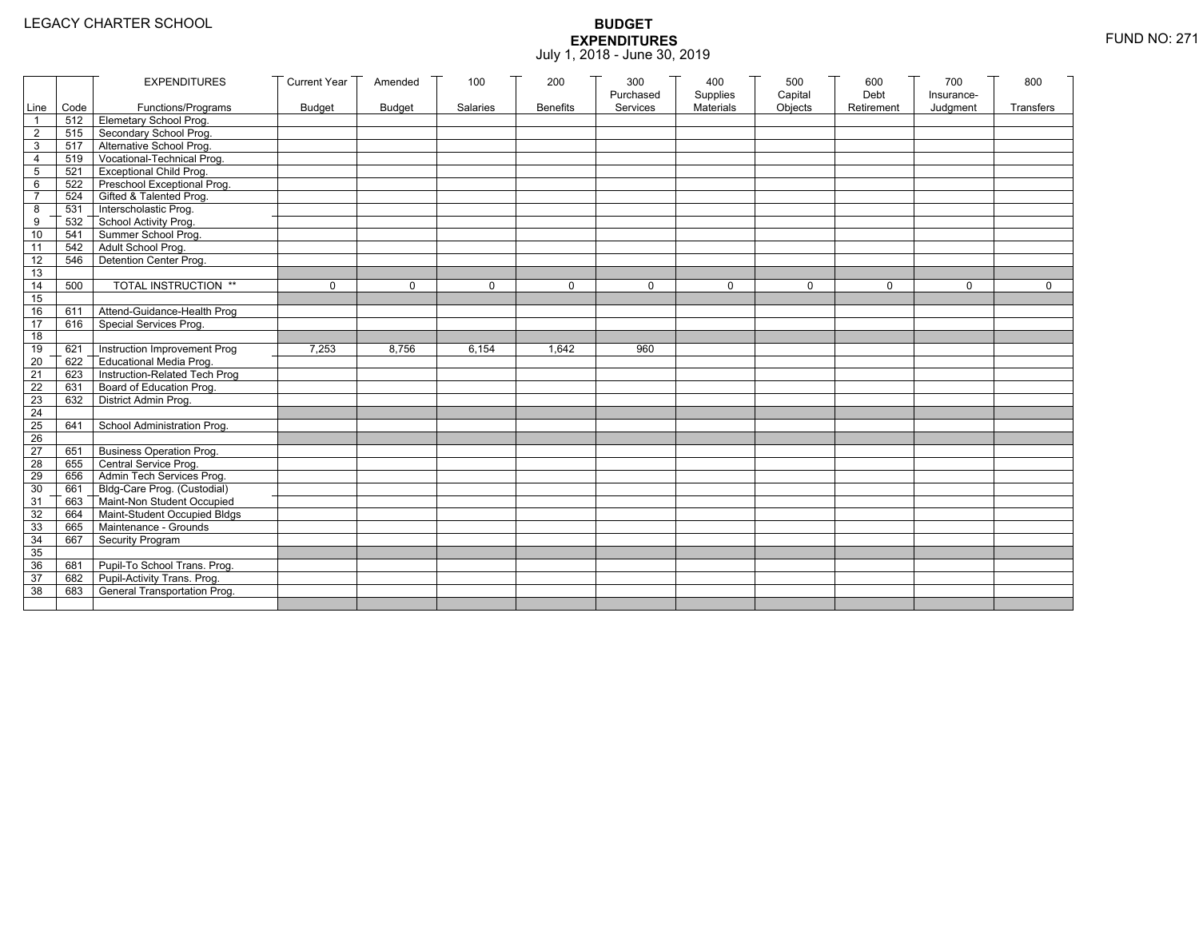|                 |           | <b>EXPENDITURES</b>             | <b>Current Year</b> | Amended       | 100      | 200             | 300                   | 400                   | 500                | 600                | 700                    | 800         |
|-----------------|-----------|---------------------------------|---------------------|---------------|----------|-----------------|-----------------------|-----------------------|--------------------|--------------------|------------------------|-------------|
|                 | Line Code | Functions/Programs              | <b>Budget</b>       | <b>Budget</b> | Salaries | <b>Benefits</b> | Purchased<br>Services | Supplies<br>Materials | Capital<br>Objects | Debt<br>Retirement | Insurance-<br>Judgment | Transfers   |
| 1               |           | 512 Elemetary School Prog.      |                     |               |          |                 |                       |                       |                    |                    |                        |             |
| $\overline{2}$  | 515       | Secondary School Prog.          |                     |               |          |                 |                       |                       |                    |                    |                        |             |
| 3               |           | 517 Alternative School Prog.    |                     |               |          |                 |                       |                       |                    |                    |                        |             |
| 4               | 519       | Vocational-Technical Prog.      |                     |               |          |                 |                       |                       |                    |                    |                        |             |
| 5               | 521       | <b>Exceptional Child Prog.</b>  |                     |               |          |                 |                       |                       |                    |                    |                        |             |
| 6               |           | 522 Preschool Exceptional Prog. |                     |               |          |                 |                       |                       |                    |                    |                        |             |
| $\overline{7}$  | 524       | Gifted & Talented Prog.         |                     |               |          |                 |                       |                       |                    |                    |                        |             |
| 8               |           | 531 Interscholastic Prog.       |                     |               |          |                 |                       |                       |                    |                    |                        |             |
| 9               | 532       | School Activity Prog.           |                     |               |          |                 |                       |                       |                    |                    |                        |             |
| 10              | 541       | Summer School Prog.             |                     |               |          |                 |                       |                       |                    |                    |                        |             |
| 11              | 542       | Adult School Prog.              |                     |               |          |                 |                       |                       |                    |                    |                        |             |
| 12              | 546       | Detention Center Prog.          |                     |               |          |                 |                       |                       |                    |                    |                        |             |
| 13              |           |                                 |                     |               |          |                 |                       |                       |                    |                    |                        |             |
| 14              | 500       | TOTAL INSTRUCTION **            | $\mathbf 0$         | $\Omega$      | $\Omega$ | $\mathbf 0$     | $\Omega$              | $\Omega$              | $\mathbf 0$        | $\Omega$           | $\Omega$               | $\mathbf 0$ |
| 15              |           |                                 |                     |               |          |                 |                       |                       |                    |                    |                        |             |
| 16              | 611       | Attend-Guidance-Health Prog     |                     |               |          |                 |                       |                       |                    |                    |                        |             |
| 17              | 616       | Special Services Prog.          |                     |               |          |                 |                       |                       |                    |                    |                        |             |
| 18              |           |                                 |                     |               |          |                 |                       |                       |                    |                    |                        |             |
| 19              | 621       | Instruction Improvement Prog    | 7,253               | 8,756         | 6,154    | 1,642           | 960                   |                       |                    |                    |                        |             |
| $\overline{20}$ | 622       | Educational Media Prog.         |                     |               |          |                 |                       |                       |                    |                    |                        |             |
| 21              | 623       | Instruction-Related Tech Prog   |                     |               |          |                 |                       |                       |                    |                    |                        |             |
| 22              | 631       | Board of Education Prog.        |                     |               |          |                 |                       |                       |                    |                    |                        |             |
| 23              | 632       | District Admin Prog.            |                     |               |          |                 |                       |                       |                    |                    |                        |             |
| 24              |           |                                 |                     |               |          |                 |                       |                       |                    |                    |                        |             |
| 25              | 641       | School Administration Prog.     |                     |               |          |                 |                       |                       |                    |                    |                        |             |
| 26              |           |                                 |                     |               |          |                 |                       |                       |                    |                    |                        |             |
| $\overline{27}$ | 651       | <b>Business Operation Prog.</b> |                     |               |          |                 |                       |                       |                    |                    |                        |             |
| 28              | 655       | Central Service Prog.           |                     |               |          |                 |                       |                       |                    |                    |                        |             |
| 29              | 656       | Admin Tech Services Prog.       |                     |               |          |                 |                       |                       |                    |                    |                        |             |
| 30              | 661       | Bldg-Care Prog. (Custodial)     |                     |               |          |                 |                       |                       |                    |                    |                        |             |
| 31              |           | 663 Maint-Non Student Occupied  |                     |               |          |                 |                       |                       |                    |                    |                        |             |
| 32              | 664       | Maint-Student Occupied Bldgs    |                     |               |          |                 |                       |                       |                    |                    |                        |             |
| 33              |           | 665 Maintenance - Grounds       |                     |               |          |                 |                       |                       |                    |                    |                        |             |
| 34              | 667       | Security Program                |                     |               |          |                 |                       |                       |                    |                    |                        |             |
| 35              |           |                                 |                     |               |          |                 |                       |                       |                    |                    |                        |             |
| 36              | 681       | Pupil-To School Trans. Prog.    |                     |               |          |                 |                       |                       |                    |                    |                        |             |
| 37              | 682       | Pupil-Activity Trans. Prog.     |                     |               |          |                 |                       |                       |                    |                    |                        |             |
| 38              | 683       | General Transportation Prog.    |                     |               |          |                 |                       |                       |                    |                    |                        |             |
|                 |           |                                 |                     |               |          |                 |                       |                       |                    |                    |                        |             |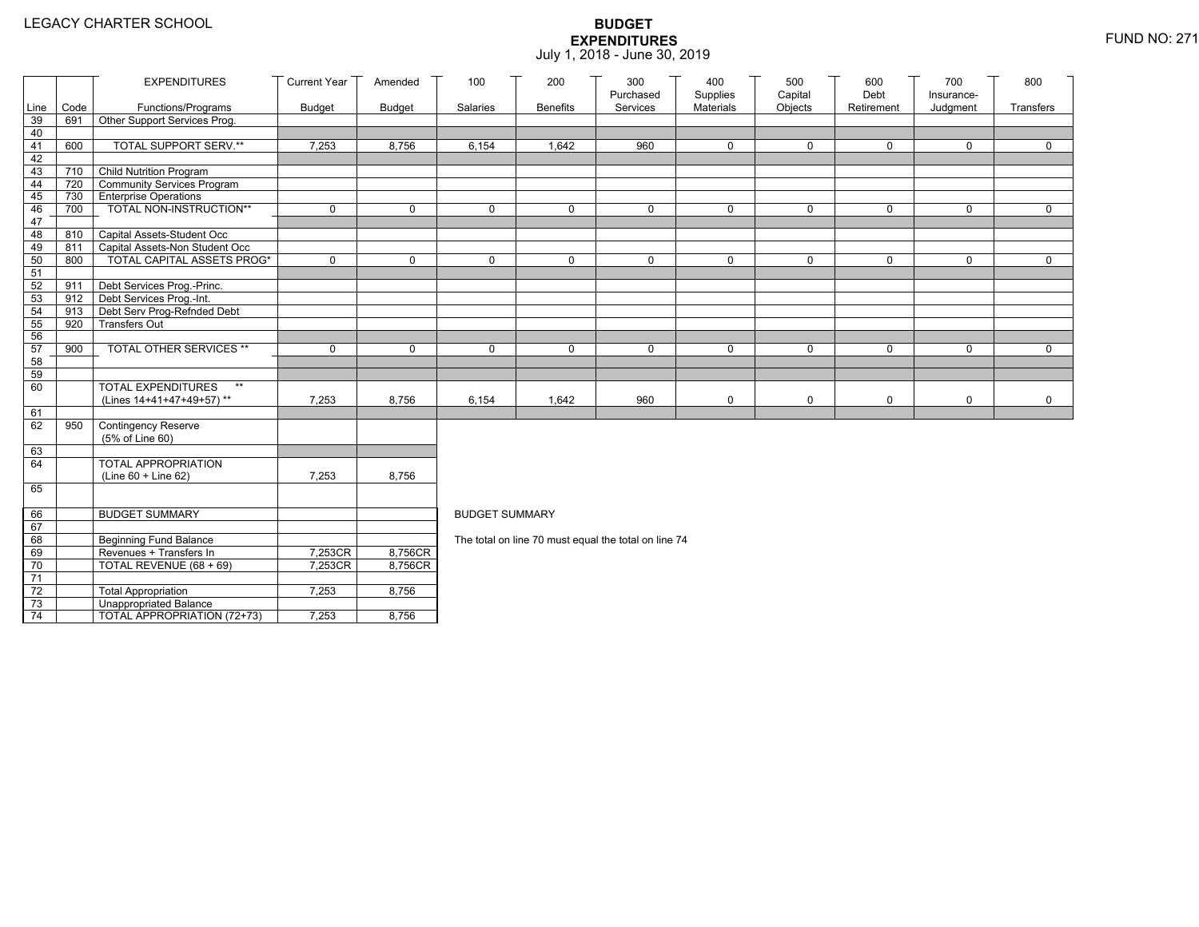|                 |                                | <b>EXPENDITURES</b>                                                 | <b>Current Year</b> | Amended       | 100                   | 200             | 300                                                  | 400                   | 500                | 600                | 700                    | 800         |
|-----------------|--------------------------------|---------------------------------------------------------------------|---------------------|---------------|-----------------------|-----------------|------------------------------------------------------|-----------------------|--------------------|--------------------|------------------------|-------------|
| Line            | Code                           | Functions/Programs                                                  | <b>Budget</b>       | <b>Budget</b> | Salaries              | <b>Benefits</b> | Purchased<br>Services                                | Supplies<br>Materials | Capital<br>Objects | Debt<br>Retirement | Insurance-<br>Judgment | Transfers   |
| 39              | 691                            | Other Support Services Prog.                                        |                     |               |                       |                 |                                                      |                       |                    |                    |                        |             |
| 40              |                                |                                                                     |                     |               |                       |                 |                                                      |                       |                    |                    |                        |             |
| 41              | 600                            | <b>TOTAL SUPPORT SERV.**</b>                                        | 7,253               | 8,756         | 6,154                 | 1,642           | 960                                                  | $\mathbf 0$           | $\mathbf 0$        | $\mathbf 0$        | 0                      | $\mathbf 0$ |
| 42              |                                |                                                                     |                     |               |                       |                 |                                                      |                       |                    |                    |                        |             |
| 43              | 710                            | <b>Child Nutrition Program</b>                                      |                     |               |                       |                 |                                                      |                       |                    |                    |                        |             |
| 44              | 720                            | Community Services Program                                          |                     |               |                       |                 |                                                      |                       |                    |                    |                        |             |
| 45              | 730                            | <b>Enterprise Operations</b>                                        |                     |               |                       |                 |                                                      |                       |                    |                    |                        |             |
| 46              | 700                            | TOTAL NON-INSTRUCTION**                                             | $\mathbf 0$         | $\mathbf 0$   | $\Omega$              | 0               | $\mathbf 0$                                          | $\mathbf 0$           | $\mathsf{O}$       | $\mathbf 0$        | 0                      | $\mathbf 0$ |
| 47              |                                |                                                                     |                     |               |                       |                 |                                                      |                       |                    |                    |                        |             |
| 48              | 810                            | Capital Assets-Student Occ                                          |                     |               |                       |                 |                                                      |                       |                    |                    |                        |             |
| 49              | 811                            | Capital Assets-Non Student Occ<br><b>TOTAL CAPITAL ASSETS PROG*</b> | $\Omega$            | $\Omega$      | $\Omega$              | $\Omega$        | $\mathbf{0}$                                         | $\Omega$              | 0                  | $\mathbf{0}$       | $\Omega$               | $\Omega$    |
| 50              | 800                            |                                                                     |                     |               |                       |                 |                                                      |                       |                    |                    |                        |             |
| 51<br>52        | 911                            | Debt Services Prog.-Princ.                                          |                     |               |                       |                 |                                                      |                       |                    |                    |                        |             |
| 53              | $912$ $\overline{\phantom{1}}$ | Debt Services Prog.-Int.                                            |                     |               |                       |                 |                                                      |                       |                    |                    |                        |             |
| 54              | 913                            | Debt Serv Prog-Refnded Debt                                         |                     |               |                       |                 |                                                      |                       |                    |                    |                        |             |
| 55              | 920                            | <b>Transfers Out</b>                                                |                     |               |                       |                 |                                                      |                       |                    |                    |                        |             |
| 56              |                                |                                                                     |                     |               |                       |                 |                                                      |                       |                    |                    |                        |             |
| 57              | 900                            | TOTAL OTHER SERVICES **                                             | $\mathbf 0$         | $\mathbf 0$   | $\mathbf 0$           | 0               | $\mathbf 0$                                          | 0                     | 0                  | $\mathbf 0$        | 0                      | $\mathbf 0$ |
| 58              |                                |                                                                     |                     |               |                       |                 |                                                      |                       |                    |                    |                        |             |
| 59              |                                |                                                                     |                     |               |                       |                 |                                                      |                       |                    |                    |                        |             |
| 60              |                                | <b>TOTAL EXPENDITURES</b><br>$\star\star$                           |                     |               |                       |                 |                                                      |                       |                    |                    |                        |             |
|                 |                                | (Lines 14+41+47+49+57)**                                            | 7,253               | 8,756         | 6,154                 | 1,642           | 960                                                  | 0                     | 0                  | $\mathbf 0$        | 0                      | $\mathbf 0$ |
| 61              |                                |                                                                     |                     |               |                       |                 |                                                      |                       |                    |                    |                        |             |
| 62              | 950                            | <b>Contingency Reserve</b>                                          |                     |               |                       |                 |                                                      |                       |                    |                    |                        |             |
|                 |                                | (5% of Line 60)                                                     |                     |               |                       |                 |                                                      |                       |                    |                    |                        |             |
| 63<br>64        |                                | TOTAL APPROPRIATION                                                 |                     |               |                       |                 |                                                      |                       |                    |                    |                        |             |
|                 |                                | (Line 60 + Line 62)                                                 | 7,253               | 8,756         |                       |                 |                                                      |                       |                    |                    |                        |             |
| 65              |                                |                                                                     |                     |               |                       |                 |                                                      |                       |                    |                    |                        |             |
|                 |                                |                                                                     |                     |               |                       |                 |                                                      |                       |                    |                    |                        |             |
| 66              |                                | <b>BUDGET SUMMARY</b>                                               |                     |               | <b>BUDGET SUMMARY</b> |                 |                                                      |                       |                    |                    |                        |             |
| 67              |                                |                                                                     |                     |               |                       |                 |                                                      |                       |                    |                    |                        |             |
| 68              |                                | <b>Beginning Fund Balance</b>                                       |                     |               |                       |                 | The total on line 70 must equal the total on line 74 |                       |                    |                    |                        |             |
| 69              |                                | Revenues + Transfers In                                             | 7,253CR             | 8,756CR       |                       |                 |                                                      |                       |                    |                    |                        |             |
| 70              |                                | TOTAL REVENUE (68 + 69)                                             | 7,253CR             | 8,756CR       |                       |                 |                                                      |                       |                    |                    |                        |             |
| $\overline{71}$ |                                |                                                                     |                     |               |                       |                 |                                                      |                       |                    |                    |                        |             |
| $72\,$          |                                | <b>Total Appropriation</b>                                          | 7,253               | 8,756         |                       |                 |                                                      |                       |                    |                    |                        |             |
| 73              |                                | <b>Unappropriated Balance</b>                                       |                     |               |                       |                 |                                                      |                       |                    |                    |                        |             |
| $\overline{74}$ |                                | TOTAL APPROPRIATION (72+73)                                         | 7,253               | 8,756         |                       |                 |                                                      |                       |                    |                    |                        |             |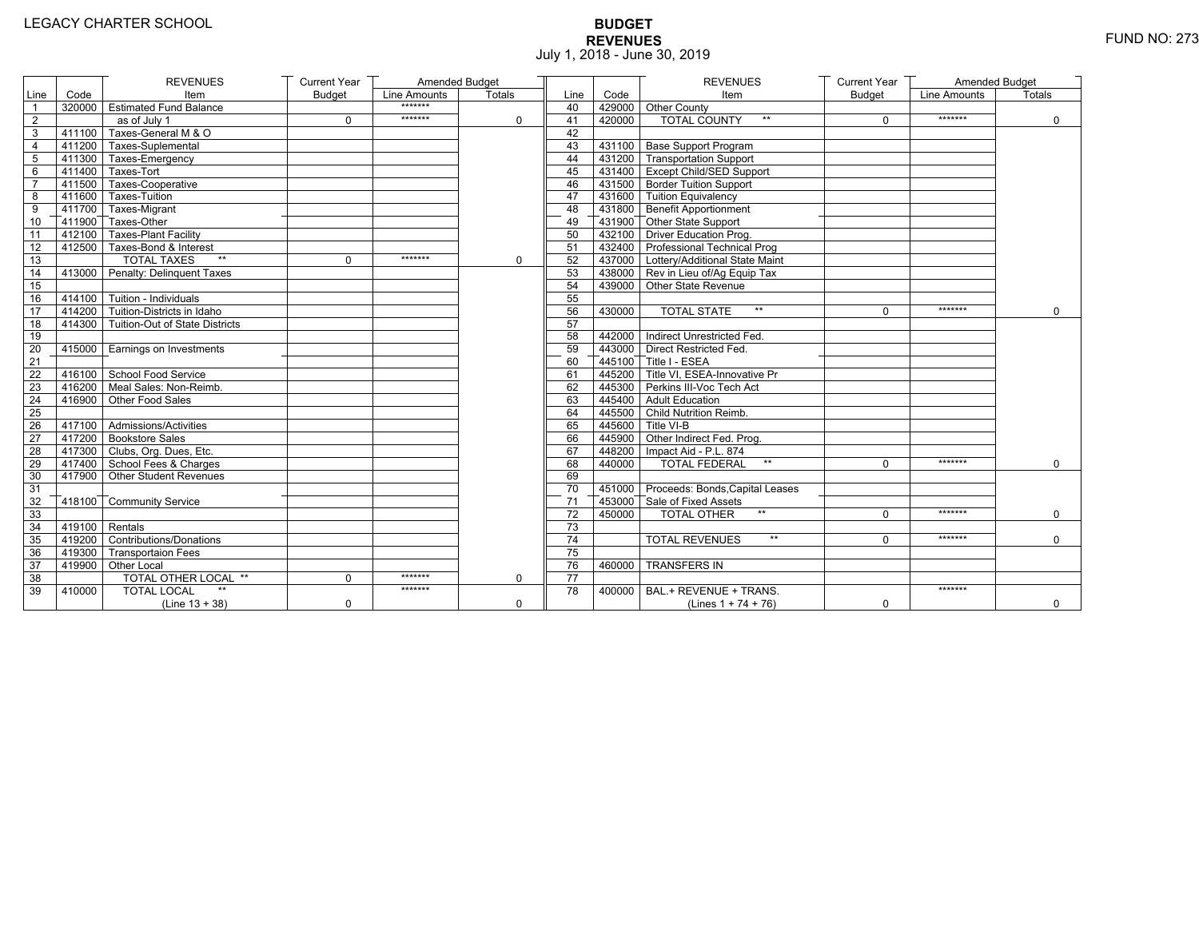# **BUDGET REVENUES** FUND NO: 273 July 1, 2018 - June 30, 2019

|                         |                  | <b>REVENUES</b>                       | <b>Current Year</b> | Amended Budget |          |                 |        | <b>REVENUES</b>                        | <b>Current Year</b> | Amended Budget      |             |
|-------------------------|------------------|---------------------------------------|---------------------|----------------|----------|-----------------|--------|----------------------------------------|---------------------|---------------------|-------------|
| Line                    | Code             | Item                                  | <b>Budget</b>       | Line Amounts   | Totals   | Line            | Code   | Item                                   | <b>Budget</b>       | <b>Line Amounts</b> | Totals      |
| $\overline{1}$          |                  | 320000 Estimated Fund Balance         |                     | *******        |          | 40              |        | 429000 Other County                    |                     |                     |             |
| $\overline{2}$          |                  | as of July 1                          | $\Omega$            | *******        | $\Omega$ | 41              | 420000 | <b>TOTAL COUNTY</b>                    | $\Omega$            | *******             | $\Omega$    |
| 3                       |                  | 411100 Taxes-General M & O            |                     |                |          | 42              |        |                                        |                     |                     |             |
| $\overline{\mathbf{4}}$ |                  | 411200 Taxes-Suplemental              |                     |                |          | 43              |        | 431100 Base Support Program            |                     |                     |             |
| $\overline{5}$          |                  | 411300 Taxes-Emergency                |                     |                |          | 44              |        | 431200 Transportation Support          |                     |                     |             |
| 6                       |                  | $-411400$ Taxes-Tort                  |                     |                |          | 45              |        | 431400 Except Child/SED Support        |                     |                     |             |
| $\overline{7}$          |                  | 411500 Taxes-Cooperative              |                     |                |          | 46              |        | 431500 Border Tuition Support          |                     |                     |             |
| 8                       |                  | 411600 Taxes-Tuition                  |                     |                |          | 47              |        | 431600 Tuition Equivalency             |                     |                     |             |
| 9                       |                  | 411700 Taxes-Migrant                  |                     |                |          | 48              |        | 431800 Benefit Apportionment           |                     |                     |             |
| 10                      |                  | 411900 Taxes-Other                    |                     |                |          | 49              |        | 431900 Other State Support             |                     |                     |             |
| 11                      |                  | 412100 Taxes-Plant Facility           |                     |                |          | 50              |        | 432100 Driver Education Prog.          |                     |                     |             |
| 12                      |                  | 412500 Taxes-Bond & Interest          |                     |                |          | 51              |        | 432400 Professional Technical Prog     |                     |                     |             |
| 13                      |                  | <b>TOTAL TAXES</b>                    | $\Omega$            | *******        | $\Omega$ | 52              |        | 437000 Lottery/Additional State Maint  |                     |                     |             |
| 14                      |                  | 413000 Penalty: Delinguent Taxes      |                     |                |          | 53              |        | 438000 Rev in Lieu of/Aq Equip Tax     |                     |                     |             |
| 15                      |                  |                                       |                     |                |          | 54              |        | 439000 Other State Revenue             |                     |                     |             |
| 16                      |                  | $414100$ Tuition - Individuals        |                     |                |          | 55              |        |                                        |                     |                     |             |
| 17                      |                  | 414200 Tuition-Districts in Idaho     |                     |                |          | 56              | 430000 | <b>TOTAL STATE</b><br>$**$             | $\Omega$            | *******             | $\Omega$    |
| 18                      |                  | 414300 Tuition-Out of State Districts |                     |                |          | 57              |        |                                        |                     |                     |             |
| 19                      |                  |                                       |                     |                |          | 58              |        | 442000 Indirect Unrestricted Fed.      |                     |                     |             |
| 20                      |                  | 415000   Earnings on Investments      |                     |                |          | 59              |        | 443000   Direct Restricted Fed.        |                     |                     |             |
| 21                      |                  |                                       |                     |                |          | 60              |        | 445100 Title I - ESEA                  |                     |                     |             |
| 22                      |                  | 416100 School Food Service            |                     |                |          | 61              |        | 445200 Title VI. ESEA-Innovative Pr    |                     |                     |             |
| 23                      |                  | 416200 Meal Sales: Non-Reimb.         |                     |                |          | 62              |        | 445300 Perkins III-Voc Tech Act        |                     |                     |             |
| 24                      |                  | 416900 Other Food Sales               |                     |                |          | 63              |        | 445400 Adult Education                 |                     |                     |             |
| 25                      |                  |                                       |                     |                |          | 64              |        | 445500 Child Nutrition Reimb.          |                     |                     |             |
| 26                      |                  | 417100 Admissions/Activities          |                     |                |          | 65              |        | 445600 Title VI-B                      |                     |                     |             |
| 27                      |                  | 417200 Bookstore Sales                |                     |                |          | 66              |        | 445900 Other Indirect Fed. Prog.       |                     |                     |             |
| 28                      |                  | 417300 Clubs, Org. Dues, Etc.         |                     |                |          | 67              |        | 448200   Impact Aid - P.L. 874         |                     |                     |             |
| 29                      |                  | 417400 School Fees & Charges          |                     |                |          | 68              | 440000 | <b>TOTAL FEDERAL</b><br>$***$          | $\Omega$            | *******             | $\mathbf 0$ |
| 30                      |                  | 417900 Other Student Revenues         |                     |                |          | 69              |        |                                        |                     |                     |             |
| 31                      |                  |                                       |                     |                |          | 70              |        | 451000 Proceeds: Bonds, Capital Leases |                     |                     |             |
| 32                      |                  | 418100 Community Service              |                     |                |          | 71              |        | 453000 Sale of Fixed Assets            |                     |                     |             |
| 33                      |                  |                                       |                     |                |          | $\overline{72}$ | 450000 | $**$<br><b>TOTAL OTHER</b>             | $\Omega$            | *******             | $\mathbf 0$ |
| 34                      | $419100$ Rentals |                                       |                     |                |          | 73              |        |                                        |                     |                     |             |
| 35                      |                  | 419200 Contributions/Donations        |                     |                |          | 74              |        | $**$<br><b>TOTAL REVENUES</b>          | $\Omega$            | *******             | $\Omega$    |
| 36                      |                  | 419300 Transportaion Fees             |                     |                |          | 75              |        |                                        |                     |                     |             |
| 37                      |                  | 419900 Other Local                    |                     |                |          | 76              | 460000 | <b>TRANSFERS IN</b>                    |                     |                     |             |
| 38                      |                  | TOTAL OTHER LOCAL **                  | $\Omega$            | *******        | $\Omega$ | $\overline{77}$ |        |                                        |                     |                     |             |
| 39                      | 410000           | <b>TOTAL LOCAL</b>                    |                     | *******        |          | 78              | 400000 | BAL.+ REVENUE + TRANS.                 |                     | *******             |             |
|                         |                  | $(Line 13 + 38)$                      | $\mathbf 0$         |                | 0        |                 |        | (Lines $1 + 74 + 76$ )                 | 0                   |                     | $\mathbf 0$ |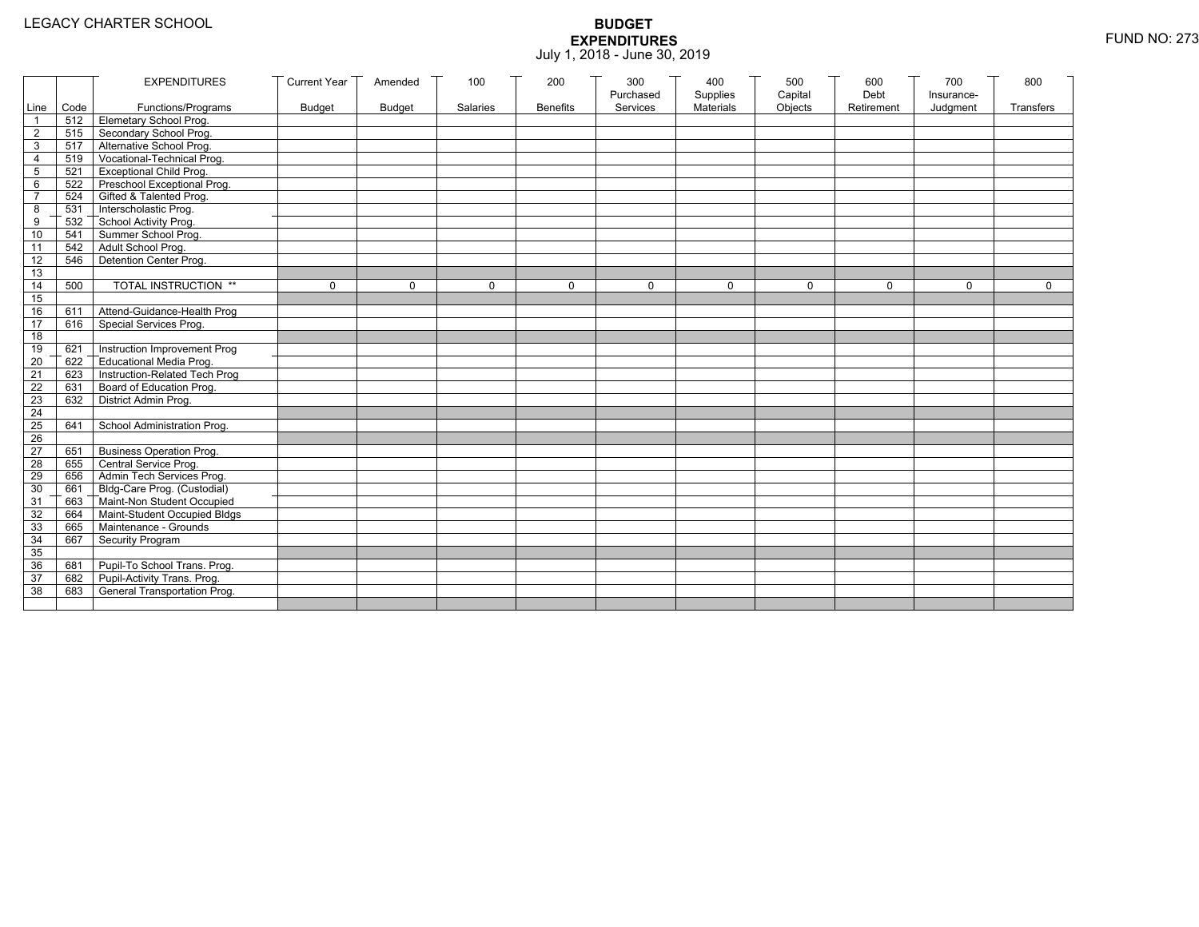| Line Code<br>Materials<br>Objects<br>Functions/Programs<br><b>Budget</b><br><b>Budget</b><br>Salaries<br><b>Benefits</b><br>Services<br>Retirement<br>Judgment<br><b>Transfers</b><br>512 Elemetary School Prog.<br>Secondary School Prog.<br>$\overline{2}$<br>515<br>517 Alternative School Prog.<br>3<br>Vocational-Technical Prog.<br>519<br>4<br><b>Exceptional Child Prog.</b><br>5<br>521<br>Preschool Exceptional Prog.<br>6<br>522<br>524 Gifted & Talented Prog.<br>$\overline{7}$<br>531 Interscholastic Prog.<br>8<br>532<br>School Activity Prog.<br>9<br>Summer School Prog.<br>10<br>541<br>Adult School Prog.<br>542<br>11<br>Detention Center Prog.<br>$\overline{12}$<br>546<br>13<br>TOTAL INSTRUCTION **<br>14<br>500<br>$\mathbf 0$<br>$\Omega$<br>$\mathbf 0$<br>0<br>$\Omega$<br>$\mathbf 0$<br>$\Omega$<br>$\Omega$<br>$\Omega$<br>$\Omega$<br>15<br>16<br>Attend-Guidance-Health Prog<br>611<br>17<br>Special Services Prog.<br>616<br>18<br>Instruction Improvement Prog<br>19<br>621<br>$\overline{20}$<br>Educational Media Prog.<br>622<br>Instruction-Related Tech Prog<br>21<br>623<br>Board of Education Prog.<br>$\overline{22}$<br>631<br>District Admin Prog.<br>23<br>632<br>24<br>25<br>School Administration Prog.<br>641<br>26<br><b>Business Operation Prog.</b><br>27<br>651<br>655 Central Service Prog.<br>28<br>Admin Tech Services Prog.<br>29<br>656<br>661 Bldg-Care Prog. (Custodial)<br>30<br>663 Maint-Non Student Occupied<br>31<br>32<br>664 Maint-Student Occupied Bldgs<br>665 Maintenance - Grounds<br>33<br>Security Program<br>34<br>667<br>35<br>36<br>Pupil-To School Trans. Prog.<br>681<br>Pupil-Activity Trans. Prog.<br>37<br>682<br>General Transportation Prog.<br>38<br>683 |  | <b>EXPENDITURES</b> | <b>Current Year</b> | Amended | 100 | 200 | 300       | 400      | 500     | 600  | 700        | 800 |
|-----------------------------------------------------------------------------------------------------------------------------------------------------------------------------------------------------------------------------------------------------------------------------------------------------------------------------------------------------------------------------------------------------------------------------------------------------------------------------------------------------------------------------------------------------------------------------------------------------------------------------------------------------------------------------------------------------------------------------------------------------------------------------------------------------------------------------------------------------------------------------------------------------------------------------------------------------------------------------------------------------------------------------------------------------------------------------------------------------------------------------------------------------------------------------------------------------------------------------------------------------------------------------------------------------------------------------------------------------------------------------------------------------------------------------------------------------------------------------------------------------------------------------------------------------------------------------------------------------------------------------------------------------------------------------------------------------------------------------------------------|--|---------------------|---------------------|---------|-----|-----|-----------|----------|---------|------|------------|-----|
|                                                                                                                                                                                                                                                                                                                                                                                                                                                                                                                                                                                                                                                                                                                                                                                                                                                                                                                                                                                                                                                                                                                                                                                                                                                                                                                                                                                                                                                                                                                                                                                                                                                                                                                                               |  |                     |                     |         |     |     | Purchased | Supplies | Capital | Debt | Insurance- |     |
|                                                                                                                                                                                                                                                                                                                                                                                                                                                                                                                                                                                                                                                                                                                                                                                                                                                                                                                                                                                                                                                                                                                                                                                                                                                                                                                                                                                                                                                                                                                                                                                                                                                                                                                                               |  |                     |                     |         |     |     |           |          |         |      |            |     |
|                                                                                                                                                                                                                                                                                                                                                                                                                                                                                                                                                                                                                                                                                                                                                                                                                                                                                                                                                                                                                                                                                                                                                                                                                                                                                                                                                                                                                                                                                                                                                                                                                                                                                                                                               |  |                     |                     |         |     |     |           |          |         |      |            |     |
|                                                                                                                                                                                                                                                                                                                                                                                                                                                                                                                                                                                                                                                                                                                                                                                                                                                                                                                                                                                                                                                                                                                                                                                                                                                                                                                                                                                                                                                                                                                                                                                                                                                                                                                                               |  |                     |                     |         |     |     |           |          |         |      |            |     |
|                                                                                                                                                                                                                                                                                                                                                                                                                                                                                                                                                                                                                                                                                                                                                                                                                                                                                                                                                                                                                                                                                                                                                                                                                                                                                                                                                                                                                                                                                                                                                                                                                                                                                                                                               |  |                     |                     |         |     |     |           |          |         |      |            |     |
|                                                                                                                                                                                                                                                                                                                                                                                                                                                                                                                                                                                                                                                                                                                                                                                                                                                                                                                                                                                                                                                                                                                                                                                                                                                                                                                                                                                                                                                                                                                                                                                                                                                                                                                                               |  |                     |                     |         |     |     |           |          |         |      |            |     |
|                                                                                                                                                                                                                                                                                                                                                                                                                                                                                                                                                                                                                                                                                                                                                                                                                                                                                                                                                                                                                                                                                                                                                                                                                                                                                                                                                                                                                                                                                                                                                                                                                                                                                                                                               |  |                     |                     |         |     |     |           |          |         |      |            |     |
|                                                                                                                                                                                                                                                                                                                                                                                                                                                                                                                                                                                                                                                                                                                                                                                                                                                                                                                                                                                                                                                                                                                                                                                                                                                                                                                                                                                                                                                                                                                                                                                                                                                                                                                                               |  |                     |                     |         |     |     |           |          |         |      |            |     |
|                                                                                                                                                                                                                                                                                                                                                                                                                                                                                                                                                                                                                                                                                                                                                                                                                                                                                                                                                                                                                                                                                                                                                                                                                                                                                                                                                                                                                                                                                                                                                                                                                                                                                                                                               |  |                     |                     |         |     |     |           |          |         |      |            |     |
|                                                                                                                                                                                                                                                                                                                                                                                                                                                                                                                                                                                                                                                                                                                                                                                                                                                                                                                                                                                                                                                                                                                                                                                                                                                                                                                                                                                                                                                                                                                                                                                                                                                                                                                                               |  |                     |                     |         |     |     |           |          |         |      |            |     |
|                                                                                                                                                                                                                                                                                                                                                                                                                                                                                                                                                                                                                                                                                                                                                                                                                                                                                                                                                                                                                                                                                                                                                                                                                                                                                                                                                                                                                                                                                                                                                                                                                                                                                                                                               |  |                     |                     |         |     |     |           |          |         |      |            |     |
|                                                                                                                                                                                                                                                                                                                                                                                                                                                                                                                                                                                                                                                                                                                                                                                                                                                                                                                                                                                                                                                                                                                                                                                                                                                                                                                                                                                                                                                                                                                                                                                                                                                                                                                                               |  |                     |                     |         |     |     |           |          |         |      |            |     |
|                                                                                                                                                                                                                                                                                                                                                                                                                                                                                                                                                                                                                                                                                                                                                                                                                                                                                                                                                                                                                                                                                                                                                                                                                                                                                                                                                                                                                                                                                                                                                                                                                                                                                                                                               |  |                     |                     |         |     |     |           |          |         |      |            |     |
|                                                                                                                                                                                                                                                                                                                                                                                                                                                                                                                                                                                                                                                                                                                                                                                                                                                                                                                                                                                                                                                                                                                                                                                                                                                                                                                                                                                                                                                                                                                                                                                                                                                                                                                                               |  |                     |                     |         |     |     |           |          |         |      |            |     |
|                                                                                                                                                                                                                                                                                                                                                                                                                                                                                                                                                                                                                                                                                                                                                                                                                                                                                                                                                                                                                                                                                                                                                                                                                                                                                                                                                                                                                                                                                                                                                                                                                                                                                                                                               |  |                     |                     |         |     |     |           |          |         |      |            |     |
|                                                                                                                                                                                                                                                                                                                                                                                                                                                                                                                                                                                                                                                                                                                                                                                                                                                                                                                                                                                                                                                                                                                                                                                                                                                                                                                                                                                                                                                                                                                                                                                                                                                                                                                                               |  |                     |                     |         |     |     |           |          |         |      |            |     |
|                                                                                                                                                                                                                                                                                                                                                                                                                                                                                                                                                                                                                                                                                                                                                                                                                                                                                                                                                                                                                                                                                                                                                                                                                                                                                                                                                                                                                                                                                                                                                                                                                                                                                                                                               |  |                     |                     |         |     |     |           |          |         |      |            |     |
|                                                                                                                                                                                                                                                                                                                                                                                                                                                                                                                                                                                                                                                                                                                                                                                                                                                                                                                                                                                                                                                                                                                                                                                                                                                                                                                                                                                                                                                                                                                                                                                                                                                                                                                                               |  |                     |                     |         |     |     |           |          |         |      |            |     |
|                                                                                                                                                                                                                                                                                                                                                                                                                                                                                                                                                                                                                                                                                                                                                                                                                                                                                                                                                                                                                                                                                                                                                                                                                                                                                                                                                                                                                                                                                                                                                                                                                                                                                                                                               |  |                     |                     |         |     |     |           |          |         |      |            |     |
|                                                                                                                                                                                                                                                                                                                                                                                                                                                                                                                                                                                                                                                                                                                                                                                                                                                                                                                                                                                                                                                                                                                                                                                                                                                                                                                                                                                                                                                                                                                                                                                                                                                                                                                                               |  |                     |                     |         |     |     |           |          |         |      |            |     |
|                                                                                                                                                                                                                                                                                                                                                                                                                                                                                                                                                                                                                                                                                                                                                                                                                                                                                                                                                                                                                                                                                                                                                                                                                                                                                                                                                                                                                                                                                                                                                                                                                                                                                                                                               |  |                     |                     |         |     |     |           |          |         |      |            |     |
|                                                                                                                                                                                                                                                                                                                                                                                                                                                                                                                                                                                                                                                                                                                                                                                                                                                                                                                                                                                                                                                                                                                                                                                                                                                                                                                                                                                                                                                                                                                                                                                                                                                                                                                                               |  |                     |                     |         |     |     |           |          |         |      |            |     |
|                                                                                                                                                                                                                                                                                                                                                                                                                                                                                                                                                                                                                                                                                                                                                                                                                                                                                                                                                                                                                                                                                                                                                                                                                                                                                                                                                                                                                                                                                                                                                                                                                                                                                                                                               |  |                     |                     |         |     |     |           |          |         |      |            |     |
|                                                                                                                                                                                                                                                                                                                                                                                                                                                                                                                                                                                                                                                                                                                                                                                                                                                                                                                                                                                                                                                                                                                                                                                                                                                                                                                                                                                                                                                                                                                                                                                                                                                                                                                                               |  |                     |                     |         |     |     |           |          |         |      |            |     |
|                                                                                                                                                                                                                                                                                                                                                                                                                                                                                                                                                                                                                                                                                                                                                                                                                                                                                                                                                                                                                                                                                                                                                                                                                                                                                                                                                                                                                                                                                                                                                                                                                                                                                                                                               |  |                     |                     |         |     |     |           |          |         |      |            |     |
|                                                                                                                                                                                                                                                                                                                                                                                                                                                                                                                                                                                                                                                                                                                                                                                                                                                                                                                                                                                                                                                                                                                                                                                                                                                                                                                                                                                                                                                                                                                                                                                                                                                                                                                                               |  |                     |                     |         |     |     |           |          |         |      |            |     |
|                                                                                                                                                                                                                                                                                                                                                                                                                                                                                                                                                                                                                                                                                                                                                                                                                                                                                                                                                                                                                                                                                                                                                                                                                                                                                                                                                                                                                                                                                                                                                                                                                                                                                                                                               |  |                     |                     |         |     |     |           |          |         |      |            |     |
|                                                                                                                                                                                                                                                                                                                                                                                                                                                                                                                                                                                                                                                                                                                                                                                                                                                                                                                                                                                                                                                                                                                                                                                                                                                                                                                                                                                                                                                                                                                                                                                                                                                                                                                                               |  |                     |                     |         |     |     |           |          |         |      |            |     |
|                                                                                                                                                                                                                                                                                                                                                                                                                                                                                                                                                                                                                                                                                                                                                                                                                                                                                                                                                                                                                                                                                                                                                                                                                                                                                                                                                                                                                                                                                                                                                                                                                                                                                                                                               |  |                     |                     |         |     |     |           |          |         |      |            |     |
|                                                                                                                                                                                                                                                                                                                                                                                                                                                                                                                                                                                                                                                                                                                                                                                                                                                                                                                                                                                                                                                                                                                                                                                                                                                                                                                                                                                                                                                                                                                                                                                                                                                                                                                                               |  |                     |                     |         |     |     |           |          |         |      |            |     |
|                                                                                                                                                                                                                                                                                                                                                                                                                                                                                                                                                                                                                                                                                                                                                                                                                                                                                                                                                                                                                                                                                                                                                                                                                                                                                                                                                                                                                                                                                                                                                                                                                                                                                                                                               |  |                     |                     |         |     |     |           |          |         |      |            |     |
|                                                                                                                                                                                                                                                                                                                                                                                                                                                                                                                                                                                                                                                                                                                                                                                                                                                                                                                                                                                                                                                                                                                                                                                                                                                                                                                                                                                                                                                                                                                                                                                                                                                                                                                                               |  |                     |                     |         |     |     |           |          |         |      |            |     |
|                                                                                                                                                                                                                                                                                                                                                                                                                                                                                                                                                                                                                                                                                                                                                                                                                                                                                                                                                                                                                                                                                                                                                                                                                                                                                                                                                                                                                                                                                                                                                                                                                                                                                                                                               |  |                     |                     |         |     |     |           |          |         |      |            |     |
|                                                                                                                                                                                                                                                                                                                                                                                                                                                                                                                                                                                                                                                                                                                                                                                                                                                                                                                                                                                                                                                                                                                                                                                                                                                                                                                                                                                                                                                                                                                                                                                                                                                                                                                                               |  |                     |                     |         |     |     |           |          |         |      |            |     |
|                                                                                                                                                                                                                                                                                                                                                                                                                                                                                                                                                                                                                                                                                                                                                                                                                                                                                                                                                                                                                                                                                                                                                                                                                                                                                                                                                                                                                                                                                                                                                                                                                                                                                                                                               |  |                     |                     |         |     |     |           |          |         |      |            |     |
|                                                                                                                                                                                                                                                                                                                                                                                                                                                                                                                                                                                                                                                                                                                                                                                                                                                                                                                                                                                                                                                                                                                                                                                                                                                                                                                                                                                                                                                                                                                                                                                                                                                                                                                                               |  |                     |                     |         |     |     |           |          |         |      |            |     |
|                                                                                                                                                                                                                                                                                                                                                                                                                                                                                                                                                                                                                                                                                                                                                                                                                                                                                                                                                                                                                                                                                                                                                                                                                                                                                                                                                                                                                                                                                                                                                                                                                                                                                                                                               |  |                     |                     |         |     |     |           |          |         |      |            |     |
|                                                                                                                                                                                                                                                                                                                                                                                                                                                                                                                                                                                                                                                                                                                                                                                                                                                                                                                                                                                                                                                                                                                                                                                                                                                                                                                                                                                                                                                                                                                                                                                                                                                                                                                                               |  |                     |                     |         |     |     |           |          |         |      |            |     |
|                                                                                                                                                                                                                                                                                                                                                                                                                                                                                                                                                                                                                                                                                                                                                                                                                                                                                                                                                                                                                                                                                                                                                                                                                                                                                                                                                                                                                                                                                                                                                                                                                                                                                                                                               |  |                     |                     |         |     |     |           |          |         |      |            |     |
|                                                                                                                                                                                                                                                                                                                                                                                                                                                                                                                                                                                                                                                                                                                                                                                                                                                                                                                                                                                                                                                                                                                                                                                                                                                                                                                                                                                                                                                                                                                                                                                                                                                                                                                                               |  |                     |                     |         |     |     |           |          |         |      |            |     |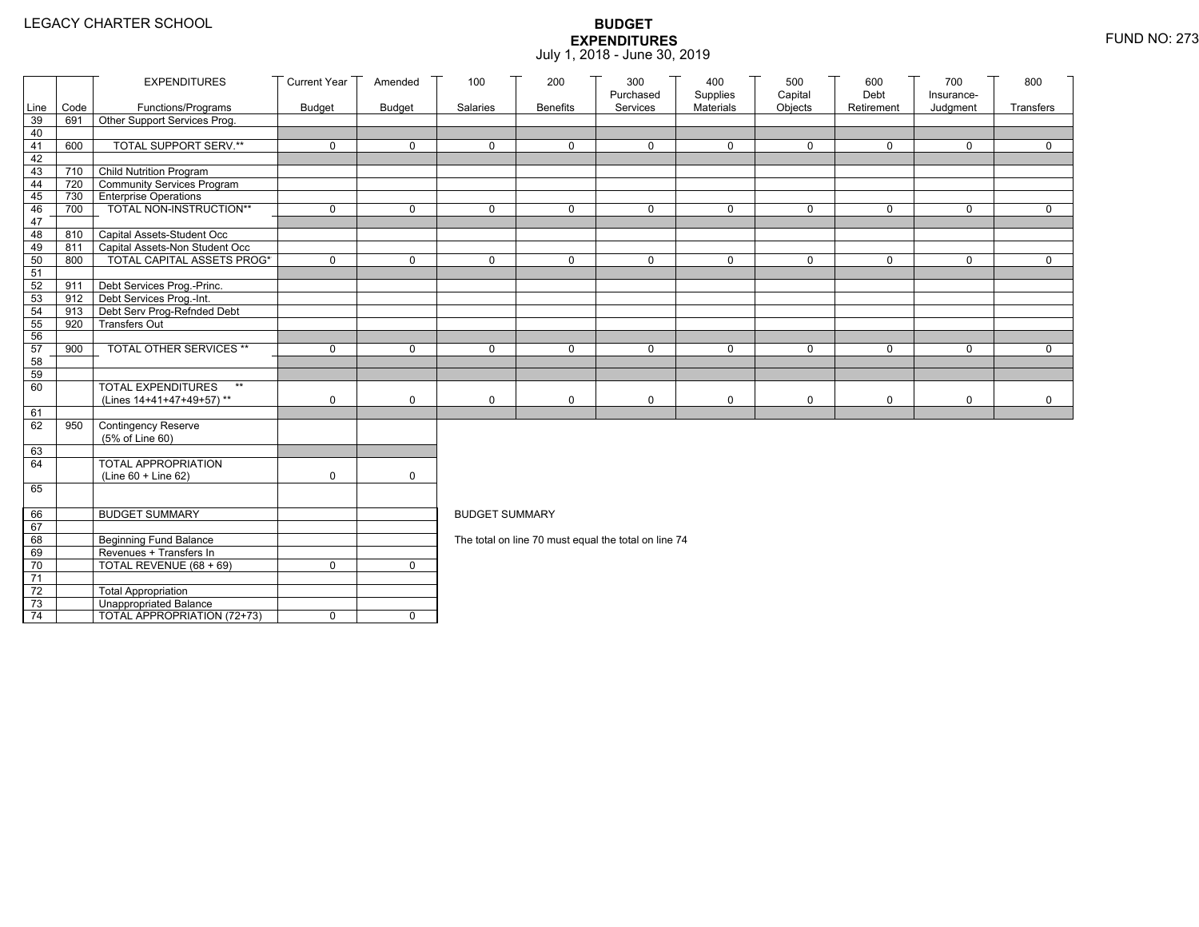|                 |            | <b>EXPENDITURES</b>                                                 | <b>Current Year</b> | Amended       | 100                   | 200             | 300<br>Purchased                                     | 400<br>Supplies | 500<br>Capital | 600<br>Debt  | 700                    | 800         |
|-----------------|------------|---------------------------------------------------------------------|---------------------|---------------|-----------------------|-----------------|------------------------------------------------------|-----------------|----------------|--------------|------------------------|-------------|
| Line            | Code       | Functions/Programs                                                  | <b>Budget</b>       | <b>Budget</b> | Salaries              | <b>Benefits</b> | Services                                             | Materials       | Objects        | Retirement   | Insurance-<br>Judgment | Transfers   |
| 39              | 691        | Other Support Services Prog.                                        |                     |               |                       |                 |                                                      |                 |                |              |                        |             |
| 40              |            |                                                                     |                     |               |                       |                 |                                                      |                 |                |              |                        |             |
| 41              | 600        | <b>TOTAL SUPPORT SERV.**</b>                                        | $\mathbf 0$         | $\mathbf 0$   | $\mathbf 0$           | $\mathbf 0$     | $\mathbf 0$                                          | $\mathbf 0$     | $\mathbf 0$    | $\mathbf 0$  | $\mathbf 0$            | $\mathbf 0$ |
| 42              |            |                                                                     |                     |               |                       |                 |                                                      |                 |                |              |                        |             |
| 43              |            | 710 Child Nutrition Program                                         |                     |               |                       |                 |                                                      |                 |                |              |                        |             |
| 44              | 720        | Community Services Program                                          |                     |               |                       |                 |                                                      |                 |                |              |                        |             |
| 45              | 730        | <b>Enterprise Operations</b>                                        |                     |               |                       |                 |                                                      |                 |                |              |                        |             |
| 46              | 700        | TOTAL NON-INSTRUCTION**                                             | $\mathbf 0$         | $\mathsf{O}$  | $\Omega$              | $\mathbf 0$     | $\Omega$                                             | $\mathbf 0$     | $\mathsf{O}$   | $\mathsf{O}$ | $\mathbf 0$            | $\mathbf 0$ |
| 47              |            |                                                                     |                     |               |                       |                 |                                                      |                 |                |              |                        |             |
| 48              | 810        | Capital Assets-Student Occ                                          |                     |               |                       |                 |                                                      |                 |                |              |                        |             |
| 49<br>50        | 811<br>800 | Capital Assets-Non Student Occ<br><b>TOTAL CAPITAL ASSETS PROG*</b> | $\mathbf 0$         | $\mathbf 0$   | $\mathbf 0$           | $\mathbf 0$     | $\mathbf 0$                                          | $\mathbf 0$     | $\mathbf 0$    | $\mathbf 0$  | $\mathbf 0$            | $\mathbf 0$ |
| 51              |            |                                                                     |                     |               |                       |                 |                                                      |                 |                |              |                        |             |
| 52              | 911        | Debt Services Prog.-Princ.                                          |                     |               |                       |                 |                                                      |                 |                |              |                        |             |
| 53              |            | 912 Debt Services Prog.-Int.                                        |                     |               |                       |                 |                                                      |                 |                |              |                        |             |
| 54              | 913        | Debt Serv Prog-Refnded Debt                                         |                     |               |                       |                 |                                                      |                 |                |              |                        |             |
| 55              | 920        | <b>Transfers Out</b>                                                |                     |               |                       |                 |                                                      |                 |                |              |                        |             |
| 56              |            |                                                                     |                     |               |                       |                 |                                                      |                 |                |              |                        |             |
| 57              | 900        | TOTAL OTHER SERVICES **                                             | $\mathbf 0$         | $\mathsf{O}$  | $\mathbf 0$           | $\mathbf 0$     | $\mathbf 0$                                          | $\mathbf 0$     | $\mathsf{O}$   | 0            | $\mathbf 0$            | $\mathbf 0$ |
| 58              |            |                                                                     |                     |               |                       |                 |                                                      |                 |                |              |                        |             |
| 59              |            |                                                                     |                     |               |                       |                 |                                                      |                 |                |              |                        |             |
| 60              |            | <b>TOTAL EXPENDITURES</b><br>$\star\star$                           |                     |               |                       |                 |                                                      |                 |                |              |                        |             |
|                 |            | (Lines 14+41+47+49+57)**                                            | 0                   | $\mathbf 0$   | $\mathbf 0$           | 0               | 0                                                    | 0               | 0              | 0            | 0                      | 0           |
| 61              |            |                                                                     |                     |               |                       |                 |                                                      |                 |                |              |                        |             |
| 62              | 950        | Contingency Reserve                                                 |                     |               |                       |                 |                                                      |                 |                |              |                        |             |
|                 |            | (5% of Line 60)                                                     |                     |               |                       |                 |                                                      |                 |                |              |                        |             |
| 63<br>64        |            |                                                                     |                     |               |                       |                 |                                                      |                 |                |              |                        |             |
|                 |            | TOTAL APPROPRIATION<br>(Line 60 + Line 62)                          | 0                   | $\mathsf{O}$  |                       |                 |                                                      |                 |                |              |                        |             |
| 65              |            |                                                                     |                     |               |                       |                 |                                                      |                 |                |              |                        |             |
|                 |            |                                                                     |                     |               |                       |                 |                                                      |                 |                |              |                        |             |
| 66              |            | <b>BUDGET SUMMARY</b>                                               |                     |               | <b>BUDGET SUMMARY</b> |                 |                                                      |                 |                |              |                        |             |
| 67              |            |                                                                     |                     |               |                       |                 |                                                      |                 |                |              |                        |             |
| 68              |            | <b>Beginning Fund Balance</b>                                       |                     |               |                       |                 | The total on line 70 must equal the total on line 74 |                 |                |              |                        |             |
| 69              |            | Revenues + Transfers In                                             |                     |               |                       |                 |                                                      |                 |                |              |                        |             |
| 70              |            | TOTAL REVENUE (68 + 69)                                             | 0                   | $\mathbf 0$   |                       |                 |                                                      |                 |                |              |                        |             |
| 71              |            |                                                                     |                     |               |                       |                 |                                                      |                 |                |              |                        |             |
| 72              |            | <b>Total Appropriation</b>                                          |                     |               |                       |                 |                                                      |                 |                |              |                        |             |
| 73              |            | Unappropriated Balance                                              |                     |               |                       |                 |                                                      |                 |                |              |                        |             |
| $\overline{74}$ |            | TOTAL APPROPRIATION (72+73)                                         | 0                   | $\mathbf 0$   |                       |                 |                                                      |                 |                |              |                        |             |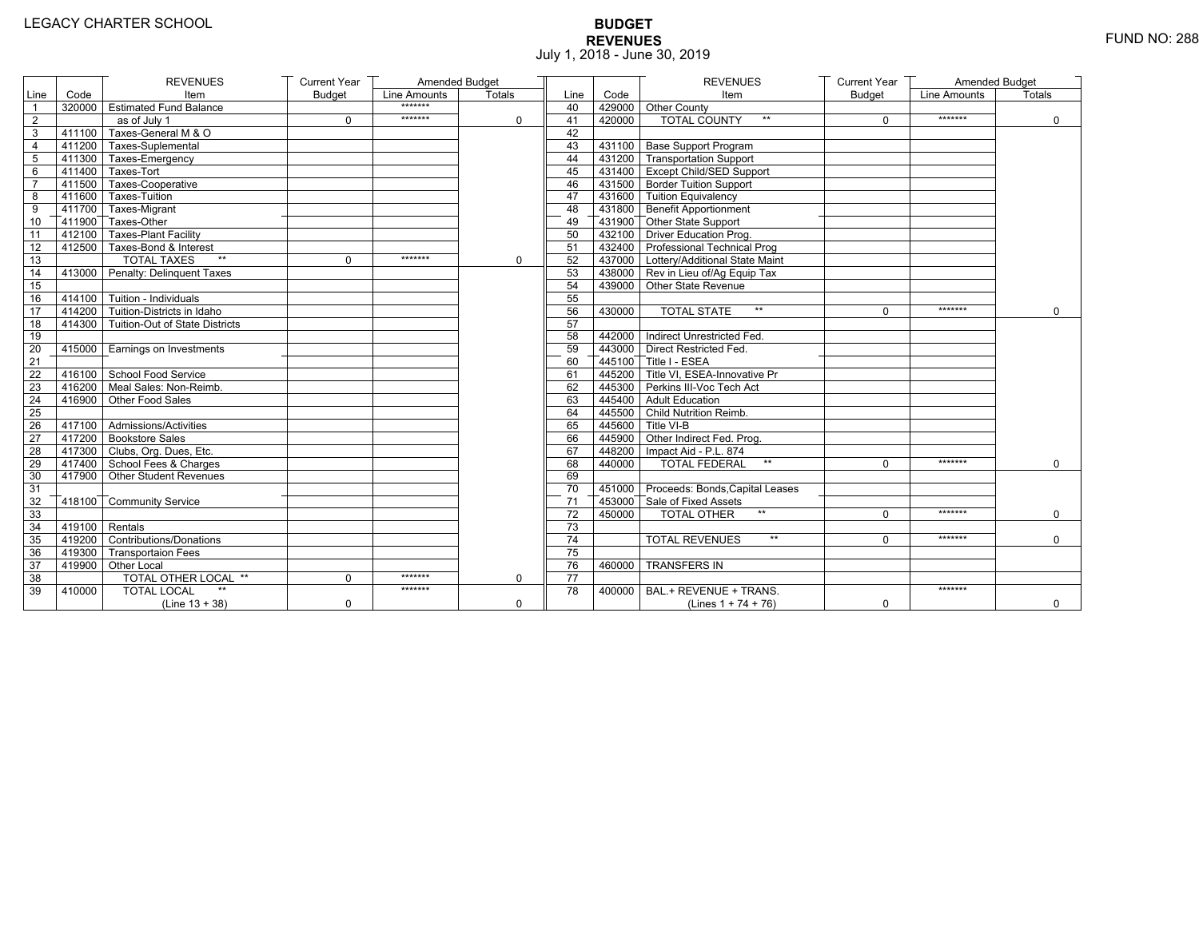# **BUDGET REVENUES** FUND NO: 288 July 1, 2018 - June 30, 2019

|                |                         | <b>REVENUES</b>                       | <b>Current Year</b> | Amended Budget |             |                 |        | <b>REVENUES</b>                         | <b>Current Year</b> | <b>Amended Budget</b> |               |
|----------------|-------------------------|---------------------------------------|---------------------|----------------|-------------|-----------------|--------|-----------------------------------------|---------------------|-----------------------|---------------|
| Line           | Code                    | Item                                  | <b>Budget</b>       | Line Amounts   | Totals      | Line            | Code   | Item                                    | <b>Budget</b>       | Line Amounts          | <b>Totals</b> |
| $\overline{1}$ |                         | 320000 Estimated Fund Balance         |                     | *******        |             | 40              |        | 429000 Other County                     |                     |                       |               |
| $\overline{2}$ |                         | as of July 1                          | 0                   | *******        | $\Omega$    | 41              | 420000 | <b>TOTAL COUNTY</b><br>$\star\star$     | $\Omega$            | *******               | $\mathbf 0$   |
| 3              | 411100                  | Taxes-General M & O                   |                     |                |             | 42              |        |                                         |                     |                       |               |
| 4              |                         | 411200 Taxes-Suplemental              |                     |                |             | 43              |        | 431100 Base Support Program             |                     |                       |               |
| 5              |                         | 1411300 Taxes-Emergency               |                     |                |             | 44              |        | 431200 Transportation Support           |                     |                       |               |
| 6              |                         | $\sqrt{411400}$ Taxes-Tort            |                     |                |             | 45              |        | 431400 Except Child/SED Support         |                     |                       |               |
| $\overline{7}$ |                         | 411500 Taxes-Cooperative              |                     |                |             | 46              |        | 431500 Border Tuition Support           |                     |                       |               |
| 8              |                         | 411600 Taxes-Tuition                  |                     |                |             | 47              |        | 431600 Tuition Equivalency              |                     |                       |               |
| 9              |                         | T411700 Taxes-Migrant                 |                     |                |             | 48              |        | 431800 Benefit Apportionment            |                     |                       |               |
| 10             |                         | 411900 Taxes-Other                    |                     |                |             | 49              |        | 431900 Other State Support              |                     |                       |               |
| 11             |                         | 412100 Taxes-Plant Facility           |                     |                |             | 50              |        | 432100 Driver Education Prog.           |                     |                       |               |
| 12             |                         | 412500 Taxes-Bond & Interest          |                     |                |             | 51              |        | 432400 Professional Technical Prog      |                     |                       |               |
| 13             |                         | $**$<br><b>TOTAL TAXES</b>            | 0                   | *******        | $\mathbf 0$ | 52              |        | 437000   Lottery/Additional State Maint |                     |                       |               |
| 14             |                         | 413000 Penalty: Delinguent Taxes      |                     |                |             | 53              |        | 438000 Rev in Lieu of/Ag Equip Tax      |                     |                       |               |
| 15             |                         |                                       |                     |                |             | 54              |        | 439000 Other State Revenue              |                     |                       |               |
| 16             |                         | $-414100$ Tuition - Individuals       |                     |                |             | 55              |        |                                         |                     |                       |               |
| 17             |                         | $414200$ Tuition-Districts in Idaho   |                     |                |             | 56              | 430000 | $\star\star$<br><b>TOTAL STATE</b>      | $\Omega$            | *******               | $\Omega$      |
| 18             |                         | 414300 Tuition-Out of State Districts |                     |                |             | 57              |        |                                         |                     |                       |               |
| 19             |                         |                                       |                     |                |             | 58              |        | 442000 Indirect Unrestricted Fed.       |                     |                       |               |
| 20             |                         | 415000 Earnings on Investments        |                     |                |             | 59              |        | 443000 Direct Restricted Fed            |                     |                       |               |
| 21             |                         |                                       |                     |                |             | 60              |        | 445100 Title I - ESEA                   |                     |                       |               |
| 22             |                         | 416100 School Food Service            |                     |                |             | 61              |        | 445200 Title VI, ESEA-Innovative Pr     |                     |                       |               |
| 23             |                         | 416200 Meal Sales: Non-Reimb.         |                     |                |             | 62              |        | 445300 Perkins III-Voc Tech Act         |                     |                       |               |
| 24             |                         | 416900 Other Food Sales               |                     |                |             | 63              |        | 445400 Adult Education                  |                     |                       |               |
| 25             |                         |                                       |                     |                |             | 64              |        | 445500 Child Nutrition Reimb.           |                     |                       |               |
| 26             |                         | 417100 Admissions/Activities          |                     |                |             | 65              |        | 445600 Title VI-B                       |                     |                       |               |
| 27             |                         | 417200 Bookstore Sales                |                     |                |             | 66              |        | 445900 Other Indirect Fed. Prog.        |                     |                       |               |
| 28             |                         | 417300 Clubs, Org. Dues, Etc.         |                     |                |             | 67              |        | 448200   Impact Aid - P.L. 874          |                     |                       |               |
| 29             |                         | 417400 School Fees & Charges          |                     |                |             | 68              | 440000 | <b>TOTAL FEDERAL</b><br>$\star\star$    | $\Omega$            | *******               | $\mathbf 0$   |
| 30             |                         | 417900 Other Student Revenues         |                     |                |             | 69              |        |                                         |                     |                       |               |
| 31             |                         |                                       |                     |                |             | 70              |        | 451000 Proceeds: Bonds, Capital Leases  |                     |                       |               |
| 32             |                         | 418100 Community Service              |                     |                |             | 71              |        | 453000 Sale of Fixed Assets             |                     |                       |               |
| 33             |                         |                                       |                     |                |             | $\overline{72}$ | 450000 | $**$<br><b>TOTAL OTHER</b>              | $\Omega$            | *******               | 0             |
| 34             | $\sqrt{419100}$ Rentals |                                       |                     |                |             | 73              |        |                                         |                     |                       |               |
| 35             |                         | 419200 Contributions/Donations        |                     |                |             | 74              |        | <b>TOTAL REVENUES</b><br>$\star\star$   | $\Omega$            | *******               | $\Omega$      |
| 36             |                         | 419300 Transportaion Fees             |                     |                |             | $\overline{75}$ |        |                                         |                     |                       |               |
| 37             |                         | 419900 Other Local                    |                     |                |             | 76              | 460000 | <b>TRANSFERS IN</b>                     |                     |                       |               |
| 38             |                         | TOTAL OTHER LOCAL **                  | 0                   | *******        | $\mathbf 0$ | $\overline{77}$ |        |                                         |                     |                       |               |
| 39             | 410000                  | <b>TOTAL LOCAL</b>                    |                     | *******        |             | 78              | 400000 | BAL.+ REVENUE + TRANS.                  |                     | *******               |               |
|                |                         | $(Line 13 + 38)$                      | 0                   |                | $\mathbf 0$ |                 |        | (Lines $1 + 74 + 76$ )                  | 0                   |                       | 0             |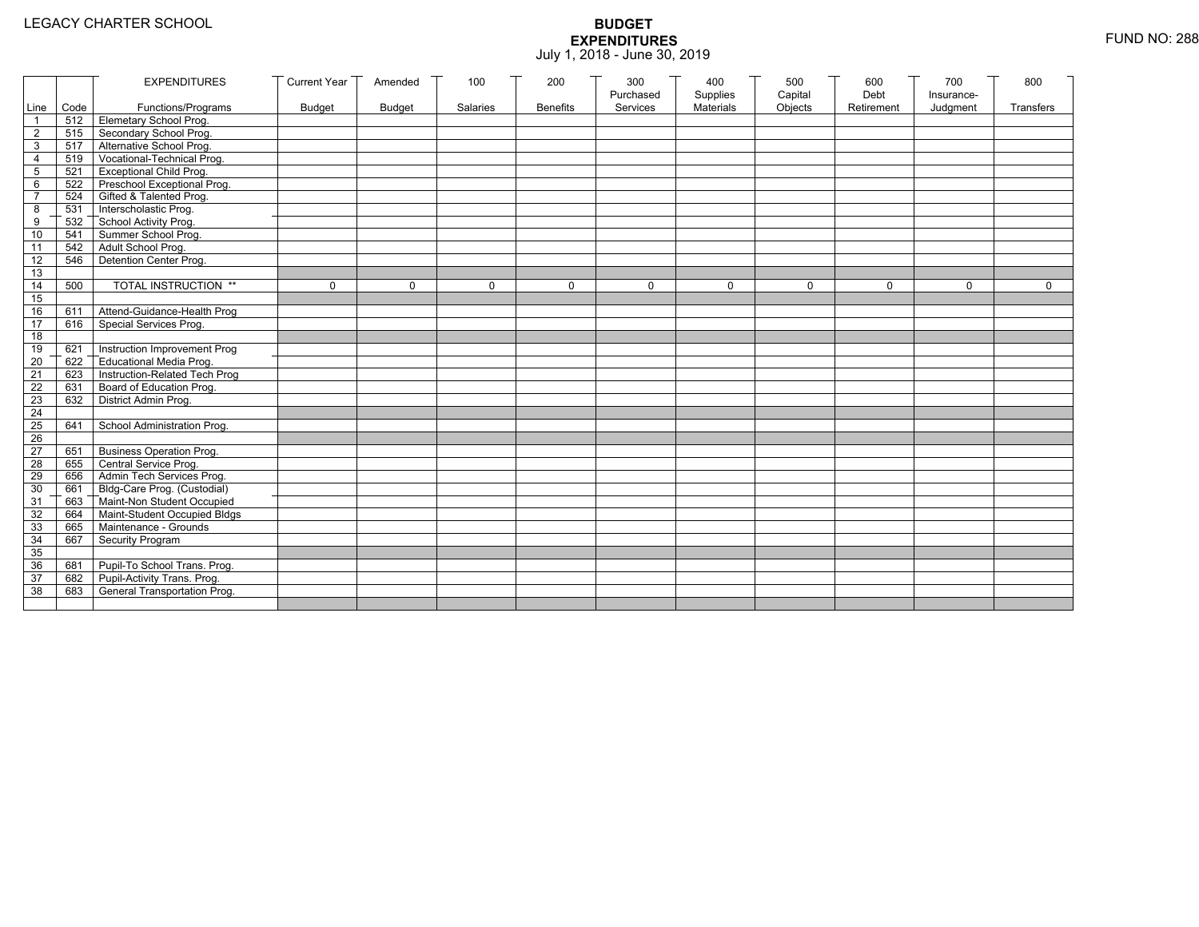|                 |           | <b>EXPENDITURES</b>                          | <b>Current Year</b> | Amended       | 100          | 200             | 300          | 400              | 500         | 600        | 700          | 800          |
|-----------------|-----------|----------------------------------------------|---------------------|---------------|--------------|-----------------|--------------|------------------|-------------|------------|--------------|--------------|
|                 |           |                                              |                     |               |              |                 | Purchased    | Supplies         | Capital     | Debt       | Insurance-   |              |
|                 | Line Code | Functions/Programs                           | <b>Budget</b>       | <b>Budget</b> | Salaries     | <b>Benefits</b> | Services     | <b>Materials</b> | Objects     | Retirement | Judgment     | Transfers    |
|                 |           | 512 Elemetary School Prog.                   |                     |               |              |                 |              |                  |             |            |              |              |
| $\overline{2}$  | 515       | Secondary School Prog.                       |                     |               |              |                 |              |                  |             |            |              |              |
| 3               |           | 517 Alternative School Prog.                 |                     |               |              |                 |              |                  |             |            |              |              |
| 4               | 519       | Vocational-Technical Prog.                   |                     |               |              |                 |              |                  |             |            |              |              |
| 5               | 521       | <b>Exceptional Child Prog.</b>               |                     |               |              |                 |              |                  |             |            |              |              |
| 6               |           | 522 Preschool Exceptional Prog.              |                     |               |              |                 |              |                  |             |            |              |              |
| $\overline{7}$  |           | 524 Gifted & Talented Prog.                  |                     |               |              |                 |              |                  |             |            |              |              |
| 8               |           | 531 Interscholastic Prog.                    |                     |               |              |                 |              |                  |             |            |              |              |
| 9               | 532       | School Activity Prog.<br>Summer School Prog. |                     |               |              |                 |              |                  |             |            |              |              |
| 10              | 541       |                                              |                     |               |              |                 |              |                  |             |            |              |              |
| 11              | 542       | Adult School Prog.                           |                     |               |              |                 |              |                  |             |            |              |              |
| $\overline{12}$ | 546       | Detention Center Prog.                       |                     |               |              |                 |              |                  |             |            |              |              |
| 13              |           |                                              |                     |               |              |                 |              |                  |             |            |              |              |
| 14              | 500       | TOTAL INSTRUCTION **                         | $\mathbf 0$         | $\Omega$      | $\mathbf{0}$ | 0               | $\mathbf{0}$ | 0                | $\mathbf 0$ | $\Omega$   | $\mathbf{0}$ | $\mathbf{0}$ |
| 15              |           |                                              |                     |               |              |                 |              |                  |             |            |              |              |
| 16              | 611       | Attend-Guidance-Health Prog                  |                     |               |              |                 |              |                  |             |            |              |              |
| 17              | 616       | Special Services Prog.                       |                     |               |              |                 |              |                  |             |            |              |              |
| 18              |           |                                              |                     |               |              |                 |              |                  |             |            |              |              |
| 19              | 621       | Instruction Improvement Prog                 |                     |               |              |                 |              |                  |             |            |              |              |
| $\overline{20}$ | 622       | Educational Media Prog.                      |                     |               |              |                 |              |                  |             |            |              |              |
| 21              | 623       | Instruction-Related Tech Prog                |                     |               |              |                 |              |                  |             |            |              |              |
| $\overline{22}$ | 631       | Board of Education Prog.                     |                     |               |              |                 |              |                  |             |            |              |              |
| 23              | 632       | District Admin Prog.                         |                     |               |              |                 |              |                  |             |            |              |              |
| 24              |           |                                              |                     |               |              |                 |              |                  |             |            |              |              |
| 25              | 641       | School Administration Prog.                  |                     |               |              |                 |              |                  |             |            |              |              |
| 26              |           |                                              |                     |               |              |                 |              |                  |             |            |              |              |
| 27              | 651       | <b>Business Operation Prog.</b>              |                     |               |              |                 |              |                  |             |            |              |              |
| 28              |           | 655 Central Service Prog.                    |                     |               |              |                 |              |                  |             |            |              |              |
| 29              | 656       | Admin Tech Services Prog.                    |                     |               |              |                 |              |                  |             |            |              |              |
| 30              |           | 661 Bldg-Care Prog. (Custodial)              |                     |               |              |                 |              |                  |             |            |              |              |
| 31              |           | 663 Maint-Non Student Occupied               |                     |               |              |                 |              |                  |             |            |              |              |
| 32              |           | 664 Maint-Student Occupied Bldgs             |                     |               |              |                 |              |                  |             |            |              |              |
| 33              |           | 665 Maintenance - Grounds                    |                     |               |              |                 |              |                  |             |            |              |              |
| 34              | 667       | Security Program                             |                     |               |              |                 |              |                  |             |            |              |              |
| 35              |           |                                              |                     |               |              |                 |              |                  |             |            |              |              |
| 36              | 681       | Pupil-To School Trans. Prog.                 |                     |               |              |                 |              |                  |             |            |              |              |
| 37              | 682       | Pupil-Activity Trans. Prog.                  |                     |               |              |                 |              |                  |             |            |              |              |
| 38              | 683       | General Transportation Prog.                 |                     |               |              |                 |              |                  |             |            |              |              |
|                 |           |                                              |                     |               |              |                 |              |                  |             |            |              |              |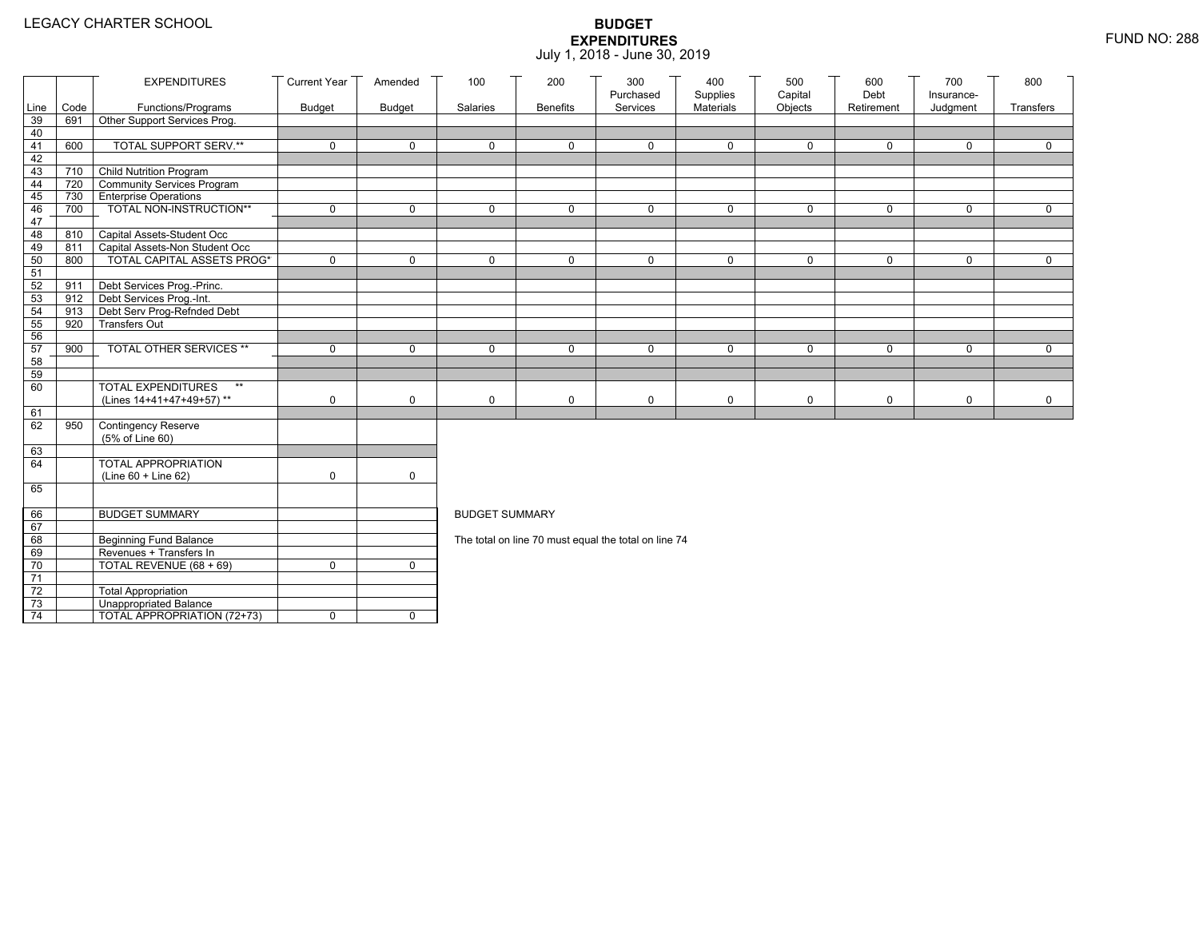|                 |      | <b>EXPENDITURES</b>                                  | <b>Current Year</b> | Amended       | 100                   | 200             | 300<br>Purchased                                     | 400<br>Supplies | 500<br>Capital | 600<br>Debt | 700                    | 800          |
|-----------------|------|------------------------------------------------------|---------------------|---------------|-----------------------|-----------------|------------------------------------------------------|-----------------|----------------|-------------|------------------------|--------------|
| Line            | Code | Functions/Programs                                   | <b>Budget</b>       | <b>Budget</b> | Salaries              | <b>Benefits</b> | Services                                             | Materials       | Objects        | Retirement  | Insurance-<br>Judgment | Transfers    |
| 39              | 691  | Other Support Services Prog.                         |                     |               |                       |                 |                                                      |                 |                |             |                        |              |
| 40              |      |                                                      |                     |               |                       |                 |                                                      |                 |                |             |                        |              |
| 41              | 600  | <b>TOTAL SUPPORT SERV.**</b>                         | $\mathbf 0$         | $\mathbf 0$   | $\mathbf 0$           | $\mathbf 0$     | $\mathbf 0$                                          | $\mathbf 0$     | $\mathbf 0$    | $\mathbf 0$ | $\mathbf 0$            | $\mathbf 0$  |
| 42              |      |                                                      |                     |               |                       |                 |                                                      |                 |                |             |                        |              |
| 43              |      | 710 Child Nutrition Program                          |                     |               |                       |                 |                                                      |                 |                |             |                        |              |
| 44              | 720  | Community Services Program                           |                     |               |                       |                 |                                                      |                 |                |             |                        |              |
| 45              | 730  | <b>Enterprise Operations</b>                         | $\mathbf 0$         | $\mathsf{O}$  | $\Omega$              | $\mathbf 0$     | $\Omega$                                             | $\mathbf 0$     | $\mathbf 0$    | $\mathbf 0$ | $\mathbf 0$            | $\mathbf 0$  |
| 46<br>47        | 700  | TOTAL NON-INSTRUCTION**                              |                     |               |                       |                 |                                                      |                 |                |             |                        |              |
| 48              | 810  | Capital Assets-Student Occ                           |                     |               |                       |                 |                                                      |                 |                |             |                        |              |
| 49              | 811  | Capital Assets-Non Student Occ                       |                     |               |                       |                 |                                                      |                 |                |             |                        |              |
| 50              | 800  | <b>TOTAL CAPITAL ASSETS PROG*</b>                    | $\mathbf 0$         | $\mathbf 0$   | 0                     | $\mathbf 0$     | 0                                                    | $\mathbf 0$     | $\mathbf 0$    | $\mathbf 0$ | $\mathbf 0$            | $\mathbf 0$  |
| 51              |      |                                                      |                     |               |                       |                 |                                                      |                 |                |             |                        |              |
| 52              | 911  | Debt Services Prog.-Princ.                           |                     |               |                       |                 |                                                      |                 |                |             |                        |              |
| 53              |      | 912 Debt Services Prog.-Int.                         |                     |               |                       |                 |                                                      |                 |                |             |                        |              |
| 54              | 913  | Debt Serv Prog-Refnded Debt                          |                     |               |                       |                 |                                                      |                 |                |             |                        |              |
| 55              | 920  | <b>Transfers Out</b>                                 |                     |               |                       |                 |                                                      |                 |                |             |                        |              |
| 56              |      |                                                      |                     |               |                       |                 |                                                      |                 |                |             |                        |              |
| 57              | 900  | TOTAL OTHER SERVICES **                              | $\mathbf 0$         | $\mathbf 0$   | 0                     | $\mathbf 0$     | $\mathbf 0$                                          | $\mathbf 0$     | 0              | $\mathbf 0$ | $\mathbf 0$            | $\mathsf{O}$ |
| 58              |      |                                                      |                     |               |                       |                 |                                                      |                 |                |             |                        |              |
| 59              |      | $\star\star$                                         |                     |               |                       |                 |                                                      |                 |                |             |                        |              |
| 60              |      | <b>TOTAL EXPENDITURES</b>                            |                     |               |                       |                 |                                                      |                 |                |             |                        |              |
| 61              |      | (Lines 14+41+47+49+57)**                             | 0                   | $\mathbf 0$   | 0                     | 0               | $\mathbf 0$                                          | $\mathbf 0$     | 0              | $\mathbf 0$ | 0                      | $\mathbf 0$  |
| 62              | 950  | Contingency Reserve                                  |                     |               |                       |                 |                                                      |                 |                |             |                        |              |
|                 |      | (5% of Line 60)                                      |                     |               |                       |                 |                                                      |                 |                |             |                        |              |
| 63              |      |                                                      |                     |               |                       |                 |                                                      |                 |                |             |                        |              |
| 64              |      | TOTAL APPROPRIATION                                  |                     |               |                       |                 |                                                      |                 |                |             |                        |              |
|                 |      | (Line 60 + Line 62)                                  | 0                   | $\mathsf{O}$  |                       |                 |                                                      |                 |                |             |                        |              |
| 65              |      |                                                      |                     |               |                       |                 |                                                      |                 |                |             |                        |              |
|                 |      |                                                      |                     |               |                       |                 |                                                      |                 |                |             |                        |              |
| 66              |      | <b>BUDGET SUMMARY</b>                                |                     |               | <b>BUDGET SUMMARY</b> |                 |                                                      |                 |                |             |                        |              |
| 67              |      |                                                      |                     |               |                       |                 |                                                      |                 |                |             |                        |              |
| 68              |      | <b>Beginning Fund Balance</b>                        |                     |               |                       |                 | The total on line 70 must equal the total on line 74 |                 |                |             |                        |              |
| 69              |      | Revenues + Transfers In                              |                     |               |                       |                 |                                                      |                 |                |             |                        |              |
| 70              |      | TOTAL REVENUE (68 + 69)                              | 0                   | $\mathbf{0}$  |                       |                 |                                                      |                 |                |             |                        |              |
| 71              |      |                                                      |                     |               |                       |                 |                                                      |                 |                |             |                        |              |
| 72<br>73        |      | <b>Total Appropriation</b><br>Unappropriated Balance |                     |               |                       |                 |                                                      |                 |                |             |                        |              |
| $\overline{74}$ |      | TOTAL APPROPRIATION (72+73)                          | 0                   | $\mathbf 0$   |                       |                 |                                                      |                 |                |             |                        |              |
|                 |      |                                                      |                     |               |                       |                 |                                                      |                 |                |             |                        |              |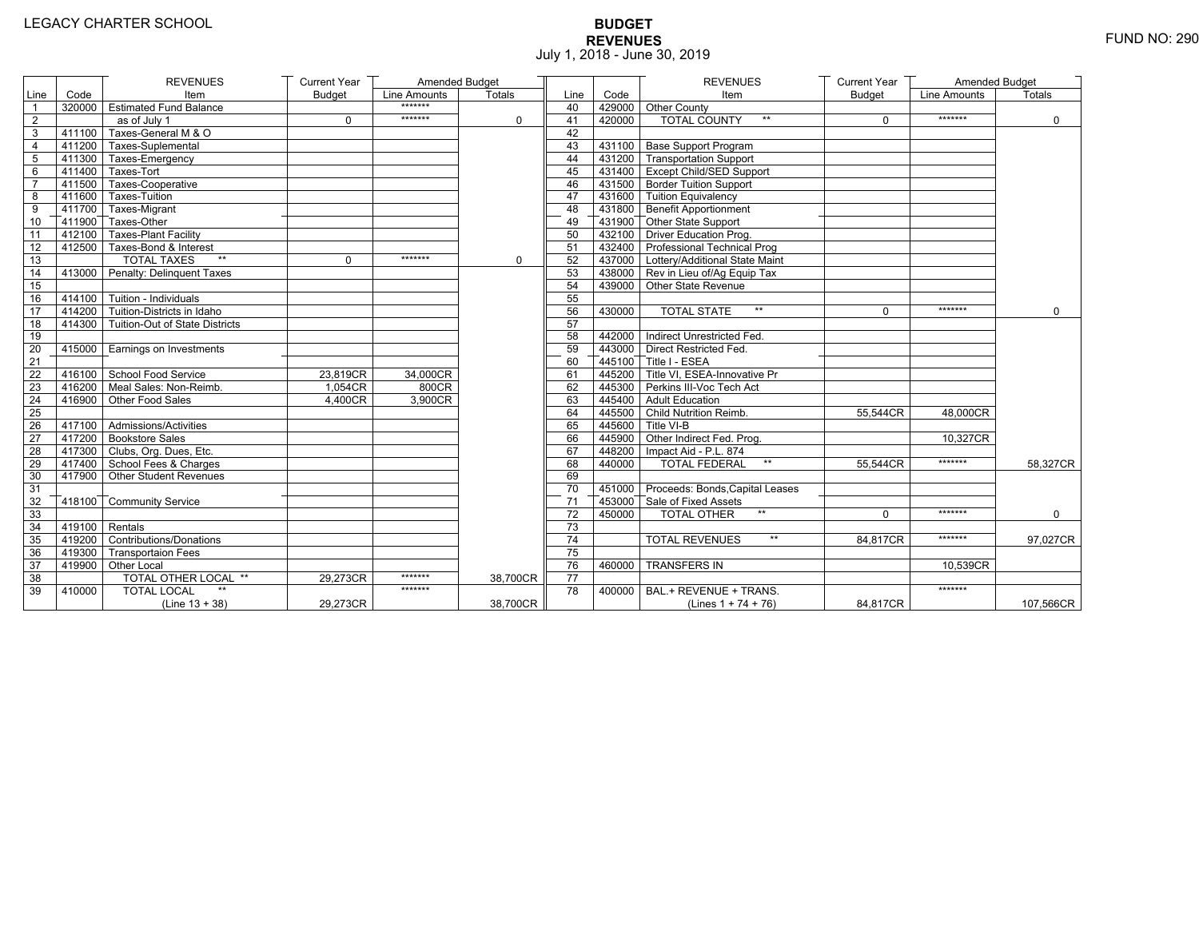# **BUDGET REVENUES** FUND NO: 290 July 1, 2018 - June 30, 2019

|                 |                         | <b>REVENUES</b>                         | <b>Current Year</b> | Amended Budget |          |                 |        | <b>REVENUES</b>                        | <b>Current Year</b> | Amended Budget |               |
|-----------------|-------------------------|-----------------------------------------|---------------------|----------------|----------|-----------------|--------|----------------------------------------|---------------------|----------------|---------------|
| Line            | Code                    | Item                                    | <b>Budget</b>       | Line Amounts   | Totals   | Line            | Code   | Item                                   | <b>Budget</b>       | Line Amounts   | <b>Totals</b> |
| $\overline{1}$  |                         | 320000 Estimated Fund Balance           |                     | *******        |          | 40              |        | 429000 Other County                    |                     |                |               |
| $\overline{2}$  |                         | as of July 1                            | $\Omega$            | *******        | $\Omega$ | 41              | 420000 | <b>TOTAL COUNTY</b><br>$^{\star\star}$ | $\Omega$            | *******        | $\mathbf 0$   |
| 3               | 411100                  | Taxes-General M & O                     |                     |                |          | 42              |        |                                        |                     |                |               |
| 4               |                         | $7411200$ Taxes-Suplemental             |                     |                |          | 43              |        | 431100 Base Support Program            |                     |                |               |
| $5\phantom{.0}$ |                         | 411300 Taxes-Emergency                  |                     |                |          | 44              |        | 431200 Transportation Support          |                     |                |               |
| 6               | $-411400$               | Taxes-Tort                              |                     |                |          | 45              |        | 431400 Except Child/SED Support        |                     |                |               |
| $\overline{7}$  |                         | 411500 Taxes-Cooperative                |                     |                |          | 46              |        | 431500 Border Tuition Support          |                     |                |               |
| 8               |                         | 411600 Taxes-Tuition                    |                     |                |          | 47              |        | 431600 Tuition Equivalency             |                     |                |               |
| 9               |                         | 411700 Taxes-Migrant                    |                     |                |          | 48              |        | 431800 Benefit Apportionment           |                     |                |               |
| 10              |                         | 411900 Taxes-Other                      |                     |                |          | 49              |        | 431900 Other State Support             |                     |                |               |
| 11              |                         | 412100 Taxes-Plant Facility             |                     |                |          | 50              |        | 432100 Driver Education Prog.          |                     |                |               |
| 12              |                         | 412500 Taxes-Bond & Interest            |                     |                |          | 51              |        | 432400 Professional Technical Prog     |                     |                |               |
| 13              |                         | <b>TOTAL TAXES</b><br>$**$              | $\Omega$            | *******        | 0        | 52              |        | 437000 Lottery/Additional State Maint  |                     |                |               |
| 14              |                         | 413000 Penalty: Delinquent Taxes        |                     |                |          | 53              |        | 438000 Rev in Lieu of/Ag Equip Tax     |                     |                |               |
| 15              |                         |                                         |                     |                |          | 54              |        | 439000 Other State Revenue             |                     |                |               |
| 16              |                         | $-414100$ Tuition - Individuals         |                     |                |          | 55              |        |                                        |                     |                |               |
| 17              |                         | 414200 Tuition-Districts in Idaho       |                     |                |          | 56              | 430000 | <b>TOTAL STATE</b><br>$**$             | $\mathbf{0}$        | *******        | $\Omega$      |
| 18              |                         | 414300   Tuition-Out of State Districts |                     |                |          | 57              |        |                                        |                     |                |               |
| 19              |                         |                                         |                     |                |          | 58              |        | 442000   Indirect Unrestricted Fed.    |                     |                |               |
| 20              |                         | 415000 Earnings on Investments          |                     |                |          | 59              |        | 443000 Direct Restricted Fed.          |                     |                |               |
| 21              |                         |                                         |                     |                |          | 60              |        | 445100 Title I - ESEA                  |                     |                |               |
| 22              |                         | 416100 School Food Service              | 23,819CR            | 34,000CR       |          | 61              |        | 445200 Title VI. ESEA-Innovative Pr    |                     |                |               |
| 23              |                         | 416200 Meal Sales: Non-Reimb.           | 1,054CR             | 800CR          |          | 62              |        | 445300 Perkins III-Voc Tech Act        |                     |                |               |
| 24              |                         | 416900 Other Food Sales                 | 4.400CR             | 3,900CR        |          | 63              |        | 445400 Adult Education                 |                     |                |               |
| 25              |                         |                                         |                     |                |          | 64              |        | 445500 Child Nutrition Reimb.          | 55,544CR            | 48,000CR       |               |
| 26              |                         | 417100 Admissions/Activities            |                     |                |          | 65              |        | 445600 Title VI-B                      |                     |                |               |
| 27              |                         | 417200 Bookstore Sales                  |                     |                |          | 66              |        | 445900 Other Indirect Fed. Prog.       |                     | 10.327CR       |               |
| 28              |                         | 417300 Clubs, Org. Dues, Etc.           |                     |                |          | 67              |        | 448200   Impact Aid - P.L. 874         |                     |                |               |
| 29              |                         | 417400 School Fees & Charges            |                     |                |          | 68              | 440000 | <b>TOTAL FEDERAL</b><br>$\star\star$   | 55.544CR            | *******        | 58,327CR      |
| 30              |                         | 417900 Other Student Revenues           |                     |                |          | 69              |        |                                        |                     |                |               |
| 31              |                         |                                         |                     |                |          | 70              |        | 451000 Proceeds: Bonds, Capital Leases |                     |                |               |
| 32              |                         | 418100 Community Service                |                     |                |          | 71              |        | 453000 Sale of Fixed Assets            |                     |                |               |
| 33              |                         |                                         |                     |                |          | $\overline{72}$ | 450000 | $**$<br><b>TOTAL OTHER</b>             | $\Omega$            | *******        | $\Omega$      |
| 34              | $\sqrt{419100}$ Rentals |                                         |                     |                |          | 73              |        |                                        |                     |                |               |
| 35              |                         | 419200 Contributions/Donations          |                     |                |          | 74              |        | $\star\star$<br><b>TOTAL REVENUES</b>  | 84.817CR            | *******        | 97,027CR      |
| 36              |                         | 419300 Transportaion Fees               |                     |                |          | 75              |        |                                        |                     |                |               |
| 37              |                         | 419900 Other Local                      |                     |                |          | 76              | 460000 | <b>TRANSFERS IN</b>                    |                     | 10,539CR       |               |
| 38              |                         | TOTAL OTHER LOCAL **                    | 29,273CR            | *******        | 38,700CR | $\overline{77}$ |        |                                        |                     |                |               |
| 39              | 410000                  | <b>TOTAL LOCAL</b>                      |                     | *******        |          | 78              | 400000 | BAL.+ REVENUE + TRANS.                 |                     | *******        |               |
|                 |                         | $(Line 13 + 38)$                        | 29,273CR            |                | 38,700CR |                 |        | (Lines $1 + 74 + 76$ )                 | 84,817CR            |                | 107,566CR     |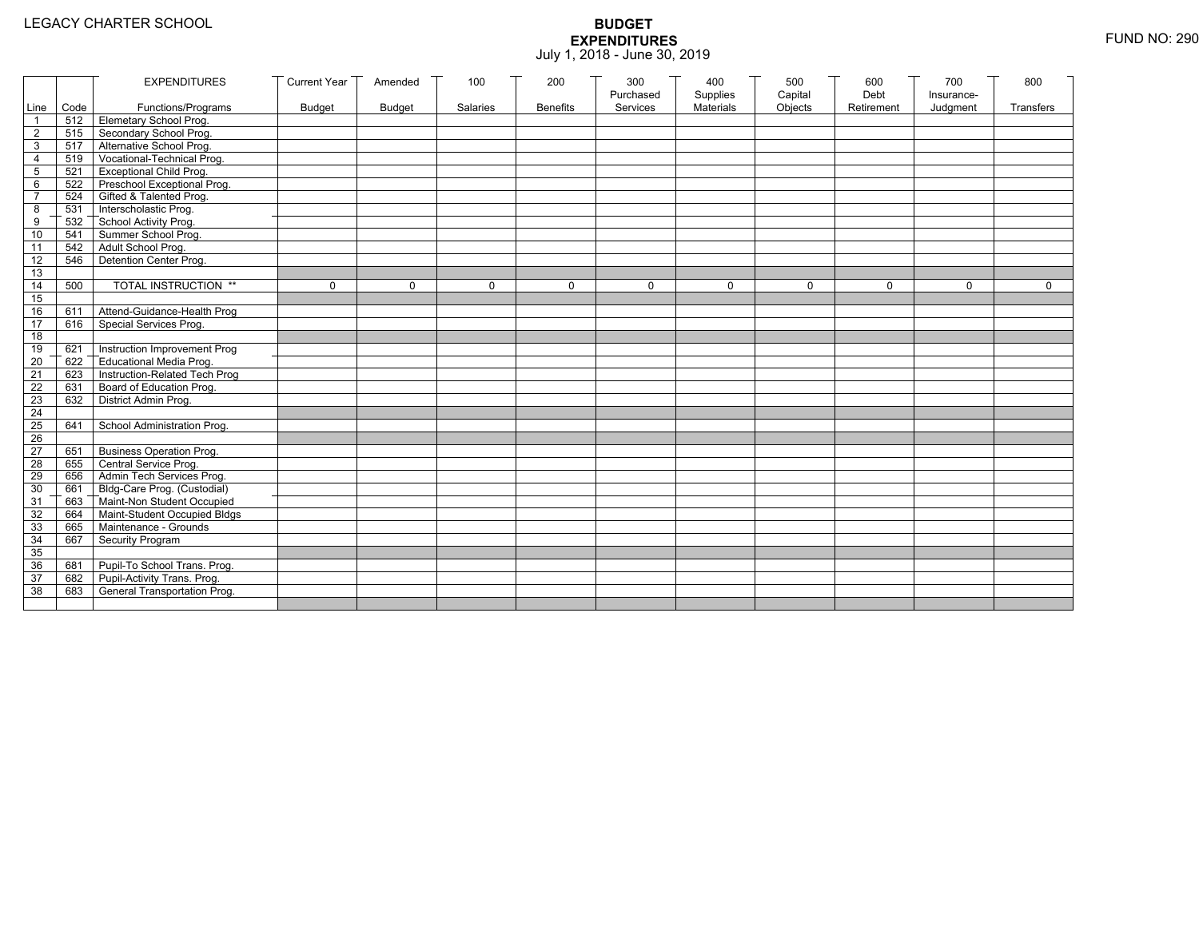|                 |           | <b>EXPENDITURES</b>                          | <b>Current Year</b> | Amended       | 100          | 200             | 300          | 400              | 500         | 600        | 700          | 800          |
|-----------------|-----------|----------------------------------------------|---------------------|---------------|--------------|-----------------|--------------|------------------|-------------|------------|--------------|--------------|
|                 |           |                                              |                     |               |              |                 | Purchased    | Supplies         | Capital     | Debt       | Insurance-   |              |
|                 | Line Code | Functions/Programs                           | <b>Budget</b>       | <b>Budget</b> | Salaries     | <b>Benefits</b> | Services     | <b>Materials</b> | Objects     | Retirement | Judgment     | Transfers    |
|                 |           | 512 Elemetary School Prog.                   |                     |               |              |                 |              |                  |             |            |              |              |
| $\overline{2}$  | 515       | Secondary School Prog.                       |                     |               |              |                 |              |                  |             |            |              |              |
| 3               |           | 517 Alternative School Prog.                 |                     |               |              |                 |              |                  |             |            |              |              |
| 4               | 519       | Vocational-Technical Prog.                   |                     |               |              |                 |              |                  |             |            |              |              |
| 5               | 521       | <b>Exceptional Child Prog.</b>               |                     |               |              |                 |              |                  |             |            |              |              |
| 6               |           | 522 Preschool Exceptional Prog.              |                     |               |              |                 |              |                  |             |            |              |              |
| $\overline{7}$  |           | 524 Gifted & Talented Prog.                  |                     |               |              |                 |              |                  |             |            |              |              |
| 8               |           | 531 Interscholastic Prog.                    |                     |               |              |                 |              |                  |             |            |              |              |
| 9               | 532       | School Activity Prog.<br>Summer School Prog. |                     |               |              |                 |              |                  |             |            |              |              |
| 10              | 541       |                                              |                     |               |              |                 |              |                  |             |            |              |              |
| 11              | 542       | Adult School Prog.                           |                     |               |              |                 |              |                  |             |            |              |              |
| $\overline{12}$ | 546       | Detention Center Prog.                       |                     |               |              |                 |              |                  |             |            |              |              |
| 13              |           |                                              |                     |               |              |                 |              |                  |             |            |              |              |
| 14              | 500       | TOTAL INSTRUCTION **                         | $\mathbf 0$         | $\Omega$      | $\mathbf{0}$ | 0               | $\mathbf{0}$ | 0                | $\mathbf 0$ | $\Omega$   | $\mathbf{0}$ | $\mathbf{0}$ |
| 15              |           |                                              |                     |               |              |                 |              |                  |             |            |              |              |
| 16              | 611       | Attend-Guidance-Health Prog                  |                     |               |              |                 |              |                  |             |            |              |              |
| 17              | 616       | Special Services Prog.                       |                     |               |              |                 |              |                  |             |            |              |              |
| 18              |           |                                              |                     |               |              |                 |              |                  |             |            |              |              |
| 19              | 621       | Instruction Improvement Prog                 |                     |               |              |                 |              |                  |             |            |              |              |
| $\overline{20}$ | 622       | Educational Media Prog.                      |                     |               |              |                 |              |                  |             |            |              |              |
| 21              | 623       | Instruction-Related Tech Prog                |                     |               |              |                 |              |                  |             |            |              |              |
| $\overline{22}$ | 631       | Board of Education Prog.                     |                     |               |              |                 |              |                  |             |            |              |              |
| 23              | 632       | District Admin Prog.                         |                     |               |              |                 |              |                  |             |            |              |              |
| 24              |           |                                              |                     |               |              |                 |              |                  |             |            |              |              |
| 25              | 641       | School Administration Prog.                  |                     |               |              |                 |              |                  |             |            |              |              |
| 26              |           |                                              |                     |               |              |                 |              |                  |             |            |              |              |
| 27              | 651       | <b>Business Operation Prog.</b>              |                     |               |              |                 |              |                  |             |            |              |              |
| 28              |           | 655 Central Service Prog.                    |                     |               |              |                 |              |                  |             |            |              |              |
| 29              | 656       | Admin Tech Services Prog.                    |                     |               |              |                 |              |                  |             |            |              |              |
| 30              |           | 661 Bldg-Care Prog. (Custodial)              |                     |               |              |                 |              |                  |             |            |              |              |
| 31              |           | 663 Maint-Non Student Occupied               |                     |               |              |                 |              |                  |             |            |              |              |
| 32              |           | 664 Maint-Student Occupied Bldgs             |                     |               |              |                 |              |                  |             |            |              |              |
| 33              |           | 665 Maintenance - Grounds                    |                     |               |              |                 |              |                  |             |            |              |              |
| 34              | 667       | Security Program                             |                     |               |              |                 |              |                  |             |            |              |              |
| 35              |           |                                              |                     |               |              |                 |              |                  |             |            |              |              |
| 36              | 681       | Pupil-To School Trans. Prog.                 |                     |               |              |                 |              |                  |             |            |              |              |
| 37              | 682       | Pupil-Activity Trans. Prog.                  |                     |               |              |                 |              |                  |             |            |              |              |
| 38              | 683       | General Transportation Prog.                 |                     |               |              |                 |              |                  |             |            |              |              |
|                 |           |                                              |                     |               |              |                 |              |                  |             |            |              |              |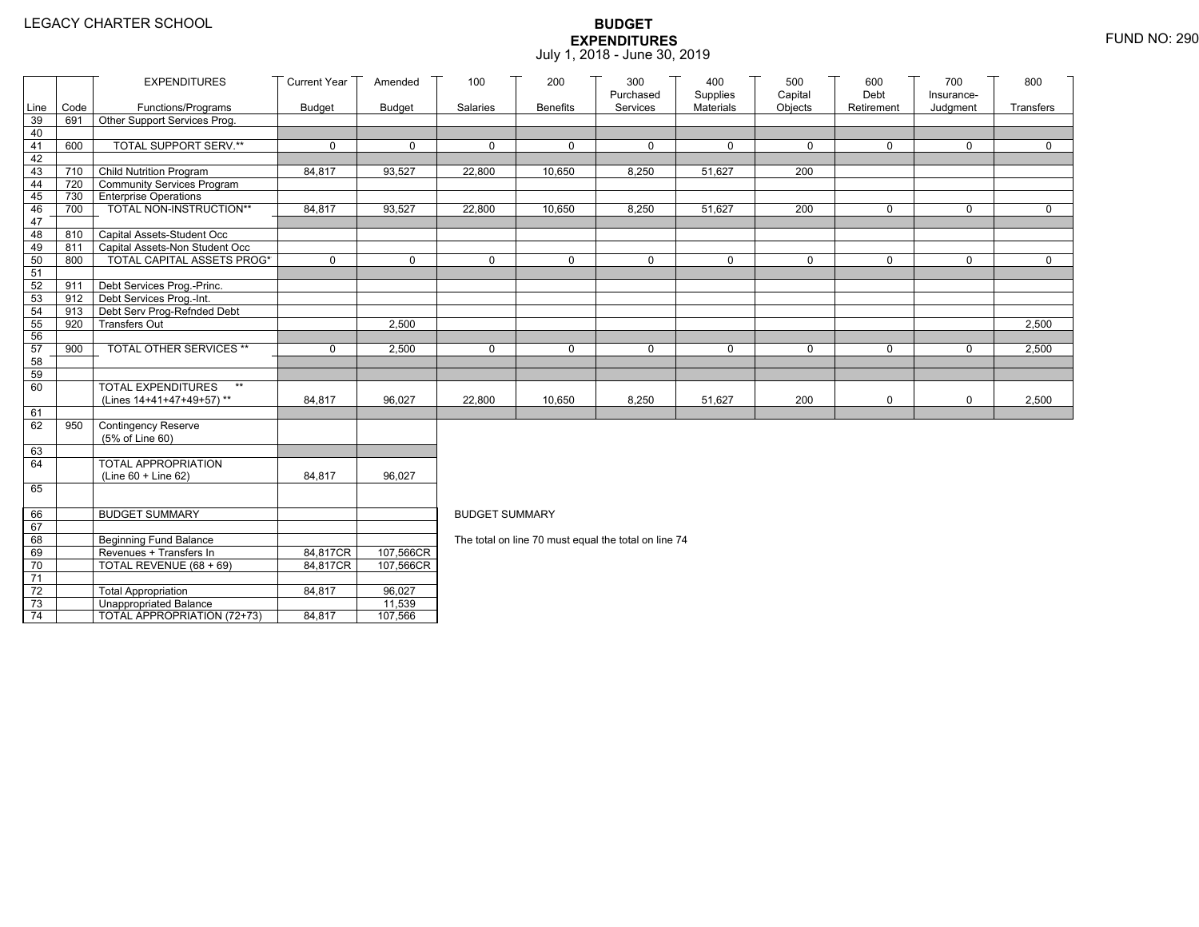|                 |            | <b>EXPENDITURES</b>                                                 | <b>Current Year</b> | Amended       | 100                   | 200             | 300<br>Purchased                                     | 400<br>Supplies | 500<br>Capital | 600<br>Debt | 700<br>Insurance- | 800          |
|-----------------|------------|---------------------------------------------------------------------|---------------------|---------------|-----------------------|-----------------|------------------------------------------------------|-----------------|----------------|-------------|-------------------|--------------|
| Line            | Code       | Functions/Programs                                                  | <b>Budget</b>       | <b>Budget</b> | Salaries              | <b>Benefits</b> | Services                                             | Materials       | Objects        | Retirement  | Judgment          | Transfers    |
| 39              | 691        | Other Support Services Prog.                                        |                     |               |                       |                 |                                                      |                 |                |             |                   |              |
| 40              |            |                                                                     |                     |               |                       |                 |                                                      |                 |                |             |                   |              |
| 41              | 600        | TOTAL SUPPORT SERV.**                                               | 0                   | $\mathbf 0$   | 0                     | $\mathbf 0$     | $\mathbf 0$                                          | $\mathbf 0$     | 0              | $\mathbf 0$ | 0                 | 0            |
| 42              |            |                                                                     |                     |               |                       |                 |                                                      |                 |                |             |                   |              |
| 43              | 710        | Child Nutrition Program                                             | 84,817              | 93,527        | 22,800                | 10,650          | 8,250                                                | 51,627          | 200            |             |                   |              |
| 44              |            | 720 Community Services Program                                      |                     |               |                       |                 |                                                      |                 |                |             |                   |              |
| 45              |            | 730 Enterprise Operations                                           |                     |               |                       |                 |                                                      |                 |                |             |                   |              |
| 46              | 700        | TOTAL NON-INSTRUCTION**                                             | 84,817              | 93,527        | 22,800                | 10,650          | 8,250                                                | 51,627          | 200            | $\mathbf 0$ | 0                 | $\mathbf{0}$ |
| 47              |            |                                                                     |                     |               |                       |                 |                                                      |                 |                |             |                   |              |
| 48              | 810        | Capital Assets-Student Occ                                          |                     |               |                       |                 |                                                      |                 |                |             |                   |              |
| 49<br>50        | 811<br>800 | Capital Assets-Non Student Occ<br><b>TOTAL CAPITAL ASSETS PROG*</b> | 0                   | $\Omega$      | $\Omega$              | $\Omega$        | $\Omega$                                             | $\mathbf 0$     | $\Omega$       | $\Omega$    | $\Omega$          | $\Omega$     |
| 51              |            |                                                                     |                     |               |                       |                 |                                                      |                 |                |             |                   |              |
| 52              | 911        | Debt Services Prog.-Princ.                                          |                     |               |                       |                 |                                                      |                 |                |             |                   |              |
| 53              |            | 912 Debt Services Prog.-Int.                                        |                     |               |                       |                 |                                                      |                 |                |             |                   |              |
| 54              | 913        | Debt Serv Prog-Refnded Debt                                         |                     |               |                       |                 |                                                      |                 |                |             |                   |              |
| 55              | 920        | <b>Transfers Out</b>                                                |                     | 2,500         |                       |                 |                                                      |                 |                |             |                   | 2,500        |
| 56              |            |                                                                     |                     |               |                       |                 |                                                      |                 |                |             |                   |              |
| 57              | 900        | TOTAL OTHER SERVICES **                                             | 0                   | 2,500         | 0                     | $\Omega$        | $\mathbf 0$                                          | $\mathbf 0$     | $\mathbf 0$    | $\mathbf 0$ | 0                 | 2,500        |
| 58              |            |                                                                     |                     |               |                       |                 |                                                      |                 |                |             |                   |              |
| 59              |            |                                                                     |                     |               |                       |                 |                                                      |                 |                |             |                   |              |
| 60              |            | <b>TOTAL EXPENDITURES</b><br>$\star\star$                           |                     |               |                       |                 |                                                      |                 |                |             |                   |              |
|                 |            | (Lines 14+41+47+49+57)**                                            | 84,817              | 96,027        | 22,800                | 10,650          | 8,250                                                | 51,627          | 200            | 0           | 0                 | 2,500        |
| 61<br>62        |            |                                                                     |                     |               |                       |                 |                                                      |                 |                |             |                   |              |
|                 | 950        | Contingency Reserve                                                 |                     |               |                       |                 |                                                      |                 |                |             |                   |              |
| 63              |            | (5% of Line 60)                                                     |                     |               |                       |                 |                                                      |                 |                |             |                   |              |
| 64              |            | TOTAL APPROPRIATION                                                 |                     |               |                       |                 |                                                      |                 |                |             |                   |              |
|                 |            | (Line 60 + Line 62)                                                 | 84,817              | 96,027        |                       |                 |                                                      |                 |                |             |                   |              |
| 65              |            |                                                                     |                     |               |                       |                 |                                                      |                 |                |             |                   |              |
|                 |            |                                                                     |                     |               |                       |                 |                                                      |                 |                |             |                   |              |
| 66              |            | <b>BUDGET SUMMARY</b>                                               |                     |               | <b>BUDGET SUMMARY</b> |                 |                                                      |                 |                |             |                   |              |
| 67              |            |                                                                     |                     |               |                       |                 |                                                      |                 |                |             |                   |              |
| 68              |            | <b>Beginning Fund Balance</b>                                       |                     |               |                       |                 | The total on line 70 must equal the total on line 74 |                 |                |             |                   |              |
| 69              |            | Revenues + Transfers In                                             | 84,817CR            | 107,566CR     |                       |                 |                                                      |                 |                |             |                   |              |
| 70              |            | TOTAL REVENUE (68 + 69)                                             | 84.817CR            | 107,566CR     |                       |                 |                                                      |                 |                |             |                   |              |
| $\overline{71}$ |            |                                                                     |                     |               |                       |                 |                                                      |                 |                |             |                   |              |
| $72\,$          |            | <b>Total Appropriation</b>                                          | 84,817              | 96,027        |                       |                 |                                                      |                 |                |             |                   |              |
| 73              |            | <b>Unappropriated Balance</b>                                       |                     | 11,539        |                       |                 |                                                      |                 |                |             |                   |              |
| $\overline{74}$ |            | TOTAL APPROPRIATION (72+73)                                         | 84,817              | 107,566       |                       |                 |                                                      |                 |                |             |                   |              |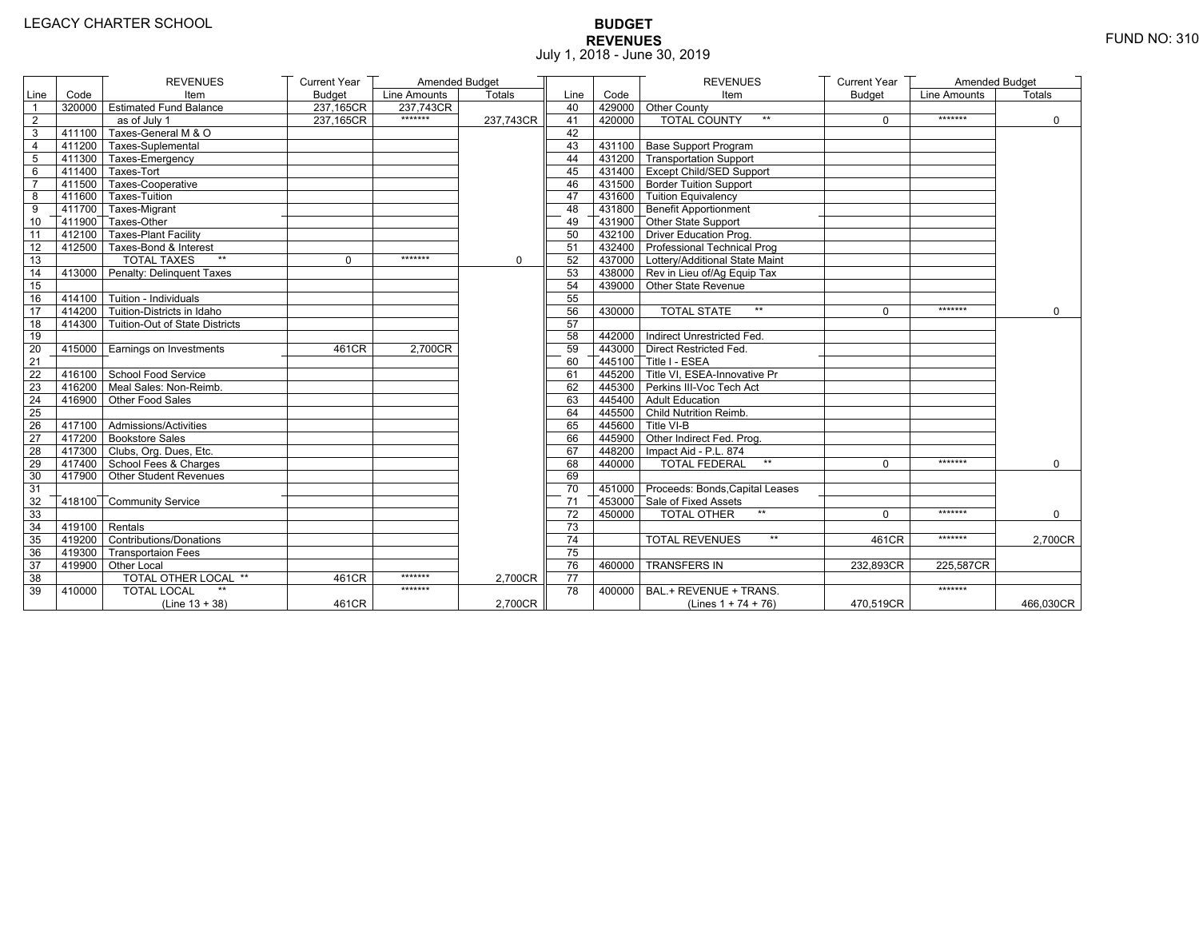# **BUDGET REVENUES** FUND NO: 310 July 1, 2018 - June 30, 2019

|                 |                  | <b>REVENUES</b>                       | <b>Current Year</b> | Amended Budget |           |                 |        | <b>REVENUES</b>                         | <b>Current Year</b> | Amended Budget |             |
|-----------------|------------------|---------------------------------------|---------------------|----------------|-----------|-----------------|--------|-----------------------------------------|---------------------|----------------|-------------|
| Line            | Code             | Item                                  | <b>Budget</b>       | Line Amounts   | Totals    | Line            | Code   | Item                                    | <b>Budget</b>       | Line Amounts   | Totals      |
| $\overline{1}$  |                  | 320000 Estimated Fund Balance         | 237,165CR           | 237.743CR      |           | 40              |        | 429000 Other County                     |                     |                |             |
| $\overline{2}$  |                  | as of July 1                          | 237,165CR           | *******        | 237,743CR | 41              | 420000 | <b>TOTAL COUNTY</b>                     | $\Omega$            | *******        | $\mathbf 0$ |
| $\overline{3}$  |                  | 411100 Taxes-General M & O            |                     |                |           | 42              |        |                                         |                     |                |             |
| $\overline{4}$  |                  | $\sqrt{411200}$ Taxes-Suplemental     |                     |                |           | 43              |        | 431100 Base Support Program             |                     |                |             |
| 5               |                  | 411300 Taxes-Emergency                |                     |                |           | 44              |        | 431200 Transportation Support           |                     |                |             |
| 6               |                  | 411400 Taxes-Tort                     |                     |                |           | 45              |        | 431400 Except Child/SED Support         |                     |                |             |
| $\overline{7}$  |                  | 411500 Taxes-Cooperative              |                     |                |           | 46              |        | 431500 Border Tuition Support           |                     |                |             |
| 8               |                  | 411600 Taxes-Tuition                  |                     |                |           | 47              |        | 431600 Tuition Equivalency              |                     |                |             |
| 9               |                  | 411700 Taxes-Migrant                  |                     |                |           | 48              |        | 431800 Benefit Apportionment            |                     |                |             |
| 10              |                  | $-411900$ Taxes-Other                 |                     |                |           | 49              |        | 431900 Other State Support              |                     |                |             |
| 11              |                  | 412100 Taxes-Plant Facility           |                     |                |           | 50              |        | 432100 Driver Education Prog.           |                     |                |             |
| 12              |                  | 412500 Taxes-Bond & Interest          |                     |                |           | 51              |        | 432400 Professional Technical Prog      |                     |                |             |
| 13              |                  | $**$<br><b>TOTAL TAXES</b>            | $\Omega$            | *******        | $\Omega$  | 52              |        | 437000   Lottery/Additional State Maint |                     |                |             |
| 14              |                  | 413000 Penalty: Delinquent Taxes      |                     |                |           | 53              |        | 438000 Rev in Lieu of/Ag Equip Tax      |                     |                |             |
| 15              |                  |                                       |                     |                |           | 54              |        | 439000 Other State Revenue              |                     |                |             |
| 16              |                  | $-414100$ Tuition - Individuals       |                     |                |           | 55              |        |                                         |                     |                |             |
| 17              |                  | 414200 Tuition-Districts in Idaho     |                     |                |           | 56              | 430000 | $\star\star$<br><b>TOTAL STATE</b>      | $\Omega$            | *******        | $\mathbf 0$ |
| 18              |                  | 414300 Tuition-Out of State Districts |                     |                |           | 57              |        |                                         |                     |                |             |
| 19              |                  |                                       |                     |                |           | 58              |        | 442000 Indirect Unrestricted Fed.       |                     |                |             |
| 20              | 415000           | Earnings on Investments               | 461CR               | 2.700CR        |           | 59              |        | 443000 Direct Restricted Fed.           |                     |                |             |
| $\overline{21}$ |                  |                                       |                     |                |           | 60              |        | 445100 Title I - ESEA                   |                     |                |             |
| 22              |                  | 416100 School Food Service            |                     |                |           | 61              |        | 445200 Title VI. ESEA-Innovative Pr     |                     |                |             |
| 23              |                  | 416200 Meal Sales: Non-Reimb.         |                     |                |           | 62              |        | 445300 Perkins III-Voc Tech Act         |                     |                |             |
| 24              |                  | 416900 Other Food Sales               |                     |                |           | 63              |        | 445400 Adult Education                  |                     |                |             |
| 25              |                  |                                       |                     |                |           | 64              |        | 445500 Child Nutrition Reimb.           |                     |                |             |
| 26              |                  | 417100 Admissions/Activities          |                     |                |           | 65              |        | 445600 Title VI-B                       |                     |                |             |
| 27              |                  | 417200 Bookstore Sales                |                     |                |           | 66              |        | 445900 Other Indirect Fed. Prog.        |                     |                |             |
| 28              |                  | 417300 Clubs, Org. Dues, Etc.         |                     |                |           | 67              |        | 448200   Impact Aid - P.L. 874          |                     |                |             |
| 29              |                  | 417400 School Fees & Charges          |                     |                |           | 68              | 440000 | <b>TOTAL FEDERAL</b><br>$^{\star\star}$ | $\Omega$            | *******        | $\mathbf 0$ |
| 30              |                  | 417900 Other Student Revenues         |                     |                |           | 69              |        |                                         |                     |                |             |
| 31              |                  |                                       |                     |                |           | $\overline{70}$ |        | 451000 Proceeds: Bonds, Capital Leases  |                     |                |             |
| 32              |                  | 418100 Community Service              |                     |                |           | 71              |        | 453000 Sale of Fixed Assets             |                     |                |             |
| 33              |                  |                                       |                     |                |           | $\overline{72}$ | 450000 | $\star\star$<br><b>TOTAL OTHER</b>      | $\Omega$            | *******        | $\Omega$    |
| 34              | $419100$ Rentals |                                       |                     |                |           | 73              |        |                                         |                     |                |             |
| 35              |                  | 419200 Contributions/Donations        |                     |                |           | 74              |        | $\star\star$<br><b>TOTAL REVENUES</b>   | 461CR               | *******        | 2,700CR     |
| 36              |                  | 419300 Transportaion Fees             |                     |                |           | 75              |        |                                         |                     |                |             |
| 37              |                  | 419900 Other Local                    |                     |                |           | 76              | 460000 | <b>TRANSFERS IN</b>                     | 232,893CR           | 225,587CR      |             |
| 38              |                  | <b>TOTAL OTHER LOCAL **</b>           | 461CR               | *******        | 2,700CR   | $\overline{77}$ |        |                                         |                     |                |             |
| 39              | 410000           | <b>TOTAL LOCAL</b>                    |                     | *******        |           | 78              | 400000 | BAL.+ REVENUE + TRANS.                  |                     | *******        |             |
|                 |                  | $(Line 13 + 38)$                      | 461CR               |                | 2,700CR   |                 |        | (Lines $1 + 74 + 76$ )                  | 470,519CR           |                | 466,030CR   |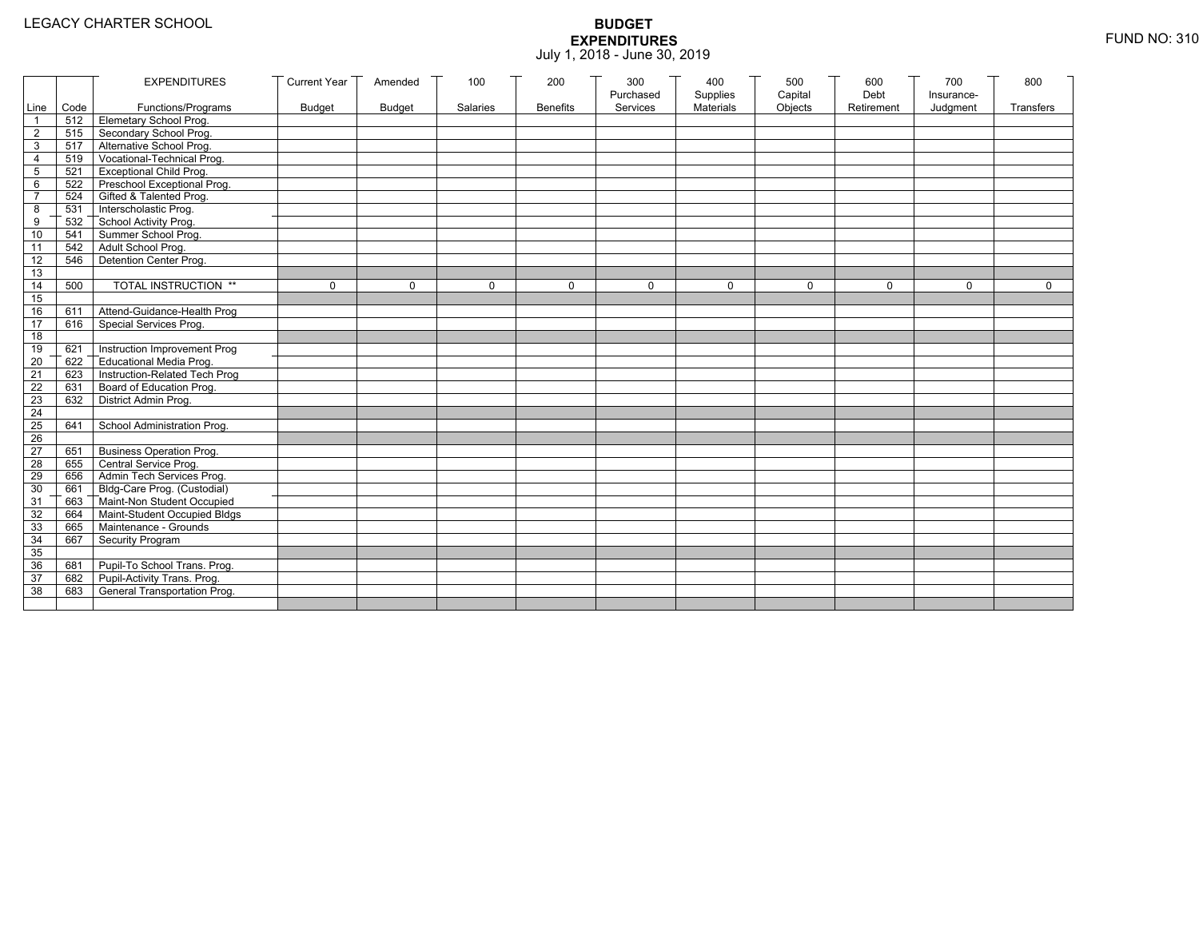| Line Code<br>Materials<br>Objects<br>Functions/Programs<br><b>Budget</b><br><b>Budget</b><br>Salaries<br><b>Benefits</b><br>Services<br>Retirement<br>Judgment<br><b>Transfers</b><br>512 Elemetary School Prog.<br>Secondary School Prog.<br>$\overline{2}$<br>515<br>517 Alternative School Prog.<br>3<br>Vocational-Technical Prog.<br>519<br>4<br><b>Exceptional Child Prog.</b><br>5<br>521<br>Preschool Exceptional Prog.<br>6<br>522<br>524 Gifted & Talented Prog.<br>$\overline{7}$<br>531 Interscholastic Prog.<br>8<br>532<br>School Activity Prog.<br>9<br>Summer School Prog.<br>10<br>541<br>Adult School Prog.<br>542<br>11<br>Detention Center Prog.<br>$\overline{12}$<br>546<br>13<br>TOTAL INSTRUCTION **<br>14<br>500<br>$\mathbf 0$<br>$\Omega$<br>$\mathbf 0$<br>0<br>$\Omega$<br>$\mathbf 0$<br>$\Omega$<br>$\Omega$<br>$\Omega$<br>$\Omega$<br>15<br>16<br>Attend-Guidance-Health Prog<br>611<br>17<br>Special Services Prog.<br>616<br>18<br>Instruction Improvement Prog<br>19<br>621<br>$\overline{20}$<br>Educational Media Prog.<br>622<br>Instruction-Related Tech Prog<br>21<br>623<br>Board of Education Prog.<br>$\overline{22}$<br>631<br>District Admin Prog.<br>23<br>632<br>24<br>$\overline{25}$<br>School Administration Prog.<br>641<br>26<br><b>Business Operation Prog.</b><br>27<br>651<br>655 Central Service Prog.<br>28<br>Admin Tech Services Prog.<br>29<br>656<br>661 Bldg-Care Prog. (Custodial)<br>30<br>663 Maint-Non Student Occupied<br>31<br>32<br>664 Maint-Student Occupied Bldgs<br>665 Maintenance - Grounds<br>33<br>Security Program<br>34<br>667<br>35<br>36<br>Pupil-To School Trans. Prog.<br>681<br>Pupil-Activity Trans. Prog.<br>37<br>682<br>General Transportation Prog.<br>38<br>683 |  | <b>EXPENDITURES</b> | <b>Current Year</b> | Amended | 100 | 200 | 300       | 400      | 500     | 600  | 700        | 800 |
|------------------------------------------------------------------------------------------------------------------------------------------------------------------------------------------------------------------------------------------------------------------------------------------------------------------------------------------------------------------------------------------------------------------------------------------------------------------------------------------------------------------------------------------------------------------------------------------------------------------------------------------------------------------------------------------------------------------------------------------------------------------------------------------------------------------------------------------------------------------------------------------------------------------------------------------------------------------------------------------------------------------------------------------------------------------------------------------------------------------------------------------------------------------------------------------------------------------------------------------------------------------------------------------------------------------------------------------------------------------------------------------------------------------------------------------------------------------------------------------------------------------------------------------------------------------------------------------------------------------------------------------------------------------------------------------------------------------------------------------------------------|--|---------------------|---------------------|---------|-----|-----|-----------|----------|---------|------|------------|-----|
|                                                                                                                                                                                                                                                                                                                                                                                                                                                                                                                                                                                                                                                                                                                                                                                                                                                                                                                                                                                                                                                                                                                                                                                                                                                                                                                                                                                                                                                                                                                                                                                                                                                                                                                                                            |  |                     |                     |         |     |     | Purchased | Supplies | Capital | Debt | Insurance- |     |
|                                                                                                                                                                                                                                                                                                                                                                                                                                                                                                                                                                                                                                                                                                                                                                                                                                                                                                                                                                                                                                                                                                                                                                                                                                                                                                                                                                                                                                                                                                                                                                                                                                                                                                                                                            |  |                     |                     |         |     |     |           |          |         |      |            |     |
|                                                                                                                                                                                                                                                                                                                                                                                                                                                                                                                                                                                                                                                                                                                                                                                                                                                                                                                                                                                                                                                                                                                                                                                                                                                                                                                                                                                                                                                                                                                                                                                                                                                                                                                                                            |  |                     |                     |         |     |     |           |          |         |      |            |     |
|                                                                                                                                                                                                                                                                                                                                                                                                                                                                                                                                                                                                                                                                                                                                                                                                                                                                                                                                                                                                                                                                                                                                                                                                                                                                                                                                                                                                                                                                                                                                                                                                                                                                                                                                                            |  |                     |                     |         |     |     |           |          |         |      |            |     |
|                                                                                                                                                                                                                                                                                                                                                                                                                                                                                                                                                                                                                                                                                                                                                                                                                                                                                                                                                                                                                                                                                                                                                                                                                                                                                                                                                                                                                                                                                                                                                                                                                                                                                                                                                            |  |                     |                     |         |     |     |           |          |         |      |            |     |
|                                                                                                                                                                                                                                                                                                                                                                                                                                                                                                                                                                                                                                                                                                                                                                                                                                                                                                                                                                                                                                                                                                                                                                                                                                                                                                                                                                                                                                                                                                                                                                                                                                                                                                                                                            |  |                     |                     |         |     |     |           |          |         |      |            |     |
|                                                                                                                                                                                                                                                                                                                                                                                                                                                                                                                                                                                                                                                                                                                                                                                                                                                                                                                                                                                                                                                                                                                                                                                                                                                                                                                                                                                                                                                                                                                                                                                                                                                                                                                                                            |  |                     |                     |         |     |     |           |          |         |      |            |     |
|                                                                                                                                                                                                                                                                                                                                                                                                                                                                                                                                                                                                                                                                                                                                                                                                                                                                                                                                                                                                                                                                                                                                                                                                                                                                                                                                                                                                                                                                                                                                                                                                                                                                                                                                                            |  |                     |                     |         |     |     |           |          |         |      |            |     |
|                                                                                                                                                                                                                                                                                                                                                                                                                                                                                                                                                                                                                                                                                                                                                                                                                                                                                                                                                                                                                                                                                                                                                                                                                                                                                                                                                                                                                                                                                                                                                                                                                                                                                                                                                            |  |                     |                     |         |     |     |           |          |         |      |            |     |
|                                                                                                                                                                                                                                                                                                                                                                                                                                                                                                                                                                                                                                                                                                                                                                                                                                                                                                                                                                                                                                                                                                                                                                                                                                                                                                                                                                                                                                                                                                                                                                                                                                                                                                                                                            |  |                     |                     |         |     |     |           |          |         |      |            |     |
|                                                                                                                                                                                                                                                                                                                                                                                                                                                                                                                                                                                                                                                                                                                                                                                                                                                                                                                                                                                                                                                                                                                                                                                                                                                                                                                                                                                                                                                                                                                                                                                                                                                                                                                                                            |  |                     |                     |         |     |     |           |          |         |      |            |     |
|                                                                                                                                                                                                                                                                                                                                                                                                                                                                                                                                                                                                                                                                                                                                                                                                                                                                                                                                                                                                                                                                                                                                                                                                                                                                                                                                                                                                                                                                                                                                                                                                                                                                                                                                                            |  |                     |                     |         |     |     |           |          |         |      |            |     |
|                                                                                                                                                                                                                                                                                                                                                                                                                                                                                                                                                                                                                                                                                                                                                                                                                                                                                                                                                                                                                                                                                                                                                                                                                                                                                                                                                                                                                                                                                                                                                                                                                                                                                                                                                            |  |                     |                     |         |     |     |           |          |         |      |            |     |
|                                                                                                                                                                                                                                                                                                                                                                                                                                                                                                                                                                                                                                                                                                                                                                                                                                                                                                                                                                                                                                                                                                                                                                                                                                                                                                                                                                                                                                                                                                                                                                                                                                                                                                                                                            |  |                     |                     |         |     |     |           |          |         |      |            |     |
|                                                                                                                                                                                                                                                                                                                                                                                                                                                                                                                                                                                                                                                                                                                                                                                                                                                                                                                                                                                                                                                                                                                                                                                                                                                                                                                                                                                                                                                                                                                                                                                                                                                                                                                                                            |  |                     |                     |         |     |     |           |          |         |      |            |     |
|                                                                                                                                                                                                                                                                                                                                                                                                                                                                                                                                                                                                                                                                                                                                                                                                                                                                                                                                                                                                                                                                                                                                                                                                                                                                                                                                                                                                                                                                                                                                                                                                                                                                                                                                                            |  |                     |                     |         |     |     |           |          |         |      |            |     |
|                                                                                                                                                                                                                                                                                                                                                                                                                                                                                                                                                                                                                                                                                                                                                                                                                                                                                                                                                                                                                                                                                                                                                                                                                                                                                                                                                                                                                                                                                                                                                                                                                                                                                                                                                            |  |                     |                     |         |     |     |           |          |         |      |            |     |
|                                                                                                                                                                                                                                                                                                                                                                                                                                                                                                                                                                                                                                                                                                                                                                                                                                                                                                                                                                                                                                                                                                                                                                                                                                                                                                                                                                                                                                                                                                                                                                                                                                                                                                                                                            |  |                     |                     |         |     |     |           |          |         |      |            |     |
|                                                                                                                                                                                                                                                                                                                                                                                                                                                                                                                                                                                                                                                                                                                                                                                                                                                                                                                                                                                                                                                                                                                                                                                                                                                                                                                                                                                                                                                                                                                                                                                                                                                                                                                                                            |  |                     |                     |         |     |     |           |          |         |      |            |     |
|                                                                                                                                                                                                                                                                                                                                                                                                                                                                                                                                                                                                                                                                                                                                                                                                                                                                                                                                                                                                                                                                                                                                                                                                                                                                                                                                                                                                                                                                                                                                                                                                                                                                                                                                                            |  |                     |                     |         |     |     |           |          |         |      |            |     |
|                                                                                                                                                                                                                                                                                                                                                                                                                                                                                                                                                                                                                                                                                                                                                                                                                                                                                                                                                                                                                                                                                                                                                                                                                                                                                                                                                                                                                                                                                                                                                                                                                                                                                                                                                            |  |                     |                     |         |     |     |           |          |         |      |            |     |
|                                                                                                                                                                                                                                                                                                                                                                                                                                                                                                                                                                                                                                                                                                                                                                                                                                                                                                                                                                                                                                                                                                                                                                                                                                                                                                                                                                                                                                                                                                                                                                                                                                                                                                                                                            |  |                     |                     |         |     |     |           |          |         |      |            |     |
|                                                                                                                                                                                                                                                                                                                                                                                                                                                                                                                                                                                                                                                                                                                                                                                                                                                                                                                                                                                                                                                                                                                                                                                                                                                                                                                                                                                                                                                                                                                                                                                                                                                                                                                                                            |  |                     |                     |         |     |     |           |          |         |      |            |     |
|                                                                                                                                                                                                                                                                                                                                                                                                                                                                                                                                                                                                                                                                                                                                                                                                                                                                                                                                                                                                                                                                                                                                                                                                                                                                                                                                                                                                                                                                                                                                                                                                                                                                                                                                                            |  |                     |                     |         |     |     |           |          |         |      |            |     |
|                                                                                                                                                                                                                                                                                                                                                                                                                                                                                                                                                                                                                                                                                                                                                                                                                                                                                                                                                                                                                                                                                                                                                                                                                                                                                                                                                                                                                                                                                                                                                                                                                                                                                                                                                            |  |                     |                     |         |     |     |           |          |         |      |            |     |
|                                                                                                                                                                                                                                                                                                                                                                                                                                                                                                                                                                                                                                                                                                                                                                                                                                                                                                                                                                                                                                                                                                                                                                                                                                                                                                                                                                                                                                                                                                                                                                                                                                                                                                                                                            |  |                     |                     |         |     |     |           |          |         |      |            |     |
|                                                                                                                                                                                                                                                                                                                                                                                                                                                                                                                                                                                                                                                                                                                                                                                                                                                                                                                                                                                                                                                                                                                                                                                                                                                                                                                                                                                                                                                                                                                                                                                                                                                                                                                                                            |  |                     |                     |         |     |     |           |          |         |      |            |     |
|                                                                                                                                                                                                                                                                                                                                                                                                                                                                                                                                                                                                                                                                                                                                                                                                                                                                                                                                                                                                                                                                                                                                                                                                                                                                                                                                                                                                                                                                                                                                                                                                                                                                                                                                                            |  |                     |                     |         |     |     |           |          |         |      |            |     |
|                                                                                                                                                                                                                                                                                                                                                                                                                                                                                                                                                                                                                                                                                                                                                                                                                                                                                                                                                                                                                                                                                                                                                                                                                                                                                                                                                                                                                                                                                                                                                                                                                                                                                                                                                            |  |                     |                     |         |     |     |           |          |         |      |            |     |
|                                                                                                                                                                                                                                                                                                                                                                                                                                                                                                                                                                                                                                                                                                                                                                                                                                                                                                                                                                                                                                                                                                                                                                                                                                                                                                                                                                                                                                                                                                                                                                                                                                                                                                                                                            |  |                     |                     |         |     |     |           |          |         |      |            |     |
|                                                                                                                                                                                                                                                                                                                                                                                                                                                                                                                                                                                                                                                                                                                                                                                                                                                                                                                                                                                                                                                                                                                                                                                                                                                                                                                                                                                                                                                                                                                                                                                                                                                                                                                                                            |  |                     |                     |         |     |     |           |          |         |      |            |     |
|                                                                                                                                                                                                                                                                                                                                                                                                                                                                                                                                                                                                                                                                                                                                                                                                                                                                                                                                                                                                                                                                                                                                                                                                                                                                                                                                                                                                                                                                                                                                                                                                                                                                                                                                                            |  |                     |                     |         |     |     |           |          |         |      |            |     |
|                                                                                                                                                                                                                                                                                                                                                                                                                                                                                                                                                                                                                                                                                                                                                                                                                                                                                                                                                                                                                                                                                                                                                                                                                                                                                                                                                                                                                                                                                                                                                                                                                                                                                                                                                            |  |                     |                     |         |     |     |           |          |         |      |            |     |
|                                                                                                                                                                                                                                                                                                                                                                                                                                                                                                                                                                                                                                                                                                                                                                                                                                                                                                                                                                                                                                                                                                                                                                                                                                                                                                                                                                                                                                                                                                                                                                                                                                                                                                                                                            |  |                     |                     |         |     |     |           |          |         |      |            |     |
|                                                                                                                                                                                                                                                                                                                                                                                                                                                                                                                                                                                                                                                                                                                                                                                                                                                                                                                                                                                                                                                                                                                                                                                                                                                                                                                                                                                                                                                                                                                                                                                                                                                                                                                                                            |  |                     |                     |         |     |     |           |          |         |      |            |     |
|                                                                                                                                                                                                                                                                                                                                                                                                                                                                                                                                                                                                                                                                                                                                                                                                                                                                                                                                                                                                                                                                                                                                                                                                                                                                                                                                                                                                                                                                                                                                                                                                                                                                                                                                                            |  |                     |                     |         |     |     |           |          |         |      |            |     |
|                                                                                                                                                                                                                                                                                                                                                                                                                                                                                                                                                                                                                                                                                                                                                                                                                                                                                                                                                                                                                                                                                                                                                                                                                                                                                                                                                                                                                                                                                                                                                                                                                                                                                                                                                            |  |                     |                     |         |     |     |           |          |         |      |            |     |
|                                                                                                                                                                                                                                                                                                                                                                                                                                                                                                                                                                                                                                                                                                                                                                                                                                                                                                                                                                                                                                                                                                                                                                                                                                                                                                                                                                                                                                                                                                                                                                                                                                                                                                                                                            |  |                     |                     |         |     |     |           |          |         |      |            |     |
|                                                                                                                                                                                                                                                                                                                                                                                                                                                                                                                                                                                                                                                                                                                                                                                                                                                                                                                                                                                                                                                                                                                                                                                                                                                                                                                                                                                                                                                                                                                                                                                                                                                                                                                                                            |  |                     |                     |         |     |     |           |          |         |      |            |     |
|                                                                                                                                                                                                                                                                                                                                                                                                                                                                                                                                                                                                                                                                                                                                                                                                                                                                                                                                                                                                                                                                                                                                                                                                                                                                                                                                                                                                                                                                                                                                                                                                                                                                                                                                                            |  |                     |                     |         |     |     |           |          |         |      |            |     |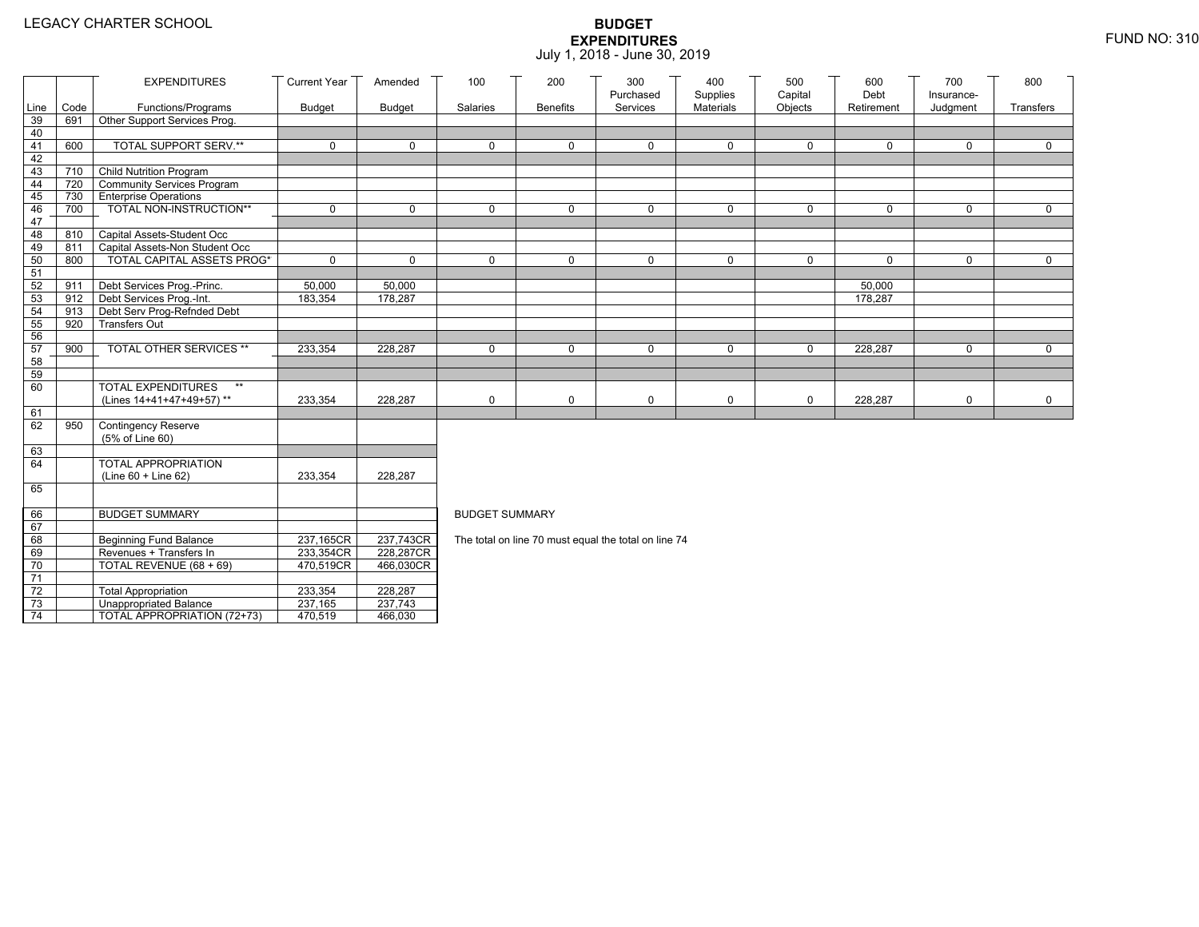|                 |      | <b>EXPENDITURES</b>                       | <b>Current Year</b> | Amended       | 100                   | 200             | 300                                                  | 400                          | 500                | 600                | 700                    | 800         |
|-----------------|------|-------------------------------------------|---------------------|---------------|-----------------------|-----------------|------------------------------------------------------|------------------------------|--------------------|--------------------|------------------------|-------------|
| Line            | Code | Functions/Programs                        | <b>Budget</b>       | <b>Budget</b> | Salaries              | <b>Benefits</b> | Purchased<br>Services                                | Supplies<br><b>Materials</b> | Capital<br>Objects | Debt<br>Retirement | Insurance-<br>Judgment | Transfers   |
| 39              | 691  | Other Support Services Prog.              |                     |               |                       |                 |                                                      |                              |                    |                    |                        |             |
| 40              |      |                                           |                     |               |                       |                 |                                                      |                              |                    |                    |                        |             |
| 41              | 600  | TOTAL SUPPORT SERV.**                     | 0                   | $\mathbf 0$   | $\mathbf 0$           | $\mathbf 0$     | $\mathbf 0$                                          | 0                            | 0                  | $\mathbf 0$        | $\mathbf 0$            | $\mathbf 0$ |
| 42              |      |                                           |                     |               |                       |                 |                                                      |                              |                    |                    |                        |             |
| 43              |      | 710 Child Nutrition Program               |                     |               |                       |                 |                                                      |                              |                    |                    |                        |             |
| 44              |      | 720 Community Services Program            |                     |               |                       |                 |                                                      |                              |                    |                    |                        |             |
| 45              |      | 730 Enterprise Operations                 |                     |               |                       |                 |                                                      |                              |                    |                    |                        |             |
| 46              | 700  | TOTAL NON-INSTRUCTION**                   | $\Omega$            | $\Omega$      | $\Omega$              | $\Omega$        | $\mathbf 0$                                          | $\mathbf 0$                  | $\mathbf 0$        | $\mathbf 0$        | $\Omega$               | $\Omega$    |
| 47              |      |                                           |                     |               |                       |                 |                                                      |                              |                    |                    |                        |             |
| 48              |      | 810 Capital Assets-Student Occ            |                     |               |                       |                 |                                                      |                              |                    |                    |                        |             |
| 49              | 811  | Capital Assets-Non Student Occ            |                     |               |                       |                 |                                                      |                              |                    |                    |                        |             |
| 50              | 800  | <b>TOTAL CAPITAL ASSETS PROG*</b>         | 0                   | $\Omega$      | $\Omega$              | 0               | $\mathbf 0$                                          | $\mathbf 0$                  | $\mathbf 0$        | $\Omega$           | $\mathbf 0$            | $\mathbf 0$ |
| 51<br>52        | 911  | Debt Services Prog.-Princ.                | 50,000              | 50,000        |                       |                 |                                                      |                              |                    | 50,000             |                        |             |
| 53              |      | 912 Debt Services Prog.-Int.              | 183,354             | 178,287       |                       |                 |                                                      |                              |                    | 178,287            |                        |             |
| 54              | 913  | Debt Serv Prog-Refnded Debt               |                     |               |                       |                 |                                                      |                              |                    |                    |                        |             |
| 55              | 920  | <b>Transfers Out</b>                      |                     |               |                       |                 |                                                      |                              |                    |                    |                        |             |
| 56              |      |                                           |                     |               |                       |                 |                                                      |                              |                    |                    |                        |             |
| 57              | 900  | TOTAL OTHER SERVICES **                   | 233,354             | 228,287       | $\mathbf 0$           | $\mathbf 0$     | $\mathbf 0$                                          | $\mathbf 0$                  | $\mathbf 0$        | 228,287            | $\mathbf 0$            | $\mathbf 0$ |
| 58              |      |                                           |                     |               |                       |                 |                                                      |                              |                    |                    |                        |             |
| 59              |      |                                           |                     |               |                       |                 |                                                      |                              |                    |                    |                        |             |
| 60              |      | <b>TOTAL EXPENDITURES</b><br>$\star\star$ |                     |               |                       |                 |                                                      |                              |                    |                    |                        |             |
|                 |      | (Lines 14+41+47+49+57)**                  | 233,354             | 228,287       | 0                     | 0               | 0                                                    | 0                            | $\mathbf 0$        | 228,287            | 0                      | $\mathbf 0$ |
| 61              |      |                                           |                     |               |                       |                 |                                                      |                              |                    |                    |                        |             |
| 62              | 950  | Contingency Reserve                       |                     |               |                       |                 |                                                      |                              |                    |                    |                        |             |
|                 |      | (5% of Line 60)                           |                     |               |                       |                 |                                                      |                              |                    |                    |                        |             |
| 63              |      | <b>TOTAL APPROPRIATION</b>                |                     |               |                       |                 |                                                      |                              |                    |                    |                        |             |
| 64              |      | (Line 60 + Line 62)                       | 233,354             | 228,287       |                       |                 |                                                      |                              |                    |                    |                        |             |
| 65              |      |                                           |                     |               |                       |                 |                                                      |                              |                    |                    |                        |             |
|                 |      |                                           |                     |               |                       |                 |                                                      |                              |                    |                    |                        |             |
| 66              |      | <b>BUDGET SUMMARY</b>                     |                     |               | <b>BUDGET SUMMARY</b> |                 |                                                      |                              |                    |                    |                        |             |
| 67              |      |                                           |                     |               |                       |                 |                                                      |                              |                    |                    |                        |             |
| 68              |      | Beginning Fund Balance                    | 237,165CR           | 237,743CR     |                       |                 | The total on line 70 must equal the total on line 74 |                              |                    |                    |                        |             |
| 69              |      | Revenues + Transfers In                   | 233,354CR           | 228,287CR     |                       |                 |                                                      |                              |                    |                    |                        |             |
| 70              |      | TOTAL REVENUE (68 + 69)                   | 470,519CR           | 466,030CR     |                       |                 |                                                      |                              |                    |                    |                        |             |
| $\overline{71}$ |      |                                           |                     |               |                       |                 |                                                      |                              |                    |                    |                        |             |
| $72\,$          |      | <b>Total Appropriation</b>                | 233,354             | 228,287       |                       |                 |                                                      |                              |                    |                    |                        |             |
| 73              |      | <b>Unappropriated Balance</b>             | 237,165             | 237,743       |                       |                 |                                                      |                              |                    |                    |                        |             |
| 74              |      | TOTAL APPROPRIATION (72+73)               | 470,519             | 466,030       |                       |                 |                                                      |                              |                    |                    |                        |             |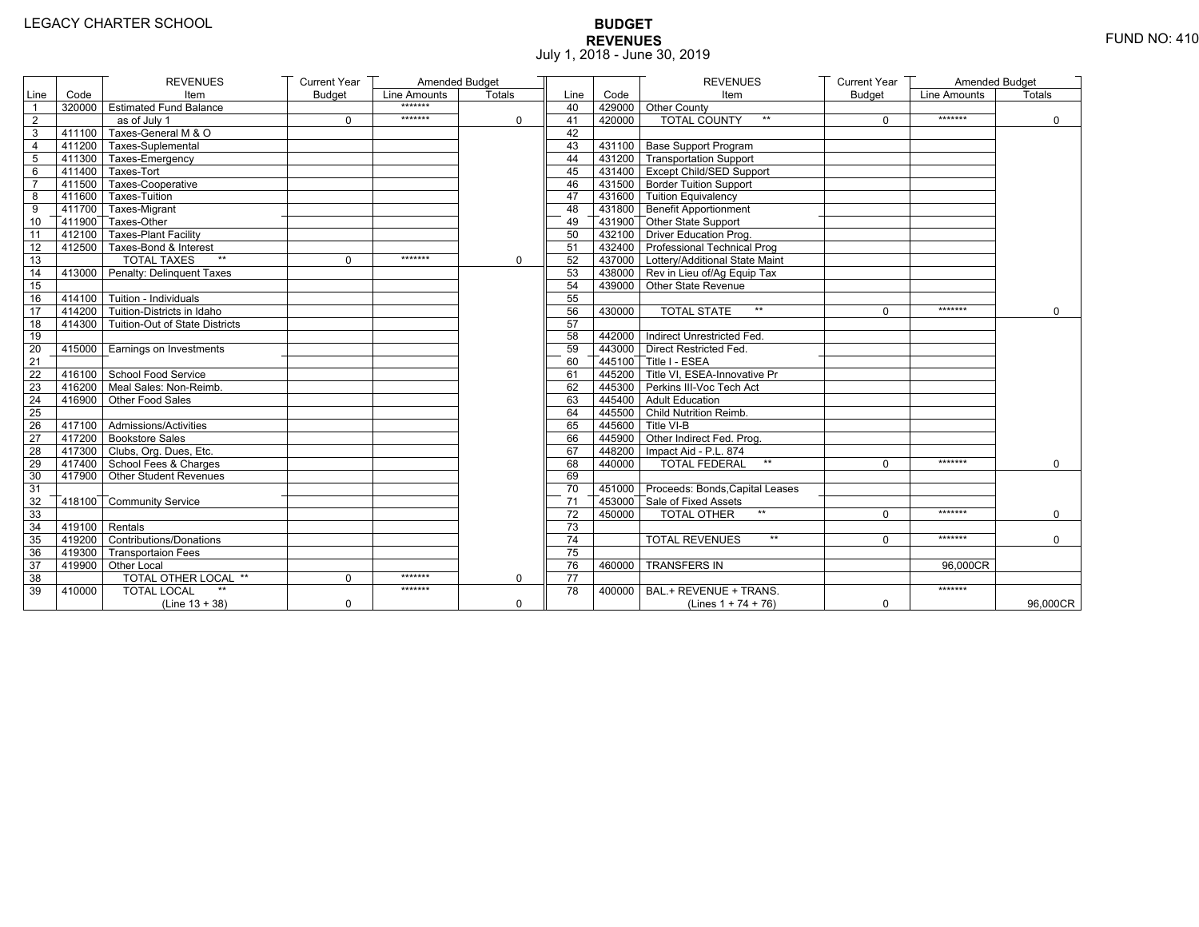# **BUDGET REVENUES** FUND NO: 410 July 1, 2018 - June 30, 2019

|                |                         | <b>REVENUES</b>                       | <b>Current Year</b> | Amended Budget |             |                 |        | <b>REVENUES</b>                                    | <b>Current Year</b> | Amended Budget |               |
|----------------|-------------------------|---------------------------------------|---------------------|----------------|-------------|-----------------|--------|----------------------------------------------------|---------------------|----------------|---------------|
| Line           | Code                    | Item                                  | <b>Budget</b>       | Line Amounts   | Totals      | Line            | Code   | Item                                               | <b>Budget</b>       | Line Amounts   | <b>Totals</b> |
| $\overline{1}$ |                         | 320000 Estimated Fund Balance         |                     | *******        |             | 40              |        | 429000 Other County                                |                     |                |               |
| $\overline{2}$ |                         | as of July 1                          | $\Omega$            | *******        | 0           | 41              | 420000 | <b>TOTAL COUNTY</b><br>$***$                       | $\Omega$            | *******        | $\mathbf 0$   |
| 3              | 411100                  | Taxes-General M & O                   |                     |                |             | 42              |        |                                                    |                     |                |               |
| 4              |                         | 411200 Taxes-Suplemental              |                     |                |             | 43              |        | 431100 Base Support Program                        |                     |                |               |
| 5              |                         | 1411300 Taxes-Emergency               |                     |                |             | 44              |        | 431200 Transportation Support                      |                     |                |               |
| 6              |                         | $\sqrt{411400}$ Taxes-Tort            |                     |                |             | 45              |        | 431400 Except Child/SED Support                    |                     |                |               |
| $\overline{7}$ |                         | 411500 Taxes-Cooperative              |                     |                |             | 46              |        | 431500 Border Tuition Support                      |                     |                |               |
| 8              |                         | 411600 Taxes-Tuition                  |                     |                |             | 47              |        | 431600 Tuition Equivalency                         |                     |                |               |
| 9              |                         | T411700 Taxes-Migrant                 |                     |                |             | 48              |        | $\sqrt{ }$ 431800 $\sqrt{ }$ Benefit Apportionment |                     |                |               |
| 10             |                         | 411900 Taxes-Other                    |                     |                |             | 49              |        | 431900 Other State Support                         |                     |                |               |
| 11             |                         | 412100 Taxes-Plant Facility           |                     |                |             | 50              |        | 432100 Driver Education Prog.                      |                     |                |               |
| 12             |                         | 412500 Taxes-Bond & Interest          |                     |                |             | 51              |        | 432400 Professional Technical Prog                 |                     |                |               |
| 13             |                         | <b>TOTAL TAXES</b><br>$\star\star$    | $\Omega$            | *******        | $\mathbf 0$ | 52              |        | 437000 Lottery/Additional State Maint              |                     |                |               |
| 14             |                         | 413000 Penalty: Delinguent Taxes      |                     |                |             | 53              |        | 438000 Rev in Lieu of/Ag Equip Tax                 |                     |                |               |
| 15             |                         |                                       |                     |                |             | 54              |        | 439000 Other State Revenue                         |                     |                |               |
| 16             |                         | $-414100$ Tuition - Individuals       |                     |                |             | 55              |        |                                                    |                     |                |               |
| 17             |                         | $414200$ Tuition-Districts in Idaho   |                     |                |             | 56              | 430000 | $\star\star$<br><b>TOTAL STATE</b>                 | $\Omega$            | *******        | $\Omega$      |
| 18             |                         | 414300 Tuition-Out of State Districts |                     |                |             | 57              |        |                                                    |                     |                |               |
| 19             |                         |                                       |                     |                |             | 58              |        | 442000 Indirect Unrestricted Fed.                  |                     |                |               |
| 20             |                         | 415000 Earnings on Investments        |                     |                |             | 59              |        | 443000 Direct Restricted Fed.                      |                     |                |               |
| 21             |                         |                                       |                     |                |             | 60              |        | 445100 Title I - ESEA                              |                     |                |               |
| 22             |                         | 416100 School Food Service            |                     |                |             | 61              |        | 445200 Title VI. ESEA-Innovative Pr                |                     |                |               |
| 23             |                         | 416200 Meal Sales: Non-Reimb.         |                     |                |             | 62              |        | 445300 Perkins III-Voc Tech Act                    |                     |                |               |
| 24             |                         | 416900 Other Food Sales               |                     |                |             | 63              |        | 445400 Adult Education                             |                     |                |               |
| 25             |                         |                                       |                     |                |             | 64              |        | 445500 Child Nutrition Reimb.                      |                     |                |               |
| 26             |                         | 417100 Admissions/Activities          |                     |                |             | 65              |        | 445600 Title VI-B                                  |                     |                |               |
| 27             |                         | 417200 Bookstore Sales                |                     |                |             | 66              |        | 445900 Other Indirect Fed. Prog.                   |                     |                |               |
| 28             |                         | 417300 Clubs, Org. Dues, Etc.         |                     |                |             | 67              |        | 448200   Impact Aid - P.L. 874                     |                     |                |               |
| 29             |                         | 417400 School Fees & Charges          |                     |                |             | 68              | 440000 | <b>TOTAL FEDERAL</b><br>$\star\star$               | $\Omega$            | *******        | $\mathbf 0$   |
| 30             |                         | 417900 Other Student Revenues         |                     |                |             | 69              |        |                                                    |                     |                |               |
| 31             |                         |                                       |                     |                |             | 70              |        | 451000 Proceeds: Bonds, Capital Leases             |                     |                |               |
| 32             |                         | 418100 Community Service              |                     |                |             | 71              |        | 453000 Sale of Fixed Assets                        |                     |                |               |
| 33             |                         |                                       |                     |                |             | $\overline{72}$ | 450000 | $**$<br><b>TOTAL OTHER</b>                         | $\Omega$            | *******        | $\mathbf 0$   |
| 34             | $\sqrt{419100}$ Rentals |                                       |                     |                |             | 73              |        |                                                    |                     |                |               |
| 35             |                         | 419200 Contributions/Donations        |                     |                |             | 74              |        | $\star\star$<br><b>TOTAL REVENUES</b>              | $\Omega$            | *******        | $\Omega$      |
| 36             |                         | 419300 Transportaion Fees             |                     |                |             | 75              |        |                                                    |                     |                |               |
| 37             |                         | 419900 Other Local                    |                     |                |             | 76              | 460000 | <b>TRANSFERS IN</b>                                |                     | 96.000CR       |               |
| 38             |                         | TOTAL OTHER LOCAL **                  | 0                   | *******        | $\mathbf 0$ | $\overline{77}$ |        |                                                    |                     |                |               |
| 39             | 410000                  | <b>TOTAL LOCAL</b>                    |                     | *******        |             | 78              | 400000 | BAL.+ REVENUE + TRANS.                             |                     | *******        |               |
|                |                         | $(Line 13 + 38)$                      | $\Omega$            |                | 0           |                 |        | (Lines $1 + 74 + 76$ )                             | 0                   |                | 96,000CR      |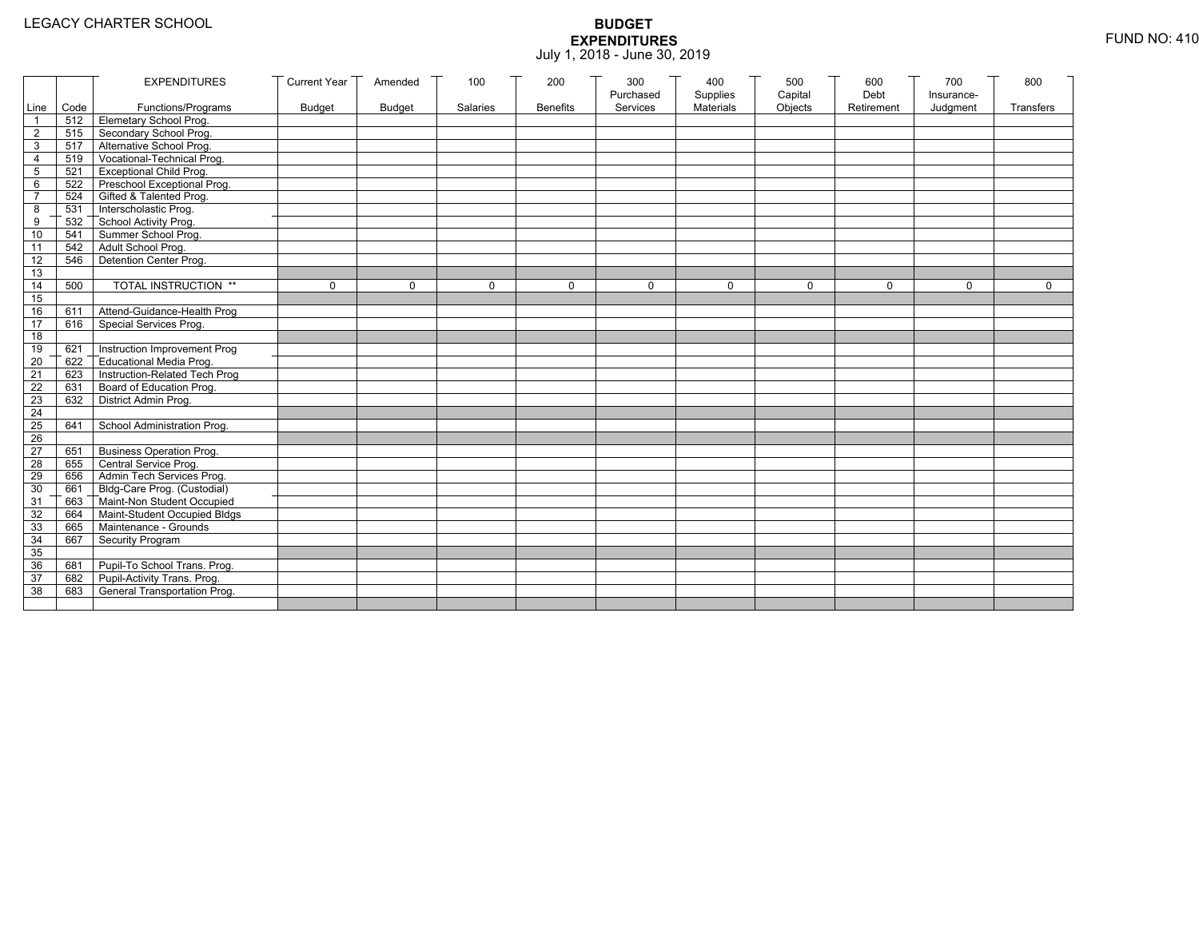|                 |           | <b>EXPENDITURES</b>                          | <b>Current Year</b> | Amended       | 100          | 200             | 300          | 400              | 500         | 600        | 700          | 800          |
|-----------------|-----------|----------------------------------------------|---------------------|---------------|--------------|-----------------|--------------|------------------|-------------|------------|--------------|--------------|
|                 |           |                                              |                     |               |              |                 | Purchased    | Supplies         | Capital     | Debt       | Insurance-   |              |
|                 | Line Code | Functions/Programs                           | <b>Budget</b>       | <b>Budget</b> | Salaries     | <b>Benefits</b> | Services     | <b>Materials</b> | Objects     | Retirement | Judgment     | Transfers    |
|                 |           | 512 Elemetary School Prog.                   |                     |               |              |                 |              |                  |             |            |              |              |
| $\overline{2}$  | 515       | Secondary School Prog.                       |                     |               |              |                 |              |                  |             |            |              |              |
| 3               |           | 517 Alternative School Prog.                 |                     |               |              |                 |              |                  |             |            |              |              |
| 4               | 519       | Vocational-Technical Prog.                   |                     |               |              |                 |              |                  |             |            |              |              |
| 5               | 521       | <b>Exceptional Child Prog.</b>               |                     |               |              |                 |              |                  |             |            |              |              |
| 6               |           | 522 Preschool Exceptional Prog.              |                     |               |              |                 |              |                  |             |            |              |              |
| $\overline{7}$  |           | 524 Gifted & Talented Prog.                  |                     |               |              |                 |              |                  |             |            |              |              |
| 8               |           | 531 Interscholastic Prog.                    |                     |               |              |                 |              |                  |             |            |              |              |
| 9               | 532       | School Activity Prog.<br>Summer School Prog. |                     |               |              |                 |              |                  |             |            |              |              |
| 10              | 541       |                                              |                     |               |              |                 |              |                  |             |            |              |              |
| 11              | 542       | Adult School Prog.                           |                     |               |              |                 |              |                  |             |            |              |              |
| $\overline{12}$ | 546       | Detention Center Prog.                       |                     |               |              |                 |              |                  |             |            |              |              |
| 13              |           |                                              |                     |               |              |                 |              |                  |             |            |              |              |
| 14              | 500       | TOTAL INSTRUCTION **                         | $\mathbf 0$         | $\Omega$      | $\mathbf{0}$ | 0               | $\mathbf{0}$ | 0                | $\mathbf 0$ | $\Omega$   | $\mathbf{0}$ | $\mathbf{0}$ |
| 15              |           |                                              |                     |               |              |                 |              |                  |             |            |              |              |
| 16              | 611       | Attend-Guidance-Health Prog                  |                     |               |              |                 |              |                  |             |            |              |              |
| 17              | 616       | Special Services Prog.                       |                     |               |              |                 |              |                  |             |            |              |              |
| 18              |           |                                              |                     |               |              |                 |              |                  |             |            |              |              |
| 19              | 621       | Instruction Improvement Prog                 |                     |               |              |                 |              |                  |             |            |              |              |
| $\overline{20}$ | 622       | Educational Media Prog.                      |                     |               |              |                 |              |                  |             |            |              |              |
| 21              | 623       | Instruction-Related Tech Prog                |                     |               |              |                 |              |                  |             |            |              |              |
| $\overline{22}$ | 631       | Board of Education Prog.                     |                     |               |              |                 |              |                  |             |            |              |              |
| 23              | 632       | District Admin Prog.                         |                     |               |              |                 |              |                  |             |            |              |              |
| 24              |           |                                              |                     |               |              |                 |              |                  |             |            |              |              |
| 25              | 641       | School Administration Prog.                  |                     |               |              |                 |              |                  |             |            |              |              |
| 26              |           |                                              |                     |               |              |                 |              |                  |             |            |              |              |
| 27              | 651       | <b>Business Operation Prog.</b>              |                     |               |              |                 |              |                  |             |            |              |              |
| 28              |           | 655 Central Service Prog.                    |                     |               |              |                 |              |                  |             |            |              |              |
| 29              | 656       | Admin Tech Services Prog.                    |                     |               |              |                 |              |                  |             |            |              |              |
| 30              |           | 661 Bldg-Care Prog. (Custodial)              |                     |               |              |                 |              |                  |             |            |              |              |
| 31              |           | 663 Maint-Non Student Occupied               |                     |               |              |                 |              |                  |             |            |              |              |
| 32              |           | 664 Maint-Student Occupied Bldgs             |                     |               |              |                 |              |                  |             |            |              |              |
| 33              |           | 665 Maintenance - Grounds                    |                     |               |              |                 |              |                  |             |            |              |              |
| 34              | 667       | Security Program                             |                     |               |              |                 |              |                  |             |            |              |              |
| 35              |           |                                              |                     |               |              |                 |              |                  |             |            |              |              |
| 36              | 681       | Pupil-To School Trans. Prog.                 |                     |               |              |                 |              |                  |             |            |              |              |
| 37              | 682       | Pupil-Activity Trans. Prog.                  |                     |               |              |                 |              |                  |             |            |              |              |
| 38              | 683       | General Transportation Prog.                 |                     |               |              |                 |              |                  |             |            |              |              |
|                 |           |                                              |                     |               |              |                 |              |                  |             |            |              |              |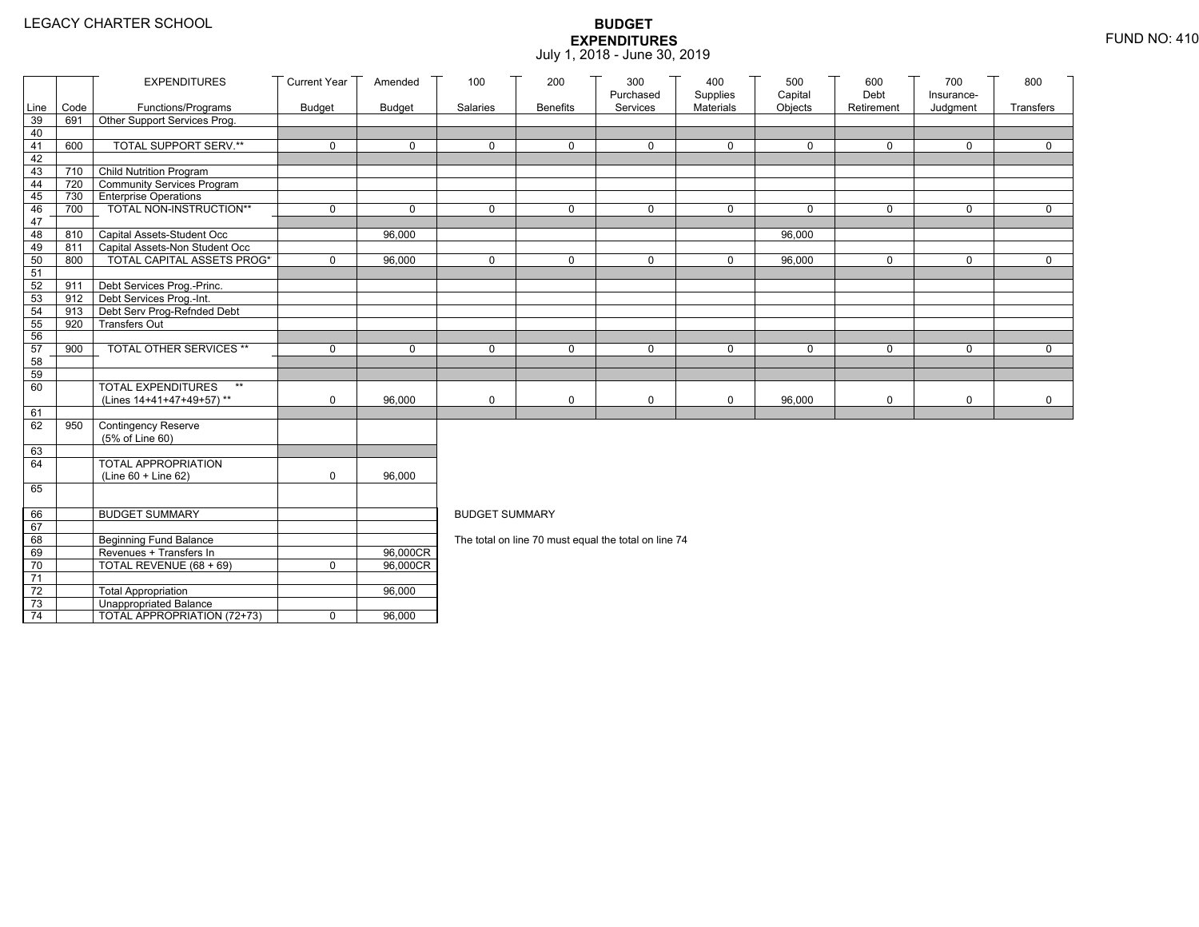|                 |            | <b>EXPENDITURES</b>                                     | <b>Current Year</b> | Amended       | 100                   | 200             | 300<br>Purchased                                     | 400<br>Supplies | 500<br>Capital | 600<br>Debt | 700<br>Insurance- | 800         |
|-----------------|------------|---------------------------------------------------------|---------------------|---------------|-----------------------|-----------------|------------------------------------------------------|-----------------|----------------|-------------|-------------------|-------------|
| Line            | Code       | Functions/Programs                                      | Budget              | <b>Budget</b> | Salaries              | <b>Benefits</b> | Services                                             | Materials       | Objects        | Retirement  | Judgment          | Transfers   |
| 39              | 691        | Other Support Services Prog.                            |                     |               |                       |                 |                                                      |                 |                |             |                   |             |
| 40              |            |                                                         |                     |               |                       |                 |                                                      |                 |                |             |                   |             |
| 41              | 600        | <b>TOTAL SUPPORT SERV.**</b>                            | $\mathbf 0$         | $\mathbf 0$   | 0                     | $\mathbf 0$     | $\mathbf 0$                                          | 0               | 0              | 0           | 0                 | $\mathbf 0$ |
| 42              |            |                                                         |                     |               |                       |                 |                                                      |                 |                |             |                   |             |
| 43              | 710        | <b>Child Nutrition Program</b>                          |                     |               |                       |                 |                                                      |                 |                |             |                   |             |
| 44              | 720        | Community Services Program                              |                     |               |                       |                 |                                                      |                 |                |             |                   |             |
| 45              | 730<br>700 | <b>Enterprise Operations</b><br>TOTAL NON-INSTRUCTION** | $\mathbf 0$         | $\mathbf 0$   | $\Omega$              | $\mathbf 0$     | $\mathbf 0$                                          | 0               | 0              | $\mathbf 0$ | 0                 | $\mathbf 0$ |
| 46<br>47        |            |                                                         |                     |               |                       |                 |                                                      |                 |                |             |                   |             |
| 48              | 810        | Capital Assets-Student Occ                              |                     | 96,000        |                       |                 |                                                      |                 | 96,000         |             |                   |             |
| 49              | 811        | Capital Assets-Non Student Occ                          |                     |               |                       |                 |                                                      |                 |                |             |                   |             |
| 50              | 800        | <b>TOTAL CAPITAL ASSETS PROG*</b>                       | $\mathbf 0$         | 96,000        | $\Omega$              | $\mathbf 0$     | 0                                                    | 0               | 96,000         | $\mathbf 0$ | 0                 | $\mathbf 0$ |
| 51              |            |                                                         |                     |               |                       |                 |                                                      |                 |                |             |                   |             |
| 52              | 911        | Debt Services Prog.-Princ.                              |                     |               |                       |                 |                                                      |                 |                |             |                   |             |
| 53              | $912$ T    | Debt Services Prog.-Int.                                |                     |               |                       |                 |                                                      |                 |                |             |                   |             |
| 54              | 913        | Debt Serv Prog-Refnded Debt                             |                     |               |                       |                 |                                                      |                 |                |             |                   |             |
| 55              | 920        | <b>Transfers Out</b>                                    |                     |               |                       |                 |                                                      |                 |                |             |                   |             |
| 56              |            |                                                         |                     |               |                       |                 |                                                      |                 |                |             |                   |             |
| 57              | 900        | TOTAL OTHER SERVICES **                                 | $\mathbf 0$         | $\Omega$      | $\Omega$              | $\Omega$        | $\mathbf 0$                                          | 0               | 0              | $\Omega$    | $\Omega$          | $\mathbf 0$ |
| 58<br>59        |            |                                                         |                     |               |                       |                 |                                                      |                 |                |             |                   |             |
| 60              |            | <b>TOTAL EXPENDITURES</b><br>$**$                       |                     |               |                       |                 |                                                      |                 |                |             |                   |             |
|                 |            | (Lines 14+41+47+49+57)**                                | 0                   | 96,000        | 0                     | 0               | 0                                                    | 0               | 96,000         | $\mathbf 0$ | 0                 | $\mathbf 0$ |
| 61              |            |                                                         |                     |               |                       |                 |                                                      |                 |                |             |                   |             |
| 62              | 950        | Contingency Reserve                                     |                     |               |                       |                 |                                                      |                 |                |             |                   |             |
|                 |            | (5% of Line 60)                                         |                     |               |                       |                 |                                                      |                 |                |             |                   |             |
| 63              |            |                                                         |                     |               |                       |                 |                                                      |                 |                |             |                   |             |
| 64              |            | TOTAL APPROPRIATION                                     |                     |               |                       |                 |                                                      |                 |                |             |                   |             |
|                 |            | (Line 60 + Line 62)                                     | $\mathbf 0$         | 96.000        |                       |                 |                                                      |                 |                |             |                   |             |
| 65              |            |                                                         |                     |               |                       |                 |                                                      |                 |                |             |                   |             |
| 66              |            | <b>BUDGET SUMMARY</b>                                   |                     |               | <b>BUDGET SUMMARY</b> |                 |                                                      |                 |                |             |                   |             |
| 67              |            |                                                         |                     |               |                       |                 |                                                      |                 |                |             |                   |             |
| 68              |            | <b>Beginning Fund Balance</b>                           |                     |               |                       |                 | The total on line 70 must equal the total on line 74 |                 |                |             |                   |             |
| 69              |            | Revenues + Transfers In                                 |                     | 96,000CR      |                       |                 |                                                      |                 |                |             |                   |             |
| 70              |            | TOTAL REVENUE (68 + 69)                                 | $\mathbf 0$         | 96.000CR      |                       |                 |                                                      |                 |                |             |                   |             |
| 71              |            |                                                         |                     |               |                       |                 |                                                      |                 |                |             |                   |             |
| 72              |            | <b>Total Appropriation</b>                              |                     | 96,000        |                       |                 |                                                      |                 |                |             |                   |             |
| 73              |            | <b>Unappropriated Balance</b>                           |                     |               |                       |                 |                                                      |                 |                |             |                   |             |
| $\overline{74}$ |            | TOTAL APPROPRIATION (72+73)                             | 0                   | 96,000        |                       |                 |                                                      |                 |                |             |                   |             |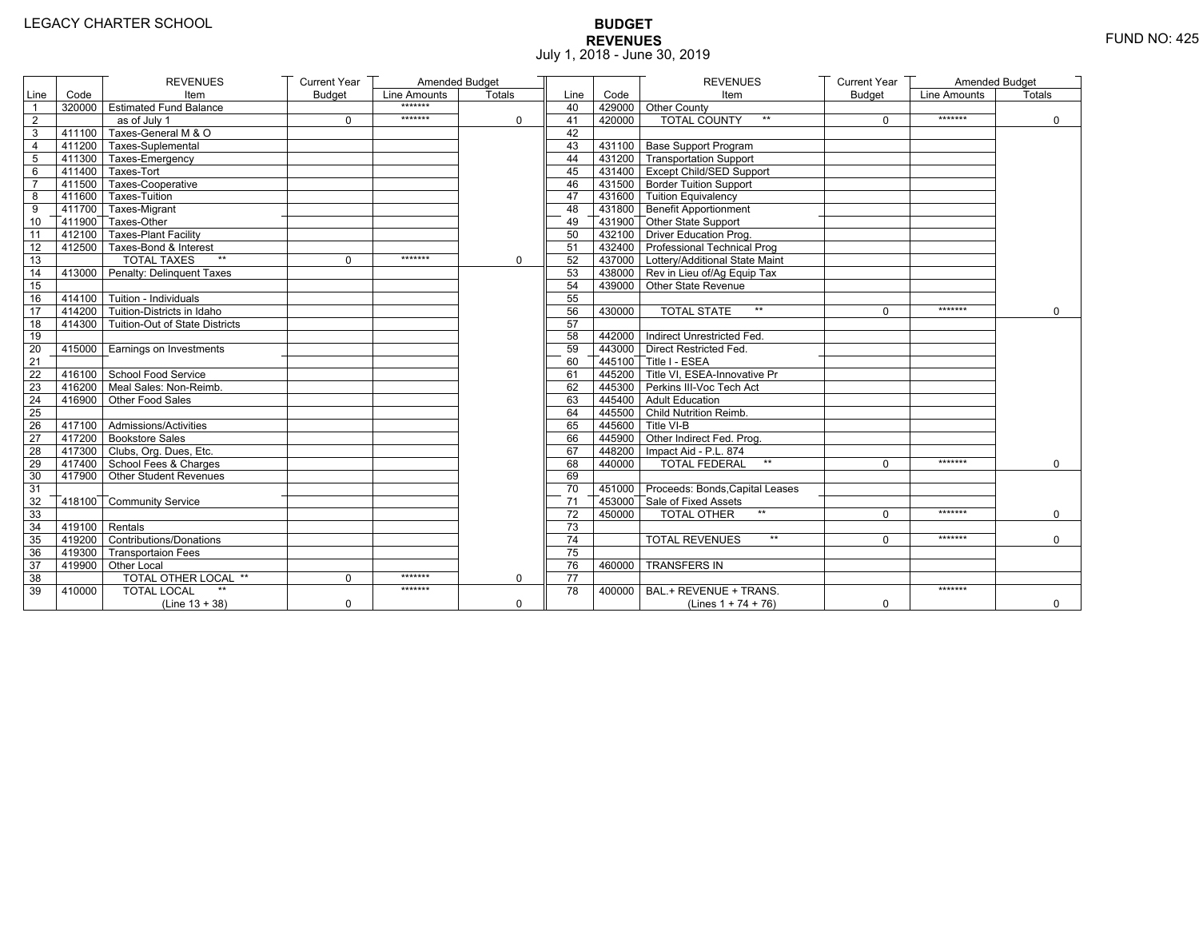# **BUDGET REVENUES** FUND NO: 425 July 1, 2018 - June 30, 2019

|                 |                         | <b>REVENUES</b>                       | <b>Current Year</b> | Amended Budget |             |                 |        | <b>REVENUES</b>                         | <b>Current Year</b> | <b>Amended Budget</b> |             |
|-----------------|-------------------------|---------------------------------------|---------------------|----------------|-------------|-----------------|--------|-----------------------------------------|---------------------|-----------------------|-------------|
| Line            | Code                    | Item                                  | <b>Budget</b>       | Line Amounts   | Totals      | Line            | Code   | Item                                    | <b>Budget</b>       | Line Amounts          | Totals      |
| $\overline{1}$  |                         | 320000 Estimated Fund Balance         |                     | *******        |             | 40              |        | 429000 Other County                     |                     |                       |             |
| $\overline{2}$  |                         | as of July 1                          | 0                   | *******        | $\Omega$    | 41              | 420000 | <b>TOTAL COUNTY</b><br>$\star\star$     | $\Omega$            | *******               | $\mathbf 0$ |
| 3               | 411100                  | Taxes-General M & O                   |                     |                |             | 42              |        |                                         |                     |                       |             |
| 4               |                         | 411200 Taxes-Suplemental              |                     |                |             | 43              |        | 431100 Base Support Program             |                     |                       |             |
| 5               |                         | 1411300 Taxes-Emergency               |                     |                |             | 44              |        | 431200 Transportation Support           |                     |                       |             |
| 6               |                         | $\sqrt{411400}$ Taxes-Tort            |                     |                |             | 45              |        | 431400 Except Child/SED Support         |                     |                       |             |
| $\overline{7}$  |                         | 411500 Taxes-Cooperative              |                     |                |             | 46              |        | 431500 Border Tuition Support           |                     |                       |             |
| 8               |                         | 411600 Taxes-Tuition                  |                     |                |             | 47              |        | 431600 Tuition Equivalency              |                     |                       |             |
| 9               |                         | T411700 Taxes-Migrant                 |                     |                |             | 48              |        | 431800 Benefit Apportionment            |                     |                       |             |
| 10 <sup>1</sup> |                         | 411900 Taxes-Other                    |                     |                |             | 49              |        | 431900 Other State Support              |                     |                       |             |
| 11              |                         | 412100 Taxes-Plant Facility           |                     |                |             | 50              |        | 432100 Driver Education Prog.           |                     |                       |             |
| 12              |                         | 412500 Taxes-Bond & Interest          |                     |                |             | 51              |        | 432400 Professional Technical Prog      |                     |                       |             |
| 13              |                         | $**$<br><b>TOTAL TAXES</b>            | 0                   | *******        | $\mathbf 0$ | 52              |        | 437000   Lottery/Additional State Maint |                     |                       |             |
| 14              |                         | 413000 Penalty: Delinguent Taxes      |                     |                |             | 53              |        | 438000 Rev in Lieu of/Ag Equip Tax      |                     |                       |             |
| 15              |                         |                                       |                     |                |             | 54              |        | 439000 Other State Revenue              |                     |                       |             |
| 16              |                         | $-414100$ Tuition - Individuals       |                     |                |             | 55              |        |                                         |                     |                       |             |
| 17              |                         | $414200$ Tuition-Districts in Idaho   |                     |                |             | 56              | 430000 | $\star\star$<br><b>TOTAL STATE</b>      | $\Omega$            | *******               | $\Omega$    |
| 18              |                         | 414300 Tuition-Out of State Districts |                     |                |             | 57              |        |                                         |                     |                       |             |
| 19              |                         |                                       |                     |                |             | 58              |        | 442000 Indirect Unrestricted Fed.       |                     |                       |             |
| 20              |                         | 415000 Earnings on Investments        |                     |                |             | 59              |        | 443000 Direct Restricted Fed            |                     |                       |             |
| 21              |                         |                                       |                     |                |             | 60              |        | 445100 Title I - ESEA                   |                     |                       |             |
| 22              |                         | 416100 School Food Service            |                     |                |             | 61              |        | 445200 Title VI, ESEA-Innovative Pr     |                     |                       |             |
| 23              |                         | 416200 Meal Sales: Non-Reimb.         |                     |                |             | 62              |        | 445300 Perkins III-Voc Tech Act         |                     |                       |             |
| 24              |                         | 416900 Other Food Sales               |                     |                |             | 63              |        | 445400 Adult Education                  |                     |                       |             |
| 25              |                         |                                       |                     |                |             | 64              |        | 445500 Child Nutrition Reimb.           |                     |                       |             |
| 26              |                         | 417100 Admissions/Activities          |                     |                |             | 65              |        | 445600 Title VI-B                       |                     |                       |             |
| 27              |                         | 417200 Bookstore Sales                |                     |                |             | 66              |        | 445900 Other Indirect Fed. Prog.        |                     |                       |             |
| 28              |                         | 417300 Clubs, Org. Dues, Etc.         |                     |                |             | 67              |        | 448200   Impact Aid - P.L. 874          |                     |                       |             |
| 29              |                         | 417400 School Fees & Charges          |                     |                |             | 68              | 440000 | <b>TOTAL FEDERAL</b><br>$\star\star$    | $\Omega$            | *******               | $\mathbf 0$ |
| 30              |                         | 417900 Other Student Revenues         |                     |                |             | 69              |        |                                         |                     |                       |             |
| 31              |                         |                                       |                     |                |             | 70              |        | 451000 Proceeds: Bonds, Capital Leases  |                     |                       |             |
| 32              |                         | 418100 Community Service              |                     |                |             | 71              |        | 453000 Sale of Fixed Assets             |                     |                       |             |
| 33              |                         |                                       |                     |                |             | $\overline{72}$ | 450000 | $**$<br><b>TOTAL OTHER</b>              | $\Omega$            | *******               | 0           |
| 34              | $\sqrt{419100}$ Rentals |                                       |                     |                |             | 73              |        |                                         |                     |                       |             |
| 35              |                         | 419200 Contributions/Donations        |                     |                |             | 74              |        | <b>TOTAL REVENUES</b><br>$\star\star$   | $\Omega$            | *******               | $\Omega$    |
| 36              |                         | 419300 Transportaion Fees             |                     |                |             | $\overline{75}$ |        |                                         |                     |                       |             |
| 37              |                         | 419900 Other Local                    |                     |                |             | 76              | 460000 | <b>TRANSFERS IN</b>                     |                     |                       |             |
| 38              |                         | TOTAL OTHER LOCAL **                  | 0                   | *******        | $\mathbf 0$ | $\overline{77}$ |        |                                         |                     |                       |             |
| 39              | 410000                  | <b>TOTAL LOCAL</b>                    |                     | *******        |             | 78              | 400000 | BAL.+ REVENUE + TRANS.                  |                     | *******               |             |
|                 |                         | $(Line 13 + 38)$                      | 0                   |                | $\mathbf 0$ |                 |        | (Lines $1 + 74 + 76$ )                  | 0                   |                       | 0           |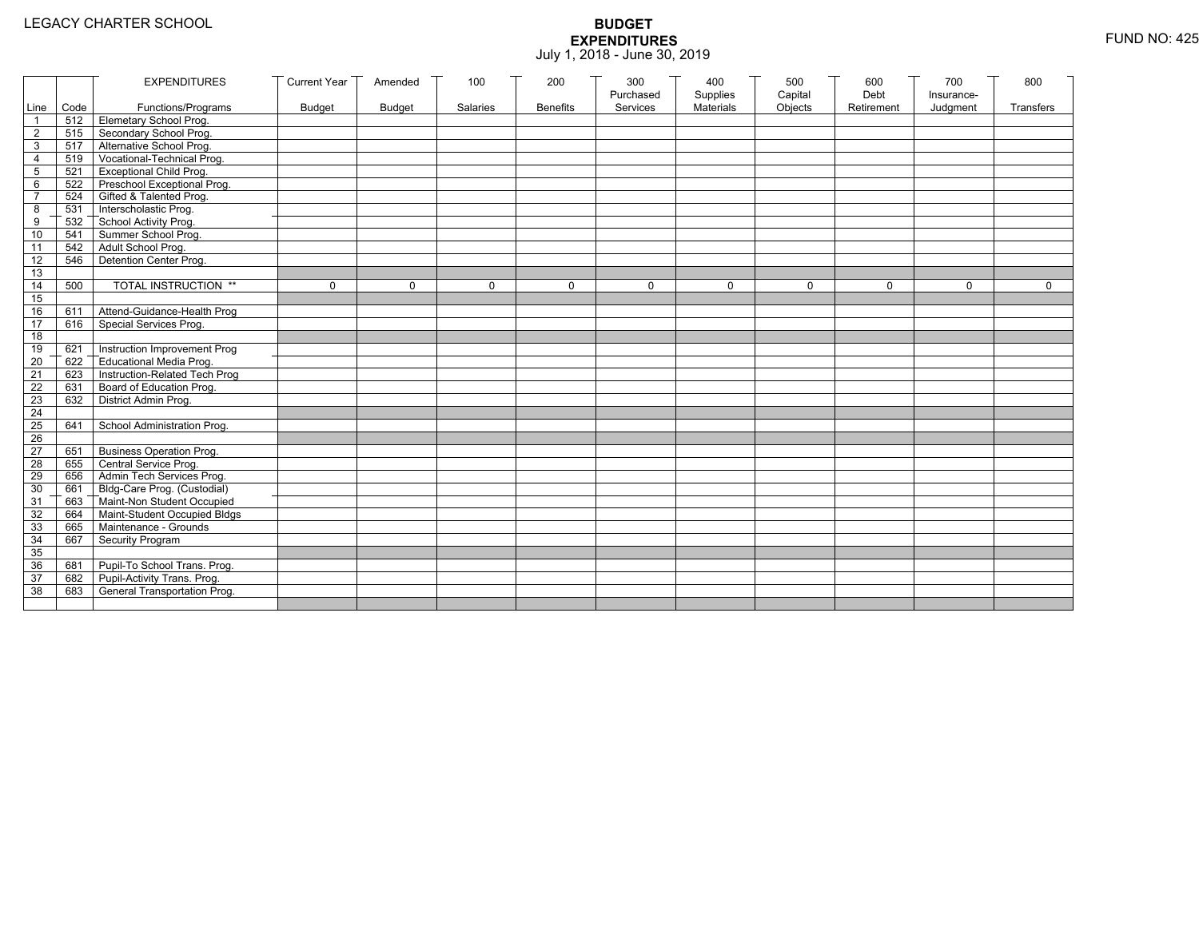|                 |           | <b>EXPENDITURES</b>              | <b>Current Year</b> | Amended       | 100             | 200             | 300                   | 400                   | 500                | 600                | 700                    | 800         |
|-----------------|-----------|----------------------------------|---------------------|---------------|-----------------|-----------------|-----------------------|-----------------------|--------------------|--------------------|------------------------|-------------|
|                 | Line Code | Functions/Programs               | <b>Budget</b>       | <b>Budget</b> | <b>Salaries</b> | <b>Benefits</b> | Purchased<br>Services | Supplies<br>Materials | Capital<br>Objects | Debt<br>Retirement | Insurance-<br>Judgment | Transfers   |
|                 |           | 512 Elemetary School Prog.       |                     |               |                 |                 |                       |                       |                    |                    |                        |             |
| $\overline{2}$  | 515       | Secondary School Prog.           |                     |               |                 |                 |                       |                       |                    |                    |                        |             |
| 3               |           | 517 Alternative School Prog.     |                     |               |                 |                 |                       |                       |                    |                    |                        |             |
| 4               | 519       | Vocational-Technical Prog.       |                     |               |                 |                 |                       |                       |                    |                    |                        |             |
| 5               | 521       | <b>Exceptional Child Prog.</b>   |                     |               |                 |                 |                       |                       |                    |                    |                        |             |
| 6               |           | 522 Preschool Exceptional Prog.  |                     |               |                 |                 |                       |                       |                    |                    |                        |             |
| $\overline{7}$  |           | 524 Gifted & Talented Prog.      |                     |               |                 |                 |                       |                       |                    |                    |                        |             |
| 8               |           | 531 Interscholastic Prog.        |                     |               |                 |                 |                       |                       |                    |                    |                        |             |
| 9               | 532       | School Activity Prog.            |                     |               |                 |                 |                       |                       |                    |                    |                        |             |
| 10              | 541       | Summer School Prog.              |                     |               |                 |                 |                       |                       |                    |                    |                        |             |
| 11              |           | 542 Adult School Prog.           |                     |               |                 |                 |                       |                       |                    |                    |                        |             |
| $\overline{12}$ | 546       | Detention Center Prog.           |                     |               |                 |                 |                       |                       |                    |                    |                        |             |
| 13              |           |                                  |                     |               |                 |                 |                       |                       |                    |                    |                        |             |
| 14              | 500       | TOTAL INSTRUCTION **             | $\mathbf 0$         | $\Omega$      | 0               | 0               | $\Omega$              | 0                     | $\mathbf 0$        | $\Omega$           | $\Omega$               | $\mathbf 0$ |
| 15              |           |                                  |                     |               |                 |                 |                       |                       |                    |                    |                        |             |
| 16              | 611       | Attend-Guidance-Health Prog      |                     |               |                 |                 |                       |                       |                    |                    |                        |             |
| 17              | 616       | Special Services Prog.           |                     |               |                 |                 |                       |                       |                    |                    |                        |             |
| 18              |           |                                  |                     |               |                 |                 |                       |                       |                    |                    |                        |             |
| 19              | 621       | Instruction Improvement Prog     |                     |               |                 |                 |                       |                       |                    |                    |                        |             |
| $\overline{20}$ | 622       | Educational Media Prog.          |                     |               |                 |                 |                       |                       |                    |                    |                        |             |
| 21              | 623       | Instruction-Related Tech Prog    |                     |               |                 |                 |                       |                       |                    |                    |                        |             |
| $\overline{22}$ | 631       | Board of Education Prog.         |                     |               |                 |                 |                       |                       |                    |                    |                        |             |
| 23              | 632       | District Admin Prog.             |                     |               |                 |                 |                       |                       |                    |                    |                        |             |
| 24              |           |                                  |                     |               |                 |                 |                       |                       |                    |                    |                        |             |
| 25              | 641       | School Administration Prog.      |                     |               |                 |                 |                       |                       |                    |                    |                        |             |
| 26              |           |                                  |                     |               |                 |                 |                       |                       |                    |                    |                        |             |
| 27              | 651       | <b>Business Operation Prog.</b>  |                     |               |                 |                 |                       |                       |                    |                    |                        |             |
| 28              |           | 655 Central Service Prog.        |                     |               |                 |                 |                       |                       |                    |                    |                        |             |
| 29              | 656       | Admin Tech Services Prog.        |                     |               |                 |                 |                       |                       |                    |                    |                        |             |
| 30              |           | 661 Bldg-Care Prog. (Custodial)  |                     |               |                 |                 |                       |                       |                    |                    |                        |             |
| 31              |           | 663 Maint-Non Student Occupied   |                     |               |                 |                 |                       |                       |                    |                    |                        |             |
| 32              |           | 664 Maint-Student Occupied Bldgs |                     |               |                 |                 |                       |                       |                    |                    |                        |             |
| 33              |           | 665 Maintenance - Grounds        |                     |               |                 |                 |                       |                       |                    |                    |                        |             |
| 34              | 667       | Security Program                 |                     |               |                 |                 |                       |                       |                    |                    |                        |             |
| 35              |           |                                  |                     |               |                 |                 |                       |                       |                    |                    |                        |             |
| 36              | 681       | Pupil-To School Trans. Prog.     |                     |               |                 |                 |                       |                       |                    |                    |                        |             |
| 37              | 682       | Pupil-Activity Trans. Prog.      |                     |               |                 |                 |                       |                       |                    |                    |                        |             |
| 38              | 683       | General Transportation Prog.     |                     |               |                 |                 |                       |                       |                    |                    |                        |             |
|                 |           |                                  |                     |               |                 |                 |                       |                       |                    |                    |                        |             |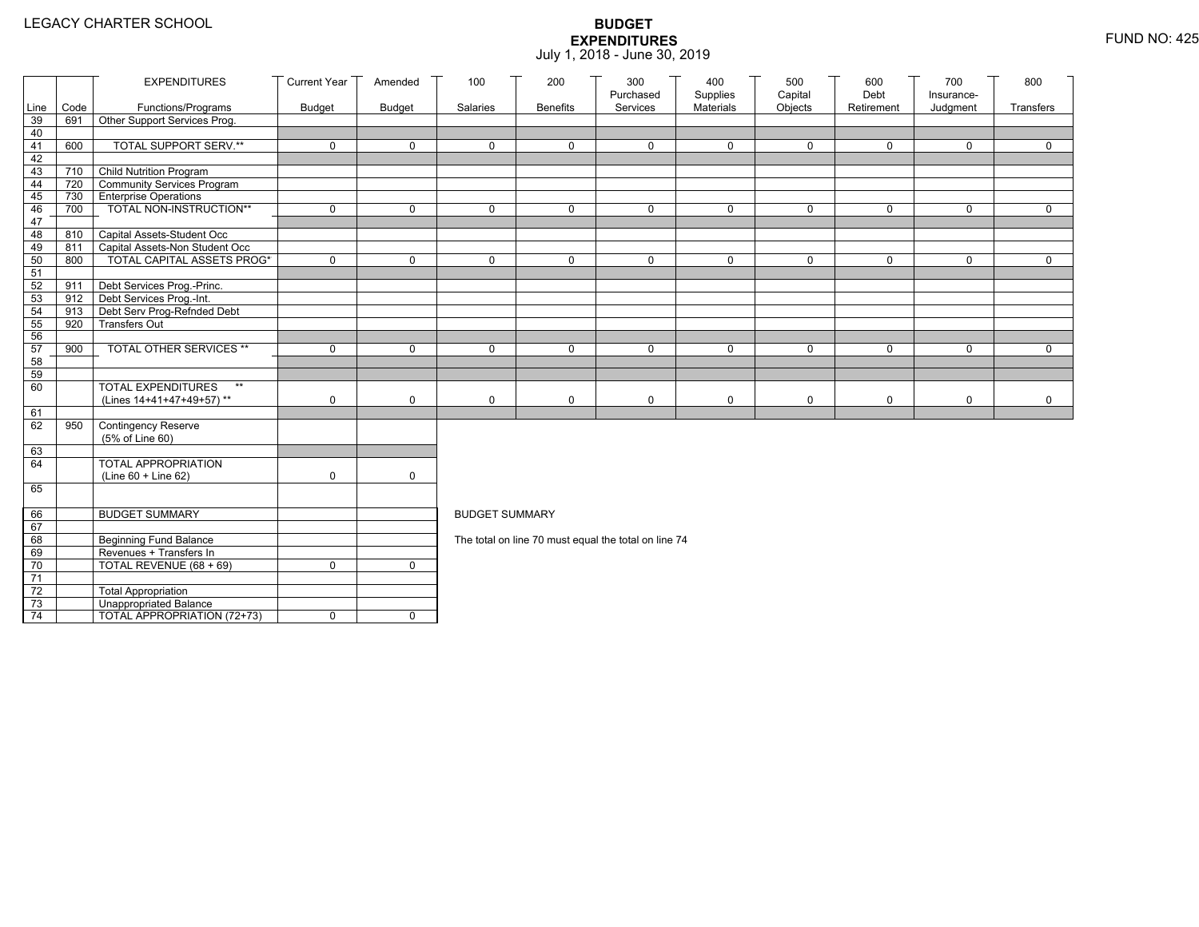|                 |            | <b>EXPENDITURES</b>                                     | <b>Current Year</b> | Amended       | 100                                                  | 200             | 300<br>Purchased | 400<br>Supplies | 500<br>Capital | 600<br>Debt | 700<br>Insurance- | 800         |  |  |
|-----------------|------------|---------------------------------------------------------|---------------------|---------------|------------------------------------------------------|-----------------|------------------|-----------------|----------------|-------------|-------------------|-------------|--|--|
| Line            | Code       | Functions/Programs                                      | <b>Budget</b>       | <b>Budget</b> | Salaries                                             | <b>Benefits</b> | Services         | Materials       | Objects        | Retirement  | Judgment          | Transfers   |  |  |
| 39              | 691        | Other Support Services Prog.                            |                     |               |                                                      |                 |                  |                 |                |             |                   |             |  |  |
| 40              |            |                                                         |                     |               |                                                      |                 |                  |                 |                |             |                   |             |  |  |
| 41              | 600        | TOTAL SUPPORT SERV.**                                   | 0                   | $\mathbf 0$   | 0                                                    | $\mathbf 0$     | 0                | $\mathbf 0$     | $\mathbf 0$    | $\mathbf 0$ | $\mathbf 0$       | $\mathbf 0$ |  |  |
| 42              |            |                                                         |                     |               |                                                      |                 |                  |                 |                |             |                   |             |  |  |
| 43              | 710 T      | Child Nutrition Program                                 |                     |               |                                                      |                 |                  |                 |                |             |                   |             |  |  |
| 44              | 720        | Community Services Program                              |                     |               |                                                      |                 |                  |                 |                |             |                   |             |  |  |
| 45              | 730<br>700 | <b>Enterprise Operations</b><br>TOTAL NON-INSTRUCTION** | 0                   | $\mathsf{O}$  | 0                                                    | $\mathbf 0$     | $\Omega$         | $\mathbf 0$     | $\mathbf 0$    | $\mathbf 0$ | $\Omega$          | $\mathbf 0$ |  |  |
| 46<br>47        |            |                                                         |                     |               |                                                      |                 |                  |                 |                |             |                   |             |  |  |
| 48              | 810        | Capital Assets-Student Occ                              |                     |               |                                                      |                 |                  |                 |                |             |                   |             |  |  |
| 49              | 811        | Capital Assets-Non Student Occ                          |                     |               |                                                      |                 |                  |                 |                |             |                   |             |  |  |
| 50              | 800        | <b>TOTAL CAPITAL ASSETS PROG*</b>                       | 0                   | $\mathbf 0$   | 0                                                    | $\mathbf 0$     | $\Omega$         | $\mathbf 0$     | 0              | $\mathbf 0$ | $\mathbf 0$       | 0           |  |  |
| 51              |            |                                                         |                     |               |                                                      |                 |                  |                 |                |             |                   |             |  |  |
| 52              | 911        | Debt Services Prog.-Princ.                              |                     |               |                                                      |                 |                  |                 |                |             |                   |             |  |  |
| 53              |            | 912 Debt Services Prog.-Int.                            |                     |               |                                                      |                 |                  |                 |                |             |                   |             |  |  |
| 54              | 913        | Debt Serv Prog-Refnded Debt                             |                     |               |                                                      |                 |                  |                 |                |             |                   |             |  |  |
| 55              | 920        | <b>Transfers Out</b>                                    |                     |               |                                                      |                 |                  |                 |                |             |                   |             |  |  |
| 56              |            |                                                         |                     |               |                                                      |                 |                  |                 |                |             |                   |             |  |  |
| 57              | 900        | TOTAL OTHER SERVICES **                                 | 0                   | $\mathbf 0$   | 0                                                    | $\mathbf 0$     | $\Omega$         | $\mathbf 0$     | $\mathbf 0$    | $\mathbf 0$ | $\Omega$          | $\mathbf 0$ |  |  |
| 58<br>59        |            |                                                         |                     |               |                                                      |                 |                  |                 |                |             |                   |             |  |  |
| 60              |            | <b>TOTAL EXPENDITURES</b><br>$**$                       |                     |               |                                                      |                 |                  |                 |                |             |                   |             |  |  |
|                 |            | (Lines 14+41+47+49+57)**                                | 0                   | 0             | 0                                                    | $\mathsf{O}$    | 0                | $\mathbf 0$     | 0              | $\mathbf 0$ | 0                 | $\mathbf 0$ |  |  |
| 61              |            |                                                         |                     |               |                                                      |                 |                  |                 |                |             |                   |             |  |  |
| 62              | 950        | Contingency Reserve                                     |                     |               |                                                      |                 |                  |                 |                |             |                   |             |  |  |
|                 |            | (5% of Line 60)                                         |                     |               |                                                      |                 |                  |                 |                |             |                   |             |  |  |
| 63              |            |                                                         |                     |               |                                                      |                 |                  |                 |                |             |                   |             |  |  |
| 64              |            | TOTAL APPROPRIATION                                     |                     |               |                                                      |                 |                  |                 |                |             |                   |             |  |  |
|                 |            | (Line 60 + Line 62)                                     | 0                   | $\mathsf{O}$  |                                                      |                 |                  |                 |                |             |                   |             |  |  |
| 65              |            |                                                         |                     |               |                                                      |                 |                  |                 |                |             |                   |             |  |  |
| 66              |            | <b>BUDGET SUMMARY</b>                                   |                     |               | <b>BUDGET SUMMARY</b>                                |                 |                  |                 |                |             |                   |             |  |  |
| 67              |            |                                                         |                     |               |                                                      |                 |                  |                 |                |             |                   |             |  |  |
| 68              |            | <b>Beginning Fund Balance</b>                           |                     |               |                                                      |                 |                  |                 |                |             |                   |             |  |  |
| 69              |            | Revenues + Transfers In                                 |                     |               | The total on line 70 must equal the total on line 74 |                 |                  |                 |                |             |                   |             |  |  |
| 70              |            | TOTAL REVENUE $(68 + 69)$                               | 0                   | $\mathbf{0}$  |                                                      |                 |                  |                 |                |             |                   |             |  |  |
| 71              |            |                                                         |                     |               |                                                      |                 |                  |                 |                |             |                   |             |  |  |
| 72              |            | <b>Total Appropriation</b>                              |                     |               |                                                      |                 |                  |                 |                |             |                   |             |  |  |
| 73              |            | Unappropriated Balance                                  |                     |               |                                                      |                 |                  |                 |                |             |                   |             |  |  |
| $\overline{74}$ |            | TOTAL APPROPRIATION (72+73)                             | 0                   | $\mathbf 0$   |                                                      |                 |                  |                 |                |             |                   |             |  |  |